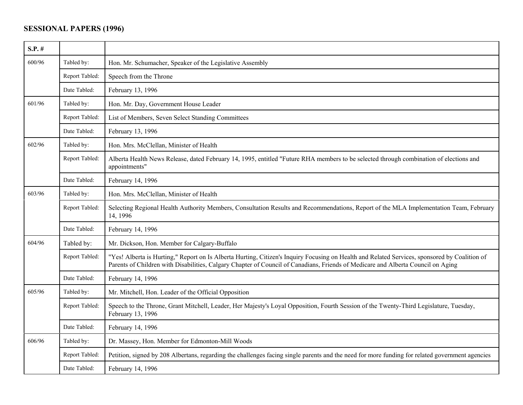## **SESSIONAL PAPERS (1996)**

| $S.P.$ # |                |                                                                                                                                                                                                                                                                                   |
|----------|----------------|-----------------------------------------------------------------------------------------------------------------------------------------------------------------------------------------------------------------------------------------------------------------------------------|
| 600/96   | Tabled by:     | Hon. Mr. Schumacher, Speaker of the Legislative Assembly                                                                                                                                                                                                                          |
|          | Report Tabled: | Speech from the Throne                                                                                                                                                                                                                                                            |
|          | Date Tabled:   | February 13, 1996                                                                                                                                                                                                                                                                 |
| 601/96   | Tabled by:     | Hon. Mr. Day, Government House Leader                                                                                                                                                                                                                                             |
|          | Report Tabled: | List of Members, Seven Select Standing Committees                                                                                                                                                                                                                                 |
|          | Date Tabled:   | February 13, 1996                                                                                                                                                                                                                                                                 |
| 602/96   | Tabled by:     | Hon. Mrs. McClellan, Minister of Health                                                                                                                                                                                                                                           |
|          | Report Tabled: | Alberta Health News Release, dated February 14, 1995, entitled "Future RHA members to be selected through combination of elections and<br>appointments"                                                                                                                           |
|          | Date Tabled:   | February 14, 1996                                                                                                                                                                                                                                                                 |
| 603/96   | Tabled by:     | Hon. Mrs. McClellan, Minister of Health                                                                                                                                                                                                                                           |
|          | Report Tabled: | Selecting Regional Health Authority Members, Consultation Results and Recommendations, Report of the MLA Implementation Team, February<br>14, 1996                                                                                                                                |
|          | Date Tabled:   | February 14, 1996                                                                                                                                                                                                                                                                 |
| 604/96   | Tabled by:     | Mr. Dickson, Hon. Member for Calgary-Buffalo                                                                                                                                                                                                                                      |
|          | Report Tabled: | "Yes! Alberta is Hurting," Report on Is Alberta Hurting, Citizen's Inquiry Focusing on Health and Related Services, sponsored by Coalition of<br>Parents of Children with Disabilities, Calgary Chapter of Council of Canadians, Friends of Medicare and Alberta Council on Aging |
|          | Date Tabled:   | February 14, 1996                                                                                                                                                                                                                                                                 |
| 605/96   | Tabled by:     | Mr. Mitchell, Hon. Leader of the Official Opposition                                                                                                                                                                                                                              |
|          | Report Tabled: | Speech to the Throne, Grant Mitchell, Leader, Her Majesty's Loyal Opposition, Fourth Session of the Twenty-Third Legislature, Tuesday,<br>February 13, 1996                                                                                                                       |
|          | Date Tabled:   | February 14, 1996                                                                                                                                                                                                                                                                 |
| 606/96   | Tabled by:     | Dr. Massey, Hon. Member for Edmonton-Mill Woods                                                                                                                                                                                                                                   |
|          | Report Tabled: | Petition, signed by 208 Albertans, regarding the challenges facing single parents and the need for more funding for related government agencies                                                                                                                                   |
|          | Date Tabled:   | February 14, 1996                                                                                                                                                                                                                                                                 |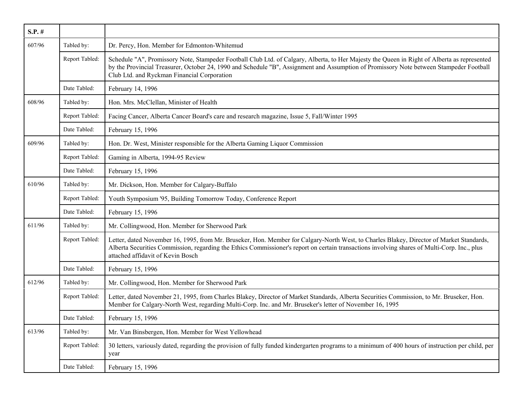| $S.P.$ # |                |                                                                                                                                                                                                                                                                                                                                        |
|----------|----------------|----------------------------------------------------------------------------------------------------------------------------------------------------------------------------------------------------------------------------------------------------------------------------------------------------------------------------------------|
| 607/96   | Tabled by:     | Dr. Percy, Hon. Member for Edmonton-Whitemud                                                                                                                                                                                                                                                                                           |
|          | Report Tabled: | Schedule "A", Promissory Note, Stampeder Football Club Ltd. of Calgary, Alberta, to Her Majesty the Queen in Right of Alberta as represented<br>by the Provincial Treasurer, October 24, 1990 and Schedule "B", Assignment and Assumption of Promissory Note between Stampeder Football<br>Club Ltd. and Ryckman Financial Corporation |
|          | Date Tabled:   | February 14, 1996                                                                                                                                                                                                                                                                                                                      |
| 608/96   | Tabled by:     | Hon. Mrs. McClellan, Minister of Health                                                                                                                                                                                                                                                                                                |
|          | Report Tabled: | Facing Cancer, Alberta Cancer Board's care and research magazine, Issue 5, Fall/Winter 1995                                                                                                                                                                                                                                            |
|          | Date Tabled:   | February 15, 1996                                                                                                                                                                                                                                                                                                                      |
| 609/96   | Tabled by:     | Hon. Dr. West, Minister responsible for the Alberta Gaming Liquor Commission                                                                                                                                                                                                                                                           |
|          | Report Tabled: | Gaming in Alberta, 1994-95 Review                                                                                                                                                                                                                                                                                                      |
|          | Date Tabled:   | February 15, 1996                                                                                                                                                                                                                                                                                                                      |
| 610/96   | Tabled by:     | Mr. Dickson, Hon. Member for Calgary-Buffalo                                                                                                                                                                                                                                                                                           |
|          | Report Tabled: | Youth Symposium '95, Building Tomorrow Today, Conference Report                                                                                                                                                                                                                                                                        |
|          | Date Tabled:   | February 15, 1996                                                                                                                                                                                                                                                                                                                      |
| 611/96   | Tabled by:     | Mr. Collingwood, Hon. Member for Sherwood Park                                                                                                                                                                                                                                                                                         |
|          | Report Tabled: | Letter, dated November 16, 1995, from Mr. Bruseker, Hon. Member for Calgary-North West, to Charles Blakey, Director of Market Standards,<br>Alberta Securities Commission, regarding the Ethics Commissioner's report on certain transactions involving shares of Multi-Corp. Inc., plus<br>attached affidavit of Kevin Bosch          |
|          | Date Tabled:   | February 15, 1996                                                                                                                                                                                                                                                                                                                      |
| 612/96   | Tabled by:     | Mr. Collingwood, Hon. Member for Sherwood Park                                                                                                                                                                                                                                                                                         |
|          | Report Tabled: | Letter, dated November 21, 1995, from Charles Blakey, Director of Market Standards, Alberta Securities Commission, to Mr. Bruseker, Hon.<br>Member for Calgary-North West, regarding Multi-Corp. Inc. and Mr. Bruseker's letter of November 16, 1995                                                                                   |
|          | Date Tabled:   | February 15, 1996                                                                                                                                                                                                                                                                                                                      |
| 613/96   | Tabled by:     | Mr. Van Binsbergen, Hon. Member for West Yellowhead                                                                                                                                                                                                                                                                                    |
|          | Report Tabled: | 30 letters, variously dated, regarding the provision of fully funded kindergarten programs to a minimum of 400 hours of instruction per child, per<br>year                                                                                                                                                                             |
|          | Date Tabled:   | February 15, 1996                                                                                                                                                                                                                                                                                                                      |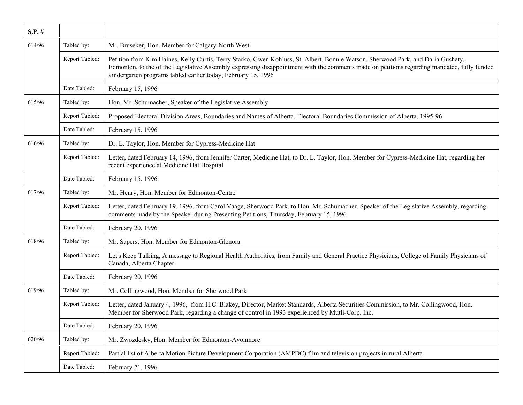| $S.P.$ # |                |                                                                                                                                                                                                                                                                                                                                                  |
|----------|----------------|--------------------------------------------------------------------------------------------------------------------------------------------------------------------------------------------------------------------------------------------------------------------------------------------------------------------------------------------------|
| 614/96   | Tabled by:     | Mr. Bruseker, Hon. Member for Calgary-North West                                                                                                                                                                                                                                                                                                 |
|          | Report Tabled: | Petition from Kim Haines, Kelly Curtis, Terry Starko, Gwen Kohluss, St. Albert, Bonnie Watson, Sherwood Park, and Daria Gushaty,<br>Edmonton, to the of the Legislative Assembly expressing disappointment with the comments made on petitions regarding mandated, fully funded<br>kindergarten programs tabled earlier today, February 15, 1996 |
|          | Date Tabled:   | February 15, 1996                                                                                                                                                                                                                                                                                                                                |
| 615/96   | Tabled by:     | Hon. Mr. Schumacher, Speaker of the Legislative Assembly                                                                                                                                                                                                                                                                                         |
|          | Report Tabled: | Proposed Electoral Division Areas, Boundaries and Names of Alberta, Electoral Boundaries Commission of Alberta, 1995-96                                                                                                                                                                                                                          |
|          | Date Tabled:   | February 15, 1996                                                                                                                                                                                                                                                                                                                                |
| 616/96   | Tabled by:     | Dr. L. Taylor, Hon. Member for Cypress-Medicine Hat                                                                                                                                                                                                                                                                                              |
|          | Report Tabled: | Letter, dated February 14, 1996, from Jennifer Carter, Medicine Hat, to Dr. L. Taylor, Hon. Member for Cypress-Medicine Hat, regarding her<br>recent experience at Medicine Hat Hospital                                                                                                                                                         |
|          | Date Tabled:   | February 15, 1996                                                                                                                                                                                                                                                                                                                                |
| 617/96   | Tabled by:     | Mr. Henry, Hon. Member for Edmonton-Centre                                                                                                                                                                                                                                                                                                       |
|          | Report Tabled: | Letter, dated February 19, 1996, from Carol Vaage, Sherwood Park, to Hon. Mr. Schumacher, Speaker of the Legislative Assembly, regarding<br>comments made by the Speaker during Presenting Petitions, Thursday, February 15, 1996                                                                                                                |
|          | Date Tabled:   | February 20, 1996                                                                                                                                                                                                                                                                                                                                |
| 618/96   | Tabled by:     | Mr. Sapers, Hon. Member for Edmonton-Glenora                                                                                                                                                                                                                                                                                                     |
|          | Report Tabled: | Let's Keep Talking, A message to Regional Health Authorities, from Family and General Practice Physicians, College of Family Physicians of<br>Canada, Alberta Chapter                                                                                                                                                                            |
|          | Date Tabled:   | February 20, 1996                                                                                                                                                                                                                                                                                                                                |
| 619/96   | Tabled by:     | Mr. Collingwood, Hon. Member for Sherwood Park                                                                                                                                                                                                                                                                                                   |
|          | Report Tabled: | Letter, dated January 4, 1996, from H.C. Blakey, Director, Market Standards, Alberta Securities Commission, to Mr. Collingwood, Hon.<br>Member for Sherwood Park, regarding a change of control in 1993 experienced by Mutli-Corp. Inc.                                                                                                          |
|          | Date Tabled:   | February 20, 1996                                                                                                                                                                                                                                                                                                                                |
| 620/96   | Tabled by:     | Mr. Zwozdesky, Hon. Member for Edmonton-Avonmore                                                                                                                                                                                                                                                                                                 |
|          | Report Tabled: | Partial list of Alberta Motion Picture Development Corporation (AMPDC) film and television projects in rural Alberta                                                                                                                                                                                                                             |
|          | Date Tabled:   | February 21, 1996                                                                                                                                                                                                                                                                                                                                |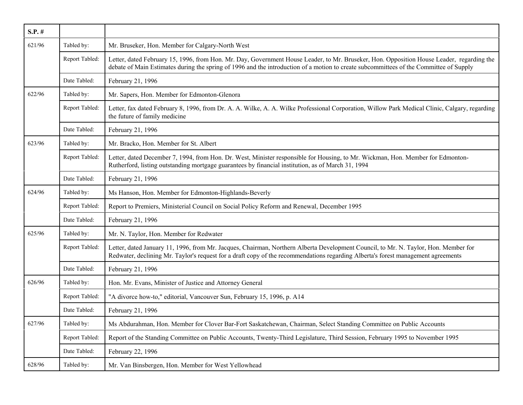| $S.P.$ # |                |                                                                                                                                                                                                                                                                                     |
|----------|----------------|-------------------------------------------------------------------------------------------------------------------------------------------------------------------------------------------------------------------------------------------------------------------------------------|
| 621/96   | Tabled by:     | Mr. Bruseker, Hon. Member for Calgary-North West                                                                                                                                                                                                                                    |
|          | Report Tabled: | Letter, dated February 15, 1996, from Hon. Mr. Day, Government House Leader, to Mr. Bruseker, Hon. Opposition House Leader, regarding the<br>debate of Main Estimates during the spring of 1996 and the introduction of a motion to create subcommittees of the Committee of Supply |
|          | Date Tabled:   | February 21, 1996                                                                                                                                                                                                                                                                   |
| 622/96   | Tabled by:     | Mr. Sapers, Hon. Member for Edmonton-Glenora                                                                                                                                                                                                                                        |
|          | Report Tabled: | Letter, fax dated February 8, 1996, from Dr. A. A. Wilke, A. A. Wilke Professional Corporation, Willow Park Medical Clinic, Calgary, regarding<br>the future of family medicine                                                                                                     |
|          | Date Tabled:   | February 21, 1996                                                                                                                                                                                                                                                                   |
| 623/96   | Tabled by:     | Mr. Bracko, Hon. Member for St. Albert                                                                                                                                                                                                                                              |
|          | Report Tabled: | Letter, dated December 7, 1994, from Hon. Dr. West, Minister responsible for Housing, to Mr. Wickman, Hon. Member for Edmonton-<br>Rutherford, listing outstanding mortgage guarantees by financial institution, as of March 31, 1994                                               |
|          | Date Tabled:   | February 21, 1996                                                                                                                                                                                                                                                                   |
| 624/96   | Tabled by:     | Ms Hanson, Hon. Member for Edmonton-Highlands-Beverly                                                                                                                                                                                                                               |
|          | Report Tabled: | Report to Premiers, Ministerial Council on Social Policy Reform and Renewal, December 1995                                                                                                                                                                                          |
|          | Date Tabled:   | February 21, 1996                                                                                                                                                                                                                                                                   |
| 625/96   | Tabled by:     | Mr. N. Taylor, Hon. Member for Redwater                                                                                                                                                                                                                                             |
|          | Report Tabled: | Letter, dated January 11, 1996, from Mr. Jacques, Chairman, Northern Alberta Development Council, to Mr. N. Taylor, Hon. Member for<br>Redwater, declining Mr. Taylor's request for a draft copy of the recommendations regarding Alberta's forest management agreements            |
|          | Date Tabled:   | February 21, 1996                                                                                                                                                                                                                                                                   |
| 626/96   | Tabled by:     | Hon. Mr. Evans, Minister of Justice and Attorney General                                                                                                                                                                                                                            |
|          | Report Tabled: | "A divorce how-to," editorial, Vancouver Sun, February 15, 1996, p. A14                                                                                                                                                                                                             |
|          | Date Tabled:   | February 21, 1996                                                                                                                                                                                                                                                                   |
| 627/96   | Tabled by:     | Ms Abdurahman, Hon. Member for Clover Bar-Fort Saskatchewan, Chairman, Select Standing Committee on Public Accounts                                                                                                                                                                 |
|          | Report Tabled: | Report of the Standing Committee on Public Accounts, Twenty-Third Legislature, Third Session, February 1995 to November 1995                                                                                                                                                        |
|          | Date Tabled:   | February 22, 1996                                                                                                                                                                                                                                                                   |
| 628/96   | Tabled by:     | Mr. Van Binsbergen, Hon. Member for West Yellowhead                                                                                                                                                                                                                                 |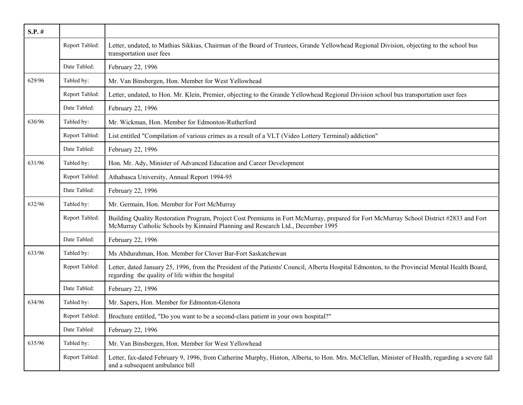| $S.P.$ # |                |                                                                                                                                                                                                                            |
|----------|----------------|----------------------------------------------------------------------------------------------------------------------------------------------------------------------------------------------------------------------------|
|          | Report Tabled: | Letter, undated, to Mathias Sikkias, Chairman of the Board of Trustees, Grande Yellowhead Regional Division, objecting to the school bus<br>transportation user fees                                                       |
|          | Date Tabled:   | February 22, 1996                                                                                                                                                                                                          |
| 629/96   | Tabled by:     | Mr. Van Binsbergen, Hon. Member for West Yellowhead                                                                                                                                                                        |
|          | Report Tabled: | Letter, undated, to Hon. Mr. Klein, Premier, objecting to the Grande Yellowhead Regional Division school bus transportation user fees                                                                                      |
|          | Date Tabled:   | February 22, 1996                                                                                                                                                                                                          |
| 630/96   | Tabled by:     | Mr. Wickman, Hon. Member for Edmonton-Rutherford                                                                                                                                                                           |
|          | Report Tabled: | List entitled "Compilation of various crimes as a result of a VLT (Video Lottery Terminal) addiction"                                                                                                                      |
|          | Date Tabled:   | February 22, 1996                                                                                                                                                                                                          |
| 631/96   | Tabled by:     | Hon. Mr. Ady, Minister of Advanced Education and Career Development                                                                                                                                                        |
|          | Report Tabled: | Athabasca University, Annual Report 1994-95                                                                                                                                                                                |
|          | Date Tabled:   | February 22, 1996                                                                                                                                                                                                          |
| 632/96   | Tabled by:     | Mr. Germain, Hon. Member for Fort McMurray                                                                                                                                                                                 |
|          | Report Tabled: | Building Quality Restoration Program, Project Cost Premiums in Fort McMurray, prepared for Fort McMurray School District #2833 and Fort<br>McMurray Catholic Schools by Kinnaird Planning and Research Ltd., December 1995 |
|          | Date Tabled:   | February 22, 1996                                                                                                                                                                                                          |
| 633/96   | Tabled by:     | Ms Abdurahman, Hon. Member for Clover Bar-Fort Saskatchewan                                                                                                                                                                |
|          | Report Tabled: | Letter, dated January 25, 1996, from the President of the Patients' Council, Alberta Hospital Edmonton, to the Provincial Mental Health Board,<br>regarding the quality of life within the hospital                        |
|          | Date Tabled:   | February 22, 1996                                                                                                                                                                                                          |
| 634/96   | Tabled by:     | Mr. Sapers, Hon. Member for Edmonton-Glenora                                                                                                                                                                               |
|          | Report Tabled: | Brochure entitled, "Do you want to be a second-class patient in your own hospital?"                                                                                                                                        |
|          | Date Tabled:   | February 22, 1996                                                                                                                                                                                                          |
| 635/96   | Tabled by:     | Mr. Van Binsbergen, Hon. Member for West Yellowhead                                                                                                                                                                        |
|          | Report Tabled: | Letter, fax-dated February 9, 1996, from Catherine Murphy, Hinton, Alberta, to Hon. Mrs. McClellan, Minister of Health, regarding a severe fall<br>and a subsequent ambulance bill                                         |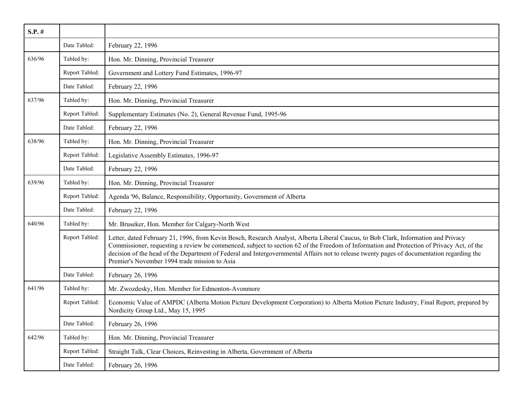| $S.P.$ # |                |                                                                                                                                                                                                                                                                                                                                                                                                                                                                                |
|----------|----------------|--------------------------------------------------------------------------------------------------------------------------------------------------------------------------------------------------------------------------------------------------------------------------------------------------------------------------------------------------------------------------------------------------------------------------------------------------------------------------------|
|          | Date Tabled:   | February 22, 1996                                                                                                                                                                                                                                                                                                                                                                                                                                                              |
| 636/96   | Tabled by:     | Hon. Mr. Dinning, Provincial Treasurer                                                                                                                                                                                                                                                                                                                                                                                                                                         |
|          | Report Tabled: | Government and Lottery Fund Estimates, 1996-97                                                                                                                                                                                                                                                                                                                                                                                                                                 |
|          | Date Tabled:   | February 22, 1996                                                                                                                                                                                                                                                                                                                                                                                                                                                              |
| 637/96   | Tabled by:     | Hon. Mr. Dinning, Provincial Treasurer                                                                                                                                                                                                                                                                                                                                                                                                                                         |
|          | Report Tabled: | Supplementary Estimates (No. 2), General Revenue Fund, 1995-96                                                                                                                                                                                                                                                                                                                                                                                                                 |
|          | Date Tabled:   | February 22, 1996                                                                                                                                                                                                                                                                                                                                                                                                                                                              |
| 638/96   | Tabled by:     | Hon. Mr. Dinning, Provincial Treasurer                                                                                                                                                                                                                                                                                                                                                                                                                                         |
|          | Report Tabled: | Legislative Assembly Estimates, 1996-97                                                                                                                                                                                                                                                                                                                                                                                                                                        |
|          | Date Tabled:   | February 22, 1996                                                                                                                                                                                                                                                                                                                                                                                                                                                              |
| 639/96   | Tabled by:     | Hon. Mr. Dinning, Provincial Treasurer                                                                                                                                                                                                                                                                                                                                                                                                                                         |
|          | Report Tabled: | Agenda '96, Balance, Responsibility, Opportunity, Government of Alberta                                                                                                                                                                                                                                                                                                                                                                                                        |
|          | Date Tabled:   | February 22, 1996                                                                                                                                                                                                                                                                                                                                                                                                                                                              |
| 640/96   | Tabled by:     | Mr. Bruseker, Hon. Member for Calgary-North West                                                                                                                                                                                                                                                                                                                                                                                                                               |
|          | Report Tabled: | Letter, dated February 21, 1996, from Kevin Bosch, Research Analyst, Alberta Liberal Caucus, to Bob Clark, Information and Privacy<br>Commissioner, requesting a review be commenced, subject to section 62 of the Freedom of Information and Protection of Privacy Act, of the<br>decision of the head of the Department of Federal and Intergovernmental Affairs not to release twenty pages of documentation regarding the<br>Premier's November 1994 trade mission to Asia |
|          | Date Tabled:   | February 26, 1996                                                                                                                                                                                                                                                                                                                                                                                                                                                              |
| 641/96   | Tabled by:     | Mr. Zwozdesky, Hon. Member for Edmonton-Avonmore                                                                                                                                                                                                                                                                                                                                                                                                                               |
|          | Report Tabled: | Economic Value of AMPDC (Alberta Motion Picture Development Corporation) to Alberta Motion Picture Industry, Final Report, prepared by<br>Nordicity Group Ltd., May 15, 1995                                                                                                                                                                                                                                                                                                   |
|          | Date Tabled:   | February 26, 1996                                                                                                                                                                                                                                                                                                                                                                                                                                                              |
| 642/96   | Tabled by:     | Hon. Mr. Dinning, Provincial Treasurer                                                                                                                                                                                                                                                                                                                                                                                                                                         |
|          | Report Tabled: | Straight Talk, Clear Choices, Reinvesting in Alberta, Government of Alberta                                                                                                                                                                                                                                                                                                                                                                                                    |
|          | Date Tabled:   | February 26, 1996                                                                                                                                                                                                                                                                                                                                                                                                                                                              |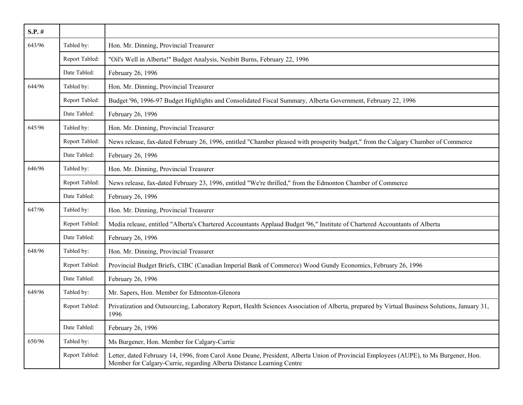| $S.P.$ # |                |                                                                                                                                                                                                                |
|----------|----------------|----------------------------------------------------------------------------------------------------------------------------------------------------------------------------------------------------------------|
| 643/96   | Tabled by:     | Hon. Mr. Dinning, Provincial Treasurer                                                                                                                                                                         |
|          | Report Tabled: | "Oil's Well in Alberta!" Budget Analysis, Nesbitt Burns, February 22, 1996                                                                                                                                     |
|          | Date Tabled:   | February 26, 1996                                                                                                                                                                                              |
| 644/96   | Tabled by:     | Hon. Mr. Dinning, Provincial Treasurer                                                                                                                                                                         |
|          | Report Tabled: | Budget '96, 1996-97 Budget Highlights and Consolidated Fiscal Summary, Alberta Government, February 22, 1996                                                                                                   |
|          | Date Tabled:   | February 26, 1996                                                                                                                                                                                              |
| 645/96   | Tabled by:     | Hon. Mr. Dinning, Provincial Treasurer                                                                                                                                                                         |
|          | Report Tabled: | News release, fax-dated February 26, 1996, entitled "Chamber pleased with prosperity budget," from the Calgary Chamber of Commerce                                                                             |
|          | Date Tabled:   | February 26, 1996                                                                                                                                                                                              |
| 646/96   | Tabled by:     | Hon. Mr. Dinning, Provincial Treasurer                                                                                                                                                                         |
|          | Report Tabled: | News release, fax-dated February 23, 1996, entitled "We're thrilled," from the Edmonton Chamber of Commerce                                                                                                    |
|          | Date Tabled:   | February 26, 1996                                                                                                                                                                                              |
| 647/96   | Tabled by:     | Hon. Mr. Dinning, Provincial Treasurer                                                                                                                                                                         |
|          | Report Tabled: | Media release, entitled "Alberta's Chartered Accountants Applaud Budget '96," Institute of Chartered Accountants of Alberta                                                                                    |
|          | Date Tabled:   | February 26, 1996                                                                                                                                                                                              |
| 648/96   | Tabled by:     | Hon. Mr. Dinning, Provincial Treasurer                                                                                                                                                                         |
|          | Report Tabled: | Provincial Budget Briefs, CIBC (Canadian Imperial Bank of Commerce) Wood Gundy Economics, February 26, 1996                                                                                                    |
|          | Date Tabled:   | February 26, 1996                                                                                                                                                                                              |
| 649/96   | Tabled by:     | Mr. Sapers, Hon. Member for Edmonton-Glenora                                                                                                                                                                   |
|          | Report Tabled: | Privatization and Outsourcing, Laboratory Report, Health Sciences Association of Alberta, prepared by Virtual Business Solutions, January 31,<br>1996                                                          |
|          | Date Tabled:   | February 26, 1996                                                                                                                                                                                              |
| 650/96   | Tabled by:     | Ms Burgener, Hon. Member for Calgary-Currie                                                                                                                                                                    |
|          | Report Tabled: | Letter, dated February 14, 1996, from Carol Anne Deane, President, Alberta Union of Provincial Employees (AUPE), to Ms Burgener, Hon.<br>Member for Calgary-Currie, regarding Alberta Distance Learning Centre |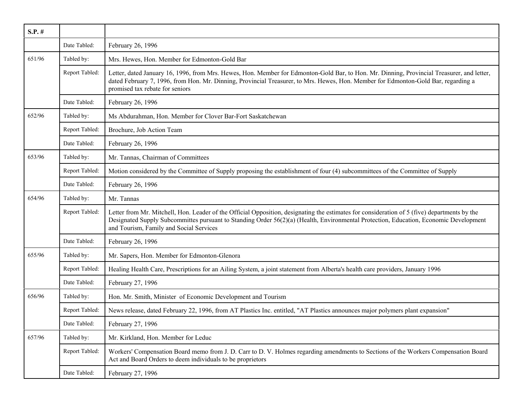| $S.P.$ # |                |                                                                                                                                                                                                                                                                                                                                  |
|----------|----------------|----------------------------------------------------------------------------------------------------------------------------------------------------------------------------------------------------------------------------------------------------------------------------------------------------------------------------------|
|          | Date Tabled:   | February 26, 1996                                                                                                                                                                                                                                                                                                                |
| 651/96   | Tabled by:     | Mrs. Hewes, Hon. Member for Edmonton-Gold Bar                                                                                                                                                                                                                                                                                    |
|          | Report Tabled: | Letter, dated January 16, 1996, from Mrs. Hewes, Hon. Member for Edmonton-Gold Bar, to Hon. Mr. Dinning, Provincial Treasurer, and letter,<br>dated February 7, 1996, from Hon. Mr. Dinning, Provincial Treasurer, to Mrs. Hewes, Hon. Member for Edmonton-Gold Bar, regarding a<br>promised tax rebate for seniors              |
|          | Date Tabled:   | February 26, 1996                                                                                                                                                                                                                                                                                                                |
| 652/96   | Tabled by:     | Ms Abdurahman, Hon. Member for Clover Bar-Fort Saskatchewan                                                                                                                                                                                                                                                                      |
|          | Report Tabled: | Brochure, Job Action Team                                                                                                                                                                                                                                                                                                        |
|          | Date Tabled:   | February 26, 1996                                                                                                                                                                                                                                                                                                                |
| 653/96   | Tabled by:     | Mr. Tannas, Chairman of Committees                                                                                                                                                                                                                                                                                               |
|          | Report Tabled: | Motion considered by the Committee of Supply proposing the establishment of four (4) subcommittees of the Committee of Supply                                                                                                                                                                                                    |
|          | Date Tabled:   | February 26, 1996                                                                                                                                                                                                                                                                                                                |
| 654/96   | Tabled by:     | Mr. Tannas                                                                                                                                                                                                                                                                                                                       |
|          | Report Tabled: | Letter from Mr. Mitchell, Hon. Leader of the Official Opposition, designating the estimates for consideration of 5 (five) departments by the<br>Designated Supply Subcommittes pursuant to Standing Order 56(2)(a) (Health, Environmental Protection, Education, Economic Development<br>and Tourism, Family and Social Services |
|          | Date Tabled:   | February 26, 1996                                                                                                                                                                                                                                                                                                                |
| 655/96   | Tabled by:     | Mr. Sapers, Hon. Member for Edmonton-Glenora                                                                                                                                                                                                                                                                                     |
|          | Report Tabled: | Healing Health Care, Prescriptions for an Ailing System, a joint statement from Alberta's health care providers, January 1996                                                                                                                                                                                                    |
|          | Date Tabled:   | February 27, 1996                                                                                                                                                                                                                                                                                                                |
| 656/96   | Tabled by:     | Hon. Mr. Smith, Minister of Economic Development and Tourism                                                                                                                                                                                                                                                                     |
|          | Report Tabled: | News release, dated February 22, 1996, from AT Plastics Inc. entitled, "AT Plastics announces major polymers plant expansion"                                                                                                                                                                                                    |
|          | Date Tabled:   | February 27, 1996                                                                                                                                                                                                                                                                                                                |
| 657/96   | Tabled by:     | Mr. Kirkland, Hon. Member for Leduc                                                                                                                                                                                                                                                                                              |
|          | Report Tabled: | Workers' Compensation Board memo from J. D. Carr to D. V. Holmes regarding amendments to Sections of the Workers Compensation Board<br>Act and Board Orders to deem individuals to be proprietors                                                                                                                                |
|          | Date Tabled:   | February 27, 1996                                                                                                                                                                                                                                                                                                                |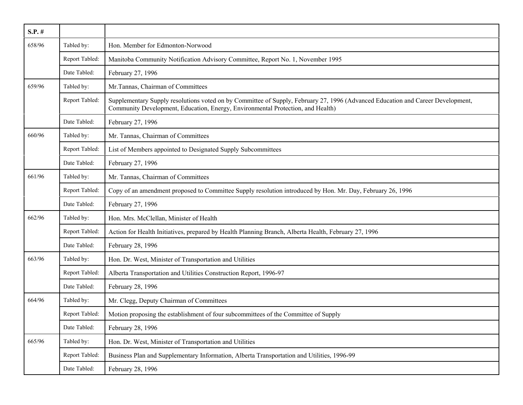| $S.P.$ # |                |                                                                                                                                                                                                                    |
|----------|----------------|--------------------------------------------------------------------------------------------------------------------------------------------------------------------------------------------------------------------|
| 658/96   | Tabled by:     | Hon. Member for Edmonton-Norwood                                                                                                                                                                                   |
|          | Report Tabled: | Manitoba Community Notification Advisory Committee, Report No. 1, November 1995                                                                                                                                    |
|          | Date Tabled:   | February 27, 1996                                                                                                                                                                                                  |
| 659/96   | Tabled by:     | Mr.Tannas, Chairman of Committees                                                                                                                                                                                  |
|          | Report Tabled: | Supplementary Supply resolutions voted on by Committee of Supply, February 27, 1996 (Advanced Education and Career Development,<br>Community Development, Education, Energy, Environmental Protection, and Health) |
|          | Date Tabled:   | February 27, 1996                                                                                                                                                                                                  |
| 660/96   | Tabled by:     | Mr. Tannas, Chairman of Committees                                                                                                                                                                                 |
|          | Report Tabled: | List of Members appointed to Designated Supply Subcommittees                                                                                                                                                       |
|          | Date Tabled:   | February 27, 1996                                                                                                                                                                                                  |
| 661/96   | Tabled by:     | Mr. Tannas, Chairman of Committees                                                                                                                                                                                 |
|          | Report Tabled: | Copy of an amendment proposed to Committee Supply resolution introduced by Hon. Mr. Day, February 26, 1996                                                                                                         |
|          | Date Tabled:   | February 27, 1996                                                                                                                                                                                                  |
| 662/96   | Tabled by:     | Hon. Mrs. McClellan, Minister of Health                                                                                                                                                                            |
|          | Report Tabled: | Action for Health Initiatives, prepared by Health Planning Branch, Alberta Health, February 27, 1996                                                                                                               |
|          | Date Tabled:   | February 28, 1996                                                                                                                                                                                                  |
| 663/96   | Tabled by:     | Hon. Dr. West, Minister of Transportation and Utilities                                                                                                                                                            |
|          | Report Tabled: | Alberta Transportation and Utilities Construction Report, 1996-97                                                                                                                                                  |
|          | Date Tabled:   | February 28, 1996                                                                                                                                                                                                  |
| 664/96   | Tabled by:     | Mr. Clegg, Deputy Chairman of Committees                                                                                                                                                                           |
|          | Report Tabled: | Motion proposing the establishment of four subcommittees of the Committee of Supply                                                                                                                                |
|          | Date Tabled:   | February 28, 1996                                                                                                                                                                                                  |
| 665/96   | Tabled by:     | Hon. Dr. West, Minister of Transportation and Utilities                                                                                                                                                            |
|          | Report Tabled: | Business Plan and Supplementary Information, Alberta Transportation and Utilities, 1996-99                                                                                                                         |
|          | Date Tabled:   | February 28, 1996                                                                                                                                                                                                  |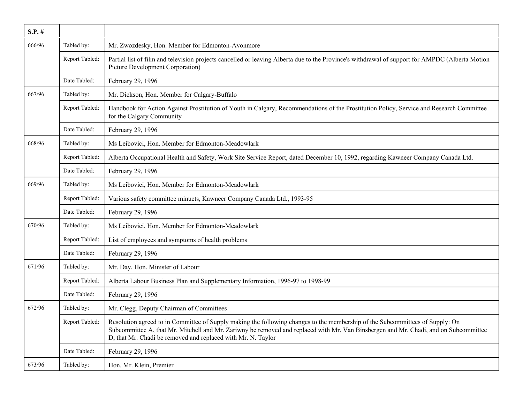| $S.P.$ # |                |                                                                                                                                                                                                                                                                                                                                       |
|----------|----------------|---------------------------------------------------------------------------------------------------------------------------------------------------------------------------------------------------------------------------------------------------------------------------------------------------------------------------------------|
| 666/96   | Tabled by:     | Mr. Zwozdesky, Hon. Member for Edmonton-Avonmore                                                                                                                                                                                                                                                                                      |
|          | Report Tabled: | Partial list of film and television projects cancelled or leaving Alberta due to the Province's withdrawal of support for AMPDC (Alberta Motion<br><b>Picture Development Corporation</b> )                                                                                                                                           |
|          | Date Tabled:   | February 29, 1996                                                                                                                                                                                                                                                                                                                     |
| 667/96   | Tabled by:     | Mr. Dickson, Hon. Member for Calgary-Buffalo                                                                                                                                                                                                                                                                                          |
|          | Report Tabled: | Handbook for Action Against Prostitution of Youth in Calgary, Recommendations of the Prostitution Policy, Service and Research Committee<br>for the Calgary Community                                                                                                                                                                 |
|          | Date Tabled:   | February 29, 1996                                                                                                                                                                                                                                                                                                                     |
| 668/96   | Tabled by:     | Ms Leibovici, Hon. Member for Edmonton-Meadowlark                                                                                                                                                                                                                                                                                     |
|          | Report Tabled: | Alberta Occupational Health and Safety, Work Site Service Report, dated December 10, 1992, regarding Kawneer Company Canada Ltd.                                                                                                                                                                                                      |
|          | Date Tabled:   | February 29, 1996                                                                                                                                                                                                                                                                                                                     |
| 669/96   | Tabled by:     | Ms Leibovici, Hon. Member for Edmonton-Meadowlark                                                                                                                                                                                                                                                                                     |
|          | Report Tabled: | Various safety committee minuets, Kawneer Company Canada Ltd., 1993-95                                                                                                                                                                                                                                                                |
|          | Date Tabled:   | February 29, 1996                                                                                                                                                                                                                                                                                                                     |
| 670/96   | Tabled by:     | Ms Leibovici, Hon. Member for Edmonton-Meadowlark                                                                                                                                                                                                                                                                                     |
|          | Report Tabled: | List of employees and symptoms of health problems                                                                                                                                                                                                                                                                                     |
|          | Date Tabled:   | February 29, 1996                                                                                                                                                                                                                                                                                                                     |
| 671/96   | Tabled by:     | Mr. Day, Hon. Minister of Labour                                                                                                                                                                                                                                                                                                      |
|          | Report Tabled: | Alberta Labour Business Plan and Supplementary Information, 1996-97 to 1998-99                                                                                                                                                                                                                                                        |
|          | Date Tabled:   | February 29, 1996                                                                                                                                                                                                                                                                                                                     |
| 672/96   | Tabled by:     | Mr. Clegg, Deputy Chairman of Committees                                                                                                                                                                                                                                                                                              |
|          | Report Tabled: | Resolution agreed to in Committee of Supply making the following changes to the membership of the Subcommittees of Supply: On<br>Subcommittee A, that Mr. Mitchell and Mr. Zariwny be removed and replaced with Mr. Van Binsbergen and Mr. Chadi, and on Subcommittee<br>D, that Mr. Chadi be removed and replaced with Mr. N. Taylor |
|          | Date Tabled:   | February 29, 1996                                                                                                                                                                                                                                                                                                                     |
| 673/96   | Tabled by:     | Hon. Mr. Klein, Premier                                                                                                                                                                                                                                                                                                               |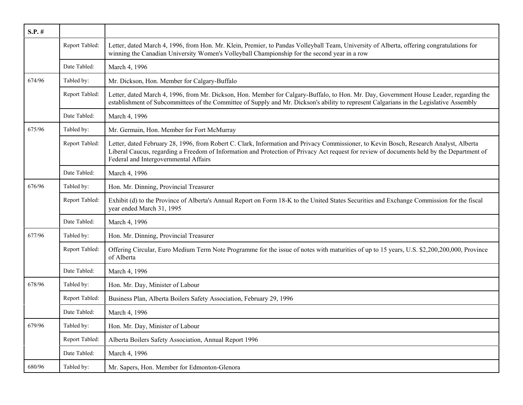| $S.P.$ # |                |                                                                                                                                                                                                                                                                                                                               |
|----------|----------------|-------------------------------------------------------------------------------------------------------------------------------------------------------------------------------------------------------------------------------------------------------------------------------------------------------------------------------|
|          | Report Tabled: | Letter, dated March 4, 1996, from Hon. Mr. Klein, Premier, to Pandas Volleyball Team, University of Alberta, offering congratulations for<br>winning the Canadian University Women's Volleyball Championship for the second year in a row                                                                                     |
|          | Date Tabled:   | March 4, 1996                                                                                                                                                                                                                                                                                                                 |
| 674/96   | Tabled by:     | Mr. Dickson, Hon. Member for Calgary-Buffalo                                                                                                                                                                                                                                                                                  |
|          | Report Tabled: | Letter, dated March 4, 1996, from Mr. Dickson, Hon. Member for Calgary-Buffalo, to Hon. Mr. Day, Government House Leader, regarding the<br>establishment of Subcommittees of the Committee of Supply and Mr. Dickson's ability to represent Calgarians in the Legislative Assembly                                            |
|          | Date Tabled:   | March 4, 1996                                                                                                                                                                                                                                                                                                                 |
| 675/96   | Tabled by:     | Mr. Germain, Hon. Member for Fort McMurray                                                                                                                                                                                                                                                                                    |
|          | Report Tabled: | Letter, dated February 28, 1996, from Robert C. Clark, Information and Privacy Commissioner, to Kevin Bosch, Research Analyst, Alberta<br>Liberal Caucus, regarding a Freedom of Information and Protection of Privacy Act request for review of documents held by the Department of<br>Federal and Intergovernmental Affairs |
|          | Date Tabled:   | March 4, 1996                                                                                                                                                                                                                                                                                                                 |
| 676/96   | Tabled by:     | Hon. Mr. Dinning, Provincial Treasurer                                                                                                                                                                                                                                                                                        |
|          | Report Tabled: | Exhibit (d) to the Province of Alberta's Annual Report on Form 18-K to the United States Securities and Exchange Commission for the fiscal<br>year ended March 31, 1995                                                                                                                                                       |
|          | Date Tabled:   | March 4, 1996                                                                                                                                                                                                                                                                                                                 |
| 677/96   | Tabled by:     | Hon. Mr. Dinning, Provincial Treasurer                                                                                                                                                                                                                                                                                        |
|          | Report Tabled: | Offering Circular, Euro Medium Term Note Programme for the issue of notes with maturities of up to 15 years, U.S. \$2,200,200,000, Province<br>of Alberta                                                                                                                                                                     |
|          | Date Tabled:   | March 4, 1996                                                                                                                                                                                                                                                                                                                 |
| 678/96   | Tabled by:     | Hon. Mr. Day, Minister of Labour                                                                                                                                                                                                                                                                                              |
|          | Report Tabled: | Business Plan, Alberta Boilers Safety Association, February 29, 1996                                                                                                                                                                                                                                                          |
|          | Date Tabled:   | March 4, 1996                                                                                                                                                                                                                                                                                                                 |
| 679/96   | Tabled by:     | Hon. Mr. Day, Minister of Labour                                                                                                                                                                                                                                                                                              |
|          | Report Tabled: | Alberta Boilers Safety Association, Annual Report 1996                                                                                                                                                                                                                                                                        |
|          | Date Tabled:   | March 4, 1996                                                                                                                                                                                                                                                                                                                 |
| 680/96   | Tabled by:     | Mr. Sapers, Hon. Member for Edmonton-Glenora                                                                                                                                                                                                                                                                                  |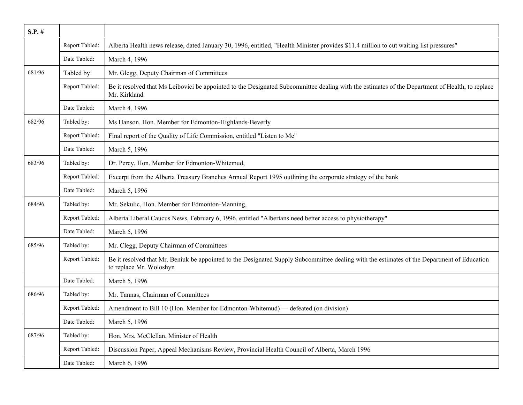| $S.P.$ # |                |                                                                                                                                                                        |
|----------|----------------|------------------------------------------------------------------------------------------------------------------------------------------------------------------------|
|          | Report Tabled: | Alberta Health news release, dated January 30, 1996, entitled, "Health Minister provides \$11.4 million to cut waiting list pressures"                                 |
|          | Date Tabled:   | March 4, 1996                                                                                                                                                          |
| 681/96   | Tabled by:     | Mr. Glegg, Deputy Chairman of Committees                                                                                                                               |
|          | Report Tabled: | Be it resolved that Ms Leibovici be appointed to the Designated Subcommittee dealing with the estimates of the Department of Health, to replace<br>Mr. Kirkland        |
|          | Date Tabled:   | March 4, 1996                                                                                                                                                          |
| 682/96   | Tabled by:     | Ms Hanson, Hon. Member for Edmonton-Highlands-Beverly                                                                                                                  |
|          | Report Tabled: | Final report of the Quality of Life Commission, entitled "Listen to Me"                                                                                                |
|          | Date Tabled:   | March 5, 1996                                                                                                                                                          |
| 683/96   | Tabled by:     | Dr. Percy, Hon. Member for Edmonton-Whitemud,                                                                                                                          |
|          | Report Tabled: | Excerpt from the Alberta Treasury Branches Annual Report 1995 outlining the corporate strategy of the bank                                                             |
|          | Date Tabled:   | March 5, 1996                                                                                                                                                          |
| 684/96   | Tabled by:     | Mr. Sekulic, Hon. Member for Edmonton-Manning,                                                                                                                         |
|          | Report Tabled: | Alberta Liberal Caucus News, February 6, 1996, entitled "Albertans need better access to physiotherapy"                                                                |
|          | Date Tabled:   | March 5, 1996                                                                                                                                                          |
| 685/96   | Tabled by:     | Mr. Clegg, Deputy Chairman of Committees                                                                                                                               |
|          | Report Tabled: | Be it resolved that Mr. Beniuk be appointed to the Designated Supply Subcommittee dealing with the estimates of the Department of Education<br>to replace Mr. Woloshyn |
|          | Date Tabled:   | March 5, 1996                                                                                                                                                          |
| 686/96   | Tabled by:     | Mr. Tannas, Chairman of Committees                                                                                                                                     |
|          | Report Tabled: | Amendment to Bill 10 (Hon. Member for Edmonton-Whitemud) — defeated (on division)                                                                                      |
|          | Date Tabled:   | March 5, 1996                                                                                                                                                          |
| 687/96   | Tabled by:     | Hon. Mrs. McClellan, Minister of Health                                                                                                                                |
|          | Report Tabled: | Discussion Paper, Appeal Mechanisms Review, Provincial Health Council of Alberta, March 1996                                                                           |
|          | Date Tabled:   | March 6, 1996                                                                                                                                                          |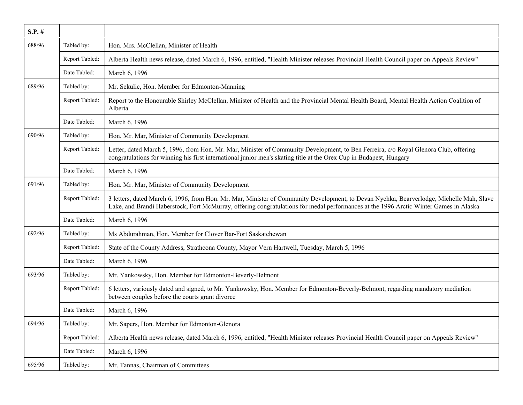| $S.P.$ # |                |                                                                                                                                                                                                                                                                                   |
|----------|----------------|-----------------------------------------------------------------------------------------------------------------------------------------------------------------------------------------------------------------------------------------------------------------------------------|
| 688/96   | Tabled by:     | Hon. Mrs. McClellan, Minister of Health                                                                                                                                                                                                                                           |
|          | Report Tabled: | Alberta Health news release, dated March 6, 1996, entitled, "Health Minister releases Provincial Health Council paper on Appeals Review"                                                                                                                                          |
|          | Date Tabled:   | March 6, 1996                                                                                                                                                                                                                                                                     |
| 689/96   | Tabled by:     | Mr. Sekulic, Hon. Member for Edmonton-Manning                                                                                                                                                                                                                                     |
|          | Report Tabled: | Report to the Honourable Shirley McClellan, Minister of Health and the Provincial Mental Health Board, Mental Health Action Coalition of<br>Alberta                                                                                                                               |
|          | Date Tabled:   | March 6, 1996                                                                                                                                                                                                                                                                     |
| 690/96   | Tabled by:     | Hon. Mr. Mar, Minister of Community Development                                                                                                                                                                                                                                   |
|          | Report Tabled: | Letter, dated March 5, 1996, from Hon. Mr. Mar, Minister of Community Development, to Ben Ferreira, c/o Royal Glenora Club, offering<br>congratulations for winning his first international junior men's skating title at the Orex Cup in Budapest, Hungary                       |
|          | Date Tabled:   | March 6, 1996                                                                                                                                                                                                                                                                     |
| 691/96   | Tabled by:     | Hon. Mr. Mar, Minister of Community Development                                                                                                                                                                                                                                   |
|          | Report Tabled: | 3 letters, dated March 6, 1996, from Hon. Mr. Mar, Minister of Community Development, to Devan Nychka, Bearverlodge, Michelle Mah, Slave<br>Lake, and Brandi Haberstock, Fort McMurray, offering congratulations for medal performances at the 1996 Arctic Winter Games in Alaska |
|          | Date Tabled:   | March 6, 1996                                                                                                                                                                                                                                                                     |
| 692/96   | Tabled by:     | Ms Abdurahman, Hon. Member for Clover Bar-Fort Saskatchewan                                                                                                                                                                                                                       |
|          | Report Tabled: | State of the County Address, Strathcona County, Mayor Vern Hartwell, Tuesday, March 5, 1996                                                                                                                                                                                       |
|          | Date Tabled:   | March 6, 1996                                                                                                                                                                                                                                                                     |
| 693/96   | Tabled by:     | Mr. Yankowsky, Hon. Member for Edmonton-Beverly-Belmont                                                                                                                                                                                                                           |
|          | Report Tabled: | 6 letters, variously dated and signed, to Mr. Yankowsky, Hon. Member for Edmonton-Beverly-Belmont, regarding mandatory mediation<br>between couples before the courts grant divorce                                                                                               |
|          | Date Tabled:   | March 6, 1996                                                                                                                                                                                                                                                                     |
| 694/96   | Tabled by:     | Mr. Sapers, Hon. Member for Edmonton-Glenora                                                                                                                                                                                                                                      |
|          | Report Tabled: | Alberta Health news release, dated March 6, 1996, entitled, "Health Minister releases Provincial Health Council paper on Appeals Review"                                                                                                                                          |
|          | Date Tabled:   | March 6, 1996                                                                                                                                                                                                                                                                     |
| 695/96   | Tabled by:     | Mr. Tannas, Chairman of Committees                                                                                                                                                                                                                                                |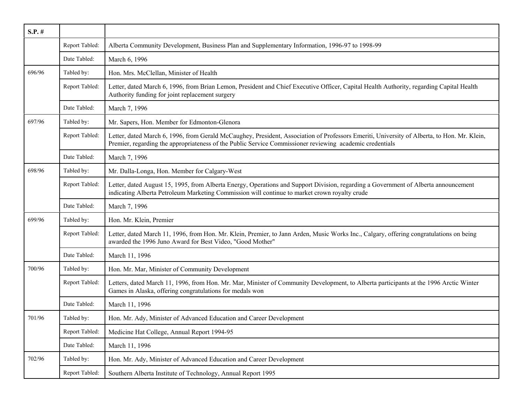| $S.P.$ # |                |                                                                                                                                                                                                                                                         |
|----------|----------------|---------------------------------------------------------------------------------------------------------------------------------------------------------------------------------------------------------------------------------------------------------|
|          | Report Tabled: | Alberta Community Development, Business Plan and Supplementary Information, 1996-97 to 1998-99                                                                                                                                                          |
|          | Date Tabled:   | March 6, 1996                                                                                                                                                                                                                                           |
| 696/96   | Tabled by:     | Hon. Mrs. McClellan, Minister of Health                                                                                                                                                                                                                 |
|          | Report Tabled: | Letter, dated March 6, 1996, from Brian Lemon, President and Chief Executive Officer, Capital Health Authority, regarding Capital Health<br>Authority funding for joint replacement surgery                                                             |
|          | Date Tabled:   | March 7, 1996                                                                                                                                                                                                                                           |
| 697/96   | Tabled by:     | Mr. Sapers, Hon. Member for Edmonton-Glenora                                                                                                                                                                                                            |
|          | Report Tabled: | Letter, dated March 6, 1996, from Gerald McCaughey, President, Association of Professors Emeriti, University of Alberta, to Hon. Mr. Klein,<br>Premier, regarding the appropriateness of the Public Service Commissioner reviewing academic credentials |
|          | Date Tabled:   | March 7, 1996                                                                                                                                                                                                                                           |
| 698/96   | Tabled by:     | Mr. Dalla-Longa, Hon. Member for Calgary-West                                                                                                                                                                                                           |
|          | Report Tabled: | Letter, dated August 15, 1995, from Alberta Energy, Operations and Support Division, regarding a Government of Alberta announcement<br>indicating Alberta Petroleum Marketing Commission will continue to market crown royalty crude                    |
|          | Date Tabled:   | March 7, 1996                                                                                                                                                                                                                                           |
| 699/96   | Tabled by:     | Hon. Mr. Klein, Premier                                                                                                                                                                                                                                 |
|          | Report Tabled: | Letter, dated March 11, 1996, from Hon. Mr. Klein, Premier, to Jann Arden, Music Works Inc., Calgary, offering congratulations on being<br>awarded the 1996 Juno Award for Best Video, "Good Mother"                                                    |
|          | Date Tabled:   | March 11, 1996                                                                                                                                                                                                                                          |
| 700/96   | Tabled by:     | Hon. Mr. Mar, Minister of Community Development                                                                                                                                                                                                         |
|          | Report Tabled: | Letters, dated March 11, 1996, from Hon. Mr. Mar, Minister of Community Development, to Alberta participants at the 1996 Arctic Winter<br>Games in Alaska, offering congratulations for medals won                                                      |
|          | Date Tabled:   | March 11, 1996                                                                                                                                                                                                                                          |
| 701/96   | Tabled by:     | Hon. Mr. Ady, Minister of Advanced Education and Career Development                                                                                                                                                                                     |
|          | Report Tabled: | Medicine Hat College, Annual Report 1994-95                                                                                                                                                                                                             |
|          | Date Tabled:   | March 11, 1996                                                                                                                                                                                                                                          |
| 702/96   | Tabled by:     | Hon. Mr. Ady, Minister of Advanced Education and Career Development                                                                                                                                                                                     |
|          | Report Tabled: | Southern Alberta Institute of Technology, Annual Report 1995                                                                                                                                                                                            |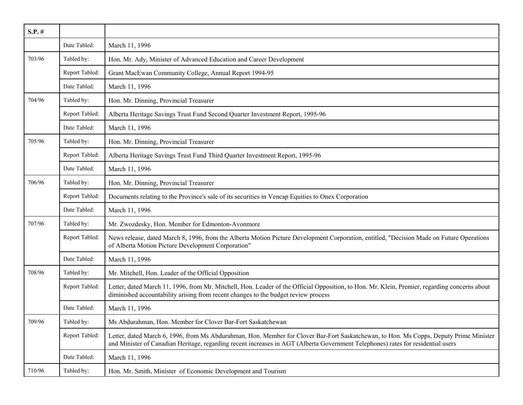| $S.P.$ # |                |                                                                                                                                                                                                                                                                            |
|----------|----------------|----------------------------------------------------------------------------------------------------------------------------------------------------------------------------------------------------------------------------------------------------------------------------|
|          | Date Tabled:   | March 11, 1996                                                                                                                                                                                                                                                             |
| 703/96   | Tabled by:     | Hon. Mr. Ady, Minister of Advanced Education and Career Development                                                                                                                                                                                                        |
|          | Report Tabled: | Grant MacEwan Community College, Annual Report 1994-95                                                                                                                                                                                                                     |
|          | Date Tabled:   | March 11, 1996                                                                                                                                                                                                                                                             |
| 704/96   | Tabled by:     | Hon. Mr. Dinning, Provincial Treasurer                                                                                                                                                                                                                                     |
|          | Report Tabled: | Alberta Heritage Savings Trust Fund Second Quarter Investment Report, 1995-96                                                                                                                                                                                              |
|          | Date Tabled:   | March 11, 1996                                                                                                                                                                                                                                                             |
| 705/96   | Tabled by:     | Hon. Mr. Dinning, Provincial Treasurer                                                                                                                                                                                                                                     |
|          | Report Tabled: | Alberta Heritage Savings Trust Fund Third Quarter Investment Report, 1995-96                                                                                                                                                                                               |
|          | Date Tabled:   | March 11, 1996                                                                                                                                                                                                                                                             |
| 706/96   | Tabled by:     | Hon. Mr. Dinning, Provincial Treasurer                                                                                                                                                                                                                                     |
|          | Report Tabled: | Documents relating to the Province's sale of its securities in Vencap Equities to Onex Corporation                                                                                                                                                                         |
|          | Date Tabled:   | March 11, 1996                                                                                                                                                                                                                                                             |
| 707/96   | Tabled by:     | Mr. Zwozdesky, Hon. Member for Edmonton-Avonmore                                                                                                                                                                                                                           |
|          | Report Tabled: | News release, dated March 8, 1996, from the Alberta Motion Picture Development Corporation, entitled, "Decision Made on Future Operations<br>of Alberta Motion Picture Development Corporation"                                                                            |
|          | Date Tabled:   | March 11, 1996                                                                                                                                                                                                                                                             |
| 708/96   | Tabled by:     | Mr. Mitchell, Hon. Leader of the Official Opposition                                                                                                                                                                                                                       |
|          | Report Tabled: | Letter, dated March 11, 1996, from Mr. Mitchell, Hon. Leader of the Official Opposition, to Hon. Mr. Klein, Premier, regarding concerns about<br>diminished accountability arising from recent changes to the budget review process                                        |
|          | Date Tabled:   | March 11, 1996                                                                                                                                                                                                                                                             |
| 709/96   | Tabled by:     | Ms Abdurahman, Hon. Member for Clover Bar-Fort Saskatchewan                                                                                                                                                                                                                |
|          | Report Tabled: | Letter, dated March 6, 1996, from Ms Abdurahman, Hon. Member for Clover Bar-Fort Saskatchewan, to Hon. Ms Copps, Deputy Prime Minister<br>and Minister of Canadian Heritage, regarding recent increases in AGT (Alberta Government Telephones) rates for residential users |
|          | Date Tabled:   | March 11, 1996                                                                                                                                                                                                                                                             |
| 710/96   | Tabled by:     | Hon. Mr. Smith, Minister of Economic Development and Tourism                                                                                                                                                                                                               |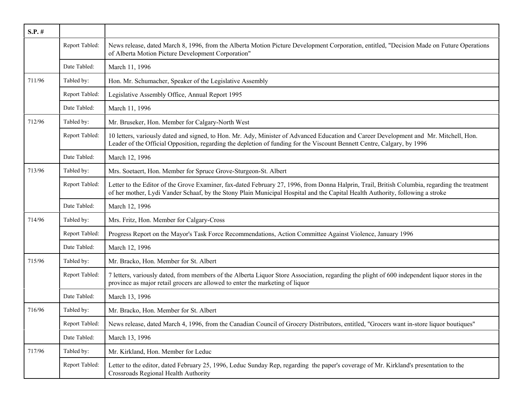| $S.P.$ # |                |                                                                                                                                                                                                                                                                                |
|----------|----------------|--------------------------------------------------------------------------------------------------------------------------------------------------------------------------------------------------------------------------------------------------------------------------------|
|          | Report Tabled: | News release, dated March 8, 1996, from the Alberta Motion Picture Development Corporation, entitled, "Decision Made on Future Operations<br>of Alberta Motion Picture Development Corporation"                                                                                |
|          | Date Tabled:   | March 11, 1996                                                                                                                                                                                                                                                                 |
| 711/96   | Tabled by:     | Hon. Mr. Schumacher, Speaker of the Legislative Assembly                                                                                                                                                                                                                       |
|          | Report Tabled: | Legislative Assembly Office, Annual Report 1995                                                                                                                                                                                                                                |
|          | Date Tabled:   | March 11, 1996                                                                                                                                                                                                                                                                 |
| 712/96   | Tabled by:     | Mr. Bruseker, Hon. Member for Calgary-North West                                                                                                                                                                                                                               |
|          | Report Tabled: | 10 letters, variously dated and signed, to Hon. Mr. Ady, Minister of Advanced Education and Career Development and Mr. Mitchell, Hon.<br>Leader of the Official Opposition, regarding the depletion of funding for the Viscount Bennett Centre, Calgary, by 1996               |
|          | Date Tabled:   | March 12, 1996                                                                                                                                                                                                                                                                 |
| 713/96   | Tabled by:     | Mrs. Soetaert, Hon. Member for Spruce Grove-Sturgeon-St. Albert                                                                                                                                                                                                                |
|          | Report Tabled: | Letter to the Editor of the Grove Examiner, fax-dated February 27, 1996, from Donna Halprin, Trail, British Columbia, regarding the treatment<br>of her mother, Lydi Vander Schaaf, by the Stony Plain Municipal Hospital and the Capital Health Authority, following a stroke |
|          | Date Tabled:   | March 12, 1996                                                                                                                                                                                                                                                                 |
| 714/96   | Tabled by:     | Mrs. Fritz, Hon. Member for Calgary-Cross                                                                                                                                                                                                                                      |
|          | Report Tabled: | Progress Report on the Mayor's Task Force Recommendations, Action Committee Against Violence, January 1996                                                                                                                                                                     |
|          | Date Tabled:   | March 12, 1996                                                                                                                                                                                                                                                                 |
| 715/96   | Tabled by:     | Mr. Bracko, Hon. Member for St. Albert                                                                                                                                                                                                                                         |
|          | Report Tabled: | 7 letters, variously dated, from members of the Alberta Liquor Store Association, regarding the plight of 600 independent liquor stores in the<br>province as major retail grocers are allowed to enter the marketing of liquor                                                |
|          | Date Tabled:   | March 13, 1996                                                                                                                                                                                                                                                                 |
| 716/96   | Tabled by:     | Mr. Bracko, Hon. Member for St. Albert                                                                                                                                                                                                                                         |
|          | Report Tabled: | News release, dated March 4, 1996, from the Canadian Council of Grocery Distributors, entitled, "Grocers want in-store liquor boutiques"                                                                                                                                       |
|          | Date Tabled:   | March 13, 1996                                                                                                                                                                                                                                                                 |
| 717/96   | Tabled by:     | Mr. Kirkland, Hon. Member for Leduc                                                                                                                                                                                                                                            |
|          | Report Tabled: | Letter to the editor, dated February 25, 1996, Leduc Sunday Rep, regarding the paper's coverage of Mr. Kirkland's presentation to the<br>Crossroads Regional Health Authority                                                                                                  |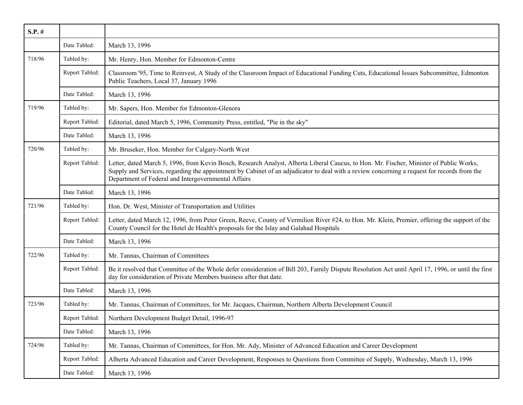| $S.P.$ # |                |                                                                                                                                                                                                                                                                                                                                               |
|----------|----------------|-----------------------------------------------------------------------------------------------------------------------------------------------------------------------------------------------------------------------------------------------------------------------------------------------------------------------------------------------|
|          | Date Tabled:   | March 13, 1996                                                                                                                                                                                                                                                                                                                                |
| 718/96   | Tabled by:     | Mr. Henry, Hon. Member for Edmonton-Centre                                                                                                                                                                                                                                                                                                    |
|          | Report Tabled: | Classroom '95, Time to Reinvest, A Study of the Classroom Impact of Educational Funding Cuts, Educational Issues Subcommittee, Edmonton<br>Public Teachers, Local 37, January 1996                                                                                                                                                            |
|          | Date Tabled:   | March 13, 1996                                                                                                                                                                                                                                                                                                                                |
| 719/96   | Tabled by:     | Mr. Sapers, Hon. Member for Edmonton-Glenora                                                                                                                                                                                                                                                                                                  |
|          | Report Tabled: | Editorial, dated March 5, 1996, Community Press, entitled, "Pie in the sky"                                                                                                                                                                                                                                                                   |
|          | Date Tabled:   | March 13, 1996                                                                                                                                                                                                                                                                                                                                |
| 720/96   | Tabled by:     | Mr. Bruseker, Hon. Member for Calgary-North West                                                                                                                                                                                                                                                                                              |
|          | Report Tabled: | Letter, dated March 5, 1996, from Kevin Bosch, Research Analyst, Alberta Liberal Caucus, to Hon. Mr. Fischer, Minister of Public Works,<br>Supply and Services, regarding the appointment by Cabinet of an adjudicator to deal with a review concerning a request for records from the<br>Department of Federal and Intergovernmental Affairs |
|          | Date Tabled:   | March 13, 1996                                                                                                                                                                                                                                                                                                                                |
| 721/96   | Tabled by:     | Hon. Dr. West, Minister of Transportation and Utilities                                                                                                                                                                                                                                                                                       |
|          | Report Tabled: | Letter, dated March 12, 1996, from Peter Green, Reeve, County of Vermilion River #24, to Hon. Mr. Klein, Premier, offering the support of the<br>County Council for the Hotel de Health's proposals for the Islay and Galahad Hospitals                                                                                                       |
|          | Date Tabled:   | March 13, 1996                                                                                                                                                                                                                                                                                                                                |
| 722/96   | Tabled by:     | Mr. Tannas, Chairman of Committees                                                                                                                                                                                                                                                                                                            |
|          | Report Tabled: | Be it resolved that Committee of the Whole defer consideration of Bill 203, Family Dispute Resolution Act until April 17, 1996, or until the first<br>day for consideration of Private Members business after that date.                                                                                                                      |
|          | Date Tabled:   | March 13, 1996                                                                                                                                                                                                                                                                                                                                |
| 723/96   | Tabled by:     | Mr. Tannas, Chairman of Committees, for Mr. Jacques, Chairman, Northern Alberta Development Council                                                                                                                                                                                                                                           |
|          | Report Tabled: | Northern Development Budget Detail, 1996-97                                                                                                                                                                                                                                                                                                   |
|          | Date Tabled:   | March 13, 1996                                                                                                                                                                                                                                                                                                                                |
| 724/96   | Tabled by:     | Mr. Tannas, Chairman of Committees, for Hon. Mr. Ady, Minister of Advanced Education and Career Development                                                                                                                                                                                                                                   |
|          | Report Tabled: | Alberta Advanced Education and Career Development, Responses to Questions from Committee of Supply, Wednesday, March 13, 1996                                                                                                                                                                                                                 |
|          | Date Tabled:   | March 13, 1996                                                                                                                                                                                                                                                                                                                                |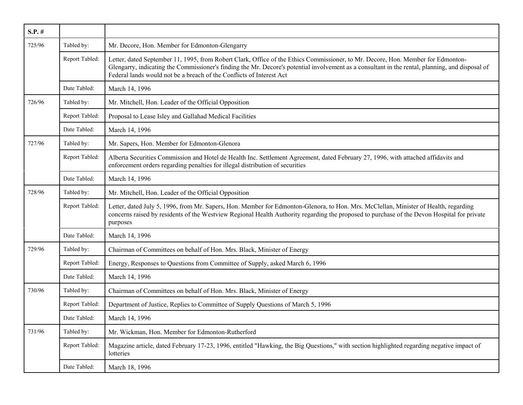| $S.P.$ # |                |                                                                                                                                                                                                                                                                                                                                                              |
|----------|----------------|--------------------------------------------------------------------------------------------------------------------------------------------------------------------------------------------------------------------------------------------------------------------------------------------------------------------------------------------------------------|
| 725/96   | Tabled by:     | Mr. Decore, Hon. Member for Edmonton-Glengarry                                                                                                                                                                                                                                                                                                               |
|          | Report Tabled: | Letter, dated September 11, 1995, from Robert Clark, Office of the Ethics Commissioner, to Mr. Decore, Hon. Member for Edmonton-<br>Glengarry, indicating the Commissioner's finding the Mr. Decore's potential involvement as a consultant in the rental, planning, and disposal of<br>Federal lands would not be a breach of the Conflicts of Interest Act |
|          | Date Tabled:   | March 14, 1996                                                                                                                                                                                                                                                                                                                                               |
| 726/96   | Tabled by:     | Mr. Mitchell, Hon. Leader of the Official Opposition                                                                                                                                                                                                                                                                                                         |
|          | Report Tabled: | Proposal to Lease Isley and Gallahad Medical Facilities                                                                                                                                                                                                                                                                                                      |
|          | Date Tabled:   | March 14, 1996                                                                                                                                                                                                                                                                                                                                               |
| 727/96   | Tabled by:     | Mr. Sapers, Hon. Member for Edmonton-Glenora                                                                                                                                                                                                                                                                                                                 |
|          | Report Tabled: | Alberta Securities Commission and Hotel de Health Inc. Settlement Agreement, dated February 27, 1996, with attached affidavits and<br>enforcement orders regarding penalties for illegal distribution of securities                                                                                                                                          |
|          | Date Tabled:   | March 14, 1996                                                                                                                                                                                                                                                                                                                                               |
| 728/96   | Tabled by:     | Mr. Mitchell, Hon. Leader of the Official Opposition                                                                                                                                                                                                                                                                                                         |
|          | Report Tabled: | Letter, dated July 5, 1996, from Mr. Sapers, Hon. Member for Edmonton-Glenora, to Hon. Mrs. McClellan, Minister of Health, regarding<br>concerns raised by residents of the Westview Regional Health Authority regarding the proposed to purchase of the Devon Hospital for private<br>purposes                                                              |
|          | Date Tabled:   | March 14, 1996                                                                                                                                                                                                                                                                                                                                               |
| 729/96   | Tabled by:     | Chairman of Committees on behalf of Hon. Mrs. Black, Minister of Energy                                                                                                                                                                                                                                                                                      |
|          | Report Tabled: | Energy, Responses to Questions from Committee of Supply, asked March 6, 1996                                                                                                                                                                                                                                                                                 |
|          | Date Tabled:   | March 14, 1996                                                                                                                                                                                                                                                                                                                                               |
| 730/96   | Tabled by:     | Chairman of Committees on behalf of Hon. Mrs. Black, Minister of Energy                                                                                                                                                                                                                                                                                      |
|          | Report Tabled: | Department of Justice, Replies to Committee of Supply Questions of March 5, 1996                                                                                                                                                                                                                                                                             |
|          | Date Tabled:   | March 14, 1996                                                                                                                                                                                                                                                                                                                                               |
| 731/96   | Tabled by:     | Mr. Wickman, Hon. Member for Edmonton-Rutherford                                                                                                                                                                                                                                                                                                             |
|          | Report Tabled: | Magazine article, dated February 17-23, 1996, entitled "Hawking, the Big Questions," with section highlighted regarding negative impact of<br>lotteries                                                                                                                                                                                                      |
|          | Date Tabled:   | March 18, 1996                                                                                                                                                                                                                                                                                                                                               |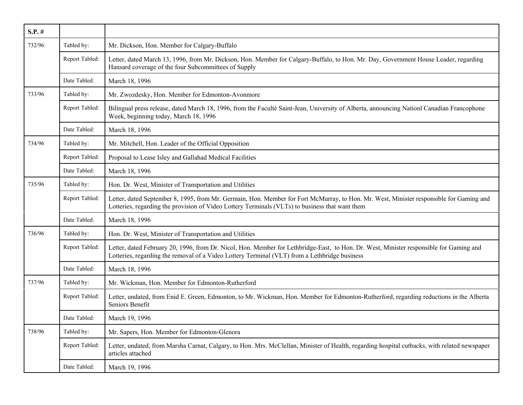| $S.P.$ # |                |                                                                                                                                                                                                                                            |
|----------|----------------|--------------------------------------------------------------------------------------------------------------------------------------------------------------------------------------------------------------------------------------------|
| 732/96   | Tabled by:     | Mr. Dickson, Hon. Member for Calgary-Buffalo                                                                                                                                                                                               |
|          | Report Tabled: | Letter, dated March 13, 1996, from Mr. Dickson, Hon. Member for Calgary-Buffalo, to Hon. Mr. Day, Government House Leader, regarding<br>Hansard coverage of the four Subcommittees of Supply                                               |
|          | Date Tabled:   | March 18, 1996                                                                                                                                                                                                                             |
| 733/96   | Tabled by:     | Mr. Zwozdesky, Hon. Member for Edmonton-Avonmore                                                                                                                                                                                           |
|          | Report Tabled: | Bilingual press release, dated March 18, 1996, from the Faculté Saint-Jean, University of Alberta, announcing Nationl Canadian Francophone<br>Week, beginning today, March 18, 1996                                                        |
|          | Date Tabled:   | March 18, 1996                                                                                                                                                                                                                             |
| 734/96   | Tabled by:     | Mr. Mitchell, Hon. Leader of the Official Opposition                                                                                                                                                                                       |
|          | Report Tabled: | Proposal to Lease Isley and Gallahad Medical Facilities                                                                                                                                                                                    |
|          | Date Tabled:   | March 18, 1996                                                                                                                                                                                                                             |
| 735/96   | Tabled by:     | Hon. Dr. West, Minister of Transportation and Utilities                                                                                                                                                                                    |
|          | Report Tabled: | Letter, dated September 8, 1995, from Mr. Germain, Hon. Member for Fort McMurray, to Hon. Mr. West, Minister responsible for Gaming and<br>Lotteries, regarding the provision of Video Lottery Terminals (VLTs) to business that want them |
|          | Date Tabled:   | March 18, 1996                                                                                                                                                                                                                             |
| 736/96   | Tabled by:     | Hon. Dr. West, Minister of Transportation and Utilities                                                                                                                                                                                    |
|          | Report Tabled: | Letter, dated February 20, 1996, from Dr. Nicol, Hon. Member for Lethbridge-East, to Hon. Dr. West, Minister responsible for Gaming and<br>Lotteries, regarding the removal of a Video Lottery Terminal (VLT) from a Lethbridge business   |
|          | Date Tabled:   | March 18, 1996                                                                                                                                                                                                                             |
| 737/96   | Tabled by:     | Mr. Wickman, Hon. Member for Edmonton-Rutherford                                                                                                                                                                                           |
|          | Report Tabled: | Letter, undated, from Enid E. Green, Edmonton, to Mr. Wickman, Hon. Member for Edmonton-Rutherford, regarding reductions in the Alberta<br>Seniors Benefit                                                                                 |
|          | Date Tabled:   | March 19, 1996                                                                                                                                                                                                                             |
| 738/96   | Tabled by:     | Mr. Sapers, Hon. Member for Edmonton-Glenora                                                                                                                                                                                               |
|          | Report Tabled: | Letter, undated, from Marsha Carnat, Calgary, to Hon. Mrs. McClellan, Minister of Health, regarding hospital cutbacks, with related newspaper<br>articles attached                                                                         |
|          | Date Tabled:   | March 19, 1996                                                                                                                                                                                                                             |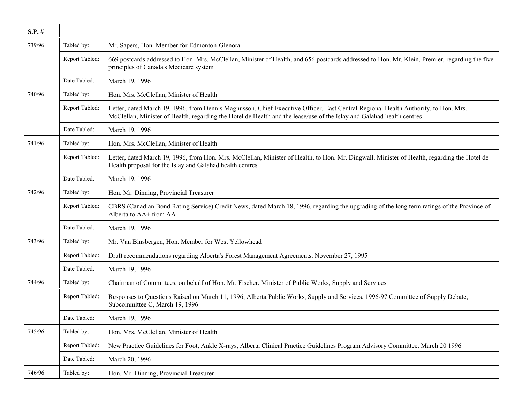| $S.P.$ # |                |                                                                                                                                                                                                                                                              |
|----------|----------------|--------------------------------------------------------------------------------------------------------------------------------------------------------------------------------------------------------------------------------------------------------------|
| 739/96   | Tabled by:     | Mr. Sapers, Hon. Member for Edmonton-Glenora                                                                                                                                                                                                                 |
|          | Report Tabled: | 669 postcards addressed to Hon. Mrs. McClellan, Minister of Health, and 656 postcards addressed to Hon. Mr. Klein, Premier, regarding the five<br>principles of Canada's Medicare system                                                                     |
|          | Date Tabled:   | March 19, 1996                                                                                                                                                                                                                                               |
| 740/96   | Tabled by:     | Hon. Mrs. McClellan, Minister of Health                                                                                                                                                                                                                      |
|          | Report Tabled: | Letter, dated March 19, 1996, from Dennis Magnusson, Chief Executive Officer, East Central Regional Health Authority, to Hon. Mrs.<br>McClellan, Minister of Health, regarding the Hotel de Health and the lease/use of the Islay and Galahad health centres |
|          | Date Tabled:   | March 19, 1996                                                                                                                                                                                                                                               |
| 741/96   | Tabled by:     | Hon. Mrs. McClellan, Minister of Health                                                                                                                                                                                                                      |
|          | Report Tabled: | Letter, dated March 19, 1996, from Hon. Mrs. McClellan, Minister of Health, to Hon. Mr. Dingwall, Minister of Health, regarding the Hotel de<br>Health proposal for the Islay and Galahad health centres                                                     |
|          | Date Tabled:   | March 19, 1996                                                                                                                                                                                                                                               |
| 742/96   | Tabled by:     | Hon. Mr. Dinning, Provincial Treasurer                                                                                                                                                                                                                       |
|          | Report Tabled: | CBRS (Canadian Bond Rating Service) Credit News, dated March 18, 1996, regarding the upgrading of the long term ratings of the Province of<br>Alberta to AA+ from AA                                                                                         |
|          | Date Tabled:   | March 19, 1996                                                                                                                                                                                                                                               |
| 743/96   | Tabled by:     | Mr. Van Binsbergen, Hon. Member for West Yellowhead                                                                                                                                                                                                          |
|          | Report Tabled: | Draft recommendations regarding Alberta's Forest Management Agreements, November 27, 1995                                                                                                                                                                    |
|          | Date Tabled:   | March 19, 1996                                                                                                                                                                                                                                               |
| 744/96   | Tabled by:     | Chairman of Committees, on behalf of Hon. Mr. Fischer, Minister of Public Works, Supply and Services                                                                                                                                                         |
|          | Report Tabled: | Responses to Questions Raised on March 11, 1996, Alberta Public Works, Supply and Services, 1996-97 Committee of Supply Debate,<br>Subcommittee C, March 19, 1996                                                                                            |
|          | Date Tabled:   | March 19, 1996                                                                                                                                                                                                                                               |
| 745/96   | Tabled by:     | Hon. Mrs. McClellan, Minister of Health                                                                                                                                                                                                                      |
|          | Report Tabled: | New Practice Guidelines for Foot, Ankle X-rays, Alberta Clinical Practice Guidelines Program Advisory Committee, March 20 1996                                                                                                                               |
|          | Date Tabled:   | March 20, 1996                                                                                                                                                                                                                                               |
| 746/96   | Tabled by:     | Hon. Mr. Dinning, Provincial Treasurer                                                                                                                                                                                                                       |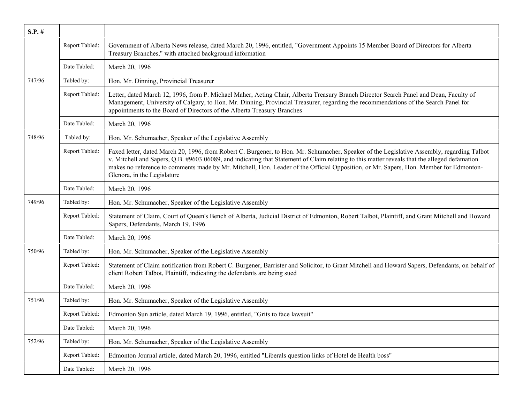| $S.P.$ # |                |                                                                                                                                                                                                                                                                                                                                                                                                                                                                    |
|----------|----------------|--------------------------------------------------------------------------------------------------------------------------------------------------------------------------------------------------------------------------------------------------------------------------------------------------------------------------------------------------------------------------------------------------------------------------------------------------------------------|
|          | Report Tabled: | Government of Alberta News release, dated March 20, 1996, entitled, "Government Appoints 15 Member Board of Directors for Alberta<br>Treasury Branches," with attached background information                                                                                                                                                                                                                                                                      |
|          | Date Tabled:   | March 20, 1996                                                                                                                                                                                                                                                                                                                                                                                                                                                     |
| 747/96   | Tabled by:     | Hon. Mr. Dinning, Provincial Treasurer                                                                                                                                                                                                                                                                                                                                                                                                                             |
|          | Report Tabled: | Letter, dated March 12, 1996, from P. Michael Maher, Acting Chair, Alberta Treasury Branch Director Search Panel and Dean, Faculty of<br>Management, University of Calgary, to Hon. Mr. Dinning, Provincial Treasurer, regarding the recommendations of the Search Panel for<br>appointments to the Board of Directors of the Alberta Treasury Branches                                                                                                            |
|          | Date Tabled:   | March 20, 1996                                                                                                                                                                                                                                                                                                                                                                                                                                                     |
| 748/96   | Tabled by:     | Hon. Mr. Schumacher, Speaker of the Legislative Assembly                                                                                                                                                                                                                                                                                                                                                                                                           |
|          | Report Tabled: | Faxed letter, dated March 20, 1996, from Robert C. Burgener, to Hon. Mr. Schumacher, Speaker of the Legislative Assembly, regarding Talbot<br>v. Mitchell and Sapers, Q.B. #9603 06089, and indicating that Statement of Claim relating to this matter reveals that the alleged defamation<br>makes no reference to comments made by Mr. Mitchell, Hon. Leader of the Official Opposition, or Mr. Sapers, Hon. Member for Edmonton-<br>Glenora, in the Legislature |
|          | Date Tabled:   | March 20, 1996                                                                                                                                                                                                                                                                                                                                                                                                                                                     |
| 749/96   | Tabled by:     | Hon. Mr. Schumacher, Speaker of the Legislative Assembly                                                                                                                                                                                                                                                                                                                                                                                                           |
|          | Report Tabled: | Statement of Claim, Court of Queen's Bench of Alberta, Judicial District of Edmonton, Robert Talbot, Plaintiff, and Grant Mitchell and Howard<br>Sapers, Defendants, March 19, 1996                                                                                                                                                                                                                                                                                |
|          | Date Tabled:   | March 20, 1996                                                                                                                                                                                                                                                                                                                                                                                                                                                     |
| 750/96   | Tabled by:     | Hon. Mr. Schumacher, Speaker of the Legislative Assembly                                                                                                                                                                                                                                                                                                                                                                                                           |
|          | Report Tabled: | Statement of Claim notification from Robert C. Burgener, Barrister and Solicitor, to Grant Mitchell and Howard Sapers, Defendants, on behalf of<br>client Robert Talbot, Plaintiff, indicating the defendants are being sued                                                                                                                                                                                                                                       |
|          | Date Tabled:   | March 20, 1996                                                                                                                                                                                                                                                                                                                                                                                                                                                     |
| 751/96   | Tabled by:     | Hon. Mr. Schumacher, Speaker of the Legislative Assembly                                                                                                                                                                                                                                                                                                                                                                                                           |
|          | Report Tabled: | Edmonton Sun article, dated March 19, 1996, entitled, "Grits to face lawsuit"                                                                                                                                                                                                                                                                                                                                                                                      |
|          | Date Tabled:   | March 20, 1996                                                                                                                                                                                                                                                                                                                                                                                                                                                     |
| 752/96   | Tabled by:     | Hon. Mr. Schumacher, Speaker of the Legislative Assembly                                                                                                                                                                                                                                                                                                                                                                                                           |
|          | Report Tabled: | Edmonton Journal article, dated March 20, 1996, entitled "Liberals question links of Hotel de Health boss"                                                                                                                                                                                                                                                                                                                                                         |
|          | Date Tabled:   | March 20, 1996                                                                                                                                                                                                                                                                                                                                                                                                                                                     |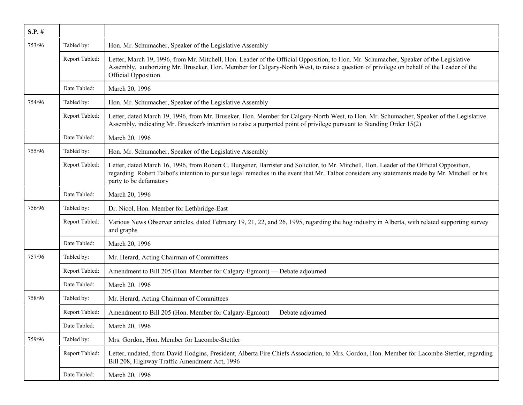| $S.P.$ # |                |                                                                                                                                                                                                                                                                                                                      |
|----------|----------------|----------------------------------------------------------------------------------------------------------------------------------------------------------------------------------------------------------------------------------------------------------------------------------------------------------------------|
| 753/96   | Tabled by:     | Hon. Mr. Schumacher, Speaker of the Legislative Assembly                                                                                                                                                                                                                                                             |
|          | Report Tabled: | Letter, March 19, 1996, from Mr. Mitchell, Hon. Leader of the Official Opposition, to Hon. Mr. Schumacher, Speaker of the Legislative<br>Assembly, authorizing Mr. Bruseker, Hon. Member for Calgary-North West, to raise a question of privilege on behalf of the Leader of the<br><b>Official Opposition</b>       |
|          | Date Tabled:   | March 20, 1996                                                                                                                                                                                                                                                                                                       |
| 754/96   | Tabled by:     | Hon. Mr. Schumacher, Speaker of the Legislative Assembly                                                                                                                                                                                                                                                             |
|          | Report Tabled: | Letter, dated March 19, 1996, from Mr. Bruseker, Hon. Member for Calgary-North West, to Hon. Mr. Schumacher, Speaker of the Legislative<br>Assembly, indicating Mr. Bruseker's intention to raise a purported point of privilege pursuant to Standing Order 15(2)                                                    |
|          | Date Tabled:   | March 20, 1996                                                                                                                                                                                                                                                                                                       |
| 755/96   | Tabled by:     | Hon. Mr. Schumacher, Speaker of the Legislative Assembly                                                                                                                                                                                                                                                             |
|          | Report Tabled: | Letter, dated March 16, 1996, from Robert C. Burgener, Barrister and Solicitor, to Mr. Mitchell, Hon. Leader of the Official Opposition,<br>regarding Robert Talbot's intention to pursue legal remedies in the event that Mr. Talbot considers any statements made by Mr. Mitchell or his<br>party to be defamatory |
|          | Date Tabled:   | March 20, 1996                                                                                                                                                                                                                                                                                                       |
| 756/96   | Tabled by:     | Dr. Nicol, Hon. Member for Lethbridge-East                                                                                                                                                                                                                                                                           |
|          | Report Tabled: | Various News Observer articles, dated February 19, 21, 22, and 26, 1995, regarding the hog industry in Alberta, with related supporting survey<br>and graphs                                                                                                                                                         |
|          | Date Tabled:   | March 20, 1996                                                                                                                                                                                                                                                                                                       |
| 757/96   | Tabled by:     | Mr. Herard, Acting Chairman of Committees                                                                                                                                                                                                                                                                            |
|          | Report Tabled: | Amendment to Bill 205 (Hon. Member for Calgary-Egmont) — Debate adjourned                                                                                                                                                                                                                                            |
|          | Date Tabled:   | March 20, 1996                                                                                                                                                                                                                                                                                                       |
| 758/96   | Tabled by:     | Mr. Herard, Acting Chairman of Committees                                                                                                                                                                                                                                                                            |
|          | Report Tabled: | Amendment to Bill 205 (Hon. Member for Calgary-Egmont) — Debate adjourned                                                                                                                                                                                                                                            |
|          | Date Tabled:   | March 20, 1996                                                                                                                                                                                                                                                                                                       |
| 759/96   | Tabled by:     | Mrs. Gordon, Hon. Member for Lacombe-Stettler                                                                                                                                                                                                                                                                        |
|          | Report Tabled: | Letter, undated, from David Hodgins, President, Alberta Fire Chiefs Association, to Mrs. Gordon, Hon. Member for Lacombe-Stettler, regarding<br>Bill 208, Highway Traffic Amendment Act, 1996                                                                                                                        |
|          | Date Tabled:   | March 20, 1996                                                                                                                                                                                                                                                                                                       |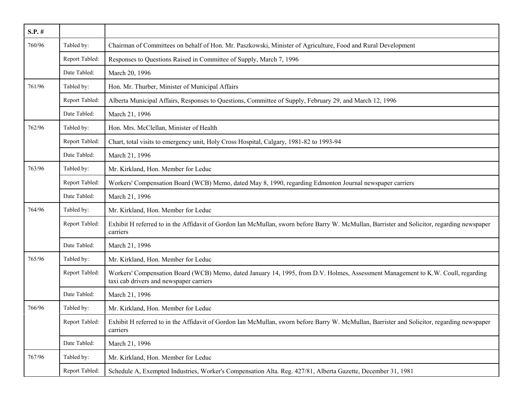| $S.P.$ # |                |                                                                                                                                                                             |
|----------|----------------|-----------------------------------------------------------------------------------------------------------------------------------------------------------------------------|
| 760/96   | Tabled by:     | Chairman of Committees on behalf of Hon. Mr. Paszkowski, Minister of Agriculture, Food and Rural Development                                                                |
|          | Report Tabled: | Responses to Questions Raised in Committee of Supply, March 7, 1996                                                                                                         |
|          | Date Tabled:   | March 20, 1996                                                                                                                                                              |
| 761/96   | Tabled by:     | Hon. Mr. Thurber, Minister of Municipal Affairs                                                                                                                             |
|          | Report Tabled: | Alberta Municipal Affairs, Responses to Questions, Committee of Supply, February 29, and March 12, 1996                                                                     |
|          | Date Tabled:   | March 21, 1996                                                                                                                                                              |
| 762/96   | Tabled by:     | Hon. Mrs. McClellan, Minister of Health                                                                                                                                     |
|          | Report Tabled: | Chart, total visits to emergency unit, Holy Cross Hospital, Calgary, 1981-82 to 1993-94                                                                                     |
|          | Date Tabled:   | March 21, 1996                                                                                                                                                              |
| 763/96   | Tabled by:     | Mr. Kirkland, Hon. Member for Leduc                                                                                                                                         |
|          | Report Tabled: | Workers' Compensation Board (WCB) Memo, dated May 8, 1990, regarding Edmonton Journal newspaper carriers                                                                    |
|          | Date Tabled:   | March 21, 1996                                                                                                                                                              |
| 764/96   | Tabled by:     | Mr. Kirkland, Hon. Member for Leduc                                                                                                                                         |
|          | Report Tabled: | Exhibit H referred to in the Affidavit of Gordon Ian McMullan, sworn before Barry W. McMullan, Barrister and Solicitor, regarding newspaper<br>carriers                     |
|          | Date Tabled:   | March 21, 1996                                                                                                                                                              |
| 765/96   | Tabled by:     | Mr. Kirkland, Hon. Member for Leduc                                                                                                                                         |
|          | Report Tabled: | Workers' Compensation Board (WCB) Memo, dated January 14, 1995, from D.V. Holmes, Assessment Management to K.W. Coull, regarding<br>taxi cab drivers and newspaper carriers |
|          | Date Tabled:   | March 21, 1996                                                                                                                                                              |
| 766/96   | Tabled by:     | Mr. Kirkland, Hon. Member for Leduc                                                                                                                                         |
|          | Report Tabled: | Exhibit H referred to in the Affidavit of Gordon Ian McMullan, sworn before Barry W. McMullan, Barrister and Solicitor, regarding newspaper<br>carriers                     |
|          | Date Tabled:   | March 21, 1996                                                                                                                                                              |
| 767/96   | Tabled by:     | Mr. Kirkland, Hon. Member for Leduc                                                                                                                                         |
|          | Report Tabled: | Schedule A, Exempted Industries, Worker's Compensation Alta. Reg. 427/81, Alberta Gazette, December 31, 1981                                                                |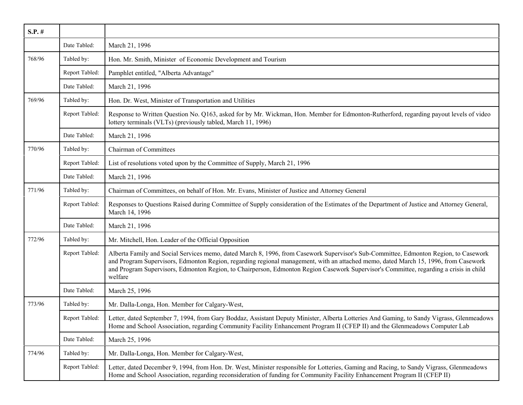| $S.P.$ # |                |                                                                                                                                                                                                                                                                                                                                                                                                                                  |
|----------|----------------|----------------------------------------------------------------------------------------------------------------------------------------------------------------------------------------------------------------------------------------------------------------------------------------------------------------------------------------------------------------------------------------------------------------------------------|
|          | Date Tabled:   | March 21, 1996                                                                                                                                                                                                                                                                                                                                                                                                                   |
| 768/96   | Tabled by:     | Hon. Mr. Smith, Minister of Economic Development and Tourism                                                                                                                                                                                                                                                                                                                                                                     |
|          | Report Tabled: | Pamphlet entitled, "Alberta Advantage"                                                                                                                                                                                                                                                                                                                                                                                           |
|          | Date Tabled:   | March 21, 1996                                                                                                                                                                                                                                                                                                                                                                                                                   |
| 769/96   | Tabled by:     | Hon. Dr. West, Minister of Transportation and Utilities                                                                                                                                                                                                                                                                                                                                                                          |
|          | Report Tabled: | Response to Written Question No. Q163, asked for by Mr. Wickman, Hon. Member for Edmonton-Rutherford, regarding payout levels of video<br>lottery terminals (VLTs) (previously tabled, March 11, 1996)                                                                                                                                                                                                                           |
|          | Date Tabled:   | March 21, 1996                                                                                                                                                                                                                                                                                                                                                                                                                   |
| 770/96   | Tabled by:     | Chairman of Committees                                                                                                                                                                                                                                                                                                                                                                                                           |
|          | Report Tabled: | List of resolutions voted upon by the Committee of Supply, March 21, 1996                                                                                                                                                                                                                                                                                                                                                        |
|          | Date Tabled:   | March 21, 1996                                                                                                                                                                                                                                                                                                                                                                                                                   |
| 771/96   | Tabled by:     | Chairman of Committees, on behalf of Hon. Mr. Evans, Minister of Justice and Attorney General                                                                                                                                                                                                                                                                                                                                    |
|          | Report Tabled: | Responses to Questions Raised during Committee of Supply consideration of the Estimates of the Department of Justice and Attorney General,<br>March 14, 1996                                                                                                                                                                                                                                                                     |
|          | Date Tabled:   | March 21, 1996                                                                                                                                                                                                                                                                                                                                                                                                                   |
| 772/96   | Tabled by:     | Mr. Mitchell, Hon. Leader of the Official Opposition                                                                                                                                                                                                                                                                                                                                                                             |
|          | Report Tabled: | Alberta Family and Social Services memo, dated March 8, 1996, from Casework Supervisor's Sub-Committee, Edmonton Region, to Casework<br>and Program Supervisors, Edmonton Region, regarding regional management, with an attached memo, dated March 15, 1996, from Casework<br>and Program Supervisors, Edmonton Region, to Chairperson, Edmonton Region Casework Supervisor's Committee, regarding a crisis in child<br>welfare |
|          | Date Tabled:   | March 25, 1996                                                                                                                                                                                                                                                                                                                                                                                                                   |
| 773/96   | Tabled by:     | Mr. Dalla-Longa, Hon. Member for Calgary-West,                                                                                                                                                                                                                                                                                                                                                                                   |
|          | Report Tabled: | Letter, dated September 7, 1994, from Gary Boddaz, Assistant Deputy Minister, Alberta Lotteries And Gaming, to Sandy Vigrass, Glenmeadows<br>Home and School Association, regarding Community Facility Enhancement Program II (CFEP II) and the Glenmeadows Computer Lab                                                                                                                                                         |
|          | Date Tabled:   | March 25, 1996                                                                                                                                                                                                                                                                                                                                                                                                                   |
| 774/96   | Tabled by:     | Mr. Dalla-Longa, Hon. Member for Calgary-West,                                                                                                                                                                                                                                                                                                                                                                                   |
|          | Report Tabled: | Letter, dated December 9, 1994, from Hon. Dr. West, Minister responsible for Lotteries, Gaming and Racing, to Sandy Vigrass, Glenmeadows<br>Home and School Association, regarding reconsideration of funding for Community Facility Enhancement Program II (CFEP II)                                                                                                                                                            |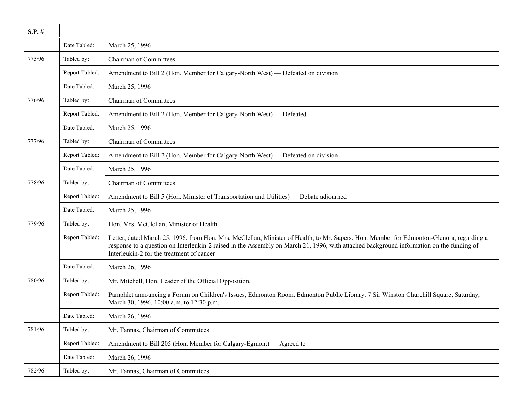| $S.P.$ # |                |                                                                                                                                                                                                                                                                                                                                   |
|----------|----------------|-----------------------------------------------------------------------------------------------------------------------------------------------------------------------------------------------------------------------------------------------------------------------------------------------------------------------------------|
|          | Date Tabled:   | March 25, 1996                                                                                                                                                                                                                                                                                                                    |
| 775/96   | Tabled by:     | <b>Chairman of Committees</b>                                                                                                                                                                                                                                                                                                     |
|          | Report Tabled: | Amendment to Bill 2 (Hon. Member for Calgary-North West) — Defeated on division                                                                                                                                                                                                                                                   |
|          | Date Tabled:   | March 25, 1996                                                                                                                                                                                                                                                                                                                    |
| 776/96   | Tabled by:     | <b>Chairman of Committees</b>                                                                                                                                                                                                                                                                                                     |
|          | Report Tabled: | Amendment to Bill 2 (Hon. Member for Calgary-North West) — Defeated                                                                                                                                                                                                                                                               |
|          | Date Tabled:   | March 25, 1996                                                                                                                                                                                                                                                                                                                    |
| 777/96   | Tabled by:     | <b>Chairman of Committees</b>                                                                                                                                                                                                                                                                                                     |
|          | Report Tabled: | Amendment to Bill 2 (Hon. Member for Calgary-North West) — Defeated on division                                                                                                                                                                                                                                                   |
|          | Date Tabled:   | March 25, 1996                                                                                                                                                                                                                                                                                                                    |
| 778/96   | Tabled by:     | <b>Chairman of Committees</b>                                                                                                                                                                                                                                                                                                     |
|          | Report Tabled: | Amendment to Bill 5 (Hon. Minister of Transportation and Utilities) — Debate adjourned                                                                                                                                                                                                                                            |
|          | Date Tabled:   | March 25, 1996                                                                                                                                                                                                                                                                                                                    |
| 779/96   | Tabled by:     | Hon. Mrs. McClellan, Minister of Health                                                                                                                                                                                                                                                                                           |
|          | Report Tabled: | Letter, dated March 25, 1996, from Hon. Mrs. McClellan, Minister of Health, to Mr. Sapers, Hon. Member for Edmonton-Glenora, regarding a<br>response to a question on Interleukin-2 raised in the Assembly on March 21, 1996, with attached background information on the funding of<br>Interleukin-2 for the treatment of cancer |
|          | Date Tabled:   | March 26, 1996                                                                                                                                                                                                                                                                                                                    |
| 780/96   | Tabled by:     | Mr. Mitchell, Hon. Leader of the Official Opposition,                                                                                                                                                                                                                                                                             |
|          | Report Tabled: | Pamphlet announcing a Forum on Children's Issues, Edmonton Room, Edmonton Public Library, 7 Sir Winston Churchill Square, Saturday,<br>March 30, 1996, 10:00 a.m. to 12:30 p.m.                                                                                                                                                   |
|          | Date Tabled:   | March 26, 1996                                                                                                                                                                                                                                                                                                                    |
| 781/96   | Tabled by:     | Mr. Tannas, Chairman of Committees                                                                                                                                                                                                                                                                                                |
|          | Report Tabled: | Amendment to Bill 205 (Hon. Member for Calgary-Egmont) — Agreed to                                                                                                                                                                                                                                                                |
|          | Date Tabled:   | March 26, 1996                                                                                                                                                                                                                                                                                                                    |
| 782/96   | Tabled by:     | Mr. Tannas, Chairman of Committees                                                                                                                                                                                                                                                                                                |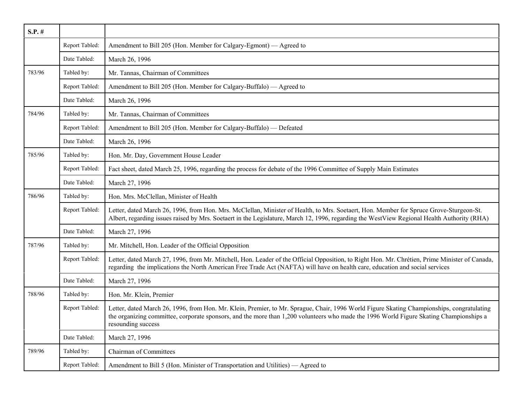| $S.P.$ # |                |                                                                                                                                                                                                                                                                                                             |
|----------|----------------|-------------------------------------------------------------------------------------------------------------------------------------------------------------------------------------------------------------------------------------------------------------------------------------------------------------|
|          | Report Tabled: | Amendment to Bill 205 (Hon. Member for Calgary-Egmont) — Agreed to                                                                                                                                                                                                                                          |
|          | Date Tabled:   | March 26, 1996                                                                                                                                                                                                                                                                                              |
| 783/96   | Tabled by:     | Mr. Tannas, Chairman of Committees                                                                                                                                                                                                                                                                          |
|          | Report Tabled: | Amendment to Bill 205 (Hon. Member for Calgary-Buffalo) — Agreed to                                                                                                                                                                                                                                         |
|          | Date Tabled:   | March 26, 1996                                                                                                                                                                                                                                                                                              |
| 784/96   | Tabled by:     | Mr. Tannas, Chairman of Committees                                                                                                                                                                                                                                                                          |
|          | Report Tabled: | Amendment to Bill 205 (Hon. Member for Calgary-Buffalo) — Defeated                                                                                                                                                                                                                                          |
|          | Date Tabled:   | March 26, 1996                                                                                                                                                                                                                                                                                              |
| 785/96   | Tabled by:     | Hon. Mr. Day, Government House Leader                                                                                                                                                                                                                                                                       |
|          | Report Tabled: | Fact sheet, dated March 25, 1996, regarding the process for debate of the 1996 Committee of Supply Main Estimates                                                                                                                                                                                           |
|          | Date Tabled:   | March 27, 1996                                                                                                                                                                                                                                                                                              |
| 786/96   | Tabled by:     | Hon. Mrs. McClellan, Minister of Health                                                                                                                                                                                                                                                                     |
|          | Report Tabled: | Letter, dated March 26, 1996, from Hon. Mrs. McClellan, Minister of Health, to Mrs. Soetaert, Hon. Member for Spruce Grove-Sturgeon-St.<br>Albert, regarding issues raised by Mrs. Soetaert in the Legislature, March 12, 1996, regarding the WestView Regional Health Authority (RHA)                      |
|          | Date Tabled:   | March 27, 1996                                                                                                                                                                                                                                                                                              |
| 787/96   | Tabled by:     | Mr. Mitchell, Hon. Leader of the Official Opposition                                                                                                                                                                                                                                                        |
|          | Report Tabled: | Letter, dated March 27, 1996, from Mr. Mitchell, Hon. Leader of the Official Opposition, to Right Hon. Mr. Chrétien, Prime Minister of Canada,<br>regarding the implications the North American Free Trade Act (NAFTA) will have on health care, education and social services                              |
|          | Date Tabled:   | March 27, 1996                                                                                                                                                                                                                                                                                              |
| 788/96   | Tabled by:     | Hon. Mr. Klein, Premier                                                                                                                                                                                                                                                                                     |
|          | Report Tabled: | Letter, dated March 26, 1996, from Hon. Mr. Klein, Premier, to Mr. Sprague, Chair, 1996 World Figure Skating Championships, congratulating<br>the organizing committee, corporate sponsors, and the more than 1,200 volunteers who made the 1996 World Figure Skating Championships a<br>resounding success |
|          | Date Tabled:   | March 27, 1996                                                                                                                                                                                                                                                                                              |
| 789/96   | Tabled by:     | <b>Chairman of Committees</b>                                                                                                                                                                                                                                                                               |
|          | Report Tabled: | Amendment to Bill 5 (Hon. Minister of Transportation and Utilities) — Agreed to                                                                                                                                                                                                                             |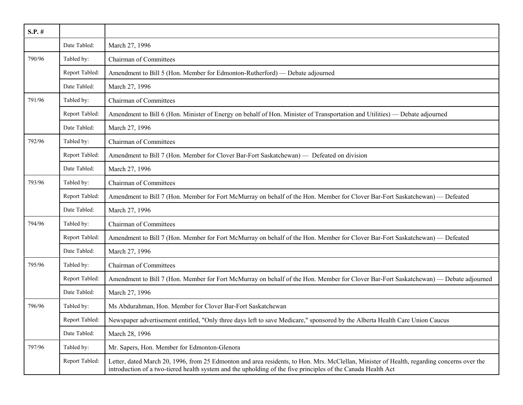| $S.P.$ # |                |                                                                                                                                                                                                                                                            |
|----------|----------------|------------------------------------------------------------------------------------------------------------------------------------------------------------------------------------------------------------------------------------------------------------|
|          | Date Tabled:   | March 27, 1996                                                                                                                                                                                                                                             |
| 790/96   | Tabled by:     | Chairman of Committees                                                                                                                                                                                                                                     |
|          | Report Tabled: | Amendment to Bill 5 (Hon. Member for Edmonton-Rutherford) — Debate adjourned                                                                                                                                                                               |
|          | Date Tabled:   | March 27, 1996                                                                                                                                                                                                                                             |
| 791/96   | Tabled by:     | Chairman of Committees                                                                                                                                                                                                                                     |
|          | Report Tabled: | Amendment to Bill 6 (Hon. Minister of Energy on behalf of Hon. Minister of Transportation and Utilities) — Debate adjourned                                                                                                                                |
|          | Date Tabled:   | March 27, 1996                                                                                                                                                                                                                                             |
| 792/96   | Tabled by:     | <b>Chairman of Committees</b>                                                                                                                                                                                                                              |
|          | Report Tabled: | Amendment to Bill 7 (Hon. Member for Clover Bar-Fort Saskatchewan) — Defeated on division                                                                                                                                                                  |
|          | Date Tabled:   | March 27, 1996                                                                                                                                                                                                                                             |
| 793/96   | Tabled by:     | Chairman of Committees                                                                                                                                                                                                                                     |
|          | Report Tabled: | Amendment to Bill 7 (Hon. Member for Fort McMurray on behalf of the Hon. Member for Clover Bar-Fort Saskatchewan) — Defeated                                                                                                                               |
|          | Date Tabled:   | March 27, 1996                                                                                                                                                                                                                                             |
| 794/96   | Tabled by:     | Chairman of Committees                                                                                                                                                                                                                                     |
|          | Report Tabled: | Amendment to Bill 7 (Hon. Member for Fort McMurray on behalf of the Hon. Member for Clover Bar-Fort Saskatchewan) — Defeated                                                                                                                               |
|          | Date Tabled:   | March 27, 1996                                                                                                                                                                                                                                             |
| 795/96   | Tabled by:     | Chairman of Committees                                                                                                                                                                                                                                     |
|          | Report Tabled: | Amendment to Bill 7 (Hon. Member for Fort McMurray on behalf of the Hon. Member for Clover Bar-Fort Saskatchewan) — Debate adjourned                                                                                                                       |
|          | Date Tabled:   | March 27, 1996                                                                                                                                                                                                                                             |
| 796/96   | Tabled by:     | Ms Abdurahman, Hon. Member for Clover Bar-Fort Saskatchewan                                                                                                                                                                                                |
|          | Report Tabled: | Newspaper advertisement entitled, "Only three days left to save Medicare," sponsored by the Alberta Health Care Union Caucus                                                                                                                               |
|          | Date Tabled:   | March 28, 1996                                                                                                                                                                                                                                             |
| 797/96   | Tabled by:     | Mr. Sapers, Hon. Member for Edmonton-Glenora                                                                                                                                                                                                               |
|          | Report Tabled: | Letter, dated March 20, 1996, from 25 Edmonton and area residents, to Hon. Mrs. McClellan, Minister of Health, regarding concerns over the<br>introduction of a two-tiered health system and the upholding of the five principles of the Canada Health Act |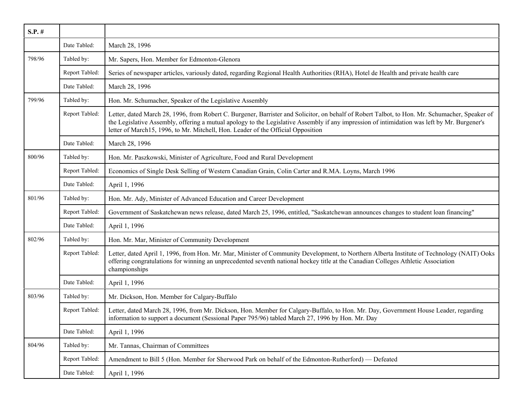| $S.P.$ # |                |                                                                                                                                                                                                                                                                                                                                                                                    |
|----------|----------------|------------------------------------------------------------------------------------------------------------------------------------------------------------------------------------------------------------------------------------------------------------------------------------------------------------------------------------------------------------------------------------|
|          | Date Tabled:   | March 28, 1996                                                                                                                                                                                                                                                                                                                                                                     |
| 798/96   | Tabled by:     | Mr. Sapers, Hon. Member for Edmonton-Glenora                                                                                                                                                                                                                                                                                                                                       |
|          | Report Tabled: | Series of newspaper articles, variously dated, regarding Regional Health Authorities (RHA), Hotel de Health and private health care                                                                                                                                                                                                                                                |
|          | Date Tabled:   | March 28, 1996                                                                                                                                                                                                                                                                                                                                                                     |
| 799/96   | Tabled by:     | Hon. Mr. Schumacher, Speaker of the Legislative Assembly                                                                                                                                                                                                                                                                                                                           |
|          | Report Tabled: | Letter, dated March 28, 1996, from Robert C. Burgener, Barrister and Solicitor, on behalf of Robert Talbot, to Hon. Mr. Schumacher, Speaker of<br>the Legislative Assembly, offering a mutual apology to the Legislative Assembly if any impression of intimidation was left by Mr. Burgener's<br>letter of March15, 1996, to Mr. Mitchell, Hon. Leader of the Official Opposition |
|          | Date Tabled:   | March 28, 1996                                                                                                                                                                                                                                                                                                                                                                     |
| 800/96   | Tabled by:     | Hon. Mr. Paszkowski, Minister of Agriculture, Food and Rural Development                                                                                                                                                                                                                                                                                                           |
|          | Report Tabled: | Economics of Single Desk Selling of Western Canadian Grain, Colin Carter and R.MA. Loyns, March 1996                                                                                                                                                                                                                                                                               |
|          | Date Tabled:   | April 1, 1996                                                                                                                                                                                                                                                                                                                                                                      |
| 801/96   | Tabled by:     | Hon. Mr. Ady, Minister of Advanced Education and Career Development                                                                                                                                                                                                                                                                                                                |
|          | Report Tabled: | Government of Saskatchewan news release, dated March 25, 1996, entitled, "Saskatchewan announces changes to student loan financing"                                                                                                                                                                                                                                                |
|          | Date Tabled:   | April 1, 1996                                                                                                                                                                                                                                                                                                                                                                      |
| 802/96   | Tabled by:     | Hon. Mr. Mar, Minister of Community Development                                                                                                                                                                                                                                                                                                                                    |
|          | Report Tabled: | Letter, dated April 1, 1996, from Hon. Mr. Mar, Minister of Community Development, to Northern Alberta Institute of Technology (NAIT) Ooks<br>offering congratulations for winning an unprecedented seventh national hockey title at the Canadian Colleges Athletic Association<br>championships                                                                                   |
|          | Date Tabled:   | April 1, 1996                                                                                                                                                                                                                                                                                                                                                                      |
| 803/96   | Tabled by:     | Mr. Dickson, Hon. Member for Calgary-Buffalo                                                                                                                                                                                                                                                                                                                                       |
|          | Report Tabled: | Letter, dated March 28, 1996, from Mr. Dickson, Hon. Member for Calgary-Buffalo, to Hon. Mr. Day, Government House Leader, regarding<br>information to support a document (Sessional Paper 795/96) tabled March 27, 1996 by Hon. Mr. Day                                                                                                                                           |
|          | Date Tabled:   | April 1, 1996                                                                                                                                                                                                                                                                                                                                                                      |
| 804/96   | Tabled by:     | Mr. Tannas, Chairman of Committees                                                                                                                                                                                                                                                                                                                                                 |
|          | Report Tabled: | Amendment to Bill 5 (Hon. Member for Sherwood Park on behalf of the Edmonton-Rutherford) — Defeated                                                                                                                                                                                                                                                                                |
|          | Date Tabled:   | April 1, 1996                                                                                                                                                                                                                                                                                                                                                                      |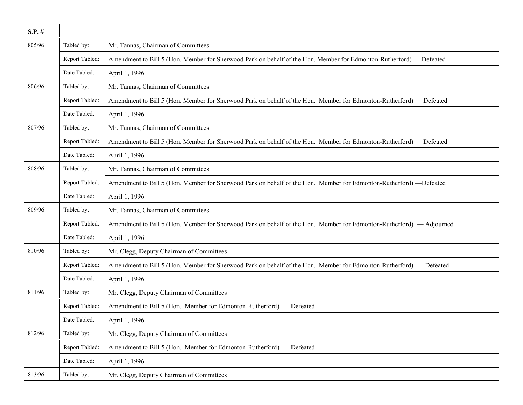| $S.P.$ # |                |                                                                                                                      |
|----------|----------------|----------------------------------------------------------------------------------------------------------------------|
| 805/96   | Tabled by:     | Mr. Tannas, Chairman of Committees                                                                                   |
|          | Report Tabled: | Amendment to Bill 5 (Hon. Member for Sherwood Park on behalf of the Hon. Member for Edmonton-Rutherford) — Defeated  |
|          | Date Tabled:   | April 1, 1996                                                                                                        |
| 806/96   | Tabled by:     | Mr. Tannas, Chairman of Committees                                                                                   |
|          | Report Tabled: | Amendment to Bill 5 (Hon. Member for Sherwood Park on behalf of the Hon. Member for Edmonton-Rutherford) — Defeated  |
|          | Date Tabled:   | April 1, 1996                                                                                                        |
| 807/96   | Tabled by:     | Mr. Tannas, Chairman of Committees                                                                                   |
|          | Report Tabled: | Amendment to Bill 5 (Hon. Member for Sherwood Park on behalf of the Hon. Member for Edmonton-Rutherford) — Defeated  |
|          | Date Tabled:   | April 1, 1996                                                                                                        |
| 808/96   | Tabled by:     | Mr. Tannas, Chairman of Committees                                                                                   |
|          | Report Tabled: | Amendment to Bill 5 (Hon. Member for Sherwood Park on behalf of the Hon. Member for Edmonton-Rutherford) —Defeated   |
|          | Date Tabled:   | April 1, 1996                                                                                                        |
| 809/96   | Tabled by:     | Mr. Tannas, Chairman of Committees                                                                                   |
|          | Report Tabled: | Amendment to Bill 5 (Hon. Member for Sherwood Park on behalf of the Hon. Member for Edmonton-Rutherford) — Adjourned |
|          | Date Tabled:   | April 1, 1996                                                                                                        |
| 810/96   | Tabled by:     | Mr. Clegg, Deputy Chairman of Committees                                                                             |
|          | Report Tabled: | Amendment to Bill 5 (Hon. Member for Sherwood Park on behalf of the Hon. Member for Edmonton-Rutherford) — Defeated  |
|          | Date Tabled:   | April 1, 1996                                                                                                        |
| 811/96   | Tabled by:     | Mr. Clegg, Deputy Chairman of Committees                                                                             |
|          | Report Tabled: | Amendment to Bill 5 (Hon. Member for Edmonton-Rutherford) — Defeated                                                 |
|          | Date Tabled:   | April 1, 1996                                                                                                        |
| 812/96   | Tabled by:     | Mr. Clegg, Deputy Chairman of Committees                                                                             |
|          | Report Tabled: | Amendment to Bill 5 (Hon. Member for Edmonton-Rutherford) — Defeated                                                 |
|          | Date Tabled:   | April 1, 1996                                                                                                        |
| 813/96   | Tabled by:     | Mr. Clegg, Deputy Chairman of Committees                                                                             |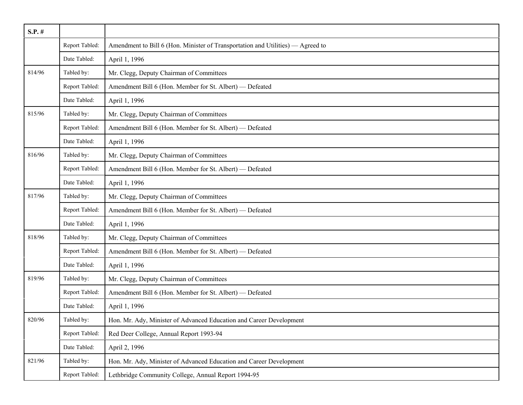| $S.P.$ # |                |                                                                                 |
|----------|----------------|---------------------------------------------------------------------------------|
|          | Report Tabled: | Amendment to Bill 6 (Hon. Minister of Transportation and Utilities) — Agreed to |
|          | Date Tabled:   | April 1, 1996                                                                   |
| 814/96   | Tabled by:     | Mr. Clegg, Deputy Chairman of Committees                                        |
|          | Report Tabled: | Amendment Bill 6 (Hon. Member for St. Albert) - Defeated                        |
|          | Date Tabled:   | April 1, 1996                                                                   |
| 815/96   | Tabled by:     | Mr. Clegg, Deputy Chairman of Committees                                        |
|          | Report Tabled: | Amendment Bill 6 (Hon. Member for St. Albert) — Defeated                        |
|          | Date Tabled:   | April 1, 1996                                                                   |
| 816/96   | Tabled by:     | Mr. Clegg, Deputy Chairman of Committees                                        |
|          | Report Tabled: | Amendment Bill 6 (Hon. Member for St. Albert) - Defeated                        |
|          | Date Tabled:   | April 1, 1996                                                                   |
| 817/96   | Tabled by:     | Mr. Clegg, Deputy Chairman of Committees                                        |
|          | Report Tabled: | Amendment Bill 6 (Hon. Member for St. Albert) - Defeated                        |
|          | Date Tabled:   | April 1, 1996                                                                   |
| 818/96   | Tabled by:     | Mr. Clegg, Deputy Chairman of Committees                                        |
|          | Report Tabled: | Amendment Bill 6 (Hon. Member for St. Albert) - Defeated                        |
|          | Date Tabled:   | April 1, 1996                                                                   |
| 819/96   | Tabled by:     | Mr. Clegg, Deputy Chairman of Committees                                        |
|          | Report Tabled: | Amendment Bill 6 (Hon. Member for St. Albert) - Defeated                        |
|          | Date Tabled:   | April 1, 1996                                                                   |
| 820/96   | Tabled by:     | Hon. Mr. Ady, Minister of Advanced Education and Career Development             |
|          | Report Tabled: | Red Deer College, Annual Report 1993-94                                         |
|          | Date Tabled:   | April 2, 1996                                                                   |
| 821/96   | Tabled by:     | Hon. Mr. Ady, Minister of Advanced Education and Career Development             |
|          | Report Tabled: | Lethbridge Community College, Annual Report 1994-95                             |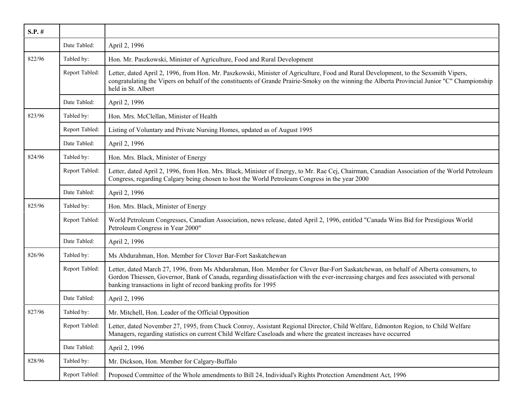| $S.P.$ # |                |                                                                                                                                                                                                                                                                                                                                                   |
|----------|----------------|---------------------------------------------------------------------------------------------------------------------------------------------------------------------------------------------------------------------------------------------------------------------------------------------------------------------------------------------------|
|          | Date Tabled:   | April 2, 1996                                                                                                                                                                                                                                                                                                                                     |
| 822/96   | Tabled by:     | Hon. Mr. Paszkowski, Minister of Agriculture, Food and Rural Development                                                                                                                                                                                                                                                                          |
|          | Report Tabled: | Letter, dated April 2, 1996, from Hon. Mr. Paszkowski, Minister of Agriculture, Food and Rural Development, to the Sexsmith Vipers,<br>congratulating the Vipers on behalf of the constituents of Grande Prairie-Smoky on the winning the Alberta Provincial Junior "C" Championship<br>held in St. Albert                                        |
|          | Date Tabled:   | April 2, 1996                                                                                                                                                                                                                                                                                                                                     |
| 823/96   | Tabled by:     | Hon. Mrs. McClellan, Minister of Health                                                                                                                                                                                                                                                                                                           |
|          | Report Tabled: | Listing of Voluntary and Private Nursing Homes, updated as of August 1995                                                                                                                                                                                                                                                                         |
|          | Date Tabled:   | April 2, 1996                                                                                                                                                                                                                                                                                                                                     |
| 824/96   | Tabled by:     | Hon. Mrs. Black, Minister of Energy                                                                                                                                                                                                                                                                                                               |
|          | Report Tabled: | Letter, dated April 2, 1996, from Hon. Mrs. Black, Minister of Energy, to Mr. Rae Cej, Chairman, Canadian Association of the World Petroleum<br>Congress, regarding Calgary being chosen to host the World Petroleum Congress in the year 2000                                                                                                    |
|          | Date Tabled:   | April 2, 1996                                                                                                                                                                                                                                                                                                                                     |
| 825/96   | Tabled by:     | Hon. Mrs. Black, Minister of Energy                                                                                                                                                                                                                                                                                                               |
|          | Report Tabled: | World Petroleum Congresses, Canadian Association, news release, dated April 2, 1996, entitled "Canada Wins Bid for Prestigious World<br>Petroleum Congress in Year 2000"                                                                                                                                                                          |
|          | Date Tabled:   | April 2, 1996                                                                                                                                                                                                                                                                                                                                     |
| 826/96   | Tabled by:     | Ms Abdurahman, Hon. Member for Clover Bar-Fort Saskatchewan                                                                                                                                                                                                                                                                                       |
|          | Report Tabled: | Letter, dated March 27, 1996, from Ms Abdurahman, Hon. Member for Clover Bar-Fort Saskatchewan, on behalf of Alberta consumers, to<br>Gordon Thiessen, Governor, Bank of Canada, regarding dissatisfaction with the ever-increasing charges and fees associated with personal<br>banking transactions in light of record banking profits for 1995 |
|          | Date Tabled:   | April 2, 1996                                                                                                                                                                                                                                                                                                                                     |
| 827/96   | Tabled by:     | Mr. Mitchell, Hon. Leader of the Official Opposition                                                                                                                                                                                                                                                                                              |
|          | Report Tabled: | Letter, dated November 27, 1995, from Chuck Conroy, Assistant Regional Director, Child Welfare, Edmonton Region, to Child Welfare<br>Managers, regarding statistics on current Child Welfare Caseloads and where the greatest increases have occurred                                                                                             |
|          | Date Tabled:   | April 2, 1996                                                                                                                                                                                                                                                                                                                                     |
| 828/96   | Tabled by:     | Mr. Dickson, Hon. Member for Calgary-Buffalo                                                                                                                                                                                                                                                                                                      |
|          | Report Tabled: | Proposed Committee of the Whole amendments to Bill 24, Individual's Rights Protection Amendment Act, 1996                                                                                                                                                                                                                                         |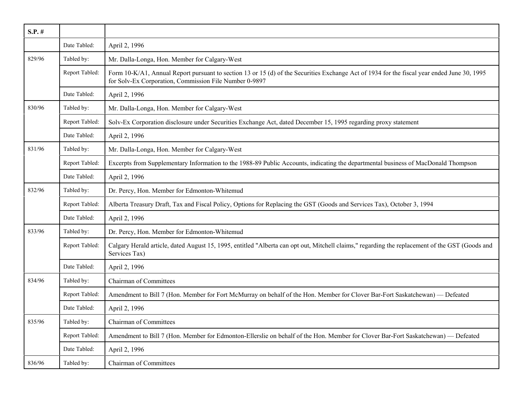| $S.P.$ # |                |                                                                                                                                                                                                       |
|----------|----------------|-------------------------------------------------------------------------------------------------------------------------------------------------------------------------------------------------------|
|          | Date Tabled:   | April 2, 1996                                                                                                                                                                                         |
| 829/96   | Tabled by:     | Mr. Dalla-Longa, Hon. Member for Calgary-West                                                                                                                                                         |
|          | Report Tabled: | Form 10-K/A1, Annual Report pursuant to section 13 or 15 (d) of the Securities Exchange Act of 1934 for the fiscal year ended June 30, 1995<br>for Solv-Ex Corporation, Commission File Number 0-9897 |
|          | Date Tabled:   | April 2, 1996                                                                                                                                                                                         |
| 830/96   | Tabled by:     | Mr. Dalla-Longa, Hon. Member for Calgary-West                                                                                                                                                         |
|          | Report Tabled: | Solv-Ex Corporation disclosure under Securities Exchange Act, dated December 15, 1995 regarding proxy statement                                                                                       |
|          | Date Tabled:   | April 2, 1996                                                                                                                                                                                         |
| 831/96   | Tabled by:     | Mr. Dalla-Longa, Hon. Member for Calgary-West                                                                                                                                                         |
|          | Report Tabled: | Excerpts from Supplementary Information to the 1988-89 Public Accounts, indicating the departmental business of MacDonald Thompson                                                                    |
|          | Date Tabled:   | April 2, 1996                                                                                                                                                                                         |
| 832/96   | Tabled by:     | Dr. Percy, Hon. Member for Edmonton-Whitemud                                                                                                                                                          |
|          | Report Tabled: | Alberta Treasury Draft, Tax and Fiscal Policy, Options for Replacing the GST (Goods and Services Tax), October 3, 1994                                                                                |
|          | Date Tabled:   | April 2, 1996                                                                                                                                                                                         |
| 833/96   | Tabled by:     | Dr. Percy, Hon. Member for Edmonton-Whitemud                                                                                                                                                          |
|          | Report Tabled: | Calgary Herald article, dated August 15, 1995, entitled "Alberta can opt out, Mitchell claims," regarding the replacement of the GST (Goods and<br>Services Tax)                                      |
|          | Date Tabled:   | April 2, 1996                                                                                                                                                                                         |
| 834/96   | Tabled by:     | <b>Chairman of Committees</b>                                                                                                                                                                         |
|          | Report Tabled: | Amendment to Bill 7 (Hon. Member for Fort McMurray on behalf of the Hon. Member for Clover Bar-Fort Saskatchewan) — Defeated                                                                          |
|          | Date Tabled:   | April 2, 1996                                                                                                                                                                                         |
| 835/96   | Tabled by:     | <b>Chairman of Committees</b>                                                                                                                                                                         |
|          | Report Tabled: | Amendment to Bill 7 (Hon. Member for Edmonton-Ellerslie on behalf of the Hon. Member for Clover Bar-Fort Saskatchewan) — Defeated                                                                     |
|          | Date Tabled:   | April 2, 1996                                                                                                                                                                                         |
| 836/96   | Tabled by:     | <b>Chairman of Committees</b>                                                                                                                                                                         |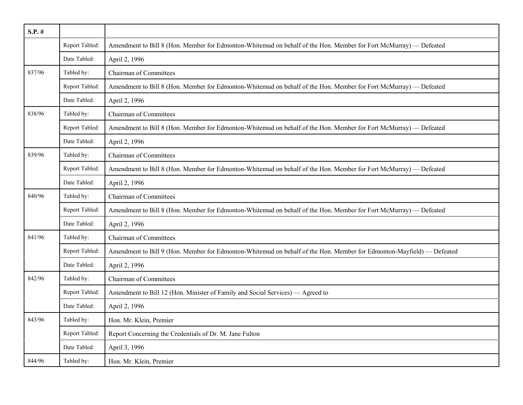| $S.P.$ # |                |                                                                                                                       |
|----------|----------------|-----------------------------------------------------------------------------------------------------------------------|
|          | Report Tabled: | Amendment to Bill 8 (Hon. Member for Edmonton-Whitemud on behalf of the Hon. Member for Fort McMurray) — Defeated     |
|          | Date Tabled:   | April 2, 1996                                                                                                         |
| 837/96   | Tabled by:     | <b>Chairman of Committees</b>                                                                                         |
|          | Report Tabled: | Amendment to Bill 8 (Hon. Member for Edmonton-Whitemud on behalf of the Hon. Member for Fort McMurray) — Defeated     |
|          | Date Tabled:   | April 2, 1996                                                                                                         |
| 838/96   | Tabled by:     | <b>Chairman of Committees</b>                                                                                         |
|          | Report Tabled: | Amendment to Bill 8 (Hon. Member for Edmonton-Whitemud on behalf of the Hon. Member for Fort McMurray) — Defeated     |
|          | Date Tabled:   | April 2, 1996                                                                                                         |
| 839/96   | Tabled by:     | <b>Chairman of Committees</b>                                                                                         |
|          | Report Tabled: | Amendment to Bill 8 (Hon. Member for Edmonton-Whitemud on behalf of the Hon. Member for Fort McMurray) — Defeated     |
|          | Date Tabled:   | April 2, 1996                                                                                                         |
| 840/96   | Tabled by:     | <b>Chairman of Committees</b>                                                                                         |
|          | Report Tabled: | Amendment to Bill 8 (Hon. Member for Edmonton-Whitemud on behalf of the Hon. Member for Fort McMurray) — Defeated     |
|          | Date Tabled:   | April 2, 1996                                                                                                         |
| 841/96   | Tabled by:     | <b>Chairman of Committees</b>                                                                                         |
|          | Report Tabled: | Amendment to Bill 9 (Hon. Member for Edmonton-Whitemud on behalf of the Hon. Member for Edmonton-Mayfield) — Defeated |
|          | Date Tabled:   | April 2, 1996                                                                                                         |
| 842/96   | Tabled by:     | <b>Chairman of Committees</b>                                                                                         |
|          | Report Tabled: | Amendment to Bill 12 (Hon. Minister of Family and Social Services) — Agreed to                                        |
|          | Date Tabled:   | April 2, 1996                                                                                                         |
| 843/96   | Tabled by:     | Hon. Mr. Klein, Premier                                                                                               |
|          | Report Tabled: | Report Concerning the Credentials of Dr. M. Jane Fulton                                                               |
|          | Date Tabled:   | April 3, 1996                                                                                                         |
| 844/96   | Tabled by:     | Hon. Mr. Klein, Premier                                                                                               |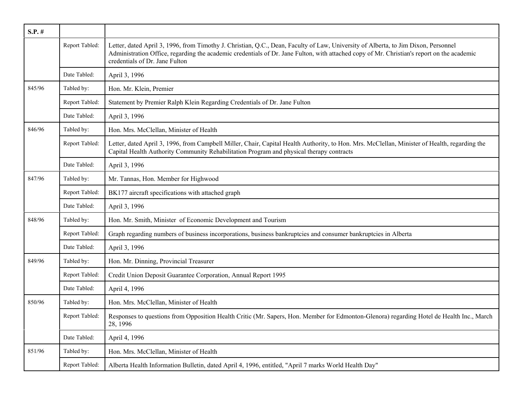| $S.P.$ # |                |                                                                                                                                                                                                                                                                                                                    |
|----------|----------------|--------------------------------------------------------------------------------------------------------------------------------------------------------------------------------------------------------------------------------------------------------------------------------------------------------------------|
|          | Report Tabled: | Letter, dated April 3, 1996, from Timothy J. Christian, Q.C., Dean, Faculty of Law, University of Alberta, to Jim Dixon, Personnel<br>Administration Office, regarding the academic credentials of Dr. Jane Fulton, with attached copy of Mr. Christian's report on the academic<br>credentials of Dr. Jane Fulton |
|          | Date Tabled:   | April 3, 1996                                                                                                                                                                                                                                                                                                      |
| 845/96   | Tabled by:     | Hon. Mr. Klein, Premier                                                                                                                                                                                                                                                                                            |
|          | Report Tabled: | Statement by Premier Ralph Klein Regarding Credentials of Dr. Jane Fulton                                                                                                                                                                                                                                          |
|          | Date Tabled:   | April 3, 1996                                                                                                                                                                                                                                                                                                      |
| 846/96   | Tabled by:     | Hon. Mrs. McClellan, Minister of Health                                                                                                                                                                                                                                                                            |
|          | Report Tabled: | Letter, dated April 3, 1996, from Campbell Miller, Chair, Capital Health Authority, to Hon. Mrs. McClellan, Minister of Health, regarding the<br>Capital Health Authority Community Rehabilitation Program and physical therapy contracts                                                                          |
|          | Date Tabled:   | April 3, 1996                                                                                                                                                                                                                                                                                                      |
| 847/96   | Tabled by:     | Mr. Tannas, Hon. Member for Highwood                                                                                                                                                                                                                                                                               |
|          | Report Tabled: | BK177 aircraft specifications with attached graph                                                                                                                                                                                                                                                                  |
|          | Date Tabled:   | April 3, 1996                                                                                                                                                                                                                                                                                                      |
| 848/96   | Tabled by:     | Hon. Mr. Smith, Minister of Economic Development and Tourism                                                                                                                                                                                                                                                       |
|          | Report Tabled: | Graph regarding numbers of business incorporations, business bankruptcies and consumer bankruptcies in Alberta                                                                                                                                                                                                     |
|          | Date Tabled:   | April 3, 1996                                                                                                                                                                                                                                                                                                      |
| 849/96   | Tabled by:     | Hon. Mr. Dinning, Provincial Treasurer                                                                                                                                                                                                                                                                             |
|          | Report Tabled: | Credit Union Deposit Guarantee Corporation, Annual Report 1995                                                                                                                                                                                                                                                     |
|          | Date Tabled:   | April 4, 1996                                                                                                                                                                                                                                                                                                      |
| 850/96   | Tabled by:     | Hon. Mrs. McClellan, Minister of Health                                                                                                                                                                                                                                                                            |
|          | Report Tabled: | Responses to questions from Opposition Health Critic (Mr. Sapers, Hon. Member for Edmonton-Glenora) regarding Hotel de Health Inc., March<br>28, 1996                                                                                                                                                              |
|          | Date Tabled:   | April 4, 1996                                                                                                                                                                                                                                                                                                      |
| 851/96   | Tabled by:     | Hon. Mrs. McClellan, Minister of Health                                                                                                                                                                                                                                                                            |
|          | Report Tabled: | Alberta Health Information Bulletin, dated April 4, 1996, entitled, "April 7 marks World Health Day"                                                                                                                                                                                                               |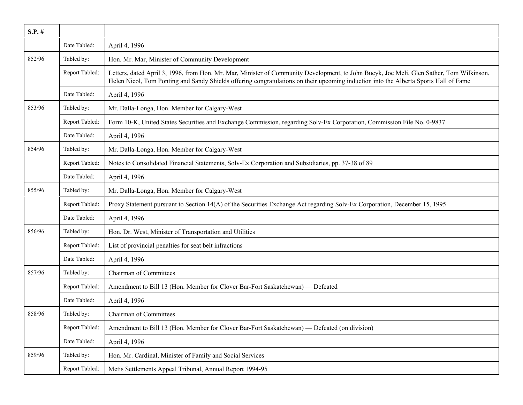| $S.P.$ # |                |                                                                                                                                                                                                                                                                                  |
|----------|----------------|----------------------------------------------------------------------------------------------------------------------------------------------------------------------------------------------------------------------------------------------------------------------------------|
|          | Date Tabled:   | April 4, 1996                                                                                                                                                                                                                                                                    |
| 852/96   | Tabled by:     | Hon. Mr. Mar, Minister of Community Development                                                                                                                                                                                                                                  |
|          | Report Tabled: | Letters, dated April 3, 1996, from Hon. Mr. Mar, Minister of Community Development, to John Bucyk, Joe Meli, Glen Sather, Tom Wilkinson,<br>Helen Nicol, Tom Ponting and Sandy Shields offering congratulations on their upcoming induction into the Alberta Sports Hall of Fame |
|          | Date Tabled:   | April 4, 1996                                                                                                                                                                                                                                                                    |
| 853/96   | Tabled by:     | Mr. Dalla-Longa, Hon. Member for Calgary-West                                                                                                                                                                                                                                    |
|          | Report Tabled: | Form 10-K, United States Securities and Exchange Commission, regarding Solv-Ex Corporation, Commission File No. 0-9837                                                                                                                                                           |
|          | Date Tabled:   | April 4, 1996                                                                                                                                                                                                                                                                    |
| 854/96   | Tabled by:     | Mr. Dalla-Longa, Hon. Member for Calgary-West                                                                                                                                                                                                                                    |
|          | Report Tabled: | Notes to Consolidated Financial Statements, Solv-Ex Corporation and Subsidiaries, pp. 37-38 of 89                                                                                                                                                                                |
|          | Date Tabled:   | April 4, 1996                                                                                                                                                                                                                                                                    |
| 855/96   | Tabled by:     | Mr. Dalla-Longa, Hon. Member for Calgary-West                                                                                                                                                                                                                                    |
|          | Report Tabled: | Proxy Statement pursuant to Section 14(A) of the Securities Exchange Act regarding Solv-Ex Corporation, December 15, 1995                                                                                                                                                        |
|          | Date Tabled:   | April 4, 1996                                                                                                                                                                                                                                                                    |
| 856/96   | Tabled by:     | Hon. Dr. West, Minister of Transportation and Utilities                                                                                                                                                                                                                          |
|          | Report Tabled: | List of provincial penalties for seat belt infractions                                                                                                                                                                                                                           |
|          | Date Tabled:   | April 4, 1996                                                                                                                                                                                                                                                                    |
| 857/96   | Tabled by:     | Chairman of Committees                                                                                                                                                                                                                                                           |
|          | Report Tabled: | Amendment to Bill 13 (Hon. Member for Clover Bar-Fort Saskatchewan) — Defeated                                                                                                                                                                                                   |
|          | Date Tabled:   | April 4, 1996                                                                                                                                                                                                                                                                    |
| 858/96   | Tabled by:     | Chairman of Committees                                                                                                                                                                                                                                                           |
|          | Report Tabled: | Amendment to Bill 13 (Hon. Member for Clover Bar-Fort Saskatchewan) — Defeated (on division)                                                                                                                                                                                     |
|          | Date Tabled:   | April 4, 1996                                                                                                                                                                                                                                                                    |
| 859/96   | Tabled by:     | Hon. Mr. Cardinal, Minister of Family and Social Services                                                                                                                                                                                                                        |
|          | Report Tabled: | Metis Settlements Appeal Tribunal, Annual Report 1994-95                                                                                                                                                                                                                         |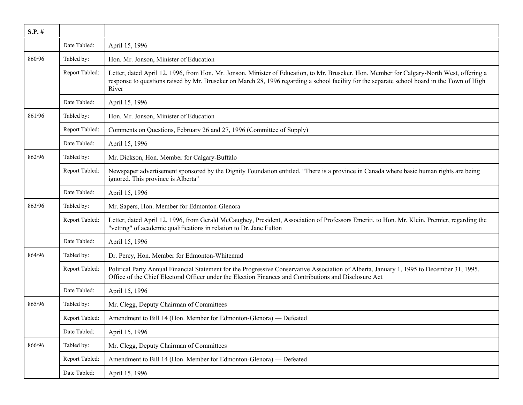| $S.P.$ # |                |                                                                                                                                                                                                                                                                                                     |
|----------|----------------|-----------------------------------------------------------------------------------------------------------------------------------------------------------------------------------------------------------------------------------------------------------------------------------------------------|
|          | Date Tabled:   | April 15, 1996                                                                                                                                                                                                                                                                                      |
| 860/96   | Tabled by:     | Hon. Mr. Jonson, Minister of Education                                                                                                                                                                                                                                                              |
|          | Report Tabled: | Letter, dated April 12, 1996, from Hon. Mr. Jonson, Minister of Education, to Mr. Bruseker, Hon. Member for Calgary-North West, offering a<br>response to questions raised by Mr. Bruseker on March 28, 1996 regarding a school facility for the separate school board in the Town of High<br>River |
|          | Date Tabled:   | April 15, 1996                                                                                                                                                                                                                                                                                      |
| 861/96   | Tabled by:     | Hon. Mr. Jonson, Minister of Education                                                                                                                                                                                                                                                              |
|          | Report Tabled: | Comments on Questions, February 26 and 27, 1996 (Committee of Supply)                                                                                                                                                                                                                               |
|          | Date Tabled:   | April 15, 1996                                                                                                                                                                                                                                                                                      |
| 862/96   | Tabled by:     | Mr. Dickson, Hon. Member for Calgary-Buffalo                                                                                                                                                                                                                                                        |
|          | Report Tabled: | Newspaper advertisement sponsored by the Dignity Foundation entitled, "There is a province in Canada where basic human rights are being<br>ignored. This province is Alberta"                                                                                                                       |
|          | Date Tabled:   | April 15, 1996                                                                                                                                                                                                                                                                                      |
| 863/96   | Tabled by:     | Mr. Sapers, Hon. Member for Edmonton-Glenora                                                                                                                                                                                                                                                        |
|          | Report Tabled: | Letter, dated April 12, 1996, from Gerald McCaughey, President, Association of Professors Emeriti, to Hon. Mr. Klein, Premier, regarding the<br>"vetting" of academic qualifications in relation to Dr. Jane Fulton                                                                                 |
|          | Date Tabled:   | April 15, 1996                                                                                                                                                                                                                                                                                      |
| 864/96   | Tabled by:     | Dr. Percy, Hon. Member for Edmonton-Whitemud                                                                                                                                                                                                                                                        |
|          | Report Tabled: | Political Party Annual Financial Statement for the Progressive Conservative Association of Alberta, January 1, 1995 to December 31, 1995,<br>Office of the Chief Electoral Officer under the Election Finances and Contributions and Disclosure Act                                                 |
|          | Date Tabled:   | April 15, 1996                                                                                                                                                                                                                                                                                      |
| 865/96   | Tabled by:     | Mr. Clegg, Deputy Chairman of Committees                                                                                                                                                                                                                                                            |
|          | Report Tabled: | Amendment to Bill 14 (Hon. Member for Edmonton-Glenora) — Defeated                                                                                                                                                                                                                                  |
|          | Date Tabled:   | April 15, 1996                                                                                                                                                                                                                                                                                      |
| 866/96   | Tabled by:     | Mr. Clegg, Deputy Chairman of Committees                                                                                                                                                                                                                                                            |
|          | Report Tabled: | Amendment to Bill 14 (Hon. Member for Edmonton-Glenora) — Defeated                                                                                                                                                                                                                                  |
|          | Date Tabled:   | April 15, 1996                                                                                                                                                                                                                                                                                      |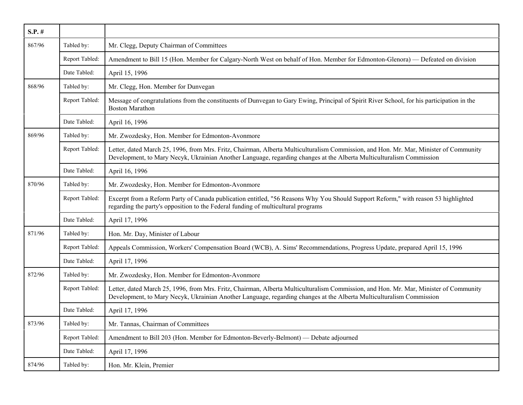| $S.P.$ # |                |                                                                                                                                                                                                                                                               |
|----------|----------------|---------------------------------------------------------------------------------------------------------------------------------------------------------------------------------------------------------------------------------------------------------------|
| 867/96   | Tabled by:     | Mr. Clegg, Deputy Chairman of Committees                                                                                                                                                                                                                      |
|          | Report Tabled: | Amendment to Bill 15 (Hon. Member for Calgary-North West on behalf of Hon. Member for Edmonton-Glenora) — Defeated on division                                                                                                                                |
|          | Date Tabled:   | April 15, 1996                                                                                                                                                                                                                                                |
| 868/96   | Tabled by:     | Mr. Clegg, Hon. Member for Dunvegan                                                                                                                                                                                                                           |
|          | Report Tabled: | Message of congratulations from the constituents of Dunvegan to Gary Ewing, Principal of Spirit River School, for his participation in the<br><b>Boston Marathon</b>                                                                                          |
|          | Date Tabled:   | April 16, 1996                                                                                                                                                                                                                                                |
| 869/96   | Tabled by:     | Mr. Zwozdesky, Hon. Member for Edmonton-Avonmore                                                                                                                                                                                                              |
|          | Report Tabled: | Letter, dated March 25, 1996, from Mrs. Fritz, Chairman, Alberta Multiculturalism Commission, and Hon. Mr. Mar, Minister of Community<br>Development, to Mary Necyk, Ukrainian Another Language, regarding changes at the Alberta Multiculturalism Commission |
|          | Date Tabled:   | April 16, 1996                                                                                                                                                                                                                                                |
| 870/96   | Tabled by:     | Mr. Zwozdesky, Hon. Member for Edmonton-Avonmore                                                                                                                                                                                                              |
|          | Report Tabled: | Excerpt from a Reform Party of Canada publication entitled, "56 Reasons Why You Should Support Reform," with reason 53 highlighted<br>regarding the party's opposition to the Federal funding of multicultural programs                                       |
|          | Date Tabled:   | April 17, 1996                                                                                                                                                                                                                                                |
| 871/96   | Tabled by:     | Hon. Mr. Day, Minister of Labour                                                                                                                                                                                                                              |
|          | Report Tabled: | Appeals Commission, Workers' Compensation Board (WCB), A. Sims' Recommendations, Progress Update, prepared April 15, 1996                                                                                                                                     |
|          | Date Tabled:   | April 17, 1996                                                                                                                                                                                                                                                |
| 872/96   | Tabled by:     | Mr. Zwozdesky, Hon. Member for Edmonton-Avonmore                                                                                                                                                                                                              |
|          | Report Tabled: | Letter, dated March 25, 1996, from Mrs. Fritz, Chairman, Alberta Multiculturalism Commission, and Hon. Mr. Mar, Minister of Community<br>Development, to Mary Necyk, Ukrainian Another Language, regarding changes at the Alberta Multiculturalism Commission |
|          | Date Tabled:   | April 17, 1996                                                                                                                                                                                                                                                |
| 873/96   | Tabled by:     | Mr. Tannas, Chairman of Committees                                                                                                                                                                                                                            |
|          | Report Tabled: | Amendment to Bill 203 (Hon. Member for Edmonton-Beverly-Belmont) — Debate adjourned                                                                                                                                                                           |
|          | Date Tabled:   | April 17, 1996                                                                                                                                                                                                                                                |
| 874/96   | Tabled by:     | Hon. Mr. Klein, Premier                                                                                                                                                                                                                                       |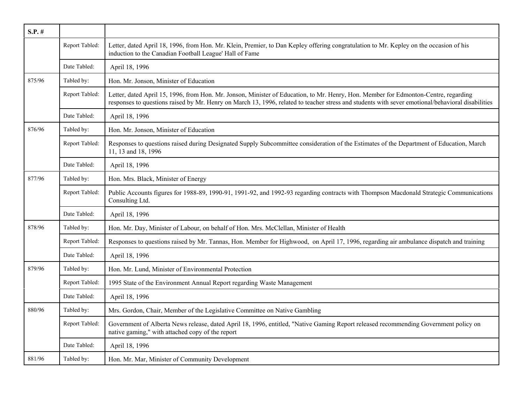| $S.P.$ # |                |                                                                                                                                                                                                                                                                                          |
|----------|----------------|------------------------------------------------------------------------------------------------------------------------------------------------------------------------------------------------------------------------------------------------------------------------------------------|
|          | Report Tabled: | Letter, dated April 18, 1996, from Hon. Mr. Klein, Premier, to Dan Kepley offering congratulation to Mr. Kepley on the occasion of his<br>induction to the Canadian Football League' Hall of Fame                                                                                        |
|          | Date Tabled:   | April 18, 1996                                                                                                                                                                                                                                                                           |
| 875/96   | Tabled by:     | Hon. Mr. Jonson, Minister of Education                                                                                                                                                                                                                                                   |
|          | Report Tabled: | Letter, dated April 15, 1996, from Hon. Mr. Jonson, Minister of Education, to Mr. Henry, Hon. Member for Edmonton-Centre, regarding<br>responses to questions raised by Mr. Henry on March 13, 1996, related to teacher stress and students with sever emotional/behavioral disabilities |
|          | Date Tabled:   | April 18, 1996                                                                                                                                                                                                                                                                           |
| 876/96   | Tabled by:     | Hon. Mr. Jonson, Minister of Education                                                                                                                                                                                                                                                   |
|          | Report Tabled: | Responses to questions raised during Designated Supply Subcommittee consideration of the Estimates of the Department of Education, March<br>11, 13 and 18, 1996                                                                                                                          |
|          | Date Tabled:   | April 18, 1996                                                                                                                                                                                                                                                                           |
| 877/96   | Tabled by:     | Hon. Mrs. Black, Minister of Energy                                                                                                                                                                                                                                                      |
|          | Report Tabled: | Public Accounts figures for 1988-89, 1990-91, 1991-92, and 1992-93 regarding contracts with Thompson Macdonald Strategic Communications<br>Consulting Ltd.                                                                                                                               |
|          | Date Tabled:   | April 18, 1996                                                                                                                                                                                                                                                                           |
| 878/96   | Tabled by:     | Hon. Mr. Day, Minister of Labour, on behalf of Hon. Mrs. McClellan, Minister of Health                                                                                                                                                                                                   |
|          | Report Tabled: | Responses to questions raised by Mr. Tannas, Hon. Member for Highwood, on April 17, 1996, regarding air ambulance dispatch and training                                                                                                                                                  |
|          | Date Tabled:   | April 18, 1996                                                                                                                                                                                                                                                                           |
| 879/96   | Tabled by:     | Hon. Mr. Lund, Minister of Environmental Protection                                                                                                                                                                                                                                      |
|          | Report Tabled: | 1995 State of the Environment Annual Report regarding Waste Management                                                                                                                                                                                                                   |
|          | Date Tabled:   | April 18, 1996                                                                                                                                                                                                                                                                           |
| 880/96   | Tabled by:     | Mrs. Gordon, Chair, Member of the Legislative Committee on Native Gambling                                                                                                                                                                                                               |
|          | Report Tabled: | Government of Alberta News release, dated April 18, 1996, entitled, "Native Gaming Report released recommending Government policy on<br>native gaming," with attached copy of the report                                                                                                 |
|          | Date Tabled:   | April 18, 1996                                                                                                                                                                                                                                                                           |
| 881/96   | Tabled by:     | Hon. Mr. Mar, Minister of Community Development                                                                                                                                                                                                                                          |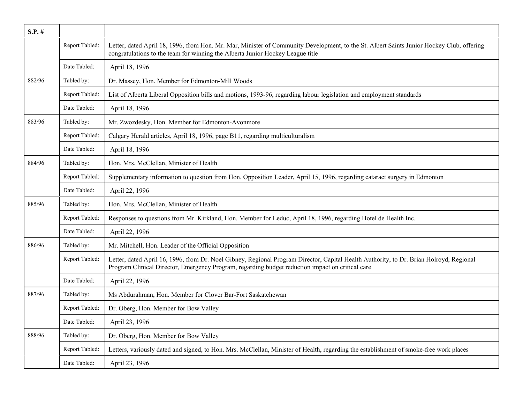| $S.P.$ # |                |                                                                                                                                                                                                                                             |
|----------|----------------|---------------------------------------------------------------------------------------------------------------------------------------------------------------------------------------------------------------------------------------------|
|          | Report Tabled: | Letter, dated April 18, 1996, from Hon. Mr. Mar, Minister of Community Development, to the St. Albert Saints Junior Hockey Club, offering<br>congratulations to the team for winning the Alberta Junior Hockey League title                 |
|          | Date Tabled:   | April 18, 1996                                                                                                                                                                                                                              |
| 882/96   | Tabled by:     | Dr. Massey, Hon. Member for Edmonton-Mill Woods                                                                                                                                                                                             |
|          | Report Tabled: | List of Alberta Liberal Opposition bills and motions, 1993-96, regarding labour legislation and employment standards                                                                                                                        |
|          | Date Tabled:   | April 18, 1996                                                                                                                                                                                                                              |
| 883/96   | Tabled by:     | Mr. Zwozdesky, Hon. Member for Edmonton-Avonmore                                                                                                                                                                                            |
|          | Report Tabled: | Calgary Herald articles, April 18, 1996, page B11, regarding multiculturalism                                                                                                                                                               |
|          | Date Tabled:   | April 18, 1996                                                                                                                                                                                                                              |
| 884/96   | Tabled by:     | Hon. Mrs. McClellan, Minister of Health                                                                                                                                                                                                     |
|          | Report Tabled: | Supplementary information to question from Hon. Opposition Leader, April 15, 1996, regarding cataract surgery in Edmonton                                                                                                                   |
|          | Date Tabled:   | April 22, 1996                                                                                                                                                                                                                              |
| 885/96   | Tabled by:     | Hon. Mrs. McClellan, Minister of Health                                                                                                                                                                                                     |
|          | Report Tabled: | Responses to questions from Mr. Kirkland, Hon. Member for Leduc, April 18, 1996, regarding Hotel de Health Inc.                                                                                                                             |
|          | Date Tabled:   | April 22, 1996                                                                                                                                                                                                                              |
| 886/96   | Tabled by:     | Mr. Mitchell, Hon. Leader of the Official Opposition                                                                                                                                                                                        |
|          | Report Tabled: | Letter, dated April 16, 1996, from Dr. Noel Gibney, Regional Program Director, Capital Health Authority, to Dr. Brian Holroyd, Regional<br>Program Clinical Director, Emergency Program, regarding budget reduction impact on critical care |
|          | Date Tabled:   | April 22, 1996                                                                                                                                                                                                                              |
| 887/96   | Tabled by:     | Ms Abdurahman, Hon. Member for Clover Bar-Fort Saskatchewan                                                                                                                                                                                 |
|          | Report Tabled: | Dr. Oberg, Hon. Member for Bow Valley                                                                                                                                                                                                       |
|          | Date Tabled:   | April 23, 1996                                                                                                                                                                                                                              |
| 888/96   | Tabled by:     | Dr. Oberg, Hon. Member for Bow Valley                                                                                                                                                                                                       |
|          | Report Tabled: | Letters, variously dated and signed, to Hon. Mrs. McClellan, Minister of Health, regarding the establishment of smoke-free work places                                                                                                      |
|          | Date Tabled:   | April 23, 1996                                                                                                                                                                                                                              |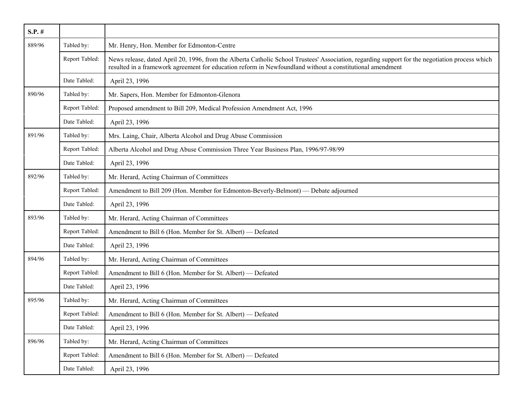| $S.P.$ # |                |                                                                                                                                                                                                                                                              |
|----------|----------------|--------------------------------------------------------------------------------------------------------------------------------------------------------------------------------------------------------------------------------------------------------------|
| 889/96   | Tabled by:     | Mr. Henry, Hon. Member for Edmonton-Centre                                                                                                                                                                                                                   |
|          | Report Tabled: | News release, dated April 20, 1996, from the Alberta Catholic School Trustees' Association, regarding support for the negotiation process which<br>resulted in a framework agreement for education reform in Newfoundland without a constitutional amendment |
|          | Date Tabled:   | April 23, 1996                                                                                                                                                                                                                                               |
| 890/96   | Tabled by:     | Mr. Sapers, Hon. Member for Edmonton-Glenora                                                                                                                                                                                                                 |
|          | Report Tabled: | Proposed amendment to Bill 209, Medical Profession Amendment Act, 1996                                                                                                                                                                                       |
|          | Date Tabled:   | April 23, 1996                                                                                                                                                                                                                                               |
| 891/96   | Tabled by:     | Mrs. Laing, Chair, Alberta Alcohol and Drug Abuse Commission                                                                                                                                                                                                 |
|          | Report Tabled: | Alberta Alcohol and Drug Abuse Commission Three Year Business Plan, 1996/97-98/99                                                                                                                                                                            |
|          | Date Tabled:   | April 23, 1996                                                                                                                                                                                                                                               |
| 892/96   | Tabled by:     | Mr. Herard, Acting Chairman of Committees                                                                                                                                                                                                                    |
|          | Report Tabled: | Amendment to Bill 209 (Hon. Member for Edmonton-Beverly-Belmont) — Debate adjourned                                                                                                                                                                          |
|          | Date Tabled:   | April 23, 1996                                                                                                                                                                                                                                               |
| 893/96   | Tabled by:     | Mr. Herard, Acting Chairman of Committees                                                                                                                                                                                                                    |
|          | Report Tabled: | Amendment to Bill 6 (Hon. Member for St. Albert) — Defeated                                                                                                                                                                                                  |
|          | Date Tabled:   | April 23, 1996                                                                                                                                                                                                                                               |
| 894/96   | Tabled by:     | Mr. Herard, Acting Chairman of Committees                                                                                                                                                                                                                    |
|          | Report Tabled: | Amendment to Bill 6 (Hon. Member for St. Albert) — Defeated                                                                                                                                                                                                  |
|          | Date Tabled:   | April 23, 1996                                                                                                                                                                                                                                               |
| 895/96   | Tabled by:     | Mr. Herard, Acting Chairman of Committees                                                                                                                                                                                                                    |
|          | Report Tabled: | Amendment to Bill 6 (Hon. Member for St. Albert) — Defeated                                                                                                                                                                                                  |
|          | Date Tabled:   | April 23, 1996                                                                                                                                                                                                                                               |
| 896/96   | Tabled by:     | Mr. Herard, Acting Chairman of Committees                                                                                                                                                                                                                    |
|          | Report Tabled: | Amendment to Bill 6 (Hon. Member for St. Albert) — Defeated                                                                                                                                                                                                  |
|          | Date Tabled:   | April 23, 1996                                                                                                                                                                                                                                               |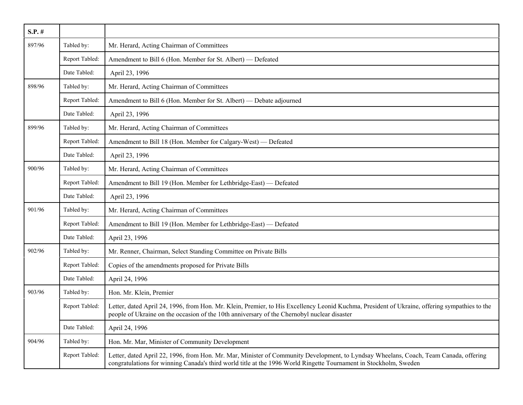| $S.P.$ # |                |                                                                                                                                                                                                                                                            |
|----------|----------------|------------------------------------------------------------------------------------------------------------------------------------------------------------------------------------------------------------------------------------------------------------|
| 897/96   | Tabled by:     | Mr. Herard, Acting Chairman of Committees                                                                                                                                                                                                                  |
|          | Report Tabled: | Amendment to Bill 6 (Hon. Member for St. Albert) - Defeated                                                                                                                                                                                                |
|          | Date Tabled:   | April 23, 1996                                                                                                                                                                                                                                             |
| 898/96   | Tabled by:     | Mr. Herard, Acting Chairman of Committees                                                                                                                                                                                                                  |
|          | Report Tabled: | Amendment to Bill 6 (Hon. Member for St. Albert) — Debate adjourned                                                                                                                                                                                        |
|          | Date Tabled:   | April 23, 1996                                                                                                                                                                                                                                             |
| 899/96   | Tabled by:     | Mr. Herard, Acting Chairman of Committees                                                                                                                                                                                                                  |
|          | Report Tabled: | Amendment to Bill 18 (Hon. Member for Calgary-West) — Defeated                                                                                                                                                                                             |
|          | Date Tabled:   | April 23, 1996                                                                                                                                                                                                                                             |
| 900/96   | Tabled by:     | Mr. Herard, Acting Chairman of Committees                                                                                                                                                                                                                  |
|          | Report Tabled: | Amendment to Bill 19 (Hon. Member for Lethbridge-East) — Defeated                                                                                                                                                                                          |
|          | Date Tabled:   | April 23, 1996                                                                                                                                                                                                                                             |
| 901/96   | Tabled by:     | Mr. Herard, Acting Chairman of Committees                                                                                                                                                                                                                  |
|          | Report Tabled: | Amendment to Bill 19 (Hon. Member for Lethbridge-East) — Defeated                                                                                                                                                                                          |
|          | Date Tabled:   | April 23, 1996                                                                                                                                                                                                                                             |
| 902/96   | Tabled by:     | Mr. Renner, Chairman, Select Standing Committee on Private Bills                                                                                                                                                                                           |
|          | Report Tabled: | Copies of the amendments proposed for Private Bills                                                                                                                                                                                                        |
|          | Date Tabled:   | April 24, 1996                                                                                                                                                                                                                                             |
| 903/96   | Tabled by:     | Hon. Mr. Klein, Premier                                                                                                                                                                                                                                    |
|          | Report Tabled: | Letter, dated April 24, 1996, from Hon. Mr. Klein, Premier, to His Excellency Leonid Kuchma, President of Ukraine, offering sympathies to the<br>people of Ukraine on the occasion of the 10th anniversary of the Chernobyl nuclear disaster               |
|          | Date Tabled:   | April 24, 1996                                                                                                                                                                                                                                             |
| 904/96   | Tabled by:     | Hon. Mr. Mar, Minister of Community Development                                                                                                                                                                                                            |
|          | Report Tabled: | Letter, dated April 22, 1996, from Hon. Mr. Mar, Minister of Community Development, to Lyndsay Wheelans, Coach, Team Canada, offering<br>congratulations for winning Canada's third world title at the 1996 World Ringette Tournament in Stockholm, Sweden |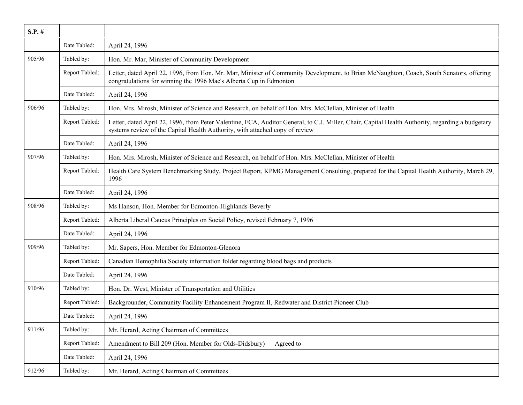| $S.P.$ # |                |                                                                                                                                                                                                                                  |
|----------|----------------|----------------------------------------------------------------------------------------------------------------------------------------------------------------------------------------------------------------------------------|
|          | Date Tabled:   | April 24, 1996                                                                                                                                                                                                                   |
| 905/96   | Tabled by:     | Hon. Mr. Mar, Minister of Community Development                                                                                                                                                                                  |
|          | Report Tabled: | Letter, dated April 22, 1996, from Hon. Mr. Mar, Minister of Community Development, to Brian McNaughton, Coach, South Senators, offering<br>congratulations for winning the 1996 Mac's Alberta Cup in Edmonton                   |
|          | Date Tabled:   | April 24, 1996                                                                                                                                                                                                                   |
| 906/96   | Tabled by:     | Hon. Mrs. Mirosh, Minister of Science and Research, on behalf of Hon. Mrs. McClellan, Minister of Health                                                                                                                         |
|          | Report Tabled: | Letter, dated April 22, 1996, from Peter Valentine, FCA, Auditor General, to C.J. Miller, Chair, Capital Health Authority, regarding a budgetary<br>systems review of the Capital Health Authority, with attached copy of review |
|          | Date Tabled:   | April 24, 1996                                                                                                                                                                                                                   |
| 907/96   | Tabled by:     | Hon. Mrs. Mirosh, Minister of Science and Research, on behalf of Hon. Mrs. McClellan, Minister of Health                                                                                                                         |
|          | Report Tabled: | Health Care System Benchmarking Study, Project Report, KPMG Management Consulting, prepared for the Capital Health Authority, March 29,<br>1996                                                                                  |
|          | Date Tabled:   | April 24, 1996                                                                                                                                                                                                                   |
| 908/96   | Tabled by:     | Ms Hanson, Hon. Member for Edmonton-Highlands-Beverly                                                                                                                                                                            |
|          | Report Tabled: | Alberta Liberal Caucus Principles on Social Policy, revised February 7, 1996                                                                                                                                                     |
|          | Date Tabled:   | April 24, 1996                                                                                                                                                                                                                   |
| 909/96   | Tabled by:     | Mr. Sapers, Hon. Member for Edmonton-Glenora                                                                                                                                                                                     |
|          | Report Tabled: | Canadian Hemophilia Society information folder regarding blood bags and products                                                                                                                                                 |
|          | Date Tabled:   | April 24, 1996                                                                                                                                                                                                                   |
| 910/96   | Tabled by:     | Hon. Dr. West, Minister of Transportation and Utilities                                                                                                                                                                          |
|          | Report Tabled: | Backgrounder, Community Facility Enhancement Program II, Redwater and District Pioneer Club                                                                                                                                      |
|          | Date Tabled:   | April 24, 1996                                                                                                                                                                                                                   |
| 911/96   | Tabled by:     | Mr. Herard, Acting Chairman of Committees                                                                                                                                                                                        |
|          | Report Tabled: | Amendment to Bill 209 (Hon. Member for Olds-Didsbury) — Agreed to                                                                                                                                                                |
|          | Date Tabled:   | April 24, 1996                                                                                                                                                                                                                   |
| 912/96   | Tabled by:     | Mr. Herard, Acting Chairman of Committees                                                                                                                                                                                        |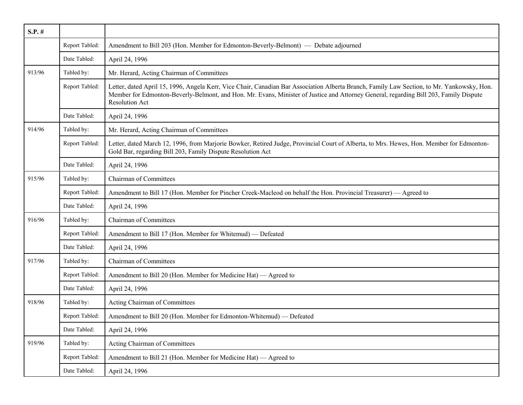| $S.P.$ # |                |                                                                                                                                                                                                                                                                                                              |
|----------|----------------|--------------------------------------------------------------------------------------------------------------------------------------------------------------------------------------------------------------------------------------------------------------------------------------------------------------|
|          | Report Tabled: | Amendment to Bill 203 (Hon. Member for Edmonton-Beverly-Belmont) — Debate adjourned                                                                                                                                                                                                                          |
|          | Date Tabled:   | April 24, 1996                                                                                                                                                                                                                                                                                               |
| 913/96   | Tabled by:     | Mr. Herard, Acting Chairman of Committees                                                                                                                                                                                                                                                                    |
|          | Report Tabled: | Letter, dated April 15, 1996, Angela Kerr, Vice Chair, Canadian Bar Association Alberta Branch, Family Law Section, to Mr. Yankowsky, Hon.<br>Member for Edmonton-Beverly-Belmont, and Hon. Mr. Evans, Minister of Justice and Attorney General, regarding Bill 203, Family Dispute<br><b>Resolution Act</b> |
|          | Date Tabled:   | April 24, 1996                                                                                                                                                                                                                                                                                               |
| 914/96   | Tabled by:     | Mr. Herard, Acting Chairman of Committees                                                                                                                                                                                                                                                                    |
|          | Report Tabled: | Letter, dated March 12, 1996, from Marjorie Bowker, Retired Judge, Provincial Court of Alberta, to Mrs. Hewes, Hon. Member for Edmonton-<br>Gold Bar, regarding Bill 203, Family Dispute Resolution Act                                                                                                      |
|          | Date Tabled:   | April 24, 1996                                                                                                                                                                                                                                                                                               |
| 915/96   | Tabled by:     | Chairman of Committees                                                                                                                                                                                                                                                                                       |
|          | Report Tabled: | Amendment to Bill 17 (Hon. Member for Pincher Creek-Macleod on behalf the Hon. Provincial Treasurer) — Agreed to                                                                                                                                                                                             |
|          | Date Tabled:   | April 24, 1996                                                                                                                                                                                                                                                                                               |
| 916/96   | Tabled by:     | <b>Chairman of Committees</b>                                                                                                                                                                                                                                                                                |
|          | Report Tabled: | Amendment to Bill 17 (Hon. Member for Whitemud) — Defeated                                                                                                                                                                                                                                                   |
|          | Date Tabled:   | April 24, 1996                                                                                                                                                                                                                                                                                               |
| 917/96   | Tabled by:     | <b>Chairman of Committees</b>                                                                                                                                                                                                                                                                                |
|          | Report Tabled: | Amendment to Bill 20 (Hon. Member for Medicine Hat) — Agreed to                                                                                                                                                                                                                                              |
|          | Date Tabled:   | April 24, 1996                                                                                                                                                                                                                                                                                               |
| 918/96   | Tabled by:     | Acting Chairman of Committees                                                                                                                                                                                                                                                                                |
|          | Report Tabled: | Amendment to Bill 20 (Hon. Member for Edmonton-Whitemud) — Defeated                                                                                                                                                                                                                                          |
|          | Date Tabled:   | April 24, 1996                                                                                                                                                                                                                                                                                               |
| 919/96   | Tabled by:     | Acting Chairman of Committees                                                                                                                                                                                                                                                                                |
|          | Report Tabled: | Amendment to Bill 21 (Hon. Member for Medicine Hat) — Agreed to                                                                                                                                                                                                                                              |
|          | Date Tabled:   | April 24, 1996                                                                                                                                                                                                                                                                                               |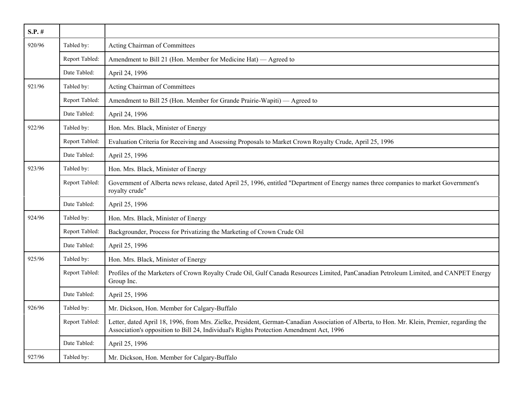| $S.P.$ # |                |                                                                                                                                                                                                                                         |
|----------|----------------|-----------------------------------------------------------------------------------------------------------------------------------------------------------------------------------------------------------------------------------------|
| 920/96   | Tabled by:     | Acting Chairman of Committees                                                                                                                                                                                                           |
|          | Report Tabled: | Amendment to Bill 21 (Hon. Member for Medicine Hat) — Agreed to                                                                                                                                                                         |
|          | Date Tabled:   | April 24, 1996                                                                                                                                                                                                                          |
| 921/96   | Tabled by:     | Acting Chairman of Committees                                                                                                                                                                                                           |
|          | Report Tabled: | Amendment to Bill 25 (Hon. Member for Grande Prairie-Wapiti) — Agreed to                                                                                                                                                                |
|          | Date Tabled:   | April 24, 1996                                                                                                                                                                                                                          |
| 922/96   | Tabled by:     | Hon. Mrs. Black, Minister of Energy                                                                                                                                                                                                     |
|          | Report Tabled: | Evaluation Criteria for Receiving and Assessing Proposals to Market Crown Royalty Crude, April 25, 1996                                                                                                                                 |
|          | Date Tabled:   | April 25, 1996                                                                                                                                                                                                                          |
| 923/96   | Tabled by:     | Hon. Mrs. Black, Minister of Energy                                                                                                                                                                                                     |
|          | Report Tabled: | Government of Alberta news release, dated April 25, 1996, entitled "Department of Energy names three companies to market Government's<br>royalty crude"                                                                                 |
|          | Date Tabled:   | April 25, 1996                                                                                                                                                                                                                          |
| 924/96   | Tabled by:     | Hon. Mrs. Black, Minister of Energy                                                                                                                                                                                                     |
|          | Report Tabled: | Backgrounder, Process for Privatizing the Marketing of Crown Crude Oil                                                                                                                                                                  |
|          | Date Tabled:   | April 25, 1996                                                                                                                                                                                                                          |
| 925/96   | Tabled by:     | Hon. Mrs. Black, Minister of Energy                                                                                                                                                                                                     |
|          | Report Tabled: | Profiles of the Marketers of Crown Royalty Crude Oil, Gulf Canada Resources Limited, PanCanadian Petroleum Limited, and CANPET Energy<br>Group Inc.                                                                                     |
|          | Date Tabled:   | April 25, 1996                                                                                                                                                                                                                          |
| 926/96   | Tabled by:     | Mr. Dickson, Hon. Member for Calgary-Buffalo                                                                                                                                                                                            |
|          | Report Tabled: | Letter, dated April 18, 1996, from Mrs. Zielke, President, German-Canadian Association of Alberta, to Hon. Mr. Klein, Premier, regarding the<br>Association's opposition to Bill 24, Individual's Rights Protection Amendment Act, 1996 |
|          | Date Tabled:   | April 25, 1996                                                                                                                                                                                                                          |
| 927/96   | Tabled by:     | Mr. Dickson, Hon. Member for Calgary-Buffalo                                                                                                                                                                                            |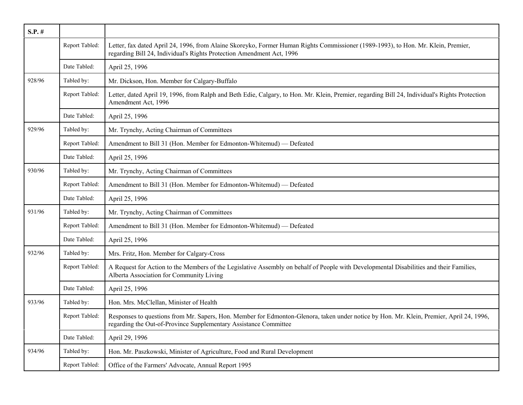| $S.P.$ # |                |                                                                                                                                                                                                              |
|----------|----------------|--------------------------------------------------------------------------------------------------------------------------------------------------------------------------------------------------------------|
|          | Report Tabled: | Letter, fax dated April 24, 1996, from Alaine Skoreyko, Former Human Rights Commissioner (1989-1993), to Hon. Mr. Klein, Premier,<br>regarding Bill 24, Individual's Rights Protection Amendment Act, 1996   |
|          | Date Tabled:   | April 25, 1996                                                                                                                                                                                               |
| 928/96   | Tabled by:     | Mr. Dickson, Hon. Member for Calgary-Buffalo                                                                                                                                                                 |
|          | Report Tabled: | Letter, dated April 19, 1996, from Ralph and Beth Edie, Calgary, to Hon. Mr. Klein, Premier, regarding Bill 24, Individual's Rights Protection<br>Amendment Act, 1996                                        |
|          | Date Tabled:   | April 25, 1996                                                                                                                                                                                               |
| 929/96   | Tabled by:     | Mr. Trynchy, Acting Chairman of Committees                                                                                                                                                                   |
|          | Report Tabled: | Amendment to Bill 31 (Hon. Member for Edmonton-Whitemud) — Defeated                                                                                                                                          |
|          | Date Tabled:   | April 25, 1996                                                                                                                                                                                               |
| 930/96   | Tabled by:     | Mr. Trynchy, Acting Chairman of Committees                                                                                                                                                                   |
|          | Report Tabled: | Amendment to Bill 31 (Hon. Member for Edmonton-Whitemud) — Defeated                                                                                                                                          |
|          | Date Tabled:   | April 25, 1996                                                                                                                                                                                               |
| 931/96   | Tabled by:     | Mr. Trynchy, Acting Chairman of Committees                                                                                                                                                                   |
|          | Report Tabled: | Amendment to Bill 31 (Hon. Member for Edmonton-Whitemud) — Defeated                                                                                                                                          |
|          | Date Tabled:   | April 25, 1996                                                                                                                                                                                               |
| 932/96   | Tabled by:     | Mrs. Fritz, Hon. Member for Calgary-Cross                                                                                                                                                                    |
|          | Report Tabled: | A Request for Action to the Members of the Legislative Assembly on behalf of People with Developmental Disabilities and their Families,<br>Alberta Association for Community Living                          |
|          | Date Tabled:   | April 25, 1996                                                                                                                                                                                               |
| 933/96   | Tabled by:     | Hon. Mrs. McClellan, Minister of Health                                                                                                                                                                      |
|          | Report Tabled: | Responses to questions from Mr. Sapers, Hon. Member for Edmonton-Glenora, taken under notice by Hon. Mr. Klein, Premier, April 24, 1996,<br>regarding the Out-of-Province Supplementary Assistance Committee |
|          | Date Tabled:   | April 29, 1996                                                                                                                                                                                               |
| 934/96   | Tabled by:     | Hon. Mr. Paszkowski, Minister of Agriculture, Food and Rural Development                                                                                                                                     |
|          | Report Tabled: | Office of the Farmers' Advocate, Annual Report 1995                                                                                                                                                          |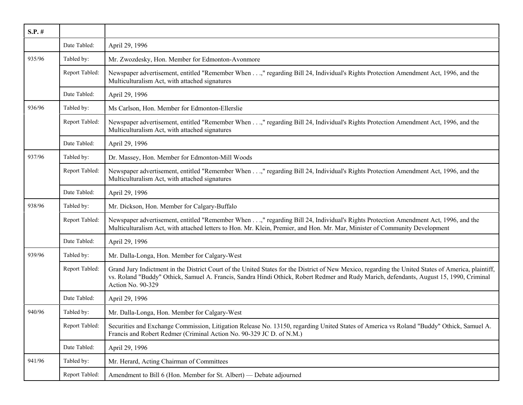| $S.P.$ # |                |                                                                                                                                                                                                                                                                                                                     |
|----------|----------------|---------------------------------------------------------------------------------------------------------------------------------------------------------------------------------------------------------------------------------------------------------------------------------------------------------------------|
|          | Date Tabled:   | April 29, 1996                                                                                                                                                                                                                                                                                                      |
| 935/96   | Tabled by:     | Mr. Zwozdesky, Hon. Member for Edmonton-Avonmore                                                                                                                                                                                                                                                                    |
|          | Report Tabled: | Newspaper advertisement, entitled "Remember When," regarding Bill 24, Individual's Rights Protection Amendment Act, 1996, and the<br>Multiculturalism Act, with attached signatures                                                                                                                                 |
|          | Date Tabled:   | April 29, 1996                                                                                                                                                                                                                                                                                                      |
| 936/96   | Tabled by:     | Ms Carlson, Hon. Member for Edmonton-Ellerslie                                                                                                                                                                                                                                                                      |
|          | Report Tabled: | Newspaper advertisement, entitled "Remember When," regarding Bill 24, Individual's Rights Protection Amendment Act, 1996, and the<br>Multiculturalism Act, with attached signatures                                                                                                                                 |
|          | Date Tabled:   | April 29, 1996                                                                                                                                                                                                                                                                                                      |
| 937/96   | Tabled by:     | Dr. Massey, Hon. Member for Edmonton-Mill Woods                                                                                                                                                                                                                                                                     |
|          | Report Tabled: | Newspaper advertisement, entitled "Remember When," regarding Bill 24, Individual's Rights Protection Amendment Act, 1996, and the<br>Multiculturalism Act, with attached signatures                                                                                                                                 |
|          | Date Tabled:   | April 29, 1996                                                                                                                                                                                                                                                                                                      |
| 938/96   | Tabled by:     | Mr. Dickson, Hon. Member for Calgary-Buffalo                                                                                                                                                                                                                                                                        |
|          | Report Tabled: | Newspaper advertisement, entitled "Remember When," regarding Bill 24, Individual's Rights Protection Amendment Act, 1996, and the<br>Multiculturalism Act, with attached letters to Hon. Mr. Klein, Premier, and Hon. Mr. Mar, Minister of Community Development                                                    |
|          | Date Tabled:   | April 29, 1996                                                                                                                                                                                                                                                                                                      |
| 939/96   | Tabled by:     | Mr. Dalla-Longa, Hon. Member for Calgary-West                                                                                                                                                                                                                                                                       |
|          | Report Tabled: | Grand Jury Indictment in the District Court of the United States for the District of New Mexico, regarding the United States of America, plaintiff,<br>vs. Roland "Buddy" Othick, Samuel A. Francis, Sandra Hindi Othick, Robert Redmer and Rudy Marich, defendants, August 15, 1990, Criminal<br>Action No. 90-329 |
|          | Date Tabled:   | April 29, 1996                                                                                                                                                                                                                                                                                                      |
| 940/96   | Tabled by:     | Mr. Dalla-Longa, Hon. Member for Calgary-West                                                                                                                                                                                                                                                                       |
|          | Report Tabled: | Securities and Exchange Commission, Litigation Release No. 13150, regarding United States of America vs Roland "Buddy" Othick, Samuel A.<br>Francis and Robert Redmer (Criminal Action No. 90-329 JC D. of N.M.)                                                                                                    |
|          | Date Tabled:   | April 29, 1996                                                                                                                                                                                                                                                                                                      |
| 941/96   | Tabled by:     | Mr. Herard, Acting Chairman of Committees                                                                                                                                                                                                                                                                           |
|          | Report Tabled: | Amendment to Bill 6 (Hon. Member for St. Albert) — Debate adjourned                                                                                                                                                                                                                                                 |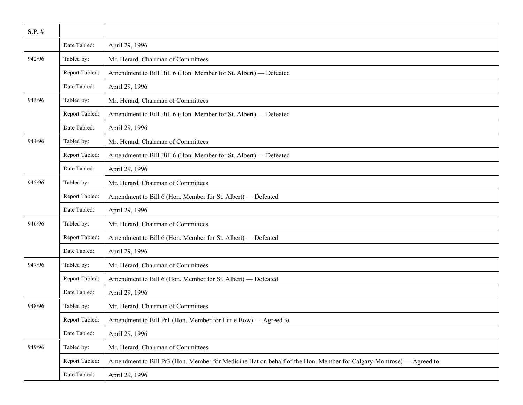| $S.P.$ # |                |                                                                                                                    |
|----------|----------------|--------------------------------------------------------------------------------------------------------------------|
|          | Date Tabled:   | April 29, 1996                                                                                                     |
| 942/96   | Tabled by:     | Mr. Herard, Chairman of Committees                                                                                 |
|          | Report Tabled: | Amendment to Bill Bill 6 (Hon. Member for St. Albert) - Defeated                                                   |
|          | Date Tabled:   | April 29, 1996                                                                                                     |
| 943/96   | Tabled by:     | Mr. Herard, Chairman of Committees                                                                                 |
|          | Report Tabled: | Amendment to Bill Bill 6 (Hon. Member for St. Albert) — Defeated                                                   |
|          | Date Tabled:   | April 29, 1996                                                                                                     |
| 944/96   | Tabled by:     | Mr. Herard, Chairman of Committees                                                                                 |
|          | Report Tabled: | Amendment to Bill Bill 6 (Hon. Member for St. Albert) - Defeated                                                   |
|          | Date Tabled:   | April 29, 1996                                                                                                     |
| 945/96   | Tabled by:     | Mr. Herard, Chairman of Committees                                                                                 |
|          | Report Tabled: | Amendment to Bill 6 (Hon. Member for St. Albert) - Defeated                                                        |
|          | Date Tabled:   | April 29, 1996                                                                                                     |
| 946/96   | Tabled by:     | Mr. Herard, Chairman of Committees                                                                                 |
|          | Report Tabled: | Amendment to Bill 6 (Hon. Member for St. Albert) - Defeated                                                        |
|          | Date Tabled:   | April 29, 1996                                                                                                     |
| 947/96   | Tabled by:     | Mr. Herard, Chairman of Committees                                                                                 |
|          | Report Tabled: | Amendment to Bill 6 (Hon. Member for St. Albert) — Defeated                                                        |
|          | Date Tabled:   | April 29, 1996                                                                                                     |
| 948/96   | Tabled by:     | Mr. Herard, Chairman of Committees                                                                                 |
|          | Report Tabled: | Amendment to Bill Pr1 (Hon. Member for Little Bow) — Agreed to                                                     |
|          | Date Tabled:   | April 29, 1996                                                                                                     |
| 949/96   | Tabled by:     | Mr. Herard, Chairman of Committees                                                                                 |
|          | Report Tabled: | Amendment to Bill Pr3 (Hon. Member for Medicine Hat on behalf of the Hon. Member for Calgary-Montrose) — Agreed to |
|          | Date Tabled:   | April 29, 1996                                                                                                     |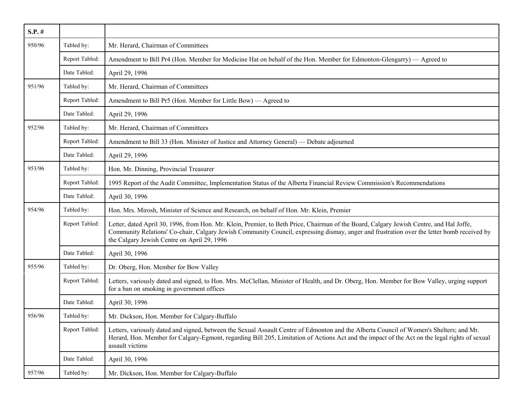| $S.P.$ # |                |                                                                                                                                                                                                                                                                                                                                      |
|----------|----------------|--------------------------------------------------------------------------------------------------------------------------------------------------------------------------------------------------------------------------------------------------------------------------------------------------------------------------------------|
| 950/96   | Tabled by:     | Mr. Herard, Chairman of Committees                                                                                                                                                                                                                                                                                                   |
|          | Report Tabled: | Amendment to Bill Pr4 (Hon. Member for Medicine Hat on behalf of the Hon. Member for Edmonton-Glengarry) — Agreed to                                                                                                                                                                                                                 |
|          | Date Tabled:   | April 29, 1996                                                                                                                                                                                                                                                                                                                       |
| 951/96   | Tabled by:     | Mr. Herard, Chairman of Committees                                                                                                                                                                                                                                                                                                   |
|          | Report Tabled: | Amendment to Bill Pr5 (Hon. Member for Little Bow) — Agreed to                                                                                                                                                                                                                                                                       |
|          | Date Tabled:   | April 29, 1996                                                                                                                                                                                                                                                                                                                       |
| 952/96   | Tabled by:     | Mr. Herard, Chairman of Committees                                                                                                                                                                                                                                                                                                   |
|          | Report Tabled: | Amendment to Bill 33 (Hon. Minister of Justice and Attorney General) — Debate adjourned                                                                                                                                                                                                                                              |
|          | Date Tabled:   | April 29, 1996                                                                                                                                                                                                                                                                                                                       |
| 953/96   | Tabled by:     | Hon. Mr. Dinning, Provincial Treasurer                                                                                                                                                                                                                                                                                               |
|          | Report Tabled: | 1995 Report of the Audit Committee, Implementation Status of the Alberta Financial Review Commission's Recommendations                                                                                                                                                                                                               |
|          | Date Tabled:   | April 30, 1996                                                                                                                                                                                                                                                                                                                       |
| 954/96   | Tabled by:     | Hon. Mrs. Mirosh, Minister of Science and Research, on behalf of Hon. Mr. Klein, Premier                                                                                                                                                                                                                                             |
|          | Report Tabled: | Letter, dated April 30, 1996, from Hon. Mr. Klein, Premier, to Beth Price, Chairman of the Board, Calgary Jewish Centre, and Hal Joffe,<br>Community Relations' Co-chair, Calgary Jewish Community Council, expressing dismay, anger and frustration over the letter bomb received by<br>the Calgary Jewish Centre on April 29, 1996 |
|          | Date Tabled:   | April 30, 1996                                                                                                                                                                                                                                                                                                                       |
| 955/96   | Tabled by:     | Dr. Oberg, Hon. Member for Bow Valley                                                                                                                                                                                                                                                                                                |
|          | Report Tabled: | Letters, variously dated and signed, to Hon. Mrs. McClellan, Minister of Health, and Dr. Oberg, Hon. Member for Bow Valley, urging support<br>for a ban on smoking in government offices                                                                                                                                             |
|          | Date Tabled:   | April 30, 1996                                                                                                                                                                                                                                                                                                                       |
| 956/96   | Tabled by:     | Mr. Dickson, Hon. Member for Calgary-Buffalo                                                                                                                                                                                                                                                                                         |
|          | Report Tabled: | Letters, variously dated and signed, between the Sexual Assault Centre of Edmonton and the Alberta Council of Women's Shelters; and Mr.<br>Herard, Hon. Member for Calgary-Egmont, regarding Bill 205, Limitation of Actions Act and the impact of the Act on the legal rights of sexual<br>assault victims                          |
|          | Date Tabled:   | April 30, 1996                                                                                                                                                                                                                                                                                                                       |
| 957/96   | Tabled by:     | Mr. Dickson, Hon. Member for Calgary-Buffalo                                                                                                                                                                                                                                                                                         |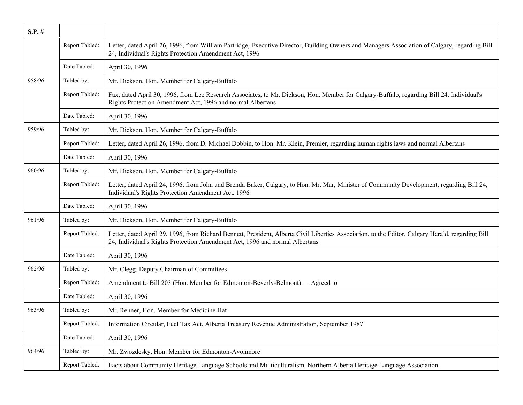| $S.P.$ # |                |                                                                                                                                                                                                                                  |
|----------|----------------|----------------------------------------------------------------------------------------------------------------------------------------------------------------------------------------------------------------------------------|
|          | Report Tabled: | Letter, dated April 26, 1996, from William Partridge, Executive Director, Building Owners and Managers Association of Calgary, regarding Bill<br>24, Individual's Rights Protection Amendment Act, 1996                          |
|          | Date Tabled:   | April 30, 1996                                                                                                                                                                                                                   |
| 958/96   | Tabled by:     | Mr. Dickson, Hon. Member for Calgary-Buffalo                                                                                                                                                                                     |
|          | Report Tabled: | Fax, dated April 30, 1996, from Lee Research Associates, to Mr. Dickson, Hon. Member for Calgary-Buffalo, regarding Bill 24, Individual's<br>Rights Protection Amendment Act, 1996 and normal Albertans                          |
|          | Date Tabled:   | April 30, 1996                                                                                                                                                                                                                   |
| 959/96   | Tabled by:     | Mr. Dickson, Hon. Member for Calgary-Buffalo                                                                                                                                                                                     |
|          | Report Tabled: | Letter, dated April 26, 1996, from D. Michael Dobbin, to Hon. Mr. Klein, Premier, regarding human rights laws and normal Albertans                                                                                               |
|          | Date Tabled:   | April 30, 1996                                                                                                                                                                                                                   |
| 960/96   | Tabled by:     | Mr. Dickson, Hon. Member for Calgary-Buffalo                                                                                                                                                                                     |
|          | Report Tabled: | Letter, dated April 24, 1996, from John and Brenda Baker, Calgary, to Hon. Mr. Mar, Minister of Community Development, regarding Bill 24,<br>Individual's Rights Protection Amendment Act, 1996                                  |
|          | Date Tabled:   | April 30, 1996                                                                                                                                                                                                                   |
| 961/96   | Tabled by:     | Mr. Dickson, Hon. Member for Calgary-Buffalo                                                                                                                                                                                     |
|          | Report Tabled: | Letter, dated April 29, 1996, from Richard Bennett, President, Alberta Civil Liberties Association, to the Editor, Calgary Herald, regarding Bill<br>24, Individual's Rights Protection Amendment Act, 1996 and normal Albertans |
|          | Date Tabled:   | April 30, 1996                                                                                                                                                                                                                   |
| 962/96   | Tabled by:     | Mr. Clegg, Deputy Chairman of Committees                                                                                                                                                                                         |
|          | Report Tabled: | Amendment to Bill 203 (Hon. Member for Edmonton-Beverly-Belmont) — Agreed to                                                                                                                                                     |
|          | Date Tabled:   | April 30, 1996                                                                                                                                                                                                                   |
| 963/96   | Tabled by:     | Mr. Renner, Hon. Member for Medicine Hat                                                                                                                                                                                         |
|          | Report Tabled: | Information Circular, Fuel Tax Act, Alberta Treasury Revenue Administration, September 1987                                                                                                                                      |
|          | Date Tabled:   | April 30, 1996                                                                                                                                                                                                                   |
| 964/96   | Tabled by:     | Mr. Zwozdesky, Hon. Member for Edmonton-Avonmore                                                                                                                                                                                 |
|          | Report Tabled: | Facts about Community Heritage Language Schools and Multiculturalism, Northern Alberta Heritage Language Association                                                                                                             |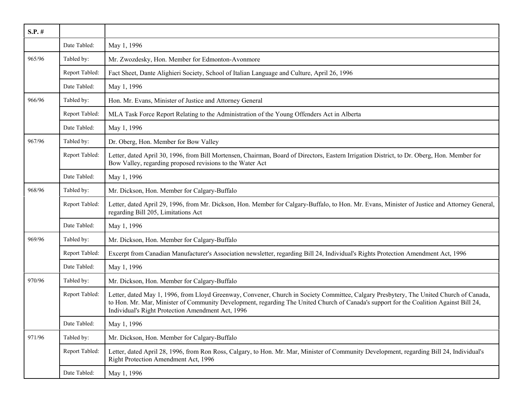| $S.P.$ # |                |                                                                                                                                                                                                                                                                                                                                        |
|----------|----------------|----------------------------------------------------------------------------------------------------------------------------------------------------------------------------------------------------------------------------------------------------------------------------------------------------------------------------------------|
|          | Date Tabled:   | May 1, 1996                                                                                                                                                                                                                                                                                                                            |
| 965/96   | Tabled by:     | Mr. Zwozdesky, Hon. Member for Edmonton-Avonmore                                                                                                                                                                                                                                                                                       |
|          | Report Tabled: | Fact Sheet, Dante Alighieri Society, School of Italian Language and Culture, April 26, 1996                                                                                                                                                                                                                                            |
|          | Date Tabled:   | May 1, 1996                                                                                                                                                                                                                                                                                                                            |
| 966/96   | Tabled by:     | Hon. Mr. Evans, Minister of Justice and Attorney General                                                                                                                                                                                                                                                                               |
|          | Report Tabled: | MLA Task Force Report Relating to the Administration of the Young Offenders Act in Alberta                                                                                                                                                                                                                                             |
|          | Date Tabled:   | May 1, 1996                                                                                                                                                                                                                                                                                                                            |
| 967/96   | Tabled by:     | Dr. Oberg, Hon. Member for Bow Valley                                                                                                                                                                                                                                                                                                  |
|          | Report Tabled: | Letter, dated April 30, 1996, from Bill Mortensen, Chairman, Board of Directors, Eastern Irrigation District, to Dr. Oberg, Hon. Member for<br>Bow Valley, regarding proposed revisions to the Water Act                                                                                                                               |
|          | Date Tabled:   | May 1, 1996                                                                                                                                                                                                                                                                                                                            |
| 968/96   | Tabled by:     | Mr. Dickson, Hon. Member for Calgary-Buffalo                                                                                                                                                                                                                                                                                           |
|          | Report Tabled: | Letter, dated April 29, 1996, from Mr. Dickson, Hon. Member for Calgary-Buffalo, to Hon. Mr. Evans, Minister of Justice and Attorney General,<br>regarding Bill 205, Limitations Act                                                                                                                                                   |
|          | Date Tabled:   | May 1, 1996                                                                                                                                                                                                                                                                                                                            |
| 969/96   | Tabled by:     | Mr. Dickson, Hon. Member for Calgary-Buffalo                                                                                                                                                                                                                                                                                           |
|          | Report Tabled: | Excerpt from Canadian Manufacturer's Association newsletter, regarding Bill 24, Individual's Rights Protection Amendment Act, 1996                                                                                                                                                                                                     |
|          | Date Tabled:   | May 1, 1996                                                                                                                                                                                                                                                                                                                            |
| 970/96   | Tabled by:     | Mr. Dickson, Hon. Member for Calgary-Buffalo                                                                                                                                                                                                                                                                                           |
|          | Report Tabled: | Letter, dated May 1, 1996, from Lloyd Greenway, Convener, Church in Society Committee, Calgary Presbytery, The United Church of Canada,<br>to Hon. Mr. Mar, Minister of Community Development, regarding The United Church of Canada's support for the Coalition Against Bill 24,<br>Individual's Right Protection Amendment Act, 1996 |
|          | Date Tabled:   | May 1, 1996                                                                                                                                                                                                                                                                                                                            |
| 971/96   | Tabled by:     | Mr. Dickson, Hon. Member for Calgary-Buffalo                                                                                                                                                                                                                                                                                           |
|          | Report Tabled: | Letter, dated April 28, 1996, from Ron Ross, Calgary, to Hon. Mr. Mar, Minister of Community Development, regarding Bill 24, Individual's<br>Right Protection Amendment Act, 1996                                                                                                                                                      |
|          | Date Tabled:   | May 1, 1996                                                                                                                                                                                                                                                                                                                            |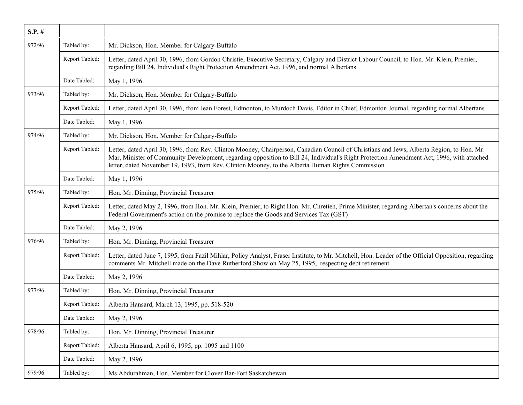| $S.P.$ # |                |                                                                                                                                                                                                                                                                                                                                                                                             |
|----------|----------------|---------------------------------------------------------------------------------------------------------------------------------------------------------------------------------------------------------------------------------------------------------------------------------------------------------------------------------------------------------------------------------------------|
| 972/96   | Tabled by:     | Mr. Dickson, Hon. Member for Calgary-Buffalo                                                                                                                                                                                                                                                                                                                                                |
|          | Report Tabled: | Letter, dated April 30, 1996, from Gordon Christie, Executive Secretary, Calgary and District Labour Council, to Hon. Mr. Klein, Premier,<br>regarding Bill 24, Individual's Right Protection Amendment Act, 1996, and normal Albertans                                                                                                                                                     |
|          | Date Tabled:   | May 1, 1996                                                                                                                                                                                                                                                                                                                                                                                 |
| 973/96   | Tabled by:     | Mr. Dickson, Hon. Member for Calgary-Buffalo                                                                                                                                                                                                                                                                                                                                                |
|          | Report Tabled: | Letter, dated April 30, 1996, from Jean Forest, Edmonton, to Murdoch Davis, Editor in Chief, Edmonton Journal, regarding normal Albertans                                                                                                                                                                                                                                                   |
|          | Date Tabled:   | May 1, 1996                                                                                                                                                                                                                                                                                                                                                                                 |
| 974/96   | Tabled by:     | Mr. Dickson, Hon. Member for Calgary-Buffalo                                                                                                                                                                                                                                                                                                                                                |
|          | Report Tabled: | Letter, dated April 30, 1996, from Rev. Clinton Mooney, Chairperson, Canadian Council of Christians and Jews, Alberta Region, to Hon. Mr.<br>Mar, Minister of Community Development, regarding opposition to Bill 24, Individual's Right Protection Amendment Act, 1996, with attached<br>letter, dated November 19, 1993, from Rev. Clinton Mooney, to the Alberta Human Rights Commission |
|          | Date Tabled:   | May 1, 1996                                                                                                                                                                                                                                                                                                                                                                                 |
| 975/96   | Tabled by:     | Hon. Mr. Dinning, Provincial Treasurer                                                                                                                                                                                                                                                                                                                                                      |
|          | Report Tabled: | Letter, dated May 2, 1996, from Hon. Mr. Klein, Premier, to Right Hon. Mr. Chretien, Prime Minister, regarding Albertan's concerns about the<br>Federal Government's action on the promise to replace the Goods and Services Tax (GST)                                                                                                                                                      |
|          | Date Tabled:   | May 2, 1996                                                                                                                                                                                                                                                                                                                                                                                 |
| 976/96   | Tabled by:     | Hon. Mr. Dinning, Provincial Treasurer                                                                                                                                                                                                                                                                                                                                                      |
|          | Report Tabled: | Letter, dated June 7, 1995, from Fazil Mihlar, Policy Analyst, Fraser Institute, to Mr. Mitchell, Hon. Leader of the Official Opposition, regarding<br>comments Mr. Mitchell made on the Dave Rutherford Show on May 25, 1995, respecting debt retirement                                                                                                                                   |
|          | Date Tabled:   | May 2, 1996                                                                                                                                                                                                                                                                                                                                                                                 |
| 977/96   | Tabled by:     | Hon. Mr. Dinning, Provincial Treasurer                                                                                                                                                                                                                                                                                                                                                      |
|          | Report Tabled: | Alberta Hansard, March 13, 1995, pp. 518-520                                                                                                                                                                                                                                                                                                                                                |
|          | Date Tabled:   | May 2, 1996                                                                                                                                                                                                                                                                                                                                                                                 |
| 978/96   | Tabled by:     | Hon. Mr. Dinning, Provincial Treasurer                                                                                                                                                                                                                                                                                                                                                      |
|          | Report Tabled: | Alberta Hansard, April 6, 1995, pp. 1095 and 1100                                                                                                                                                                                                                                                                                                                                           |
|          | Date Tabled:   | May 2, 1996                                                                                                                                                                                                                                                                                                                                                                                 |
| 979/96   | Tabled by:     | Ms Abdurahman, Hon. Member for Clover Bar-Fort Saskatchewan                                                                                                                                                                                                                                                                                                                                 |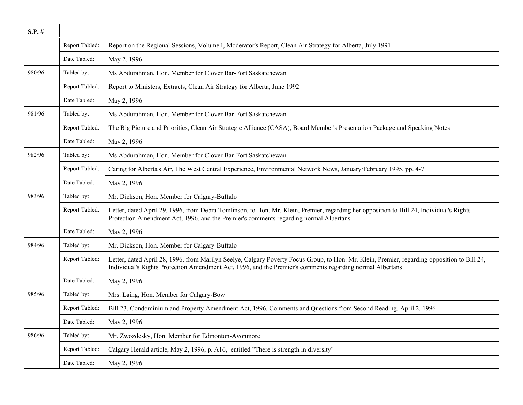| $S.P.$ # |                |                                                                                                                                                                                                                                                           |
|----------|----------------|-----------------------------------------------------------------------------------------------------------------------------------------------------------------------------------------------------------------------------------------------------------|
|          | Report Tabled: | Report on the Regional Sessions, Volume I, Moderator's Report, Clean Air Strategy for Alberta, July 1991                                                                                                                                                  |
|          | Date Tabled:   | May 2, 1996                                                                                                                                                                                                                                               |
| 980/96   | Tabled by:     | Ms Abdurahman, Hon. Member for Clover Bar-Fort Saskatchewan                                                                                                                                                                                               |
|          | Report Tabled: | Report to Ministers, Extracts, Clean Air Strategy for Alberta, June 1992                                                                                                                                                                                  |
|          | Date Tabled:   | May 2, 1996                                                                                                                                                                                                                                               |
| 981/96   | Tabled by:     | Ms Abdurahman, Hon. Member for Clover Bar-Fort Saskatchewan                                                                                                                                                                                               |
|          | Report Tabled: | The Big Picture and Priorities, Clean Air Strategic Alliance (CASA), Board Member's Presentation Package and Speaking Notes                                                                                                                               |
|          | Date Tabled:   | May 2, 1996                                                                                                                                                                                                                                               |
| 982/96   | Tabled by:     | Ms Abdurahman, Hon. Member for Clover Bar-Fort Saskatchewan                                                                                                                                                                                               |
|          | Report Tabled: | Caring for Alberta's Air, The West Central Experience, Environmental Network News, January/February 1995, pp. 4-7                                                                                                                                         |
|          | Date Tabled:   | May 2, 1996                                                                                                                                                                                                                                               |
| 983/96   | Tabled by:     | Mr. Dickson, Hon. Member for Calgary-Buffalo                                                                                                                                                                                                              |
|          | Report Tabled: | Letter, dated April 29, 1996, from Debra Tomlinson, to Hon. Mr. Klein, Premier, regarding her opposition to Bill 24, Individual's Rights<br>Protection Amendment Act, 1996, and the Premier's comments regarding normal Albertans                         |
|          | Date Tabled:   | May 2, 1996                                                                                                                                                                                                                                               |
| 984/96   | Tabled by:     | Mr. Dickson, Hon. Member for Calgary-Buffalo                                                                                                                                                                                                              |
|          | Report Tabled: | Letter, dated April 28, 1996, from Marilyn Seelye, Calgary Poverty Focus Group, to Hon. Mr. Klein, Premier, regarding opposition to Bill 24,<br>Individual's Rights Protection Amendment Act, 1996, and the Premier's comments regarding normal Albertans |
|          | Date Tabled:   | May 2, 1996                                                                                                                                                                                                                                               |
| 985/96   | Tabled by:     | Mrs. Laing, Hon. Member for Calgary-Bow                                                                                                                                                                                                                   |
|          | Report Tabled: | Bill 23, Condominium and Property Amendment Act, 1996, Comments and Questions from Second Reading, April 2, 1996                                                                                                                                          |
|          | Date Tabled:   | May 2, 1996                                                                                                                                                                                                                                               |
| 986/96   | Tabled by:     | Mr. Zwozdesky, Hon. Member for Edmonton-Avonmore                                                                                                                                                                                                          |
|          | Report Tabled: | Calgary Herald article, May 2, 1996, p. A16, entitled "There is strength in diversity"                                                                                                                                                                    |
|          | Date Tabled:   | May 2, 1996                                                                                                                                                                                                                                               |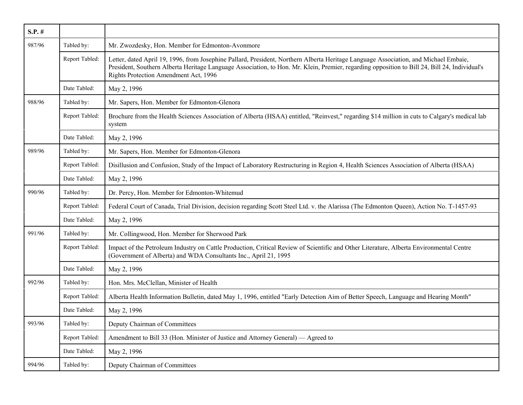| $S.P.$ # |                |                                                                                                                                                                                                                                                                                                                                |
|----------|----------------|--------------------------------------------------------------------------------------------------------------------------------------------------------------------------------------------------------------------------------------------------------------------------------------------------------------------------------|
| 987/96   | Tabled by:     | Mr. Zwozdesky, Hon. Member for Edmonton-Avonmore                                                                                                                                                                                                                                                                               |
|          | Report Tabled: | Letter, dated April 19, 1996, from Josephine Pallard, President, Northern Alberta Heritage Language Association, and Michael Embaie,<br>President, Southern Alberta Heritage Language Association, to Hon. Mr. Klein, Premier, regarding opposition to Bill 24, Bill 24, Individual's<br>Rights Protection Amendment Act, 1996 |
|          | Date Tabled:   | May 2, 1996                                                                                                                                                                                                                                                                                                                    |
| 988/96   | Tabled by:     | Mr. Sapers, Hon. Member for Edmonton-Glenora                                                                                                                                                                                                                                                                                   |
|          | Report Tabled: | Brochure from the Health Sciences Association of Alberta (HSAA) entitled, "Reinvest," regarding \$14 million in cuts to Calgary's medical lab<br>system                                                                                                                                                                        |
|          | Date Tabled:   | May 2, 1996                                                                                                                                                                                                                                                                                                                    |
| 989/96   | Tabled by:     | Mr. Sapers, Hon. Member for Edmonton-Glenora                                                                                                                                                                                                                                                                                   |
|          | Report Tabled: | Disillusion and Confusion, Study of the Impact of Laboratory Restructuring in Region 4, Health Sciences Association of Alberta (HSAA)                                                                                                                                                                                          |
|          | Date Tabled:   | May 2, 1996                                                                                                                                                                                                                                                                                                                    |
| 990/96   | Tabled by:     | Dr. Percy, Hon. Member for Edmonton-Whitemud                                                                                                                                                                                                                                                                                   |
|          | Report Tabled: | Federal Court of Canada, Trial Division, decision regarding Scott Steel Ltd. v. the Alarissa (The Edmonton Queen), Action No. T-1457-93                                                                                                                                                                                        |
|          | Date Tabled:   | May 2, 1996                                                                                                                                                                                                                                                                                                                    |
| 991/96   | Tabled by:     | Mr. Collingwood, Hon. Member for Sherwood Park                                                                                                                                                                                                                                                                                 |
|          | Report Tabled: | Impact of the Petroleum Industry on Cattle Production, Critical Review of Scientific and Other Literature, Alberta Environmental Centre<br>(Government of Alberta) and WDA Consultants Inc., April 21, 1995                                                                                                                    |
|          | Date Tabled:   | May 2, 1996                                                                                                                                                                                                                                                                                                                    |
| 992/96   | Tabled by:     | Hon. Mrs. McClellan, Minister of Health                                                                                                                                                                                                                                                                                        |
|          | Report Tabled: | Alberta Health Information Bulletin, dated May 1, 1996, entitled "Early Detection Aim of Better Speech, Language and Hearing Month"                                                                                                                                                                                            |
|          | Date Tabled:   | May 2, 1996                                                                                                                                                                                                                                                                                                                    |
| 993/96   | Tabled by:     | Deputy Chairman of Committees                                                                                                                                                                                                                                                                                                  |
|          | Report Tabled: | Amendment to Bill 33 (Hon. Minister of Justice and Attorney General) — Agreed to                                                                                                                                                                                                                                               |
|          | Date Tabled:   | May 2, 1996                                                                                                                                                                                                                                                                                                                    |
| 994/96   | Tabled by:     | Deputy Chairman of Committees                                                                                                                                                                                                                                                                                                  |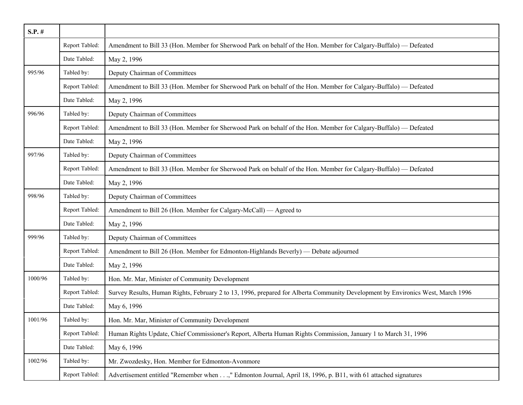| $S.P.$ # |                |                                                                                                                                 |
|----------|----------------|---------------------------------------------------------------------------------------------------------------------------------|
|          | Report Tabled: | Amendment to Bill 33 (Hon. Member for Sherwood Park on behalf of the Hon. Member for Calgary-Buffalo) — Defeated                |
|          | Date Tabled:   | May 2, 1996                                                                                                                     |
| 995/96   | Tabled by:     | Deputy Chairman of Committees                                                                                                   |
|          | Report Tabled: | Amendment to Bill 33 (Hon. Member for Sherwood Park on behalf of the Hon. Member for Calgary-Buffalo) — Defeated                |
|          | Date Tabled:   | May 2, 1996                                                                                                                     |
| 996/96   | Tabled by:     | Deputy Chairman of Committees                                                                                                   |
|          | Report Tabled: | Amendment to Bill 33 (Hon. Member for Sherwood Park on behalf of the Hon. Member for Calgary-Buffalo) — Defeated                |
|          | Date Tabled:   | May 2, 1996                                                                                                                     |
| 997/96   | Tabled by:     | Deputy Chairman of Committees                                                                                                   |
|          | Report Tabled: | Amendment to Bill 33 (Hon. Member for Sherwood Park on behalf of the Hon. Member for Calgary-Buffalo) — Defeated                |
|          | Date Tabled:   | May 2, 1996                                                                                                                     |
| 998/96   | Tabled by:     | Deputy Chairman of Committees                                                                                                   |
|          | Report Tabled: | Amendment to Bill 26 (Hon. Member for Calgary-McCall) — Agreed to                                                               |
|          | Date Tabled:   | May 2, 1996                                                                                                                     |
| 999/96   | Tabled by:     | Deputy Chairman of Committees                                                                                                   |
|          | Report Tabled: | Amendment to Bill 26 (Hon. Member for Edmonton-Highlands Beverly) — Debate adjourned                                            |
|          | Date Tabled:   | May 2, 1996                                                                                                                     |
| 1000/96  | Tabled by:     | Hon. Mr. Mar, Minister of Community Development                                                                                 |
|          | Report Tabled: | Survey Results, Human Rights, February 2 to 13, 1996, prepared for Alberta Community Development by Environics West, March 1996 |
|          | Date Tabled:   | May 6, 1996                                                                                                                     |
| 1001/96  | Tabled by:     | Hon. Mr. Mar, Minister of Community Development                                                                                 |
|          | Report Tabled: | Human Rights Update, Chief Commissioner's Report, Alberta Human Rights Commission, January 1 to March 31, 1996                  |
|          | Date Tabled:   | May 6, 1996                                                                                                                     |
| 1002/96  | Tabled by:     | Mr. Zwozdesky, Hon. Member for Edmonton-Avonmore                                                                                |
|          | Report Tabled: | Advertisement entitled "Remember when," Edmonton Journal, April 18, 1996, p. B11, with 61 attached signatures                   |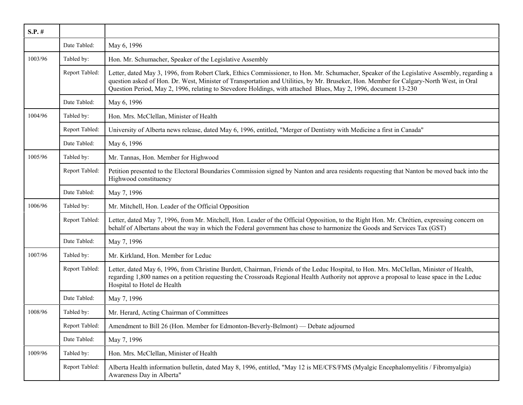| $S.P.$ # |                |                                                                                                                                                                                                                                                                                                                                                                                                           |
|----------|----------------|-----------------------------------------------------------------------------------------------------------------------------------------------------------------------------------------------------------------------------------------------------------------------------------------------------------------------------------------------------------------------------------------------------------|
|          | Date Tabled:   | May 6, 1996                                                                                                                                                                                                                                                                                                                                                                                               |
| 1003/96  | Tabled by:     | Hon. Mr. Schumacher, Speaker of the Legislative Assembly                                                                                                                                                                                                                                                                                                                                                  |
|          | Report Tabled: | Letter, dated May 3, 1996, from Robert Clark, Ethics Commissioner, to Hon. Mr. Schumacher, Speaker of the Legislative Assembly, regarding a<br>question asked of Hon. Dr. West, Minister of Transportation and Utilities, by Mr. Bruseker, Hon. Member for Calgary-North West, in Oral<br>Question Period, May 2, 1996, relating to Stevedore Holdings, with attached Blues, May 2, 1996, document 13-230 |
|          | Date Tabled:   | May 6, 1996                                                                                                                                                                                                                                                                                                                                                                                               |
| 1004/96  | Tabled by:     | Hon. Mrs. McClellan, Minister of Health                                                                                                                                                                                                                                                                                                                                                                   |
|          | Report Tabled: | University of Alberta news release, dated May 6, 1996, entitled, "Merger of Dentistry with Medicine a first in Canada"                                                                                                                                                                                                                                                                                    |
|          | Date Tabled:   | May 6, 1996                                                                                                                                                                                                                                                                                                                                                                                               |
| 1005/96  | Tabled by:     | Mr. Tannas, Hon. Member for Highwood                                                                                                                                                                                                                                                                                                                                                                      |
|          | Report Tabled: | Petition presented to the Electoral Boundaries Commission signed by Nanton and area residents requesting that Nanton be moved back into the<br>Highwood constituency                                                                                                                                                                                                                                      |
|          | Date Tabled:   | May 7, 1996                                                                                                                                                                                                                                                                                                                                                                                               |
| 1006/96  | Tabled by:     | Mr. Mitchell, Hon. Leader of the Official Opposition                                                                                                                                                                                                                                                                                                                                                      |
|          | Report Tabled: | Letter, dated May 7, 1996, from Mr. Mitchell, Hon. Leader of the Official Opposition, to the Right Hon. Mr. Chrétien, expressing concern on<br>behalf of Albertans about the way in which the Federal government has chose to harmonize the Goods and Services Tax (GST)                                                                                                                                  |
|          | Date Tabled:   | May 7, 1996                                                                                                                                                                                                                                                                                                                                                                                               |
| 1007/96  | Tabled by:     | Mr. Kirkland, Hon. Member for Leduc                                                                                                                                                                                                                                                                                                                                                                       |
|          | Report Tabled: | Letter, dated May 6, 1996, from Christine Burdett, Chairman, Friends of the Leduc Hospital, to Hon. Mrs. McClellan, Minister of Health,<br>regarding 1,800 names on a petition requesting the Crossroads Regional Health Authority not approve a proposal to lease space in the Leduc<br>Hospital to Hotel de Health                                                                                      |
|          | Date Tabled:   | May 7, 1996                                                                                                                                                                                                                                                                                                                                                                                               |
| 1008/96  | Tabled by:     | Mr. Herard, Acting Chairman of Committees                                                                                                                                                                                                                                                                                                                                                                 |
|          | Report Tabled: | Amendment to Bill 26 (Hon. Member for Edmonton-Beverly-Belmont) — Debate adjourned                                                                                                                                                                                                                                                                                                                        |
|          | Date Tabled:   | May 7, 1996                                                                                                                                                                                                                                                                                                                                                                                               |
| 1009/96  | Tabled by:     | Hon. Mrs. McClellan, Minister of Health                                                                                                                                                                                                                                                                                                                                                                   |
|          | Report Tabled: | Alberta Health information bulletin, dated May 8, 1996, entitled, "May 12 is ME/CFS/FMS (Myalgic Encephalomyelitis / Fibromyalgia)<br>Awareness Day in Alberta"                                                                                                                                                                                                                                           |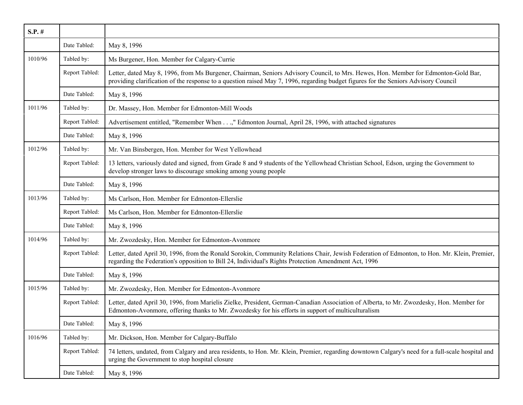| $S.P.$ # |                |                                                                                                                                                                                                                                                                           |
|----------|----------------|---------------------------------------------------------------------------------------------------------------------------------------------------------------------------------------------------------------------------------------------------------------------------|
|          | Date Tabled:   | May 8, 1996                                                                                                                                                                                                                                                               |
| 1010/96  | Tabled by:     | Ms Burgener, Hon. Member for Calgary-Currie                                                                                                                                                                                                                               |
|          | Report Tabled: | Letter, dated May 8, 1996, from Ms Burgener, Chairman, Seniors Advisory Council, to Mrs. Hewes, Hon. Member for Edmonton-Gold Bar,<br>providing clarification of the response to a question raised May 7, 1996, regarding budget figures for the Seniors Advisory Council |
|          | Date Tabled:   | May 8, 1996                                                                                                                                                                                                                                                               |
| 1011/96  | Tabled by:     | Dr. Massey, Hon. Member for Edmonton-Mill Woods                                                                                                                                                                                                                           |
|          | Report Tabled: | Advertisement entitled, "Remember When," Edmonton Journal, April 28, 1996, with attached signatures                                                                                                                                                                       |
|          | Date Tabled:   | May 8, 1996                                                                                                                                                                                                                                                               |
| 1012/96  | Tabled by:     | Mr. Van Binsbergen, Hon. Member for West Yellowhead                                                                                                                                                                                                                       |
|          | Report Tabled: | 13 letters, variously dated and signed, from Grade 8 and 9 students of the Yellowhead Christian School, Edson, urging the Government to<br>develop stronger laws to discourage smoking among young people                                                                 |
|          | Date Tabled:   | May 8, 1996                                                                                                                                                                                                                                                               |
| 1013/96  | Tabled by:     | Ms Carlson, Hon. Member for Edmonton-Ellerslie                                                                                                                                                                                                                            |
|          | Report Tabled: | Ms Carlson, Hon. Member for Edmonton-Ellerslie                                                                                                                                                                                                                            |
|          | Date Tabled:   | May 8, 1996                                                                                                                                                                                                                                                               |
| 1014/96  | Tabled by:     | Mr. Zwozdesky, Hon. Member for Edmonton-Avonmore                                                                                                                                                                                                                          |
|          | Report Tabled: | Letter, dated April 30, 1996, from the Ronald Sorokin, Community Relations Chair, Jewish Federation of Edmonton, to Hon. Mr. Klein, Premier,<br>regarding the Federation's opposition to Bill 24, Individual's Rights Protection Amendment Act, 1996                      |
|          | Date Tabled:   | May 8, 1996                                                                                                                                                                                                                                                               |
| 1015/96  | Tabled by:     | Mr. Zwozdesky, Hon. Member for Edmonton-Avonmore                                                                                                                                                                                                                          |
|          | Report Tabled: | Letter, dated April 30, 1996, from Marielis Zielke, President, German-Canadian Association of Alberta, to Mr. Zwozdesky, Hon. Member for<br>Edmonton-Avonmore, offering thanks to Mr. Zwozdesky for his efforts in support of multiculturalism                            |
|          | Date Tabled:   | May 8, 1996                                                                                                                                                                                                                                                               |
| 1016/96  | Tabled by:     | Mr. Dickson, Hon. Member for Calgary-Buffalo                                                                                                                                                                                                                              |
|          | Report Tabled: | 74 letters, undated, from Calgary and area residents, to Hon. Mr. Klein, Premier, regarding downtown Calgary's need for a full-scale hospital and<br>urging the Government to stop hospital closure                                                                       |
|          | Date Tabled:   | May 8, 1996                                                                                                                                                                                                                                                               |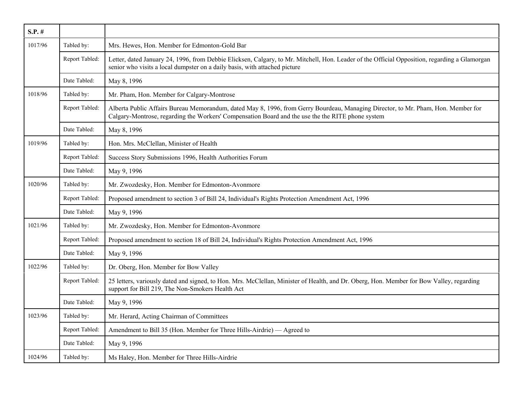| $S.P.$ # |                |                                                                                                                                                                                                                                        |
|----------|----------------|----------------------------------------------------------------------------------------------------------------------------------------------------------------------------------------------------------------------------------------|
| 1017/96  | Tabled by:     | Mrs. Hewes, Hon. Member for Edmonton-Gold Bar                                                                                                                                                                                          |
|          | Report Tabled: | Letter, dated January 24, 1996, from Debbie Elicksen, Calgary, to Mr. Mitchell, Hon. Leader of the Official Opposition, regarding a Glamorgan<br>senior who visits a local dumpster on a daily basis, with attached picture            |
|          | Date Tabled:   | May 8, 1996                                                                                                                                                                                                                            |
| 1018/96  | Tabled by:     | Mr. Pham, Hon. Member for Calgary-Montrose                                                                                                                                                                                             |
|          | Report Tabled: | Alberta Public Affairs Bureau Memorandum, dated May 8, 1996, from Gerry Bourdeau, Managing Director, to Mr. Pham, Hon. Member for<br>Calgary-Montrose, regarding the Workers' Compensation Board and the use the the RITE phone system |
|          | Date Tabled:   | May 8, 1996                                                                                                                                                                                                                            |
| 1019/96  | Tabled by:     | Hon. Mrs. McClellan, Minister of Health                                                                                                                                                                                                |
|          | Report Tabled: | Success Story Submissions 1996, Health Authorities Forum                                                                                                                                                                               |
|          | Date Tabled:   | May 9, 1996                                                                                                                                                                                                                            |
| 1020/96  | Tabled by:     | Mr. Zwozdesky, Hon. Member for Edmonton-Avonmore                                                                                                                                                                                       |
|          | Report Tabled: | Proposed amendment to section 3 of Bill 24, Individual's Rights Protection Amendment Act, 1996                                                                                                                                         |
|          | Date Tabled:   | May 9, 1996                                                                                                                                                                                                                            |
| 1021/96  | Tabled by:     | Mr. Zwozdesky, Hon. Member for Edmonton-Avonmore                                                                                                                                                                                       |
|          | Report Tabled: | Proposed amendment to section 18 of Bill 24, Individual's Rights Protection Amendment Act, 1996                                                                                                                                        |
|          | Date Tabled:   | May 9, 1996                                                                                                                                                                                                                            |
| 1022/96  | Tabled by:     | Dr. Oberg, Hon. Member for Bow Valley                                                                                                                                                                                                  |
|          | Report Tabled: | 25 letters, variously dated and signed, to Hon. Mrs. McClellan, Minister of Health, and Dr. Oberg, Hon. Member for Bow Valley, regarding<br>support for Bill 219, The Non-Smokers Health Act                                           |
|          | Date Tabled:   | May 9, 1996                                                                                                                                                                                                                            |
| 1023/96  | Tabled by:     | Mr. Herard, Acting Chairman of Committees                                                                                                                                                                                              |
|          | Report Tabled: | Amendment to Bill 35 (Hon. Member for Three Hills-Airdrie) — Agreed to                                                                                                                                                                 |
|          | Date Tabled:   | May 9, 1996                                                                                                                                                                                                                            |
| 1024/96  | Tabled by:     | Ms Haley, Hon. Member for Three Hills-Airdrie                                                                                                                                                                                          |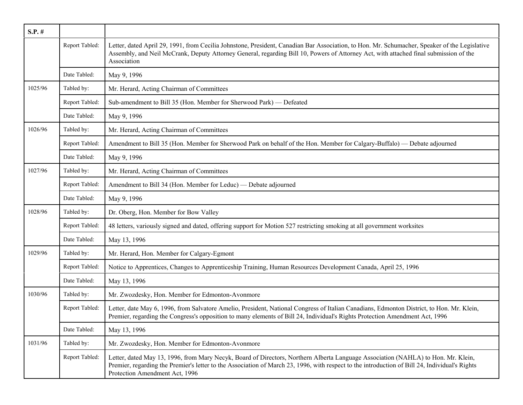| $S.P.$ # |                |                                                                                                                                                                                                                                                                                                                       |
|----------|----------------|-----------------------------------------------------------------------------------------------------------------------------------------------------------------------------------------------------------------------------------------------------------------------------------------------------------------------|
|          | Report Tabled: | Letter, dated April 29, 1991, from Cecilia Johnstone, President, Canadian Bar Association, to Hon. Mr. Schumacher, Speaker of the Legislative<br>Assembly, and Neil McCrank, Deputy Attorney General, regarding Bill 10, Powers of Attorney Act, with attached final submission of the<br>Association                 |
|          | Date Tabled:   | May 9, 1996                                                                                                                                                                                                                                                                                                           |
| 1025/96  | Tabled by:     | Mr. Herard, Acting Chairman of Committees                                                                                                                                                                                                                                                                             |
|          | Report Tabled: | Sub-amendment to Bill 35 (Hon. Member for Sherwood Park) - Defeated                                                                                                                                                                                                                                                   |
|          | Date Tabled:   | May 9, 1996                                                                                                                                                                                                                                                                                                           |
| 1026/96  | Tabled by:     | Mr. Herard, Acting Chairman of Committees                                                                                                                                                                                                                                                                             |
|          | Report Tabled: | Amendment to Bill 35 (Hon. Member for Sherwood Park on behalf of the Hon. Member for Calgary-Buffalo) — Debate adjourned                                                                                                                                                                                              |
|          | Date Tabled:   | May 9, 1996                                                                                                                                                                                                                                                                                                           |
| 1027/96  | Tabled by:     | Mr. Herard, Acting Chairman of Committees                                                                                                                                                                                                                                                                             |
|          | Report Tabled: | Amendment to Bill 34 (Hon. Member for Leduc) — Debate adjourned                                                                                                                                                                                                                                                       |
|          | Date Tabled:   | May 9, 1996                                                                                                                                                                                                                                                                                                           |
| 1028/96  | Tabled by:     | Dr. Oberg, Hon. Member for Bow Valley                                                                                                                                                                                                                                                                                 |
|          | Report Tabled: | 48 letters, variously signed and dated, offering support for Motion 527 restricting smoking at all government worksites                                                                                                                                                                                               |
|          | Date Tabled:   | May 13, 1996                                                                                                                                                                                                                                                                                                          |
| 1029/96  | Tabled by:     | Mr. Herard, Hon. Member for Calgary-Egmont                                                                                                                                                                                                                                                                            |
|          | Report Tabled: | Notice to Apprentices, Changes to Apprenticeship Training, Human Resources Development Canada, April 25, 1996                                                                                                                                                                                                         |
|          | Date Tabled:   | May 13, 1996                                                                                                                                                                                                                                                                                                          |
| 1030/96  | Tabled by:     | Mr. Zwozdesky, Hon. Member for Edmonton-Avonmore                                                                                                                                                                                                                                                                      |
|          | Report Tabled: | Letter, date May 6, 1996, from Salvatore Amelio, President, National Congress of Italian Canadians, Edmonton District, to Hon. Mr. Klein,<br>Premier, regarding the Congress's opposition to many elements of Bill 24, Individual's Rights Protection Amendment Act, 1996                                             |
|          | Date Tabled:   | May 13, 1996                                                                                                                                                                                                                                                                                                          |
| 1031/96  | Tabled by:     | Mr. Zwozdesky, Hon. Member for Edmonton-Avonmore                                                                                                                                                                                                                                                                      |
|          | Report Tabled: | Letter, dated May 13, 1996, from Mary Necyk, Board of Directors, Northern Alberta Language Association (NAHLA) to Hon. Mr. Klein,<br>Premier, regarding the Premier's letter to the Association of March 23, 1996, with respect to the introduction of Bill 24, Individual's Rights<br>Protection Amendment Act, 1996 |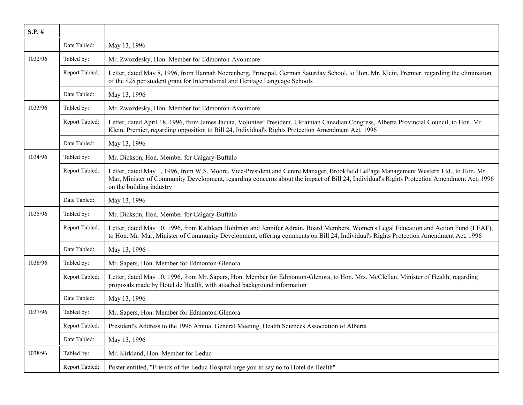| $S.P.$ # |                |                                                                                                                                                                                                                                                                                                                 |
|----------|----------------|-----------------------------------------------------------------------------------------------------------------------------------------------------------------------------------------------------------------------------------------------------------------------------------------------------------------|
|          | Date Tabled:   | May 13, 1996                                                                                                                                                                                                                                                                                                    |
| 1032/96  | Tabled by:     | Mr. Zwozdesky, Hon. Member for Edmonton-Avonmore                                                                                                                                                                                                                                                                |
|          | Report Tabled: | Letter, dated May 8, 1996, from Hannah Noerenberg, Principal, German Saturday School, to Hon. Mr. Klein, Premier, regarding the elimination<br>of the \$25 per student grant for International and Heritage Language Schools                                                                                    |
|          | Date Tabled:   | May 13, 1996                                                                                                                                                                                                                                                                                                    |
| 1033/96  | Tabled by:     | Mr. Zwozdesky, Hon. Member for Edmonton-Avonmore                                                                                                                                                                                                                                                                |
|          | Report Tabled: | Letter, dated April 18, 1996, from James Jacuta, Volunteer President, Ukrainian Canadian Congress, Alberta Provincial Council, to Hon. Mr.<br>Klein, Premier, regarding opposition to Bill 24, Individual's Rights Protection Amendment Act, 1996                                                               |
|          | Date Tabled:   | May 13, 1996                                                                                                                                                                                                                                                                                                    |
| 1034/96  | Tabled by:     | Mr. Dickson, Hon. Member for Calgary-Buffalo                                                                                                                                                                                                                                                                    |
|          | Report Tabled: | Letter, dated May 1, 1996, from W.S. Moore, Vice-President and Centre Manager, Brookfield LePage Management Western Ltd., to Hon. Mr.<br>Mar, Minister of Community Development, regarding concerns about the impact of Bill 24, Individual's Rights Protection Amendment Act, 1996<br>on the building industry |
|          | Date Tabled:   | May 13, 1996                                                                                                                                                                                                                                                                                                    |
| 1035/96  | Tabled by:     | Mr. Dickson, Hon. Member for Calgary-Buffalo                                                                                                                                                                                                                                                                    |
|          | Report Tabled: | Letter, dated May 10, 1996, from Kathleen Hohlman and Jennifer Adrain, Board Members, Women's Legal Education and Action Fund (LEAF),<br>to Hon. Mr. Mar, Minister of Community Development, offering comments on Bill 24, Individual's Rights Protection Amendment Act, 1996                                   |
|          | Date Tabled:   | May 13, 1996                                                                                                                                                                                                                                                                                                    |
| 1036/96  | Tabled by:     | Mr. Sapers, Hon. Member for Edmonton-Glenora                                                                                                                                                                                                                                                                    |
|          | Report Tabled: | Letter, dated May 10, 1996, from Mr. Sapers, Hon. Member for Edmonton-Glenora, to Hon. Mrs. McClellan, Minister of Health, regarding<br>proposals made by Hotel de Health, with attached background information                                                                                                 |
|          | Date Tabled:   | May 13, 1996                                                                                                                                                                                                                                                                                                    |
| 1037/96  | Tabled by:     | Mr. Sapers, Hon. Member for Edmonton-Glenora                                                                                                                                                                                                                                                                    |
|          | Report Tabled: | President's Address to the 1996 Annual General Meeting, Health Sciences Association of Alberta                                                                                                                                                                                                                  |
|          | Date Tabled:   | May 13, 1996                                                                                                                                                                                                                                                                                                    |
| 1038/96  | Tabled by:     | Mr. Kirkland, Hon. Member for Leduc                                                                                                                                                                                                                                                                             |
|          | Report Tabled: | Poster entitled, "Friends of the Leduc Hospital urge you to say no to Hotel de Health"                                                                                                                                                                                                                          |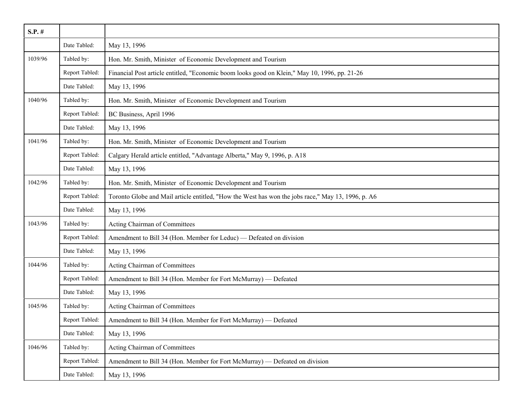| $S.P.$ # |                |                                                                                                    |
|----------|----------------|----------------------------------------------------------------------------------------------------|
|          | Date Tabled:   | May 13, 1996                                                                                       |
| 1039/96  | Tabled by:     | Hon. Mr. Smith, Minister of Economic Development and Tourism                                       |
|          | Report Tabled: | Financial Post article entitled, "Economic boom looks good on Klein," May 10, 1996, pp. 21-26      |
|          | Date Tabled:   | May 13, 1996                                                                                       |
| 1040/96  | Tabled by:     | Hon. Mr. Smith, Minister of Economic Development and Tourism                                       |
|          | Report Tabled: | BC Business, April 1996                                                                            |
|          | Date Tabled:   | May 13, 1996                                                                                       |
| 1041/96  | Tabled by:     | Hon. Mr. Smith, Minister of Economic Development and Tourism                                       |
|          | Report Tabled: | Calgary Herald article entitled, "Advantage Alberta," May 9, 1996, p. A18                          |
|          | Date Tabled:   | May 13, 1996                                                                                       |
| 1042/96  | Tabled by:     | Hon. Mr. Smith, Minister of Economic Development and Tourism                                       |
|          | Report Tabled: | Toronto Globe and Mail article entitled, "How the West has won the jobs race," May 13, 1996, p. A6 |
|          | Date Tabled:   | May 13, 1996                                                                                       |
| 1043/96  | Tabled by:     | Acting Chairman of Committees                                                                      |
|          | Report Tabled: | Amendment to Bill 34 (Hon. Member for Leduc) — Defeated on division                                |
|          | Date Tabled:   | May 13, 1996                                                                                       |
| 1044/96  | Tabled by:     | Acting Chairman of Committees                                                                      |
|          | Report Tabled: | Amendment to Bill 34 (Hon. Member for Fort McMurray) — Defeated                                    |
|          | Date Tabled:   | May 13, 1996                                                                                       |
| 1045/96  | Tabled by:     | Acting Chairman of Committees                                                                      |
|          | Report Tabled: | Amendment to Bill 34 (Hon. Member for Fort McMurray) — Defeated                                    |
|          | Date Tabled:   | May 13, 1996                                                                                       |
| 1046/96  | Tabled by:     | Acting Chairman of Committees                                                                      |
|          | Report Tabled: | Amendment to Bill 34 (Hon. Member for Fort McMurray) — Defeated on division                        |
|          | Date Tabled:   | May 13, 1996                                                                                       |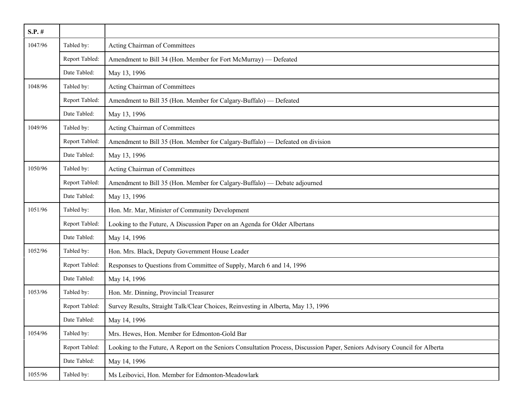| $S.P.$ # |                |                                                                                                                             |
|----------|----------------|-----------------------------------------------------------------------------------------------------------------------------|
| 1047/96  | Tabled by:     | Acting Chairman of Committees                                                                                               |
|          | Report Tabled: | Amendment to Bill 34 (Hon. Member for Fort McMurray) — Defeated                                                             |
|          | Date Tabled:   | May 13, 1996                                                                                                                |
| 1048/96  | Tabled by:     | Acting Chairman of Committees                                                                                               |
|          | Report Tabled: | Amendment to Bill 35 (Hon. Member for Calgary-Buffalo) — Defeated                                                           |
|          | Date Tabled:   | May 13, 1996                                                                                                                |
| 1049/96  | Tabled by:     | Acting Chairman of Committees                                                                                               |
|          | Report Tabled: | Amendment to Bill 35 (Hon. Member for Calgary-Buffalo) — Defeated on division                                               |
|          | Date Tabled:   | May 13, 1996                                                                                                                |
| 1050/96  | Tabled by:     | Acting Chairman of Committees                                                                                               |
|          | Report Tabled: | Amendment to Bill 35 (Hon. Member for Calgary-Buffalo) — Debate adjourned                                                   |
|          | Date Tabled:   | May 13, 1996                                                                                                                |
| 1051/96  | Tabled by:     | Hon. Mr. Mar, Minister of Community Development                                                                             |
|          | Report Tabled: | Looking to the Future, A Discussion Paper on an Agenda for Older Albertans                                                  |
|          | Date Tabled:   | May 14, 1996                                                                                                                |
| 1052/96  | Tabled by:     | Hon. Mrs. Black, Deputy Government House Leader                                                                             |
|          | Report Tabled: | Responses to Questions from Committee of Supply, March 6 and 14, 1996                                                       |
|          | Date Tabled:   | May 14, 1996                                                                                                                |
| 1053/96  | Tabled by:     | Hon. Mr. Dinning, Provincial Treasurer                                                                                      |
|          | Report Tabled: | Survey Results, Straight Talk/Clear Choices, Reinvesting in Alberta, May 13, 1996                                           |
|          | Date Tabled:   | May 14, 1996                                                                                                                |
| 1054/96  | Tabled by:     | Mrs. Hewes, Hon. Member for Edmonton-Gold Bar                                                                               |
|          | Report Tabled: | Looking to the Future, A Report on the Seniors Consultation Process, Discussion Paper, Seniors Advisory Council for Alberta |
|          | Date Tabled:   | May 14, 1996                                                                                                                |
| 1055/96  | Tabled by:     | Ms Leibovici, Hon. Member for Edmonton-Meadowlark                                                                           |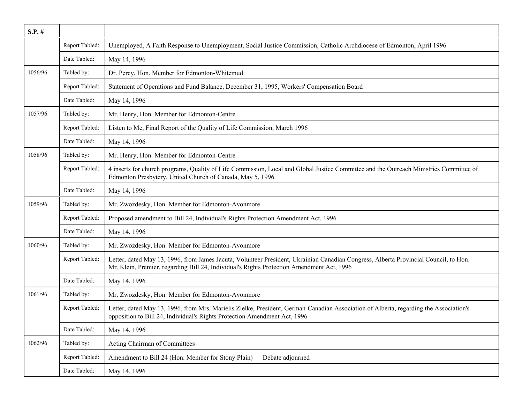| $S.P.$ # |                |                                                                                                                                                                                                                                   |
|----------|----------------|-----------------------------------------------------------------------------------------------------------------------------------------------------------------------------------------------------------------------------------|
|          | Report Tabled: | Unemployed, A Faith Response to Unemployment, Social Justice Commission, Catholic Archdiocese of Edmonton, April 1996                                                                                                             |
|          | Date Tabled:   | May 14, 1996                                                                                                                                                                                                                      |
| 1056/96  | Tabled by:     | Dr. Percy, Hon. Member for Edmonton-Whitemud                                                                                                                                                                                      |
|          | Report Tabled: | Statement of Operations and Fund Balance, December 31, 1995, Workers' Compensation Board                                                                                                                                          |
|          | Date Tabled:   | May 14, 1996                                                                                                                                                                                                                      |
| 1057/96  | Tabled by:     | Mr. Henry, Hon. Member for Edmonton-Centre                                                                                                                                                                                        |
|          | Report Tabled: | Listen to Me, Final Report of the Quality of Life Commission, March 1996                                                                                                                                                          |
|          | Date Tabled:   | May 14, 1996                                                                                                                                                                                                                      |
| 1058/96  | Tabled by:     | Mr. Henry, Hon. Member for Edmonton-Centre                                                                                                                                                                                        |
|          | Report Tabled: | 4 inserts for church programs, Quality of Life Commission, Local and Global Justice Committee and the Outreach Ministries Committee of<br>Edmonton Presbytery, United Church of Canada, May 5, 1996                               |
|          | Date Tabled:   | May 14, 1996                                                                                                                                                                                                                      |
| 1059/96  | Tabled by:     | Mr. Zwozdesky, Hon. Member for Edmonton-Avonmore                                                                                                                                                                                  |
|          | Report Tabled: | Proposed amendment to Bill 24, Individual's Rights Protection Amendment Act, 1996                                                                                                                                                 |
|          | Date Tabled:   | May 14, 1996                                                                                                                                                                                                                      |
| 1060/96  | Tabled by:     | Mr. Zwozdesky, Hon. Member for Edmonton-Avonmore                                                                                                                                                                                  |
|          | Report Tabled: | Letter, dated May 13, 1996, from James Jacuta, Volunteer President, Ukrainian Canadian Congress, Alberta Provincial Council, to Hon.<br>Mr. Klein, Premier, regarding Bill 24, Individual's Rights Protection Amendment Act, 1996 |
|          | Date Tabled:   | May 14, 1996                                                                                                                                                                                                                      |
| 1061/96  | Tabled by:     | Mr. Zwozdesky, Hon. Member for Edmonton-Avonmore                                                                                                                                                                                  |
|          | Report Tabled: | Letter, dated May 13, 1996, from Mrs. Marielis Zielke, President, German-Canadian Association of Alberta, regarding the Association's<br>opposition to Bill 24, Individual's Rights Protection Amendment Act, 1996                |
|          | Date Tabled:   | May 14, 1996                                                                                                                                                                                                                      |
| 1062/96  | Tabled by:     | Acting Chairman of Committees                                                                                                                                                                                                     |
|          | Report Tabled: | Amendment to Bill 24 (Hon. Member for Stony Plain) - Debate adjourned                                                                                                                                                             |
|          | Date Tabled:   | May 14, 1996                                                                                                                                                                                                                      |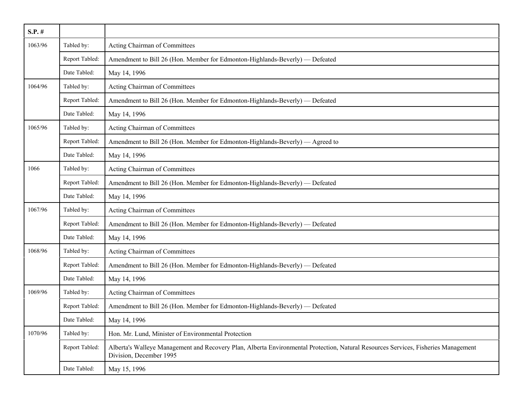| $S.P.$ # |                |                                                                                                                                                               |
|----------|----------------|---------------------------------------------------------------------------------------------------------------------------------------------------------------|
| 1063/96  | Tabled by:     | Acting Chairman of Committees                                                                                                                                 |
|          | Report Tabled: | Amendment to Bill 26 (Hon. Member for Edmonton-Highlands-Beverly) — Defeated                                                                                  |
|          | Date Tabled:   | May 14, 1996                                                                                                                                                  |
| 1064/96  | Tabled by:     | Acting Chairman of Committees                                                                                                                                 |
|          | Report Tabled: | Amendment to Bill 26 (Hon. Member for Edmonton-Highlands-Beverly) — Defeated                                                                                  |
|          | Date Tabled:   | May 14, 1996                                                                                                                                                  |
| 1065/96  | Tabled by:     | Acting Chairman of Committees                                                                                                                                 |
|          | Report Tabled: | Amendment to Bill 26 (Hon. Member for Edmonton-Highlands-Beverly) — Agreed to                                                                                 |
|          | Date Tabled:   | May 14, 1996                                                                                                                                                  |
| 1066     | Tabled by:     | Acting Chairman of Committees                                                                                                                                 |
|          | Report Tabled: | Amendment to Bill 26 (Hon. Member for Edmonton-Highlands-Beverly) — Defeated                                                                                  |
|          | Date Tabled:   | May 14, 1996                                                                                                                                                  |
| 1067/96  | Tabled by:     | Acting Chairman of Committees                                                                                                                                 |
|          | Report Tabled: | Amendment to Bill 26 (Hon. Member for Edmonton-Highlands-Beverly) — Defeated                                                                                  |
|          | Date Tabled:   | May 14, 1996                                                                                                                                                  |
| 1068/96  | Tabled by:     | Acting Chairman of Committees                                                                                                                                 |
|          | Report Tabled: | Amendment to Bill 26 (Hon. Member for Edmonton-Highlands-Beverly) — Defeated                                                                                  |
|          | Date Tabled:   | May 14, 1996                                                                                                                                                  |
| 1069/96  | Tabled by:     | Acting Chairman of Committees                                                                                                                                 |
|          | Report Tabled: | Amendment to Bill 26 (Hon. Member for Edmonton-Highlands-Beverly) — Defeated                                                                                  |
|          | Date Tabled:   | May 14, 1996                                                                                                                                                  |
| 1070/96  | Tabled by:     | Hon. Mr. Lund, Minister of Environmental Protection                                                                                                           |
|          | Report Tabled: | Alberta's Walleye Management and Recovery Plan, Alberta Environmental Protection, Natural Resources Services, Fisheries Management<br>Division, December 1995 |
|          | Date Tabled:   | May 15, 1996                                                                                                                                                  |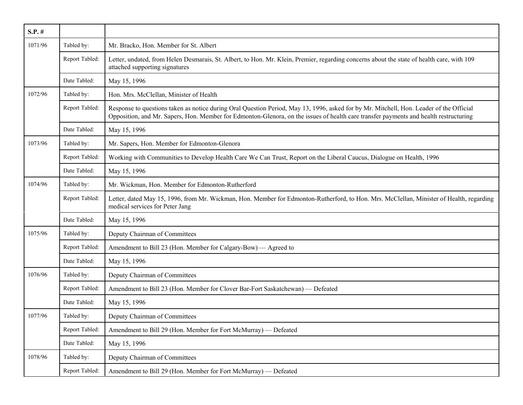| $S.P.$ # |                |                                                                                                                                                                                                                                                                                  |
|----------|----------------|----------------------------------------------------------------------------------------------------------------------------------------------------------------------------------------------------------------------------------------------------------------------------------|
| 1071/96  | Tabled by:     | Mr. Bracko, Hon. Member for St. Albert                                                                                                                                                                                                                                           |
|          | Report Tabled: | Letter, undated, from Helen Desmarais, St. Albert, to Hon. Mr. Klein, Premier, regarding concerns about the state of health care, with 109<br>attached supporting signatures                                                                                                     |
|          | Date Tabled:   | May 15, 1996                                                                                                                                                                                                                                                                     |
| 1072/96  | Tabled by:     | Hon. Mrs. McClellan, Minister of Health                                                                                                                                                                                                                                          |
|          | Report Tabled: | Response to questions taken as notice during Oral Question Period, May 13, 1996, asked for by Mr. Mitchell, Hon. Leader of the Official<br>Opposition, and Mr. Sapers, Hon. Member for Edmonton-Glenora, on the issues of health care transfer payments and health restructuring |
|          | Date Tabled:   | May 15, 1996                                                                                                                                                                                                                                                                     |
| 1073/96  | Tabled by:     | Mr. Sapers, Hon. Member for Edmonton-Glenora                                                                                                                                                                                                                                     |
|          | Report Tabled: | Working with Communities to Develop Health Care We Can Trust, Report on the Liberal Caucus, Dialogue on Health, 1996                                                                                                                                                             |
|          | Date Tabled:   | May 15, 1996                                                                                                                                                                                                                                                                     |
| 1074/96  | Tabled by:     | Mr. Wickman, Hon. Member for Edmonton-Rutherford                                                                                                                                                                                                                                 |
|          | Report Tabled: | Letter, dated May 15, 1996, from Mr. Wickman, Hon. Member for Edmonton-Rutherford, to Hon. Mrs. McClellan, Minister of Health, regarding<br>medical services for Peter Jang                                                                                                      |
|          | Date Tabled:   | May 15, 1996                                                                                                                                                                                                                                                                     |
| 1075/96  | Tabled by:     | Deputy Chairman of Committees                                                                                                                                                                                                                                                    |
|          | Report Tabled: | Amendment to Bill 23 (Hon. Member for Calgary-Bow) — Agreed to                                                                                                                                                                                                                   |
|          | Date Tabled:   | May 15, 1996                                                                                                                                                                                                                                                                     |
| 1076/96  | Tabled by:     | Deputy Chairman of Committees                                                                                                                                                                                                                                                    |
|          | Report Tabled: | Amendment to Bill 23 (Hon. Member for Clover Bar-Fort Saskatchewan) — Defeated                                                                                                                                                                                                   |
|          | Date Tabled:   | May 15, 1996                                                                                                                                                                                                                                                                     |
| 1077/96  | Tabled by:     | Deputy Chairman of Committees                                                                                                                                                                                                                                                    |
|          | Report Tabled: | Amendment to Bill 29 (Hon. Member for Fort McMurray) - Defeated                                                                                                                                                                                                                  |
|          | Date Tabled:   | May 15, 1996                                                                                                                                                                                                                                                                     |
| 1078/96  | Tabled by:     | Deputy Chairman of Committees                                                                                                                                                                                                                                                    |
|          | Report Tabled: | Amendment to Bill 29 (Hon. Member for Fort McMurray) — Defeated                                                                                                                                                                                                                  |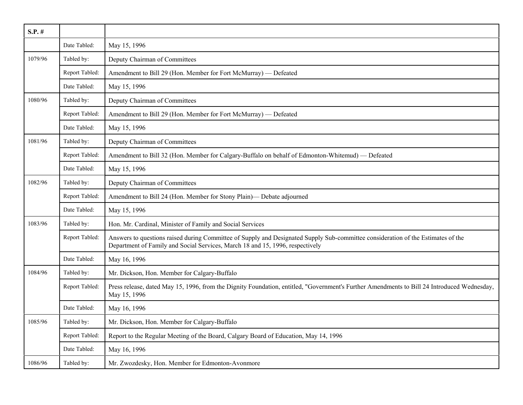| $S.P.$ # |                |                                                                                                                                                                                                                   |
|----------|----------------|-------------------------------------------------------------------------------------------------------------------------------------------------------------------------------------------------------------------|
|          | Date Tabled:   | May 15, 1996                                                                                                                                                                                                      |
| 1079/96  | Tabled by:     | Deputy Chairman of Committees                                                                                                                                                                                     |
|          | Report Tabled: | Amendment to Bill 29 (Hon. Member for Fort McMurray) — Defeated                                                                                                                                                   |
|          | Date Tabled:   | May 15, 1996                                                                                                                                                                                                      |
| 1080/96  | Tabled by:     | Deputy Chairman of Committees                                                                                                                                                                                     |
|          | Report Tabled: | Amendment to Bill 29 (Hon. Member for Fort McMurray) — Defeated                                                                                                                                                   |
|          | Date Tabled:   | May 15, 1996                                                                                                                                                                                                      |
| 1081/96  | Tabled by:     | Deputy Chairman of Committees                                                                                                                                                                                     |
|          | Report Tabled: | Amendment to Bill 32 (Hon. Member for Calgary-Buffalo on behalf of Edmonton-Whitemud) — Defeated                                                                                                                  |
|          | Date Tabled:   | May 15, 1996                                                                                                                                                                                                      |
| 1082/96  | Tabled by:     | Deputy Chairman of Committees                                                                                                                                                                                     |
|          | Report Tabled: | Amendment to Bill 24 (Hon. Member for Stony Plain)— Debate adjourned                                                                                                                                              |
|          | Date Tabled:   | May 15, 1996                                                                                                                                                                                                      |
| 1083/96  | Tabled by:     | Hon. Mr. Cardinal, Minister of Family and Social Services                                                                                                                                                         |
|          | Report Tabled: | Answers to questions raised during Committee of Supply and Designated Supply Sub-committee consideration of the Estimates of the<br>Department of Family and Social Services, March 18 and 15, 1996, respectively |
|          | Date Tabled:   | May 16, 1996                                                                                                                                                                                                      |
| 1084/96  | Tabled by:     | Mr. Dickson, Hon. Member for Calgary-Buffalo                                                                                                                                                                      |
|          | Report Tabled: | Press release, dated May 15, 1996, from the Dignity Foundation, entitled, "Government's Further Amendments to Bill 24 Introduced Wednesday,<br>May 15, 1996                                                       |
|          | Date Tabled:   | May 16, 1996                                                                                                                                                                                                      |
| 1085/96  | Tabled by:     | Mr. Dickson, Hon. Member for Calgary-Buffalo                                                                                                                                                                      |
|          | Report Tabled: | Report to the Regular Meeting of the Board, Calgary Board of Education, May 14, 1996                                                                                                                              |
|          | Date Tabled:   | May 16, 1996                                                                                                                                                                                                      |
| 1086/96  | Tabled by:     | Mr. Zwozdesky, Hon. Member for Edmonton-Avonmore                                                                                                                                                                  |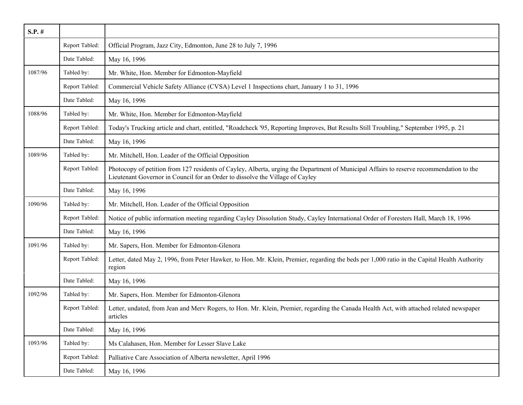| $S.P.$ # |                |                                                                                                                                                                                                                           |
|----------|----------------|---------------------------------------------------------------------------------------------------------------------------------------------------------------------------------------------------------------------------|
|          | Report Tabled: | Official Program, Jazz City, Edmonton, June 28 to July 7, 1996                                                                                                                                                            |
|          | Date Tabled:   | May 16, 1996                                                                                                                                                                                                              |
| 1087/96  | Tabled by:     | Mr. White, Hon. Member for Edmonton-Mayfield                                                                                                                                                                              |
|          | Report Tabled: | Commercial Vehicle Safety Alliance (CVSA) Level 1 Inspections chart, January 1 to 31, 1996                                                                                                                                |
|          | Date Tabled:   | May 16, 1996                                                                                                                                                                                                              |
| 1088/96  | Tabled by:     | Mr. White, Hon. Member for Edmonton-Mayfield                                                                                                                                                                              |
|          | Report Tabled: | Today's Trucking article and chart, entitled, "Roadcheck '95, Reporting Improves, But Results Still Troubling," September 1995, p. 21                                                                                     |
|          | Date Tabled:   | May 16, 1996                                                                                                                                                                                                              |
| 1089/96  | Tabled by:     | Mr. Mitchell, Hon. Leader of the Official Opposition                                                                                                                                                                      |
|          | Report Tabled: | Photocopy of petition from 127 residents of Cayley, Alberta, urging the Department of Municipal Affairs to reserve recommendation to the<br>Lieutenant Governor in Council for an Order to dissolve the Village of Cayley |
|          | Date Tabled:   | May 16, 1996                                                                                                                                                                                                              |
| 1090/96  | Tabled by:     | Mr. Mitchell, Hon. Leader of the Official Opposition                                                                                                                                                                      |
|          | Report Tabled: | Notice of public information meeting regarding Cayley Dissolution Study, Cayley International Order of Foresters Hall, March 18, 1996                                                                                     |
|          | Date Tabled:   | May 16, 1996                                                                                                                                                                                                              |
| 1091/96  | Tabled by:     | Mr. Sapers, Hon. Member for Edmonton-Glenora                                                                                                                                                                              |
|          | Report Tabled: | Letter, dated May 2, 1996, from Peter Hawker, to Hon. Mr. Klein, Premier, regarding the beds per 1,000 ratio in the Capital Health Authority<br>region                                                                    |
|          | Date Tabled:   | May 16, 1996                                                                                                                                                                                                              |
| 1092/96  | Tabled by:     | Mr. Sapers, Hon. Member for Edmonton-Glenora                                                                                                                                                                              |
|          | Report Tabled: | Letter, undated, from Jean and Merv Rogers, to Hon. Mr. Klein, Premier, regarding the Canada Health Act, with attached related newspaper<br>articles                                                                      |
|          | Date Tabled:   | May 16, 1996                                                                                                                                                                                                              |
| 1093/96  | Tabled by:     | Ms Calahasen, Hon. Member for Lesser Slave Lake                                                                                                                                                                           |
|          | Report Tabled: | Palliative Care Association of Alberta newsletter, April 1996                                                                                                                                                             |
|          | Date Tabled:   | May 16, 1996                                                                                                                                                                                                              |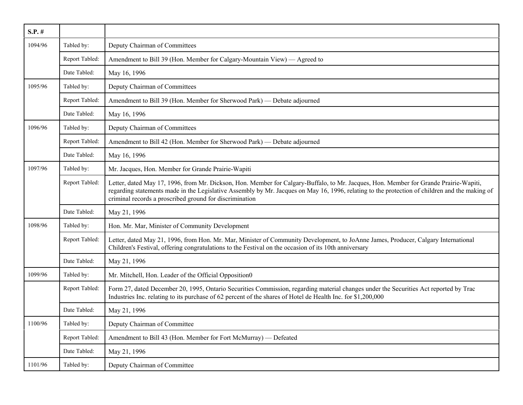| $S.P.$ # |                |                                                                                                                                                                                                                                                                                                                                                    |
|----------|----------------|----------------------------------------------------------------------------------------------------------------------------------------------------------------------------------------------------------------------------------------------------------------------------------------------------------------------------------------------------|
| 1094/96  | Tabled by:     | Deputy Chairman of Committees                                                                                                                                                                                                                                                                                                                      |
|          | Report Tabled: | Amendment to Bill 39 (Hon. Member for Calgary-Mountain View) — Agreed to                                                                                                                                                                                                                                                                           |
|          | Date Tabled:   | May 16, 1996                                                                                                                                                                                                                                                                                                                                       |
| 1095/96  | Tabled by:     | Deputy Chairman of Committees                                                                                                                                                                                                                                                                                                                      |
|          | Report Tabled: | Amendment to Bill 39 (Hon. Member for Sherwood Park) — Debate adjourned                                                                                                                                                                                                                                                                            |
|          | Date Tabled:   | May 16, 1996                                                                                                                                                                                                                                                                                                                                       |
| 1096/96  | Tabled by:     | Deputy Chairman of Committees                                                                                                                                                                                                                                                                                                                      |
|          | Report Tabled: | Amendment to Bill 42 (Hon. Member for Sherwood Park) - Debate adjourned                                                                                                                                                                                                                                                                            |
|          | Date Tabled:   | May 16, 1996                                                                                                                                                                                                                                                                                                                                       |
| 1097/96  | Tabled by:     | Mr. Jacques, Hon. Member for Grande Prairie-Wapiti                                                                                                                                                                                                                                                                                                 |
|          | Report Tabled: | Letter, dated May 17, 1996, from Mr. Dickson, Hon. Member for Calgary-Buffalo, to Mr. Jacques, Hon. Member for Grande Prairie-Wapiti,<br>regarding statements made in the Legislative Assembly by Mr. Jacques on May 16, 1996, relating to the protection of children and the making of<br>criminal records a proscribed ground for discrimination |
|          | Date Tabled:   | May 21, 1996                                                                                                                                                                                                                                                                                                                                       |
| 1098/96  | Tabled by:     | Hon. Mr. Mar, Minister of Community Development                                                                                                                                                                                                                                                                                                    |
|          | Report Tabled: | Letter, dated May 21, 1996, from Hon. Mr. Mar, Minister of Community Development, to JoAnne James, Producer, Calgary International<br>Children's Festival, offering congratulations to the Festival on the occasion of its 10th anniversary                                                                                                        |
|          | Date Tabled:   | May 21, 1996                                                                                                                                                                                                                                                                                                                                       |
| 1099/96  | Tabled by:     | Mr. Mitchell, Hon. Leader of the Official Opposition0                                                                                                                                                                                                                                                                                              |
|          | Report Tabled: | Form 27, dated December 20, 1995, Ontario Securities Commission, regarding material changes under the Securities Act reported by Trac<br>Industries Inc. relating to its purchase of 62 percent of the shares of Hotel de Health Inc. for \$1,200,000                                                                                              |
|          | Date Tabled:   | May 21, 1996                                                                                                                                                                                                                                                                                                                                       |
| 1100/96  | Tabled by:     | Deputy Chairman of Committee                                                                                                                                                                                                                                                                                                                       |
|          | Report Tabled: | Amendment to Bill 43 (Hon. Member for Fort McMurray) — Defeated                                                                                                                                                                                                                                                                                    |
|          | Date Tabled:   | May 21, 1996                                                                                                                                                                                                                                                                                                                                       |
| 1101/96  | Tabled by:     | Deputy Chairman of Committee                                                                                                                                                                                                                                                                                                                       |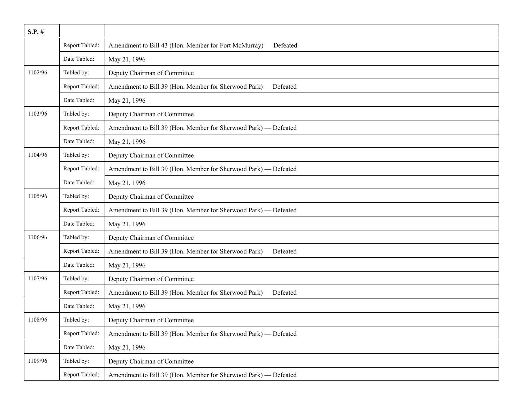| $S.P.$ # |                |                                                                 |
|----------|----------------|-----------------------------------------------------------------|
|          | Report Tabled: | Amendment to Bill 43 (Hon. Member for Fort McMurray) — Defeated |
|          | Date Tabled:   | May 21, 1996                                                    |
| 1102/96  | Tabled by:     | Deputy Chairman of Committee                                    |
|          | Report Tabled: | Amendment to Bill 39 (Hon. Member for Sherwood Park) - Defeated |
|          | Date Tabled:   | May 21, 1996                                                    |
| 1103/96  | Tabled by:     | Deputy Chairman of Committee                                    |
|          | Report Tabled: | Amendment to Bill 39 (Hon. Member for Sherwood Park) - Defeated |
|          | Date Tabled:   | May 21, 1996                                                    |
| 1104/96  | Tabled by:     | Deputy Chairman of Committee                                    |
|          | Report Tabled: | Amendment to Bill 39 (Hon. Member for Sherwood Park) - Defeated |
|          | Date Tabled:   | May 21, 1996                                                    |
| 1105/96  | Tabled by:     | Deputy Chairman of Committee                                    |
|          | Report Tabled: | Amendment to Bill 39 (Hon. Member for Sherwood Park) - Defeated |
|          | Date Tabled:   | May 21, 1996                                                    |
| 1106/96  | Tabled by:     | Deputy Chairman of Committee                                    |
|          | Report Tabled: | Amendment to Bill 39 (Hon. Member for Sherwood Park) - Defeated |
|          | Date Tabled:   | May 21, 1996                                                    |
| 1107/96  | Tabled by:     | Deputy Chairman of Committee                                    |
|          | Report Tabled: | Amendment to Bill 39 (Hon. Member for Sherwood Park) - Defeated |
|          | Date Tabled:   | May 21, 1996                                                    |
| 1108/96  | Tabled by:     | Deputy Chairman of Committee                                    |
|          | Report Tabled: | Amendment to Bill 39 (Hon. Member for Sherwood Park) - Defeated |
|          | Date Tabled:   | May 21, 1996                                                    |
| 1109/96  | Tabled by:     | Deputy Chairman of Committee                                    |
|          | Report Tabled: | Amendment to Bill 39 (Hon. Member for Sherwood Park) - Defeated |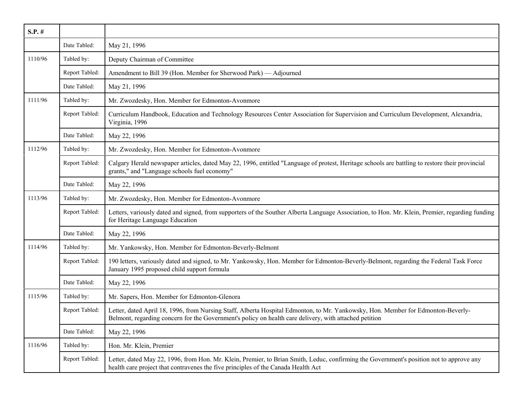| $S.P.$ # |                |                                                                                                                                                                                                                                            |
|----------|----------------|--------------------------------------------------------------------------------------------------------------------------------------------------------------------------------------------------------------------------------------------|
|          | Date Tabled:   | May 21, 1996                                                                                                                                                                                                                               |
| 1110/96  | Tabled by:     | Deputy Chairman of Committee                                                                                                                                                                                                               |
|          | Report Tabled: | Amendment to Bill 39 (Hon. Member for Sherwood Park) — Adjourned                                                                                                                                                                           |
|          | Date Tabled:   | May 21, 1996                                                                                                                                                                                                                               |
| 1111/96  | Tabled by:     | Mr. Zwozdesky, Hon. Member for Edmonton-Avonmore                                                                                                                                                                                           |
|          | Report Tabled: | Curriculum Handbook, Education and Technology Resources Center Association for Supervision and Curriculum Development, Alexandria,<br>Virginia, 1996                                                                                       |
|          | Date Tabled:   | May 22, 1996                                                                                                                                                                                                                               |
| 1112/96  | Tabled by:     | Mr. Zwozdesky, Hon. Member for Edmonton-Avonmore                                                                                                                                                                                           |
|          | Report Tabled: | Calgary Herald newspaper articles, dated May 22, 1996, entitled "Language of protest, Heritage schools are battling to restore their provincial<br>grants," and "Language schools fuel economy"                                            |
|          | Date Tabled:   | May 22, 1996                                                                                                                                                                                                                               |
| 1113/96  | Tabled by:     | Mr. Zwozdesky, Hon. Member for Edmonton-Avonmore                                                                                                                                                                                           |
|          | Report Tabled: | Letters, variously dated and signed, from supporters of the Souther Alberta Language Association, to Hon. Mr. Klein, Premier, regarding funding<br>for Heritage Language Education                                                         |
|          | Date Tabled:   | May 22, 1996                                                                                                                                                                                                                               |
| 1114/96  | Tabled by:     | Mr. Yankowsky, Hon. Member for Edmonton-Beverly-Belmont                                                                                                                                                                                    |
|          | Report Tabled: | 190 letters, variously dated and signed, to Mr. Yankowsky, Hon. Member for Edmonton-Beverly-Belmont, regarding the Federal Task Force<br>January 1995 proposed child support formula                                                       |
|          | Date Tabled:   | May 22, 1996                                                                                                                                                                                                                               |
| 1115/96  | Tabled by:     | Mr. Sapers, Hon. Member for Edmonton-Glenora                                                                                                                                                                                               |
|          | Report Tabled: | Letter, dated April 18, 1996, from Nursing Staff, Alberta Hospital Edmonton, to Mr. Yankowsky, Hon. Member for Edmonton-Beverly-<br>Belmont, regarding concern for the Government's policy on health care delivery, with attached petition |
|          | Date Tabled:   | May 22, 1996                                                                                                                                                                                                                               |
| 1116/96  | Tabled by:     | Hon. Mr. Klein, Premier                                                                                                                                                                                                                    |
|          | Report Tabled: | Letter, dated May 22, 1996, from Hon. Mr. Klein, Premier, to Brian Smith, Leduc, confirming the Government's position not to approve any<br>health care project that contravenes the five principles of the Canada Health Act              |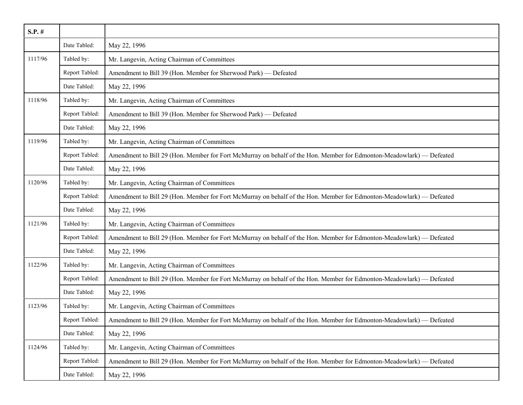| $S.P.$ # |                |                                                                                                                      |
|----------|----------------|----------------------------------------------------------------------------------------------------------------------|
|          | Date Tabled:   | May 22, 1996                                                                                                         |
| 1117/96  | Tabled by:     | Mr. Langevin, Acting Chairman of Committees                                                                          |
|          | Report Tabled: | Amendment to Bill 39 (Hon. Member for Sherwood Park) - Defeated                                                      |
|          | Date Tabled:   | May 22, 1996                                                                                                         |
| 1118/96  | Tabled by:     | Mr. Langevin, Acting Chairman of Committees                                                                          |
|          | Report Tabled: | Amendment to Bill 39 (Hon. Member for Sherwood Park) - Defeated                                                      |
|          | Date Tabled:   | May 22, 1996                                                                                                         |
| 1119/96  | Tabled by:     | Mr. Langevin, Acting Chairman of Committees                                                                          |
|          | Report Tabled: | Amendment to Bill 29 (Hon. Member for Fort McMurray on behalf of the Hon. Member for Edmonton-Meadowlark) — Defeated |
|          | Date Tabled:   | May 22, 1996                                                                                                         |
| 1120/96  | Tabled by:     | Mr. Langevin, Acting Chairman of Committees                                                                          |
|          | Report Tabled: | Amendment to Bill 29 (Hon. Member for Fort McMurray on behalf of the Hon. Member for Edmonton-Meadowlark) — Defeated |
|          | Date Tabled:   | May 22, 1996                                                                                                         |
| 1121/96  | Tabled by:     | Mr. Langevin, Acting Chairman of Committees                                                                          |
|          | Report Tabled: | Amendment to Bill 29 (Hon. Member for Fort McMurray on behalf of the Hon. Member for Edmonton-Meadowlark) — Defeated |
|          | Date Tabled:   | May 22, 1996                                                                                                         |
| 1122/96  | Tabled by:     | Mr. Langevin, Acting Chairman of Committees                                                                          |
|          | Report Tabled: | Amendment to Bill 29 (Hon. Member for Fort McMurray on behalf of the Hon. Member for Edmonton-Meadowlark) — Defeated |
|          | Date Tabled:   | May 22, 1996                                                                                                         |
| 1123/96  | Tabled by:     | Mr. Langevin, Acting Chairman of Committees                                                                          |
|          | Report Tabled: | Amendment to Bill 29 (Hon. Member for Fort McMurray on behalf of the Hon. Member for Edmonton-Meadowlark) — Defeated |
|          | Date Tabled:   | May 22, 1996                                                                                                         |
| 1124/96  | Tabled by:     | Mr. Langevin, Acting Chairman of Committees                                                                          |
|          | Report Tabled: | Amendment to Bill 29 (Hon. Member for Fort McMurray on behalf of the Hon. Member for Edmonton-Meadowlark) — Defeated |
|          | Date Tabled:   | May 22, 1996                                                                                                         |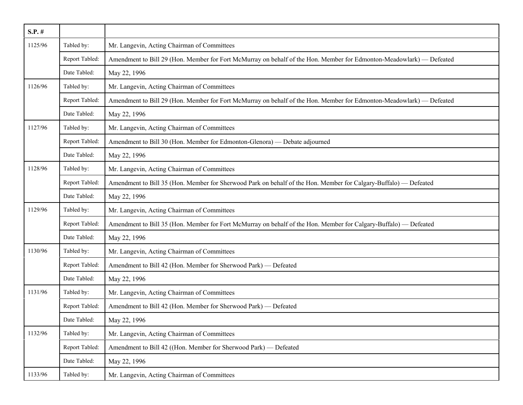| $S.P.$ # |                |                                                                                                                      |
|----------|----------------|----------------------------------------------------------------------------------------------------------------------|
| 1125/96  | Tabled by:     | Mr. Langevin, Acting Chairman of Committees                                                                          |
|          | Report Tabled: | Amendment to Bill 29 (Hon. Member for Fort McMurray on behalf of the Hon. Member for Edmonton-Meadowlark) — Defeated |
|          | Date Tabled:   | May 22, 1996                                                                                                         |
| 1126/96  | Tabled by:     | Mr. Langevin, Acting Chairman of Committees                                                                          |
|          | Report Tabled: | Amendment to Bill 29 (Hon. Member for Fort McMurray on behalf of the Hon. Member for Edmonton-Meadowlark) — Defeated |
|          | Date Tabled:   | May 22, 1996                                                                                                         |
| 1127/96  | Tabled by:     | Mr. Langevin, Acting Chairman of Committees                                                                          |
|          | Report Tabled: | Amendment to Bill 30 (Hon. Member for Edmonton-Glenora) — Debate adjourned                                           |
|          | Date Tabled:   | May 22, 1996                                                                                                         |
| 1128/96  | Tabled by:     | Mr. Langevin, Acting Chairman of Committees                                                                          |
|          | Report Tabled: | Amendment to Bill 35 (Hon. Member for Sherwood Park on behalf of the Hon. Member for Calgary-Buffalo) — Defeated     |
|          | Date Tabled:   | May 22, 1996                                                                                                         |
| 1129/96  | Tabled by:     | Mr. Langevin, Acting Chairman of Committees                                                                          |
|          | Report Tabled: | Amendment to Bill 35 (Hon. Member for Fort McMurray on behalf of the Hon. Member for Calgary-Buffalo) — Defeated     |
|          | Date Tabled:   | May 22, 1996                                                                                                         |
| 1130/96  | Tabled by:     | Mr. Langevin, Acting Chairman of Committees                                                                          |
|          | Report Tabled: | Amendment to Bill 42 (Hon. Member for Sherwood Park) - Defeated                                                      |
|          | Date Tabled:   | May 22, 1996                                                                                                         |
| 1131/96  | Tabled by:     | Mr. Langevin, Acting Chairman of Committees                                                                          |
|          | Report Tabled: | Amendment to Bill 42 (Hon. Member for Sherwood Park) - Defeated                                                      |
|          | Date Tabled:   | May 22, 1996                                                                                                         |
| 1132/96  | Tabled by:     | Mr. Langevin, Acting Chairman of Committees                                                                          |
|          | Report Tabled: | Amendment to Bill 42 ((Hon. Member for Sherwood Park) — Defeated                                                     |
|          | Date Tabled:   | May 22, 1996                                                                                                         |
| 1133/96  | Tabled by:     | Mr. Langevin, Acting Chairman of Committees                                                                          |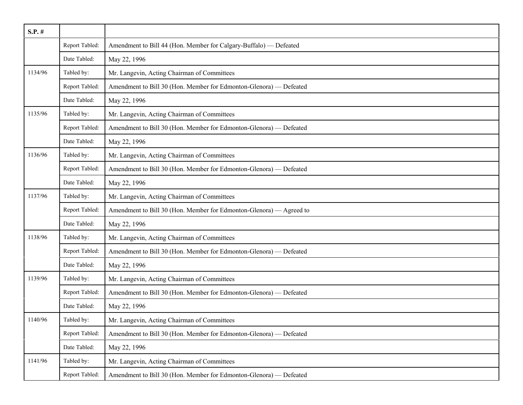| $S.P.$ # |                |                                                                     |
|----------|----------------|---------------------------------------------------------------------|
|          | Report Tabled: | Amendment to Bill 44 (Hon. Member for Calgary-Buffalo) - Defeated   |
|          | Date Tabled:   | May 22, 1996                                                        |
| 1134/96  | Tabled by:     | Mr. Langevin, Acting Chairman of Committees                         |
|          | Report Tabled: | Amendment to Bill 30 (Hon. Member for Edmonton-Glenora) - Defeated  |
|          | Date Tabled:   | May 22, 1996                                                        |
| 1135/96  | Tabled by:     | Mr. Langevin, Acting Chairman of Committees                         |
|          | Report Tabled: | Amendment to Bill 30 (Hon. Member for Edmonton-Glenora) — Defeated  |
|          | Date Tabled:   | May 22, 1996                                                        |
| 1136/96  | Tabled by:     | Mr. Langevin, Acting Chairman of Committees                         |
|          | Report Tabled: | Amendment to Bill 30 (Hon. Member for Edmonton-Glenora) — Defeated  |
|          | Date Tabled:   | May 22, 1996                                                        |
| 1137/96  | Tabled by:     | Mr. Langevin, Acting Chairman of Committees                         |
|          | Report Tabled: | Amendment to Bill 30 (Hon. Member for Edmonton-Glenora) — Agreed to |
|          | Date Tabled:   | May 22, 1996                                                        |
| 1138/96  | Tabled by:     | Mr. Langevin, Acting Chairman of Committees                         |
|          | Report Tabled: | Amendment to Bill 30 (Hon. Member for Edmonton-Glenora) — Defeated  |
|          | Date Tabled:   | May 22, 1996                                                        |
| 1139/96  | Tabled by:     | Mr. Langevin, Acting Chairman of Committees                         |
|          | Report Tabled: | Amendment to Bill 30 (Hon. Member for Edmonton-Glenora) - Defeated  |
|          | Date Tabled:   | May 22, 1996                                                        |
| 1140/96  | Tabled by:     | Mr. Langevin, Acting Chairman of Committees                         |
|          | Report Tabled: | Amendment to Bill 30 (Hon. Member for Edmonton-Glenora) — Defeated  |
|          | Date Tabled:   | May 22, 1996                                                        |
| 1141/96  | Tabled by:     | Mr. Langevin, Acting Chairman of Committees                         |
|          | Report Tabled: | Amendment to Bill 30 (Hon. Member for Edmonton-Glenora) — Defeated  |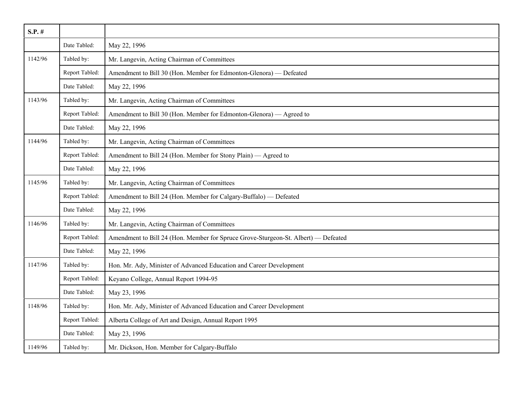| $S.P.$ # |                |                                                                                    |
|----------|----------------|------------------------------------------------------------------------------------|
|          | Date Tabled:   | May 22, 1996                                                                       |
| 1142/96  | Tabled by:     | Mr. Langevin, Acting Chairman of Committees                                        |
|          | Report Tabled: | Amendment to Bill 30 (Hon. Member for Edmonton-Glenora) — Defeated                 |
|          | Date Tabled:   | May 22, 1996                                                                       |
| 1143/96  | Tabled by:     | Mr. Langevin, Acting Chairman of Committees                                        |
|          | Report Tabled: | Amendment to Bill 30 (Hon. Member for Edmonton-Glenora) — Agreed to                |
|          | Date Tabled:   | May 22, 1996                                                                       |
| 1144/96  | Tabled by:     | Mr. Langevin, Acting Chairman of Committees                                        |
|          | Report Tabled: | Amendment to Bill 24 (Hon. Member for Stony Plain) — Agreed to                     |
|          | Date Tabled:   | May 22, 1996                                                                       |
| 1145/96  | Tabled by:     | Mr. Langevin, Acting Chairman of Committees                                        |
|          | Report Tabled: | Amendment to Bill 24 (Hon. Member for Calgary-Buffalo) — Defeated                  |
|          | Date Tabled:   | May 22, 1996                                                                       |
| 1146/96  | Tabled by:     | Mr. Langevin, Acting Chairman of Committees                                        |
|          | Report Tabled: | Amendment to Bill 24 (Hon. Member for Spruce Grove-Sturgeon-St. Albert) — Defeated |
|          | Date Tabled:   | May 22, 1996                                                                       |
| 1147/96  | Tabled by:     | Hon. Mr. Ady, Minister of Advanced Education and Career Development                |
|          | Report Tabled: | Keyano College, Annual Report 1994-95                                              |
|          | Date Tabled:   | May 23, 1996                                                                       |
| 1148/96  | Tabled by:     | Hon. Mr. Ady, Minister of Advanced Education and Career Development                |
|          | Report Tabled: | Alberta College of Art and Design, Annual Report 1995                              |
|          | Date Tabled:   | May 23, 1996                                                                       |
| 1149/96  | Tabled by:     | Mr. Dickson, Hon. Member for Calgary-Buffalo                                       |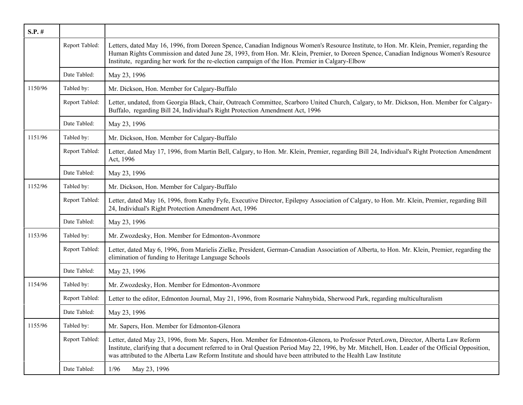| $S.P.$ # |                |                                                                                                                                                                                                                                                                                                                                                                                                           |
|----------|----------------|-----------------------------------------------------------------------------------------------------------------------------------------------------------------------------------------------------------------------------------------------------------------------------------------------------------------------------------------------------------------------------------------------------------|
|          | Report Tabled: | Letters, dated May 16, 1996, from Doreen Spence, Canadian Indignous Women's Resource Institute, to Hon. Mr. Klein, Premier, regarding the<br>Human Rights Commission and dated June 28, 1993, from Hon. Mr. Klein, Premier, to Doreen Spence, Canadian Indignous Women's Resource<br>Institute, regarding her work for the re-election campaign of the Hon. Premier in Calgary-Elbow                      |
|          | Date Tabled:   | May 23, 1996                                                                                                                                                                                                                                                                                                                                                                                              |
| 1150/96  | Tabled by:     | Mr. Dickson, Hon. Member for Calgary-Buffalo                                                                                                                                                                                                                                                                                                                                                              |
|          | Report Tabled: | Letter, undated, from Georgia Black, Chair, Outreach Committee, Scarboro United Church, Calgary, to Mr. Dickson, Hon. Member for Calgary-<br>Buffalo, regarding Bill 24, Individual's Right Protection Amendment Act, 1996                                                                                                                                                                                |
|          | Date Tabled:   | May 23, 1996                                                                                                                                                                                                                                                                                                                                                                                              |
| 1151/96  | Tabled by:     | Mr. Dickson, Hon. Member for Calgary-Buffalo                                                                                                                                                                                                                                                                                                                                                              |
|          | Report Tabled: | Letter, dated May 17, 1996, from Martin Bell, Calgary, to Hon. Mr. Klein, Premier, regarding Bill 24, Individual's Right Protection Amendment<br>Act, 1996                                                                                                                                                                                                                                                |
|          | Date Tabled:   | May 23, 1996                                                                                                                                                                                                                                                                                                                                                                                              |
| 1152/96  | Tabled by:     | Mr. Dickson, Hon. Member for Calgary-Buffalo                                                                                                                                                                                                                                                                                                                                                              |
|          | Report Tabled: | Letter, dated May 16, 1996, from Kathy Fyfe, Executive Director, Epilepsy Association of Calgary, to Hon. Mr. Klein, Premier, regarding Bill<br>24, Individual's Right Protection Amendment Act, 1996                                                                                                                                                                                                     |
|          | Date Tabled:   | May 23, 1996                                                                                                                                                                                                                                                                                                                                                                                              |
| 1153/96  | Tabled by:     | Mr. Zwozdesky, Hon. Member for Edmonton-Avonmore                                                                                                                                                                                                                                                                                                                                                          |
|          | Report Tabled: | Letter, dated May 6, 1996, from Marielis Zielke, President, German-Canadian Association of Alberta, to Hon. Mr. Klein, Premier, regarding the<br>elimination of funding to Heritage Language Schools                                                                                                                                                                                                      |
|          | Date Tabled:   | May 23, 1996                                                                                                                                                                                                                                                                                                                                                                                              |
| 1154/96  | Tabled by:     | Mr. Zwozdesky, Hon. Member for Edmonton-Avonmore                                                                                                                                                                                                                                                                                                                                                          |
|          | Report Tabled: | Letter to the editor, Edmonton Journal, May 21, 1996, from Rosmarie Nahnybida, Sherwood Park, regarding multiculturalism                                                                                                                                                                                                                                                                                  |
|          | Date Tabled:   | May 23, 1996                                                                                                                                                                                                                                                                                                                                                                                              |
| 1155/96  | Tabled by:     | Mr. Sapers, Hon. Member for Edmonton-Glenora                                                                                                                                                                                                                                                                                                                                                              |
|          | Report Tabled: | Letter, dated May 23, 1996, from Mr. Sapers, Hon. Member for Edmonton-Glenora, to Professor PeterLown, Director, Alberta Law Reform<br>Institute, clarifying that a document referred to in Oral Question Period May 22, 1996, by Mr. Mitchell, Hon. Leader of the Official Opposition,<br>was attributed to the Alberta Law Reform Institute and should have been attributed to the Health Law Institute |
|          | Date Tabled:   | 1/96<br>May 23, 1996                                                                                                                                                                                                                                                                                                                                                                                      |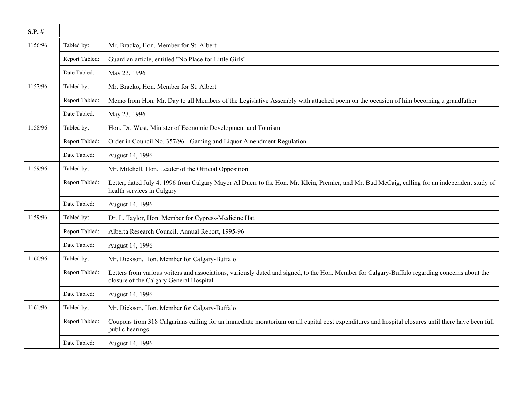| $S.P.$ # |                |                                                                                                                                                                                           |
|----------|----------------|-------------------------------------------------------------------------------------------------------------------------------------------------------------------------------------------|
| 1156/96  | Tabled by:     | Mr. Bracko, Hon. Member for St. Albert                                                                                                                                                    |
|          | Report Tabled: | Guardian article, entitled "No Place for Little Girls"                                                                                                                                    |
|          | Date Tabled:   | May 23, 1996                                                                                                                                                                              |
| 1157/96  | Tabled by:     | Mr. Bracko, Hon. Member for St. Albert                                                                                                                                                    |
|          | Report Tabled: | Memo from Hon. Mr. Day to all Members of the Legislative Assembly with attached poem on the occasion of him becoming a grandfather                                                        |
|          | Date Tabled:   | May 23, 1996                                                                                                                                                                              |
| 1158/96  | Tabled by:     | Hon. Dr. West, Minister of Economic Development and Tourism                                                                                                                               |
|          | Report Tabled: | Order in Council No. 357/96 - Gaming and Liquor Amendment Regulation                                                                                                                      |
|          | Date Tabled:   | August 14, 1996                                                                                                                                                                           |
| 1159/96  | Tabled by:     | Mr. Mitchell, Hon. Leader of the Official Opposition                                                                                                                                      |
|          | Report Tabled: | Letter, dated July 4, 1996 from Calgary Mayor Al Duerr to the Hon. Mr. Klein, Premier, and Mr. Bud McCaig, calling for an independent study of<br>health services in Calgary              |
|          | Date Tabled:   | August 14, 1996                                                                                                                                                                           |
| 1159/96  | Tabled by:     | Dr. L. Taylor, Hon. Member for Cypress-Medicine Hat                                                                                                                                       |
|          | Report Tabled: | Alberta Research Council, Annual Report, 1995-96                                                                                                                                          |
|          | Date Tabled:   | August 14, 1996                                                                                                                                                                           |
| 1160/96  | Tabled by:     | Mr. Dickson, Hon. Member for Calgary-Buffalo                                                                                                                                              |
|          | Report Tabled: | Letters from various writers and associations, variously dated and signed, to the Hon. Member for Calgary-Buffalo regarding concerns about the<br>closure of the Calgary General Hospital |
|          | Date Tabled:   | August 14, 1996                                                                                                                                                                           |
| 1161/96  | Tabled by:     | Mr. Dickson, Hon. Member for Calgary-Buffalo                                                                                                                                              |
|          | Report Tabled: | Coupons from 318 Calgarians calling for an immediate moratorium on all capital cost expenditures and hospital closures until there have been full<br>public hearings                      |
|          | Date Tabled:   | August 14, 1996                                                                                                                                                                           |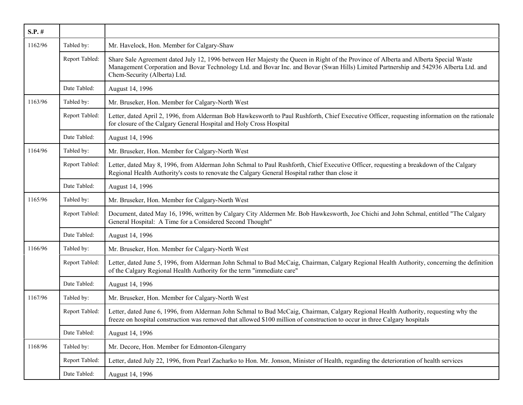| $S.P.$ # |                |                                                                                                                                                                                                                                                                                                                |
|----------|----------------|----------------------------------------------------------------------------------------------------------------------------------------------------------------------------------------------------------------------------------------------------------------------------------------------------------------|
| 1162/96  | Tabled by:     | Mr. Havelock, Hon. Member for Calgary-Shaw                                                                                                                                                                                                                                                                     |
|          | Report Tabled: | Share Sale Agreement dated July 12, 1996 between Her Majesty the Queen in Right of the Province of Alberta and Alberta Special Waste<br>Management Corporation and Bovar Technology Ltd. and Bovar Inc. and Bovar (Swan Hills) Limited Partnership and 542936 Alberta Ltd. and<br>Chem-Security (Alberta) Ltd. |
|          | Date Tabled:   | August 14, 1996                                                                                                                                                                                                                                                                                                |
| 1163/96  | Tabled by:     | Mr. Bruseker, Hon. Member for Calgary-North West                                                                                                                                                                                                                                                               |
|          | Report Tabled: | Letter, dated April 2, 1996, from Alderman Bob Hawkesworth to Paul Rushforth, Chief Executive Officer, requesting information on the rationale<br>for closure of the Calgary General Hospital and Holy Cross Hospital                                                                                          |
|          | Date Tabled:   | August 14, 1996                                                                                                                                                                                                                                                                                                |
| 1164/96  | Tabled by:     | Mr. Bruseker, Hon. Member for Calgary-North West                                                                                                                                                                                                                                                               |
|          | Report Tabled: | Letter, dated May 8, 1996, from Alderman John Schmal to Paul Rushforth, Chief Executive Officer, requesting a breakdown of the Calgary<br>Regional Health Authority's costs to renovate the Calgary General Hospital rather than close it                                                                      |
|          | Date Tabled:   | August 14, 1996                                                                                                                                                                                                                                                                                                |
| 1165/96  | Tabled by:     | Mr. Bruseker, Hon. Member for Calgary-North West                                                                                                                                                                                                                                                               |
|          | Report Tabled: | Document, dated May 16, 1996, written by Calgary City Aldermen Mr. Bob Hawkesworth, Joe Chichi and John Schmal, entitled "The Calgary<br>General Hospital: A Time for a Considered Second Thought"                                                                                                             |
|          | Date Tabled:   | August 14, 1996                                                                                                                                                                                                                                                                                                |
| 1166/96  | Tabled by:     | Mr. Bruseker, Hon. Member for Calgary-North West                                                                                                                                                                                                                                                               |
|          | Report Tabled: | Letter, dated June 5, 1996, from Alderman John Schmal to Bud McCaig, Chairman, Calgary Regional Health Authority, concerning the definition<br>of the Calgary Regional Health Authority for the term "immediate care"                                                                                          |
|          | Date Tabled:   | August 14, 1996                                                                                                                                                                                                                                                                                                |
| 1167/96  | Tabled by:     | Mr. Bruseker, Hon. Member for Calgary-North West                                                                                                                                                                                                                                                               |
|          | Report Tabled: | Letter, dated June 6, 1996, from Alderman John Schmal to Bud McCaig, Chairman, Calgary Regional Health Authority, requesting why the<br>freeze on hospital construction was removed that allowed \$100 million of construction to occur in three Calgary hospitals                                             |
|          | Date Tabled:   | August 14, 1996                                                                                                                                                                                                                                                                                                |
| 1168/96  | Tabled by:     | Mr. Decore, Hon. Member for Edmonton-Glengarry                                                                                                                                                                                                                                                                 |
|          | Report Tabled: | Letter, dated July 22, 1996, from Pearl Zacharko to Hon. Mr. Jonson, Minister of Health, regarding the deterioration of health services                                                                                                                                                                        |
|          | Date Tabled:   | August 14, 1996                                                                                                                                                                                                                                                                                                |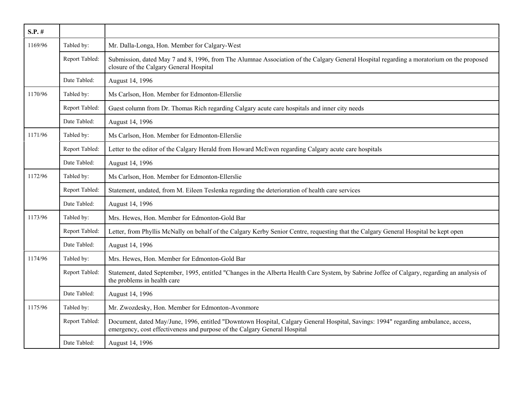| $S.P.$ # |                |                                                                                                                                                                                                                 |
|----------|----------------|-----------------------------------------------------------------------------------------------------------------------------------------------------------------------------------------------------------------|
| 1169/96  | Tabled by:     | Mr. Dalla-Longa, Hon. Member for Calgary-West                                                                                                                                                                   |
|          | Report Tabled: | Submission, dated May 7 and 8, 1996, from The Alumnae Association of the Calgary General Hospital regarding a moratorium on the proposed<br>closure of the Calgary General Hospital                             |
|          | Date Tabled:   | August 14, 1996                                                                                                                                                                                                 |
| 1170/96  | Tabled by:     | Ms Carlson, Hon. Member for Edmonton-Ellerslie                                                                                                                                                                  |
|          | Report Tabled: | Guest column from Dr. Thomas Rich regarding Calgary acute care hospitals and inner city needs                                                                                                                   |
|          | Date Tabled:   | August 14, 1996                                                                                                                                                                                                 |
| 1171/96  | Tabled by:     | Ms Carlson, Hon. Member for Edmonton-Ellerslie                                                                                                                                                                  |
|          | Report Tabled: | Letter to the editor of the Calgary Herald from Howard McEwen regarding Calgary acute care hospitals                                                                                                            |
|          | Date Tabled:   | August 14, 1996                                                                                                                                                                                                 |
| 1172/96  | Tabled by:     | Ms Carlson, Hon. Member for Edmonton-Ellerslie                                                                                                                                                                  |
|          | Report Tabled: | Statement, undated, from M. Eileen Teslenka regarding the deterioration of health care services                                                                                                                 |
|          | Date Tabled:   | August 14, 1996                                                                                                                                                                                                 |
| 1173/96  | Tabled by:     | Mrs. Hewes, Hon. Member for Edmonton-Gold Bar                                                                                                                                                                   |
|          | Report Tabled: | Letter, from Phyllis McNally on behalf of the Calgary Kerby Senior Centre, requesting that the Calgary General Hospital be kept open                                                                            |
|          | Date Tabled:   | August 14, 1996                                                                                                                                                                                                 |
| 1174/96  | Tabled by:     | Mrs. Hewes, Hon. Member for Edmonton-Gold Bar                                                                                                                                                                   |
|          | Report Tabled: | Statement, dated September, 1995, entitled "Changes in the Alberta Health Care System, by Sabrine Joffee of Calgary, regarding an analysis of<br>the problems in health care                                    |
|          | Date Tabled:   | August 14, 1996                                                                                                                                                                                                 |
| 1175/96  | Tabled by:     | Mr. Zwozdesky, Hon. Member for Edmonton-Avonmore                                                                                                                                                                |
|          | Report Tabled: | Document, dated May/June, 1996, entitled "Downtown Hospital, Calgary General Hospital, Savings: 1994" regarding ambulance, access,<br>emergency, cost effectiveness and purpose of the Calgary General Hospital |
|          | Date Tabled:   | August 14, 1996                                                                                                                                                                                                 |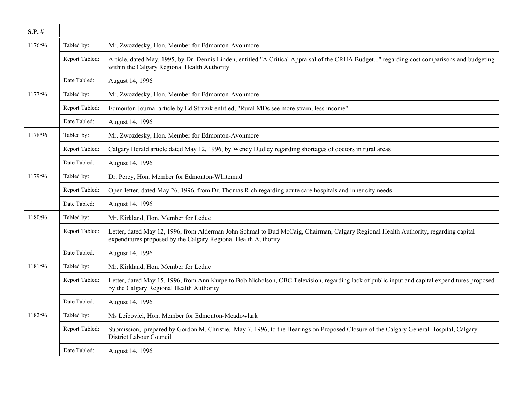| $S.P.$ # |                |                                                                                                                                                                                                       |
|----------|----------------|-------------------------------------------------------------------------------------------------------------------------------------------------------------------------------------------------------|
| 1176/96  | Tabled by:     | Mr. Zwozdesky, Hon. Member for Edmonton-Avonmore                                                                                                                                                      |
|          | Report Tabled: | Article, dated May, 1995, by Dr. Dennis Linden, entitled "A Critical Appraisal of the CRHA Budget" regarding cost comparisons and budgeting<br>within the Calgary Regional Health Authority           |
|          | Date Tabled:   | August 14, 1996                                                                                                                                                                                       |
| 1177/96  | Tabled by:     | Mr. Zwozdesky, Hon. Member for Edmonton-Avonmore                                                                                                                                                      |
|          | Report Tabled: | Edmonton Journal article by Ed Struzik entitled, "Rural MDs see more strain, less income"                                                                                                             |
|          | Date Tabled:   | August 14, 1996                                                                                                                                                                                       |
| 1178/96  | Tabled by:     | Mr. Zwozdesky, Hon. Member for Edmonton-Avonmore                                                                                                                                                      |
|          | Report Tabled: | Calgary Herald article dated May 12, 1996, by Wendy Dudley regarding shortages of doctors in rural areas                                                                                              |
|          | Date Tabled:   | August 14, 1996                                                                                                                                                                                       |
| 1179/96  | Tabled by:     | Dr. Percy, Hon. Member for Edmonton-Whitemud                                                                                                                                                          |
|          | Report Tabled: | Open letter, dated May 26, 1996, from Dr. Thomas Rich regarding acute care hospitals and inner city needs                                                                                             |
|          | Date Tabled:   | August 14, 1996                                                                                                                                                                                       |
| 1180/96  | Tabled by:     | Mr. Kirkland, Hon. Member for Leduc                                                                                                                                                                   |
|          | Report Tabled: | Letter, dated May 12, 1996, from Alderman John Schmal to Bud McCaig, Chairman, Calgary Regional Health Authority, regarding capital<br>expenditures proposed by the Calgary Regional Health Authority |
|          | Date Tabled:   | August 14, 1996                                                                                                                                                                                       |
| 1181/96  | Tabled by:     | Mr. Kirkland, Hon. Member for Leduc                                                                                                                                                                   |
|          | Report Tabled: | Letter, dated May 15, 1996, from Ann Kurpe to Bob Nicholson, CBC Television, regarding lack of public input and capital expenditures proposed<br>by the Calgary Regional Health Authority             |
|          | Date Tabled:   | August 14, 1996                                                                                                                                                                                       |
| 1182/96  | Tabled by:     | Ms Leibovici, Hon. Member for Edmonton-Meadowlark                                                                                                                                                     |
|          | Report Tabled: | Submission, prepared by Gordon M. Christie, May 7, 1996, to the Hearings on Proposed Closure of the Calgary General Hospital, Calgary<br>District Labour Council                                      |
|          | Date Tabled:   | August 14, 1996                                                                                                                                                                                       |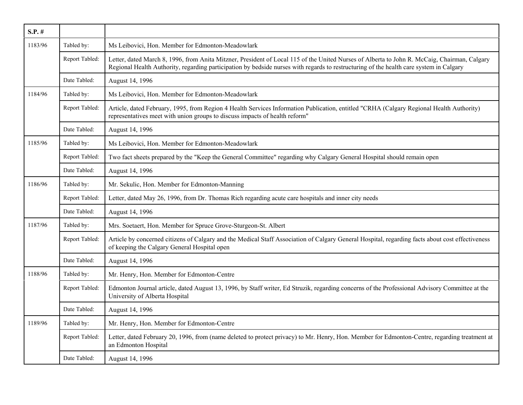| $S.P.$ # |                |                                                                                                                                                                                                                                                                                         |
|----------|----------------|-----------------------------------------------------------------------------------------------------------------------------------------------------------------------------------------------------------------------------------------------------------------------------------------|
| 1183/96  | Tabled by:     | Ms Leibovici, Hon. Member for Edmonton-Meadowlark                                                                                                                                                                                                                                       |
|          | Report Tabled: | Letter, dated March 8, 1996, from Anita Mitzner, President of Local 115 of the United Nurses of Alberta to John R. McCaig, Chairman, Calgary<br>Regional Health Authority, regarding participation by bedside nurses with regards to restructuring of the health care system in Calgary |
|          | Date Tabled:   | August 14, 1996                                                                                                                                                                                                                                                                         |
| 1184/96  | Tabled by:     | Ms Leibovici, Hon. Member for Edmonton-Meadowlark                                                                                                                                                                                                                                       |
|          | Report Tabled: | Article, dated February, 1995, from Region 4 Health Services Information Publication, entitled "CRHA (Calgary Regional Health Authority)<br>representatives meet with union groups to discuss impacts of health reform"                                                                 |
|          | Date Tabled:   | August 14, 1996                                                                                                                                                                                                                                                                         |
| 1185/96  | Tabled by:     | Ms Leibovici, Hon. Member for Edmonton-Meadowlark                                                                                                                                                                                                                                       |
|          | Report Tabled: | Two fact sheets prepared by the "Keep the General Committee" regarding why Calgary General Hospital should remain open                                                                                                                                                                  |
|          | Date Tabled:   | August 14, 1996                                                                                                                                                                                                                                                                         |
| 1186/96  | Tabled by:     | Mr. Sekulic, Hon. Member for Edmonton-Manning                                                                                                                                                                                                                                           |
|          | Report Tabled: | Letter, dated May 26, 1996, from Dr. Thomas Rich regarding acute care hospitals and inner city needs                                                                                                                                                                                    |
|          | Date Tabled:   | August 14, 1996                                                                                                                                                                                                                                                                         |
| 1187/96  | Tabled by:     | Mrs. Soetaert, Hon. Member for Spruce Grove-Sturgeon-St. Albert                                                                                                                                                                                                                         |
|          | Report Tabled: | Article by concerned citizens of Calgary and the Medical Staff Association of Calgary General Hospital, regarding facts about cost effectiveness<br>of keeping the Calgary General Hospital open                                                                                        |
|          | Date Tabled:   | August 14, 1996                                                                                                                                                                                                                                                                         |
| 1188/96  | Tabled by:     | Mr. Henry, Hon. Member for Edmonton-Centre                                                                                                                                                                                                                                              |
|          | Report Tabled: | Edmonton Journal article, dated August 13, 1996, by Staff writer, Ed Struzik, regarding concerns of the Professional Advisory Committee at the<br>University of Alberta Hospital                                                                                                        |
|          | Date Tabled:   | August 14, 1996                                                                                                                                                                                                                                                                         |
| 1189/96  | Tabled by:     | Mr. Henry, Hon. Member for Edmonton-Centre                                                                                                                                                                                                                                              |
|          | Report Tabled: | Letter, dated February 20, 1996, from (name deleted to protect privacy) to Mr. Henry, Hon. Member for Edmonton-Centre, regarding treatment at<br>an Edmonton Hospital                                                                                                                   |
|          | Date Tabled:   | August 14, 1996                                                                                                                                                                                                                                                                         |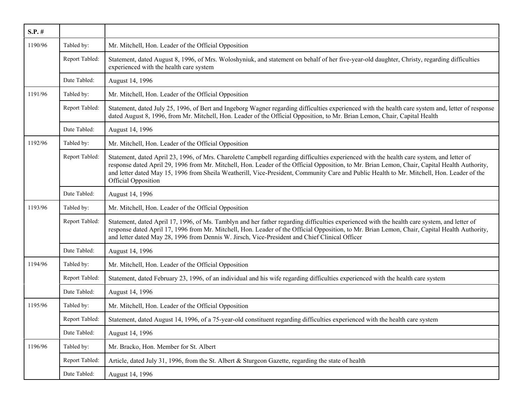| $S.P.$ # |                |                                                                                                                                                                                                                                                                                                                                                                                                                                                                         |
|----------|----------------|-------------------------------------------------------------------------------------------------------------------------------------------------------------------------------------------------------------------------------------------------------------------------------------------------------------------------------------------------------------------------------------------------------------------------------------------------------------------------|
| 1190/96  | Tabled by:     | Mr. Mitchell, Hon. Leader of the Official Opposition                                                                                                                                                                                                                                                                                                                                                                                                                    |
|          | Report Tabled: | Statement, dated August 8, 1996, of Mrs. Woloshyniuk, and statement on behalf of her five-year-old daughter, Christy, regarding difficulties<br>experienced with the health care system                                                                                                                                                                                                                                                                                 |
|          | Date Tabled:   | August 14, 1996                                                                                                                                                                                                                                                                                                                                                                                                                                                         |
| 1191/96  | Tabled by:     | Mr. Mitchell, Hon. Leader of the Official Opposition                                                                                                                                                                                                                                                                                                                                                                                                                    |
|          | Report Tabled: | Statement, dated July 25, 1996, of Bert and Ingeborg Wagner regarding difficulties experienced with the health care system and, letter of response<br>dated August 8, 1996, from Mr. Mitchell, Hon. Leader of the Official Opposition, to Mr. Brian Lemon, Chair, Capital Health                                                                                                                                                                                        |
|          | Date Tabled:   | August 14, 1996                                                                                                                                                                                                                                                                                                                                                                                                                                                         |
| 1192/96  | Tabled by:     | Mr. Mitchell, Hon. Leader of the Official Opposition                                                                                                                                                                                                                                                                                                                                                                                                                    |
|          | Report Tabled: | Statement, dated April 23, 1996, of Mrs. Charolette Campbell regarding difficulties experienced with the health care system, and letter of<br>response dated April 29, 1996 from Mr. Mitchell, Hon. Leader of the Official Opposition, to Mr. Brian Lemon, Chair, Capital Health Authority,<br>and letter dated May 15, 1996 from Sheila Weatherill, Vice-President, Community Care and Public Health to Mr. Mitchell, Hon. Leader of the<br><b>Official Opposition</b> |
|          | Date Tabled:   | August 14, 1996                                                                                                                                                                                                                                                                                                                                                                                                                                                         |
| 1193/96  | Tabled by:     | Mr. Mitchell, Hon. Leader of the Official Opposition                                                                                                                                                                                                                                                                                                                                                                                                                    |
|          | Report Tabled: | Statement, dated April 17, 1996, of Ms. Tamblyn and her father regarding difficulties experienced with the health care system, and letter of<br>response dated April 17, 1996 from Mr. Mitchell, Hon. Leader of the Official Opposition, to Mr. Brian Lemon, Chair, Capital Health Authority,<br>and letter dated May 28, 1996 from Dennis W. Jirsch, Vice-President and Chief Clinical Officer                                                                         |
|          | Date Tabled:   | August 14, 1996                                                                                                                                                                                                                                                                                                                                                                                                                                                         |
| 1194/96  | Tabled by:     | Mr. Mitchell, Hon. Leader of the Official Opposition                                                                                                                                                                                                                                                                                                                                                                                                                    |
|          | Report Tabled: | Statement, dated February 23, 1996, of an individual and his wife regarding difficulties experienced with the health care system                                                                                                                                                                                                                                                                                                                                        |
|          | Date Tabled:   | August 14, 1996                                                                                                                                                                                                                                                                                                                                                                                                                                                         |
| 1195/96  | Tabled by:     | Mr. Mitchell, Hon. Leader of the Official Opposition                                                                                                                                                                                                                                                                                                                                                                                                                    |
|          | Report Tabled: | Statement, dated August 14, 1996, of a 75-year-old constituent regarding difficulties experienced with the health care system                                                                                                                                                                                                                                                                                                                                           |
|          | Date Tabled:   | August 14, 1996                                                                                                                                                                                                                                                                                                                                                                                                                                                         |
| 1196/96  | Tabled by:     | Mr. Bracko, Hon. Member for St. Albert                                                                                                                                                                                                                                                                                                                                                                                                                                  |
|          | Report Tabled: | Article, dated July 31, 1996, from the St. Albert & Sturgeon Gazette, regarding the state of health                                                                                                                                                                                                                                                                                                                                                                     |
|          | Date Tabled:   | August 14, 1996                                                                                                                                                                                                                                                                                                                                                                                                                                                         |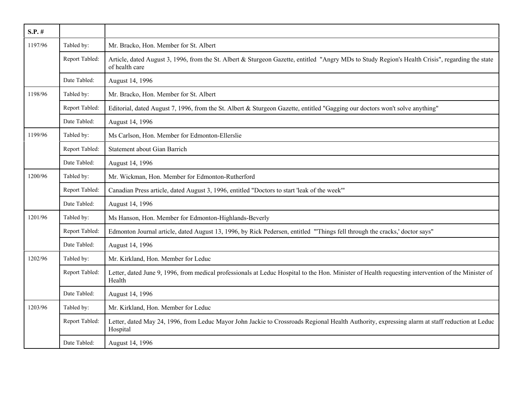| $S.P.$ # |                |                                                                                                                                                                    |
|----------|----------------|--------------------------------------------------------------------------------------------------------------------------------------------------------------------|
| 1197/96  | Tabled by:     | Mr. Bracko, Hon. Member for St. Albert                                                                                                                             |
|          | Report Tabled: | Article, dated August 3, 1996, from the St. Albert & Sturgeon Gazette, entitled "Angry MDs to Study Region's Health Crisis", regarding the state<br>of health care |
|          | Date Tabled:   | August 14, 1996                                                                                                                                                    |
| 1198/96  | Tabled by:     | Mr. Bracko, Hon. Member for St. Albert                                                                                                                             |
|          | Report Tabled: | Editorial, dated August 7, 1996, from the St. Albert & Sturgeon Gazette, entitled "Gagging our doctors won't solve anything"                                       |
|          | Date Tabled:   | August 14, 1996                                                                                                                                                    |
| 1199/96  | Tabled by:     | Ms Carlson, Hon. Member for Edmonton-Ellerslie                                                                                                                     |
|          | Report Tabled: | Statement about Gian Barrich                                                                                                                                       |
|          | Date Tabled:   | August 14, 1996                                                                                                                                                    |
| 1200/96  | Tabled by:     | Mr. Wickman, Hon. Member for Edmonton-Rutherford                                                                                                                   |
|          | Report Tabled: | Canadian Press article, dated August 3, 1996, entitled "Doctors to start 'leak of the week"                                                                        |
|          | Date Tabled:   | August 14, 1996                                                                                                                                                    |
| 1201/96  | Tabled by:     | Ms Hanson, Hon. Member for Edmonton-Highlands-Beverly                                                                                                              |
|          | Report Tabled: | Edmonton Journal article, dated August 13, 1996, by Rick Pedersen, entitled "Things fell through the cracks,' doctor says"                                         |
|          | Date Tabled:   | August 14, 1996                                                                                                                                                    |
| 1202/96  | Tabled by:     | Mr. Kirkland, Hon. Member for Leduc                                                                                                                                |
|          | Report Tabled: | Letter, dated June 9, 1996, from medical professionals at Leduc Hospital to the Hon. Minister of Health requesting intervention of the Minister of<br>Health       |
|          | Date Tabled:   | August 14, 1996                                                                                                                                                    |
| 1203/96  | Tabled by:     | Mr. Kirkland, Hon. Member for Leduc                                                                                                                                |
|          | Report Tabled: | Letter, dated May 24, 1996, from Leduc Mayor John Jackie to Crossroads Regional Health Authority, expressing alarm at staff reduction at Leduc<br>Hospital         |
|          | Date Tabled:   | August 14, 1996                                                                                                                                                    |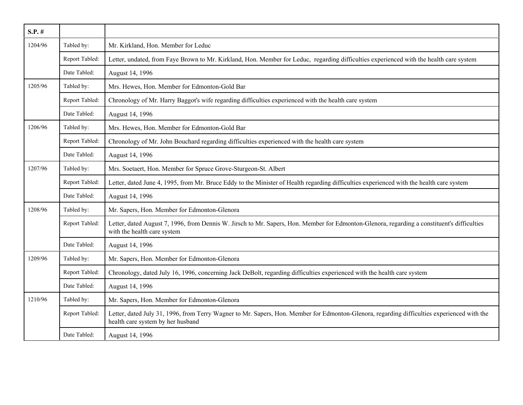| $S.P.$ # |                |                                                                                                                                                                                  |
|----------|----------------|----------------------------------------------------------------------------------------------------------------------------------------------------------------------------------|
| 1204/96  | Tabled by:     | Mr. Kirkland, Hon. Member for Leduc                                                                                                                                              |
|          | Report Tabled: | Letter, undated, from Faye Brown to Mr. Kirkland, Hon. Member for Leduc, regarding difficulties experienced with the health care system                                          |
|          | Date Tabled:   | August 14, 1996                                                                                                                                                                  |
| 1205/96  | Tabled by:     | Mrs. Hewes, Hon. Member for Edmonton-Gold Bar                                                                                                                                    |
|          | Report Tabled: | Chronology of Mr. Harry Baggot's wife regarding difficulties experienced with the health care system                                                                             |
|          | Date Tabled:   | August 14, 1996                                                                                                                                                                  |
| 1206/96  | Tabled by:     | Mrs. Hewes, Hon. Member for Edmonton-Gold Bar                                                                                                                                    |
|          | Report Tabled: | Chronology of Mr. John Bouchard regarding difficulties experienced with the health care system                                                                                   |
|          | Date Tabled:   | August 14, 1996                                                                                                                                                                  |
| 1207/96  | Tabled by:     | Mrs. Soetaert, Hon. Member for Spruce Grove-Sturgeon-St. Albert                                                                                                                  |
|          | Report Tabled: | Letter, dated June 4, 1995, from Mr. Bruce Eddy to the Minister of Health regarding difficulties experienced with the health care system                                         |
|          | Date Tabled:   | August 14, 1996                                                                                                                                                                  |
| 1208/96  | Tabled by:     | Mr. Sapers, Hon. Member for Edmonton-Glenora                                                                                                                                     |
|          | Report Tabled: | Letter, dated August 7, 1996, from Dennis W. Jirsch to Mr. Sapers, Hon. Member for Edmonton-Glenora, regarding a constituent's difficulties<br>with the health care system       |
|          | Date Tabled:   | August 14, 1996                                                                                                                                                                  |
| 1209/96  | Tabled by:     | Mr. Sapers, Hon. Member for Edmonton-Glenora                                                                                                                                     |
|          | Report Tabled: | Chronology, dated July 16, 1996, concerning Jack DeBolt, regarding difficulties experienced with the health care system                                                          |
|          | Date Tabled:   | August 14, 1996                                                                                                                                                                  |
| 1210/96  | Tabled by:     | Mr. Sapers, Hon. Member for Edmonton-Glenora                                                                                                                                     |
|          | Report Tabled: | Letter, dated July 31, 1996, from Terry Wagner to Mr. Sapers, Hon. Member for Edmonton-Glenora, regarding difficulties experienced with the<br>health care system by her husband |
|          | Date Tabled:   | August 14, 1996                                                                                                                                                                  |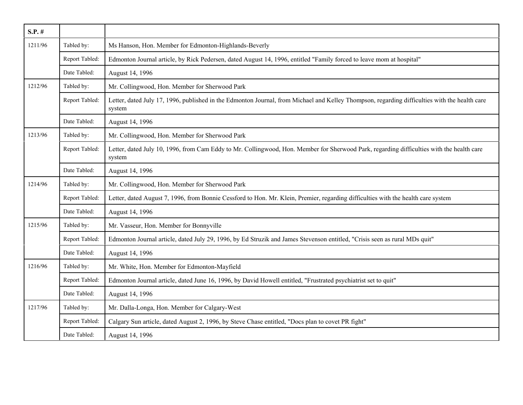| $S.P.$ # |                |                                                                                                                                                         |
|----------|----------------|---------------------------------------------------------------------------------------------------------------------------------------------------------|
| 1211/96  | Tabled by:     | Ms Hanson, Hon. Member for Edmonton-Highlands-Beverly                                                                                                   |
|          | Report Tabled: | Edmonton Journal article, by Rick Pedersen, dated August 14, 1996, entitled "Family forced to leave mom at hospital"                                    |
|          | Date Tabled:   | August 14, 1996                                                                                                                                         |
| 1212/96  | Tabled by:     | Mr. Collingwood, Hon. Member for Sherwood Park                                                                                                          |
|          | Report Tabled: | Letter, dated July 17, 1996, published in the Edmonton Journal, from Michael and Kelley Thompson, regarding difficulties with the health care<br>system |
|          | Date Tabled:   | August 14, 1996                                                                                                                                         |
| 1213/96  | Tabled by:     | Mr. Collingwood, Hon. Member for Sherwood Park                                                                                                          |
|          | Report Tabled: | Letter, dated July 10, 1996, from Cam Eddy to Mr. Collingwood, Hon. Member for Sherwood Park, regarding difficulties with the health care<br>system     |
|          | Date Tabled:   | August 14, 1996                                                                                                                                         |
| 1214/96  | Tabled by:     | Mr. Collingwood, Hon. Member for Sherwood Park                                                                                                          |
|          | Report Tabled: | Letter, dated August 7, 1996, from Bonnie Cessford to Hon. Mr. Klein, Premier, regarding difficulties with the health care system                       |
|          | Date Tabled:   | August 14, 1996                                                                                                                                         |
| 1215/96  | Tabled by:     | Mr. Vasseur, Hon. Member for Bonnyville                                                                                                                 |
|          | Report Tabled: | Edmonton Journal article, dated July 29, 1996, by Ed Struzik and James Stevenson entitled, "Crisis seen as rural MDs quit"                              |
|          | Date Tabled:   | August 14, 1996                                                                                                                                         |
| 1216/96  | Tabled by:     | Mr. White, Hon. Member for Edmonton-Mayfield                                                                                                            |
|          | Report Tabled: | Edmonton Journal article, dated June 16, 1996, by David Howell entitled, "Frustrated psychiatrist set to quit"                                          |
|          | Date Tabled:   | August 14, 1996                                                                                                                                         |
| 1217/96  | Tabled by:     | Mr. Dalla-Longa, Hon. Member for Calgary-West                                                                                                           |
|          | Report Tabled: | Calgary Sun article, dated August 2, 1996, by Steve Chase entitled, "Docs plan to covet PR fight"                                                       |
|          | Date Tabled:   | August 14, 1996                                                                                                                                         |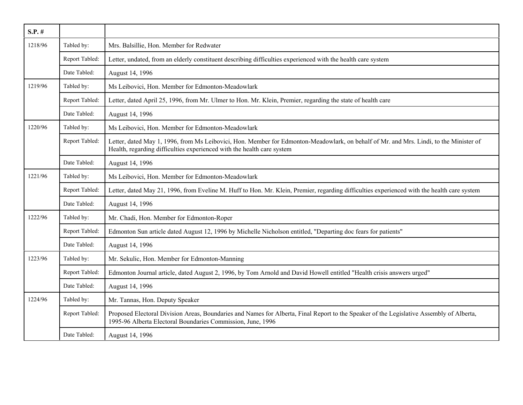| $S.P.$ # |                |                                                                                                                                                                                                                  |
|----------|----------------|------------------------------------------------------------------------------------------------------------------------------------------------------------------------------------------------------------------|
| 1218/96  | Tabled by:     | Mrs. Balsillie, Hon. Member for Redwater                                                                                                                                                                         |
|          | Report Tabled: | Letter, undated, from an elderly constituent describing difficulties experienced with the health care system                                                                                                     |
|          | Date Tabled:   | August 14, 1996                                                                                                                                                                                                  |
| 1219/96  | Tabled by:     | Ms Leibovici, Hon. Member for Edmonton-Meadowlark                                                                                                                                                                |
|          | Report Tabled: | Letter, dated April 25, 1996, from Mr. Ulmer to Hon. Mr. Klein, Premier, regarding the state of health care                                                                                                      |
|          | Date Tabled:   | August 14, 1996                                                                                                                                                                                                  |
| 1220/96  | Tabled by:     | Ms Leibovici, Hon. Member for Edmonton-Meadowlark                                                                                                                                                                |
|          | Report Tabled: | Letter, dated May 1, 1996, from Ms Leibovici, Hon. Member for Edmonton-Meadowlark, on behalf of Mr. and Mrs. Lindi, to the Minister of<br>Health, regarding difficulties experienced with the health care system |
|          | Date Tabled:   | August 14, 1996                                                                                                                                                                                                  |
| 1221/96  | Tabled by:     | Ms Leibovici, Hon. Member for Edmonton-Meadowlark                                                                                                                                                                |
|          | Report Tabled: | Letter, dated May 21, 1996, from Eveline M. Huff to Hon. Mr. Klein, Premier, regarding difficulties experienced with the health care system                                                                      |
|          | Date Tabled:   | August 14, 1996                                                                                                                                                                                                  |
| 1222/96  | Tabled by:     | Mr. Chadi, Hon. Member for Edmonton-Roper                                                                                                                                                                        |
|          | Report Tabled: | Edmonton Sun article dated August 12, 1996 by Michelle Nicholson entitled, "Departing doc fears for patients"                                                                                                    |
|          | Date Tabled:   | August 14, 1996                                                                                                                                                                                                  |
| 1223/96  | Tabled by:     | Mr. Sekulic, Hon. Member for Edmonton-Manning                                                                                                                                                                    |
|          | Report Tabled: | Edmonton Journal article, dated August 2, 1996, by Tom Arnold and David Howell entitled "Health crisis answers urged"                                                                                            |
|          | Date Tabled:   | August 14, 1996                                                                                                                                                                                                  |
| 1224/96  | Tabled by:     | Mr. Tannas, Hon. Deputy Speaker                                                                                                                                                                                  |
|          | Report Tabled: | Proposed Electoral Division Areas, Boundaries and Names for Alberta, Final Report to the Speaker of the Legislative Assembly of Alberta,<br>1995-96 Alberta Electoral Boundaries Commission, June, 1996          |
|          | Date Tabled:   | August 14, 1996                                                                                                                                                                                                  |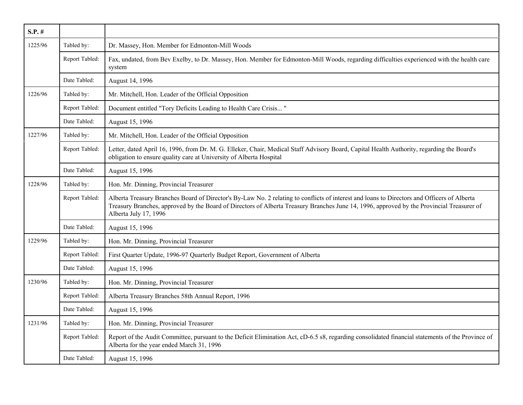| $S.P.$ # |                |                                                                                                                                                                                                                                                                                                                   |
|----------|----------------|-------------------------------------------------------------------------------------------------------------------------------------------------------------------------------------------------------------------------------------------------------------------------------------------------------------------|
| 1225/96  | Tabled by:     | Dr. Massey, Hon. Member for Edmonton-Mill Woods                                                                                                                                                                                                                                                                   |
|          | Report Tabled: | Fax, undated, from Bev Exelby, to Dr. Massey, Hon. Member for Edmonton-Mill Woods, regarding difficulties experienced with the health care<br>system                                                                                                                                                              |
|          | Date Tabled:   | August 14, 1996                                                                                                                                                                                                                                                                                                   |
| 1226/96  | Tabled by:     | Mr. Mitchell, Hon. Leader of the Official Opposition                                                                                                                                                                                                                                                              |
|          | Report Tabled: | Document entitled "Tory Deficits Leading to Health Care Crisis"                                                                                                                                                                                                                                                   |
|          | Date Tabled:   | August 15, 1996                                                                                                                                                                                                                                                                                                   |
| 1227/96  | Tabled by:     | Mr. Mitchell, Hon. Leader of the Official Opposition                                                                                                                                                                                                                                                              |
|          | Report Tabled: | Letter, dated April 16, 1996, from Dr. M. G. Elleker, Chair, Medical Staff Advisory Board, Capital Health Authority, regarding the Board's<br>obligation to ensure quality care at University of Alberta Hospital                                                                                                 |
|          | Date Tabled:   | August 15, 1996                                                                                                                                                                                                                                                                                                   |
| 1228/96  | Tabled by:     | Hon. Mr. Dinning, Provincial Treasurer                                                                                                                                                                                                                                                                            |
|          | Report Tabled: | Alberta Treasury Branches Board of Director's By-Law No. 2 relating to conflicts of interest and loans to Directors and Officers of Alberta<br>Treasury Branches, approved by the Board of Directors of Alberta Treasury Branches June 14, 1996, approved by the Provincial Treasurer of<br>Alberta July 17, 1996 |
|          | Date Tabled:   | August 15, 1996                                                                                                                                                                                                                                                                                                   |
| 1229/96  | Tabled by:     | Hon. Mr. Dinning, Provincial Treasurer                                                                                                                                                                                                                                                                            |
|          | Report Tabled: | First Quarter Update, 1996-97 Quarterly Budget Report, Government of Alberta                                                                                                                                                                                                                                      |
|          | Date Tabled:   | August 15, 1996                                                                                                                                                                                                                                                                                                   |
| 1230/96  | Tabled by:     | Hon. Mr. Dinning, Provincial Treasurer                                                                                                                                                                                                                                                                            |
|          | Report Tabled: | Alberta Treasury Branches 58th Annual Report, 1996                                                                                                                                                                                                                                                                |
|          | Date Tabled:   | August 15, 1996                                                                                                                                                                                                                                                                                                   |
| 1231/96  | Tabled by:     | Hon. Mr. Dinning, Provincial Treasurer                                                                                                                                                                                                                                                                            |
|          | Report Tabled: | Report of the Audit Committee, pursuant to the Deficit Elimination Act, cD-6.5 s8, regarding consolidated financial statements of the Province of<br>Alberta for the year ended March 31, 1996                                                                                                                    |
|          | Date Tabled:   | August 15, 1996                                                                                                                                                                                                                                                                                                   |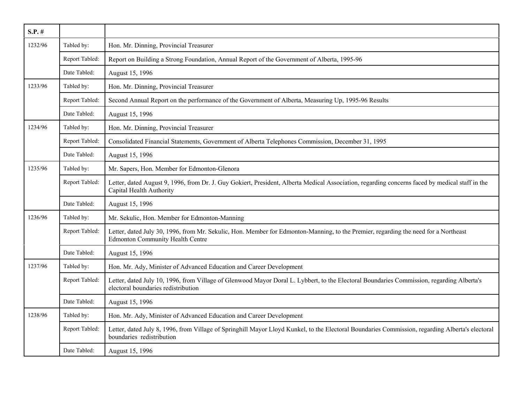| $S.P.$ # |                |                                                                                                                                                                                  |
|----------|----------------|----------------------------------------------------------------------------------------------------------------------------------------------------------------------------------|
| 1232/96  | Tabled by:     | Hon. Mr. Dinning, Provincial Treasurer                                                                                                                                           |
|          | Report Tabled: | Report on Building a Strong Foundation, Annual Report of the Government of Alberta, 1995-96                                                                                      |
|          | Date Tabled:   | August 15, 1996                                                                                                                                                                  |
| 1233/96  | Tabled by:     | Hon. Mr. Dinning, Provincial Treasurer                                                                                                                                           |
|          | Report Tabled: | Second Annual Report on the performance of the Government of Alberta, Measuring Up, 1995-96 Results                                                                              |
|          | Date Tabled:   | August 15, 1996                                                                                                                                                                  |
| 1234/96  | Tabled by:     | Hon. Mr. Dinning, Provincial Treasurer                                                                                                                                           |
|          | Report Tabled: | Consolidated Financial Statements, Government of Alberta Telephones Commission, December 31, 1995                                                                                |
|          | Date Tabled:   | August 15, 1996                                                                                                                                                                  |
| 1235/96  | Tabled by:     | Mr. Sapers, Hon. Member for Edmonton-Glenora                                                                                                                                     |
|          | Report Tabled: | Letter, dated August 9, 1996, from Dr. J. Guy Gokiert, President, Alberta Medical Association, regarding concerns faced by medical staff in the<br>Capital Health Authority      |
|          | Date Tabled:   | August 15, 1996                                                                                                                                                                  |
| 1236/96  | Tabled by:     | Mr. Sekulic, Hon. Member for Edmonton-Manning                                                                                                                                    |
|          | Report Tabled: | Letter, dated July 30, 1996, from Mr. Sekulic, Hon. Member for Edmonton-Manning, to the Premier, regarding the need for a Northeast<br><b>Edmonton Community Health Centre</b>   |
|          | Date Tabled:   | August 15, 1996                                                                                                                                                                  |
| 1237/96  | Tabled by:     | Hon. Mr. Ady, Minister of Advanced Education and Career Development                                                                                                              |
|          | Report Tabled: | Letter, dated July 10, 1996, from Village of Glenwood Mayor Doral L. Lybbert, to the Electoral Boundaries Commission, regarding Alberta's<br>electoral boundaries redistribution |
|          | Date Tabled:   | August 15, 1996                                                                                                                                                                  |
| 1238/96  | Tabled by:     | Hon. Mr. Ady, Minister of Advanced Education and Career Development                                                                                                              |
|          | Report Tabled: | Letter, dated July 8, 1996, from Village of Springhill Mayor Lloyd Kunkel, to the Electoral Boundaries Commission, regarding Alberta's electoral<br>boundaries redistribution    |
|          | Date Tabled:   | August 15, 1996                                                                                                                                                                  |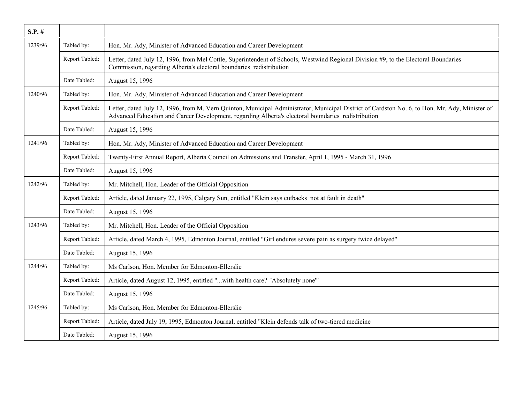| $S.P.$ # |                |                                                                                                                                                                                                                                                      |
|----------|----------------|------------------------------------------------------------------------------------------------------------------------------------------------------------------------------------------------------------------------------------------------------|
| 1239/96  | Tabled by:     | Hon. Mr. Ady, Minister of Advanced Education and Career Development                                                                                                                                                                                  |
|          | Report Tabled: | Letter, dated July 12, 1996, from Mel Cottle, Superintendent of Schools, Westwind Regional Division #9, to the Electoral Boundaries<br>Commission, regarding Alberta's electoral boundaries redistribution                                           |
|          | Date Tabled:   | August 15, 1996                                                                                                                                                                                                                                      |
| 1240/96  | Tabled by:     | Hon. Mr. Ady, Minister of Advanced Education and Career Development                                                                                                                                                                                  |
|          | Report Tabled: | Letter, dated July 12, 1996, from M. Vern Quinton, Municipal Administrator, Municipal District of Cardston No. 6, to Hon. Mr. Ady, Minister of<br>Advanced Education and Career Development, regarding Alberta's electoral boundaries redistribution |
|          | Date Tabled:   | August 15, 1996                                                                                                                                                                                                                                      |
| 1241/96  | Tabled by:     | Hon. Mr. Ady, Minister of Advanced Education and Career Development                                                                                                                                                                                  |
|          | Report Tabled: | Twenty-First Annual Report, Alberta Council on Admissions and Transfer, April 1, 1995 - March 31, 1996                                                                                                                                               |
|          | Date Tabled:   | August 15, 1996                                                                                                                                                                                                                                      |
| 1242/96  | Tabled by:     | Mr. Mitchell, Hon. Leader of the Official Opposition                                                                                                                                                                                                 |
|          | Report Tabled: | Article, dated January 22, 1995, Calgary Sun, entitled "Klein says cutbacks not at fault in death"                                                                                                                                                   |
|          | Date Tabled:   | August 15, 1996                                                                                                                                                                                                                                      |
| 1243/96  | Tabled by:     | Mr. Mitchell, Hon. Leader of the Official Opposition                                                                                                                                                                                                 |
|          | Report Tabled: | Article, dated March 4, 1995, Edmonton Journal, entitled "Girl endures severe pain as surgery twice delayed"                                                                                                                                         |
|          | Date Tabled:   | August 15, 1996                                                                                                                                                                                                                                      |
| 1244/96  | Tabled by:     | Ms Carlson, Hon. Member for Edmonton-Ellerslie                                                                                                                                                                                                       |
|          | Report Tabled: | Article, dated August 12, 1995, entitled "with health care? 'Absolutely none"                                                                                                                                                                        |
|          | Date Tabled:   | August 15, 1996                                                                                                                                                                                                                                      |
| 1245/96  | Tabled by:     | Ms Carlson, Hon. Member for Edmonton-Ellerslie                                                                                                                                                                                                       |
|          | Report Tabled: | Article, dated July 19, 1995, Edmonton Journal, entitled "Klein defends talk of two-tiered medicine                                                                                                                                                  |
|          | Date Tabled:   | August 15, 1996                                                                                                                                                                                                                                      |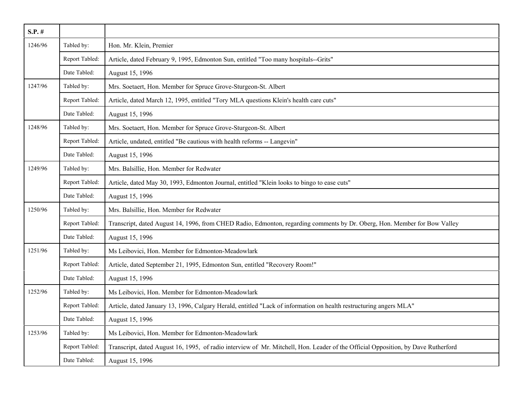| $S.P.$ # |                |                                                                                                                                   |
|----------|----------------|-----------------------------------------------------------------------------------------------------------------------------------|
| 1246/96  | Tabled by:     | Hon. Mr. Klein, Premier                                                                                                           |
|          | Report Tabled: | Article, dated February 9, 1995, Edmonton Sun, entitled "Too many hospitals--Grits"                                               |
|          | Date Tabled:   | August 15, 1996                                                                                                                   |
| 1247/96  | Tabled by:     | Mrs. Soetaert, Hon. Member for Spruce Grove-Sturgeon-St. Albert                                                                   |
|          | Report Tabled: | Article, dated March 12, 1995, entitled "Tory MLA questions Klein's health care cuts"                                             |
|          | Date Tabled:   | August 15, 1996                                                                                                                   |
| 1248/96  | Tabled by:     | Mrs. Soetaert, Hon. Member for Spruce Grove-Sturgeon-St. Albert                                                                   |
|          | Report Tabled: | Article, undated, entitled "Be cautious with health reforms -- Langevin"                                                          |
|          | Date Tabled:   | August 15, 1996                                                                                                                   |
| 1249/96  | Tabled by:     | Mrs. Balsillie, Hon. Member for Redwater                                                                                          |
|          | Report Tabled: | Article, dated May 30, 1993, Edmonton Journal, entitled "Klein looks to bingo to ease cuts"                                       |
|          | Date Tabled:   | August 15, 1996                                                                                                                   |
| 1250/96  | Tabled by:     | Mrs. Balsillie, Hon. Member for Redwater                                                                                          |
|          | Report Tabled: | Transcript, dated August 14, 1996, from CHED Radio, Edmonton, regarding comments by Dr. Oberg, Hon. Member for Bow Valley         |
|          | Date Tabled:   | August 15, 1996                                                                                                                   |
| 1251/96  | Tabled by:     | Ms Leibovici, Hon. Member for Edmonton-Meadowlark                                                                                 |
|          | Report Tabled: | Article, dated September 21, 1995, Edmonton Sun, entitled "Recovery Room!"                                                        |
|          | Date Tabled:   | August 15, 1996                                                                                                                   |
| 1252/96  | Tabled by:     | Ms Leibovici, Hon. Member for Edmonton-Meadowlark                                                                                 |
|          | Report Tabled: | Article, dated January 13, 1996, Calgary Herald, entitled "Lack of information on health restructuring angers MLA"                |
|          | Date Tabled:   | August 15, 1996                                                                                                                   |
| 1253/96  | Tabled by:     | Ms Leibovici, Hon. Member for Edmonton-Meadowlark                                                                                 |
|          | Report Tabled: | Transcript, dated August 16, 1995, of radio interview of Mr. Mitchell, Hon. Leader of the Official Opposition, by Dave Rutherford |
|          | Date Tabled:   | August 15, 1996                                                                                                                   |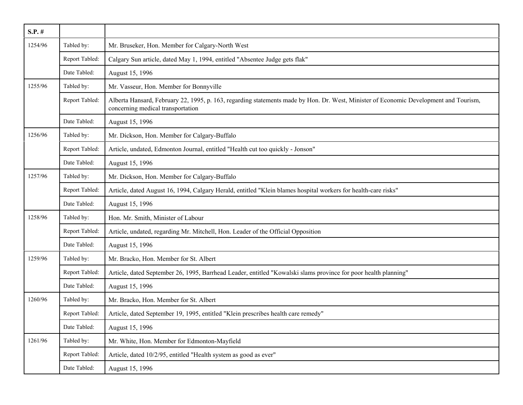| $S.P.$ # |                |                                                                                                                                                                            |
|----------|----------------|----------------------------------------------------------------------------------------------------------------------------------------------------------------------------|
| 1254/96  | Tabled by:     | Mr. Bruseker, Hon. Member for Calgary-North West                                                                                                                           |
|          | Report Tabled: | Calgary Sun article, dated May 1, 1994, entitled "Absentee Judge gets flak"                                                                                                |
|          | Date Tabled:   | August 15, 1996                                                                                                                                                            |
| 1255/96  | Tabled by:     | Mr. Vasseur, Hon. Member for Bonnyville                                                                                                                                    |
|          | Report Tabled: | Alberta Hansard, February 22, 1995, p. 163, regarding statements made by Hon. Dr. West, Minister of Economic Development and Tourism,<br>concerning medical transportation |
|          | Date Tabled:   | August 15, 1996                                                                                                                                                            |
| 1256/96  | Tabled by:     | Mr. Dickson, Hon. Member for Calgary-Buffalo                                                                                                                               |
|          | Report Tabled: | Article, undated, Edmonton Journal, entitled "Health cut too quickly - Jonson"                                                                                             |
|          | Date Tabled:   | August 15, 1996                                                                                                                                                            |
| 1257/96  | Tabled by:     | Mr. Dickson, Hon. Member for Calgary-Buffalo                                                                                                                               |
|          | Report Tabled: | Article, dated August 16, 1994, Calgary Herald, entitled "Klein blames hospital workers for health-care risks"                                                             |
|          | Date Tabled:   | August 15, 1996                                                                                                                                                            |
| 1258/96  | Tabled by:     | Hon. Mr. Smith, Minister of Labour                                                                                                                                         |
|          | Report Tabled: | Article, undated, regarding Mr. Mitchell, Hon. Leader of the Official Opposition                                                                                           |
|          | Date Tabled:   | August 15, 1996                                                                                                                                                            |
| 1259/96  | Tabled by:     | Mr. Bracko, Hon. Member for St. Albert                                                                                                                                     |
|          | Report Tabled: | Article, dated September 26, 1995, Barrhead Leader, entitled "Kowalski slams province for poor health planning"                                                            |
|          | Date Tabled:   | August 15, 1996                                                                                                                                                            |
| 1260/96  | Tabled by:     | Mr. Bracko, Hon. Member for St. Albert                                                                                                                                     |
|          | Report Tabled: | Article, dated September 19, 1995, entitled "Klein prescribes health care remedy"                                                                                          |
|          | Date Tabled:   | August 15, 1996                                                                                                                                                            |
| 1261/96  | Tabled by:     | Mr. White, Hon. Member for Edmonton-Mayfield                                                                                                                               |
|          | Report Tabled: | Article, dated 10/2/95, entitled "Health system as good as ever"                                                                                                           |
|          | Date Tabled:   | August 15, 1996                                                                                                                                                            |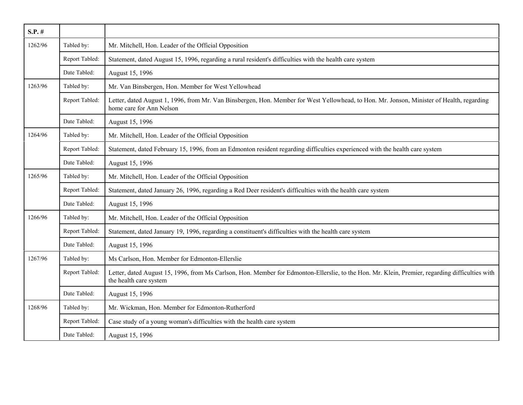| $S.P.$ # |                |                                                                                                                                                                           |
|----------|----------------|---------------------------------------------------------------------------------------------------------------------------------------------------------------------------|
| 1262/96  | Tabled by:     | Mr. Mitchell, Hon. Leader of the Official Opposition                                                                                                                      |
|          | Report Tabled: | Statement, dated August 15, 1996, regarding a rural resident's difficulties with the health care system                                                                   |
|          | Date Tabled:   | August 15, 1996                                                                                                                                                           |
| 1263/96  | Tabled by:     | Mr. Van Binsbergen, Hon. Member for West Yellowhead                                                                                                                       |
|          | Report Tabled: | Letter, dated August 1, 1996, from Mr. Van Binsbergen, Hon. Member for West Yellowhead, to Hon. Mr. Jonson, Minister of Health, regarding<br>home care for Ann Nelson     |
|          | Date Tabled:   | August 15, 1996                                                                                                                                                           |
| 1264/96  | Tabled by:     | Mr. Mitchell, Hon. Leader of the Official Opposition                                                                                                                      |
|          | Report Tabled: | Statement, dated February 15, 1996, from an Edmonton resident regarding difficulties experienced with the health care system                                              |
|          | Date Tabled:   | August 15, 1996                                                                                                                                                           |
| 1265/96  | Tabled by:     | Mr. Mitchell, Hon. Leader of the Official Opposition                                                                                                                      |
|          | Report Tabled: | Statement, dated January 26, 1996, regarding a Red Deer resident's difficulties with the health care system                                                               |
|          | Date Tabled:   | August 15, 1996                                                                                                                                                           |
| 1266/96  | Tabled by:     | Mr. Mitchell, Hon. Leader of the Official Opposition                                                                                                                      |
|          | Report Tabled: | Statement, dated January 19, 1996, regarding a constituent's difficulties with the health care system                                                                     |
|          | Date Tabled:   | August 15, 1996                                                                                                                                                           |
| 1267/96  | Tabled by:     | Ms Carlson, Hon. Member for Edmonton-Ellerslie                                                                                                                            |
|          | Report Tabled: | Letter, dated August 15, 1996, from Ms Carlson, Hon. Member for Edmonton-Ellerslie, to the Hon. Mr. Klein, Premier, regarding difficulties with<br>the health care system |
|          | Date Tabled:   | August 15, 1996                                                                                                                                                           |
| 1268/96  | Tabled by:     | Mr. Wickman, Hon. Member for Edmonton-Rutherford                                                                                                                          |
|          | Report Tabled: | Case study of a young woman's difficulties with the health care system                                                                                                    |
|          | Date Tabled:   | August 15, 1996                                                                                                                                                           |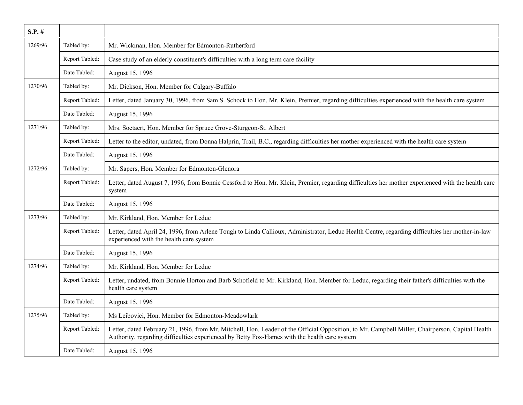| $S.P.$ # |                |                                                                                                                                                                                                                                                 |
|----------|----------------|-------------------------------------------------------------------------------------------------------------------------------------------------------------------------------------------------------------------------------------------------|
| 1269/96  | Tabled by:     | Mr. Wickman, Hon. Member for Edmonton-Rutherford                                                                                                                                                                                                |
|          | Report Tabled: | Case study of an elderly constituent's difficulties with a long term care facility                                                                                                                                                              |
|          | Date Tabled:   | August 15, 1996                                                                                                                                                                                                                                 |
| 1270/96  | Tabled by:     | Mr. Dickson, Hon. Member for Calgary-Buffalo                                                                                                                                                                                                    |
|          | Report Tabled: | Letter, dated January 30, 1996, from Sam S. Schock to Hon. Mr. Klein, Premier, regarding difficulties experienced with the health care system                                                                                                   |
|          | Date Tabled:   | August 15, 1996                                                                                                                                                                                                                                 |
| 1271/96  | Tabled by:     | Mrs. Soetaert, Hon. Member for Spruce Grove-Sturgeon-St. Albert                                                                                                                                                                                 |
|          | Report Tabled: | Letter to the editor, undated, from Donna Halprin, Trail, B.C., regarding difficulties her mother experienced with the health care system                                                                                                       |
|          | Date Tabled:   | August 15, 1996                                                                                                                                                                                                                                 |
| 1272/96  | Tabled by:     | Mr. Sapers, Hon. Member for Edmonton-Glenora                                                                                                                                                                                                    |
|          | Report Tabled: | Letter, dated August 7, 1996, from Bonnie Cessford to Hon. Mr. Klein, Premier, regarding difficulties her mother experienced with the health care<br>system                                                                                     |
|          | Date Tabled:   | August 15, 1996                                                                                                                                                                                                                                 |
| 1273/96  | Tabled by:     | Mr. Kirkland, Hon. Member for Leduc                                                                                                                                                                                                             |
|          | Report Tabled: | Letter, dated April 24, 1996, from Arlene Tough to Linda Callioux, Administrator, Leduc Health Centre, regarding difficulties her mother-in-law<br>experienced with the health care system                                                      |
|          | Date Tabled:   | August 15, 1996                                                                                                                                                                                                                                 |
| 1274/96  | Tabled by:     | Mr. Kirkland, Hon. Member for Leduc                                                                                                                                                                                                             |
|          | Report Tabled: | Letter, undated, from Bonnie Horton and Barb Schofield to Mr. Kirkland, Hon. Member for Leduc, regarding their father's difficulties with the<br>health care system                                                                             |
|          | Date Tabled:   | August 15, 1996                                                                                                                                                                                                                                 |
| 1275/96  | Tabled by:     | Ms Leibovici, Hon. Member for Edmonton-Meadowlark                                                                                                                                                                                               |
|          | Report Tabled: | Letter, dated February 21, 1996, from Mr. Mitchell, Hon. Leader of the Official Opposition, to Mr. Campbell Miller, Chairperson, Capital Health<br>Authority, regarding difficulties experienced by Betty Fox-Hames with the health care system |
|          | Date Tabled:   | August 15, 1996                                                                                                                                                                                                                                 |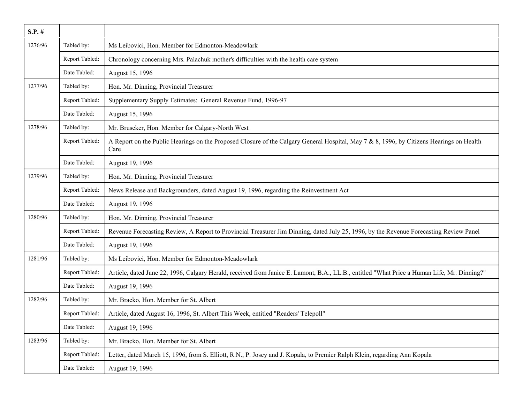| $S.P.$ # |                |                                                                                                                                                  |
|----------|----------------|--------------------------------------------------------------------------------------------------------------------------------------------------|
| 1276/96  | Tabled by:     | Ms Leibovici, Hon. Member for Edmonton-Meadowlark                                                                                                |
|          | Report Tabled: | Chronology concerning Mrs. Palachuk mother's difficulties with the health care system                                                            |
|          | Date Tabled:   | August 15, 1996                                                                                                                                  |
| 1277/96  | Tabled by:     | Hon. Mr. Dinning, Provincial Treasurer                                                                                                           |
|          | Report Tabled: | Supplementary Supply Estimates: General Revenue Fund, 1996-97                                                                                    |
|          | Date Tabled:   | August 15, 1996                                                                                                                                  |
| 1278/96  | Tabled by:     | Mr. Bruseker, Hon. Member for Calgary-North West                                                                                                 |
|          | Report Tabled: | A Report on the Public Hearings on the Proposed Closure of the Calgary General Hospital, May 7 & 8, 1996, by Citizens Hearings on Health<br>Care |
|          | Date Tabled:   | August 19, 1996                                                                                                                                  |
| 1279/96  | Tabled by:     | Hon. Mr. Dinning, Provincial Treasurer                                                                                                           |
|          | Report Tabled: | News Release and Backgrounders, dated August 19, 1996, regarding the Reinvestment Act                                                            |
|          | Date Tabled:   | August 19, 1996                                                                                                                                  |
| 1280/96  | Tabled by:     | Hon. Mr. Dinning, Provincial Treasurer                                                                                                           |
|          | Report Tabled: | Revenue Forecasting Review, A Report to Provincial Treasurer Jim Dinning, dated July 25, 1996, by the Revenue Forecasting Review Panel           |
|          | Date Tabled:   | August 19, 1996                                                                                                                                  |
| 1281/96  | Tabled by:     | Ms Leibovici, Hon. Member for Edmonton-Meadowlark                                                                                                |
|          | Report Tabled: | Article, dated June 22, 1996, Calgary Herald, received from Janice E. Lamont, B.A., LL.B., entitled "What Price a Human Life, Mr. Dinning?"      |
|          | Date Tabled:   | August 19, 1996                                                                                                                                  |
| 1282/96  | Tabled by:     | Mr. Bracko, Hon. Member for St. Albert                                                                                                           |
|          | Report Tabled: | Article, dated August 16, 1996, St. Albert This Week, entitled "Readers' Telepoll"                                                               |
|          | Date Tabled:   | August 19, 1996                                                                                                                                  |
| 1283/96  | Tabled by:     | Mr. Bracko, Hon. Member for St. Albert                                                                                                           |
|          | Report Tabled: | Letter, dated March 15, 1996, from S. Elliott, R.N., P. Josey and J. Kopala, to Premier Ralph Klein, regarding Ann Kopala                        |
|          | Date Tabled:   | August 19, 1996                                                                                                                                  |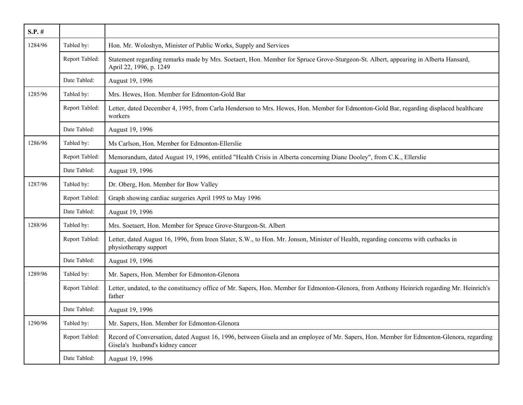| $S.P.$ # |                |                                                                                                                                                                              |
|----------|----------------|------------------------------------------------------------------------------------------------------------------------------------------------------------------------------|
| 1284/96  | Tabled by:     | Hon. Mr. Woloshyn, Minister of Public Works, Supply and Services                                                                                                             |
|          | Report Tabled: | Statement regarding remarks made by Mrs. Soetaert, Hon. Member for Spruce Grove-Sturgeon-St. Albert, appearing in Alberta Hansard,<br>April 22, 1996, p. 1249                |
|          | Date Tabled:   | August 19, 1996                                                                                                                                                              |
| 1285/96  | Tabled by:     | Mrs. Hewes, Hon. Member for Edmonton-Gold Bar                                                                                                                                |
|          | Report Tabled: | Letter, dated December 4, 1995, from Carla Henderson to Mrs. Hewes, Hon. Member for Edmonton-Gold Bar, regarding displaced healthcare<br>workers                             |
|          | Date Tabled:   | August 19, 1996                                                                                                                                                              |
| 1286/96  | Tabled by:     | Ms Carlson, Hon. Member for Edmonton-Ellerslie                                                                                                                               |
|          | Report Tabled: | Memorandum, dated August 19, 1996, entitled "Health Crisis in Alberta concerning Diane Dooley", from C.K., Ellerslie                                                         |
|          | Date Tabled:   | August 19, 1996                                                                                                                                                              |
| 1287/96  | Tabled by:     | Dr. Oberg, Hon. Member for Bow Valley                                                                                                                                        |
|          | Report Tabled: | Graph showing cardiac surgeries April 1995 to May 1996                                                                                                                       |
|          | Date Tabled:   | August 19, 1996                                                                                                                                                              |
| 1288/96  | Tabled by:     | Mrs. Soetaert, Hon. Member for Spruce Grove-Sturgeon-St. Albert                                                                                                              |
|          | Report Tabled: | Letter, dated August 16, 1996, from Ireen Slater, S.W., to Hon. Mr. Jonson, Minister of Health, regarding concerns with cutbacks in<br>physiotherapy support                 |
|          | Date Tabled:   | August 19, 1996                                                                                                                                                              |
| 1289/96  | Tabled by:     | Mr. Sapers, Hon. Member for Edmonton-Glenora                                                                                                                                 |
|          | Report Tabled: | Letter, undated, to the constituency office of Mr. Sapers, Hon. Member for Edmonton-Glenora, from Anthony Heinrich regarding Mr. Heinrich's<br>father                        |
|          | Date Tabled:   | August 19, 1996                                                                                                                                                              |
| 1290/96  | Tabled by:     | Mr. Sapers, Hon. Member for Edmonton-Glenora                                                                                                                                 |
|          | Report Tabled: | Record of Conversation, dated August 16, 1996, between Gisela and an employee of Mr. Sapers, Hon. Member for Edmonton-Glenora, regarding<br>Gisela's husband's kidney cancer |
|          | Date Tabled:   | August 19, 1996                                                                                                                                                              |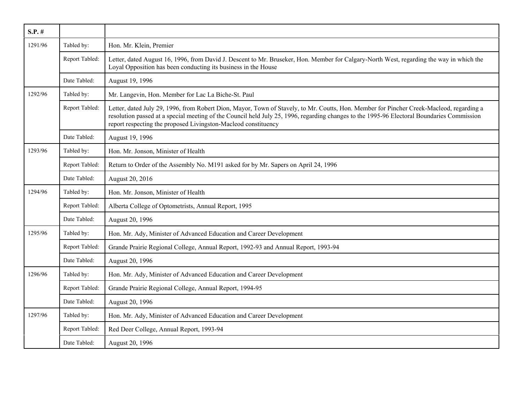| $S.P.$ # |                |                                                                                                                                                                                                                                                                                                                                                          |
|----------|----------------|----------------------------------------------------------------------------------------------------------------------------------------------------------------------------------------------------------------------------------------------------------------------------------------------------------------------------------------------------------|
| 1291/96  | Tabled by:     | Hon. Mr. Klein, Premier                                                                                                                                                                                                                                                                                                                                  |
|          | Report Tabled: | Letter, dated August 16, 1996, from David J. Descent to Mr. Bruseker, Hon. Member for Calgary-North West, regarding the way in which the<br>Loyal Opposition has been conducting its business in the House                                                                                                                                               |
|          | Date Tabled:   | August 19, 1996                                                                                                                                                                                                                                                                                                                                          |
| 1292/96  | Tabled by:     | Mr. Langevin, Hon. Member for Lac La Biche-St. Paul                                                                                                                                                                                                                                                                                                      |
|          | Report Tabled: | Letter, dated July 29, 1996, from Robert Dion, Mayor, Town of Stavely, to Mr. Coutts, Hon. Member for Pincher Creek-Macleod, regarding a<br>resolution passed at a special meeting of the Council held July 25, 1996, regarding changes to the 1995-96 Electoral Boundaries Commission<br>report respecting the proposed Livingston-Macleod constituency |
|          | Date Tabled:   | August 19, 1996                                                                                                                                                                                                                                                                                                                                          |
| 1293/96  | Tabled by:     | Hon. Mr. Jonson, Minister of Health                                                                                                                                                                                                                                                                                                                      |
|          | Report Tabled: | Return to Order of the Assembly No. M191 asked for by Mr. Sapers on April 24, 1996                                                                                                                                                                                                                                                                       |
|          | Date Tabled:   | August 20, 2016                                                                                                                                                                                                                                                                                                                                          |
| 1294/96  | Tabled by:     | Hon. Mr. Jonson, Minister of Health                                                                                                                                                                                                                                                                                                                      |
|          | Report Tabled: | Alberta College of Optometrists, Annual Report, 1995                                                                                                                                                                                                                                                                                                     |
|          | Date Tabled:   | August 20, 1996                                                                                                                                                                                                                                                                                                                                          |
| 1295/96  | Tabled by:     | Hon. Mr. Ady, Minister of Advanced Education and Career Development                                                                                                                                                                                                                                                                                      |
|          | Report Tabled: | Grande Prairie Regional College, Annual Report, 1992-93 and Annual Report, 1993-94                                                                                                                                                                                                                                                                       |
|          | Date Tabled:   | August 20, 1996                                                                                                                                                                                                                                                                                                                                          |
| 1296/96  | Tabled by:     | Hon. Mr. Ady, Minister of Advanced Education and Career Development                                                                                                                                                                                                                                                                                      |
|          | Report Tabled: | Grande Prairie Regional College, Annual Report, 1994-95                                                                                                                                                                                                                                                                                                  |
|          | Date Tabled:   | August 20, 1996                                                                                                                                                                                                                                                                                                                                          |
| 1297/96  | Tabled by:     | Hon. Mr. Ady, Minister of Advanced Education and Career Development                                                                                                                                                                                                                                                                                      |
|          | Report Tabled: | Red Deer College, Annual Report, 1993-94                                                                                                                                                                                                                                                                                                                 |
|          | Date Tabled:   | August 20, 1996                                                                                                                                                                                                                                                                                                                                          |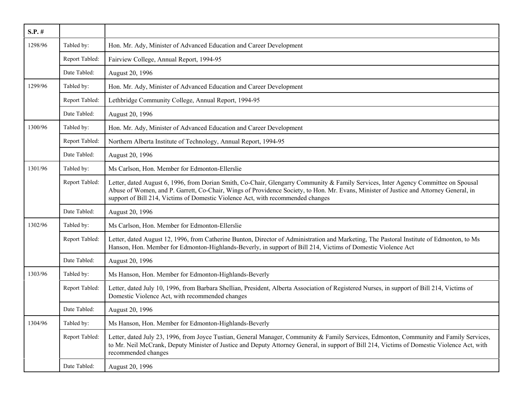| $S.P.$ # |                |                                                                                                                                                                                                                                                                                                                                                                  |
|----------|----------------|------------------------------------------------------------------------------------------------------------------------------------------------------------------------------------------------------------------------------------------------------------------------------------------------------------------------------------------------------------------|
| 1298/96  | Tabled by:     | Hon. Mr. Ady, Minister of Advanced Education and Career Development                                                                                                                                                                                                                                                                                              |
|          | Report Tabled: | Fairview College, Annual Report, 1994-95                                                                                                                                                                                                                                                                                                                         |
|          | Date Tabled:   | August 20, 1996                                                                                                                                                                                                                                                                                                                                                  |
| 1299/96  | Tabled by:     | Hon. Mr. Ady, Minister of Advanced Education and Career Development                                                                                                                                                                                                                                                                                              |
|          | Report Tabled: | Lethbridge Community College, Annual Report, 1994-95                                                                                                                                                                                                                                                                                                             |
|          | Date Tabled:   | August 20, 1996                                                                                                                                                                                                                                                                                                                                                  |
| 1300/96  | Tabled by:     | Hon. Mr. Ady, Minister of Advanced Education and Career Development                                                                                                                                                                                                                                                                                              |
|          | Report Tabled: | Northern Alberta Institute of Technology, Annual Report, 1994-95                                                                                                                                                                                                                                                                                                 |
|          | Date Tabled:   | August 20, 1996                                                                                                                                                                                                                                                                                                                                                  |
| 1301/96  | Tabled by:     | Ms Carlson, Hon. Member for Edmonton-Ellerslie                                                                                                                                                                                                                                                                                                                   |
|          | Report Tabled: | Letter, dated August 6, 1996, from Dorian Smith, Co-Chair, Glengarry Community & Family Services, Inter Agency Committee on Spousal<br>Abuse of Women, and P. Garrett, Co-Chair, Wings of Providence Society, to Hon. Mr. Evans, Minister of Justice and Attorney General, in<br>support of Bill 214, Victims of Domestic Violence Act, with recommended changes |
|          | Date Tabled:   | August 20, 1996                                                                                                                                                                                                                                                                                                                                                  |
| 1302/96  | Tabled by:     | Ms Carlson, Hon. Member for Edmonton-Ellerslie                                                                                                                                                                                                                                                                                                                   |
|          | Report Tabled: | Letter, dated August 12, 1996, from Catherine Bunton, Director of Administration and Marketing, The Pastoral Institute of Edmonton, to Ms<br>Hanson, Hon. Member for Edmonton-Highlands-Beverly, in support of Bill 214, Victims of Domestic Violence Act                                                                                                        |
|          | Date Tabled:   | August 20, 1996                                                                                                                                                                                                                                                                                                                                                  |
| 1303/96  | Tabled by:     | Ms Hanson, Hon. Member for Edmonton-Highlands-Beverly                                                                                                                                                                                                                                                                                                            |
|          | Report Tabled: | Letter, dated July 10, 1996, from Barbara Shellian, President, Alberta Association of Registered Nurses, in support of Bill 214, Victims of<br>Domestic Violence Act, with recommended changes                                                                                                                                                                   |
|          | Date Tabled:   | August 20, 1996                                                                                                                                                                                                                                                                                                                                                  |
| 1304/96  | Tabled by:     | Ms Hanson, Hon. Member for Edmonton-Highlands-Beverly                                                                                                                                                                                                                                                                                                            |
|          | Report Tabled: | Letter, dated July 23, 1996, from Joyce Tustian, General Manager, Community & Family Services, Edmonton, Community and Family Services,<br>to Mr. Neil McCrank, Deputy Minister of Justice and Deputy Attorney General, in support of Bill 214, Victims of Domestic Violence Act, with<br>recommended changes                                                    |
|          | Date Tabled:   | August 20, 1996                                                                                                                                                                                                                                                                                                                                                  |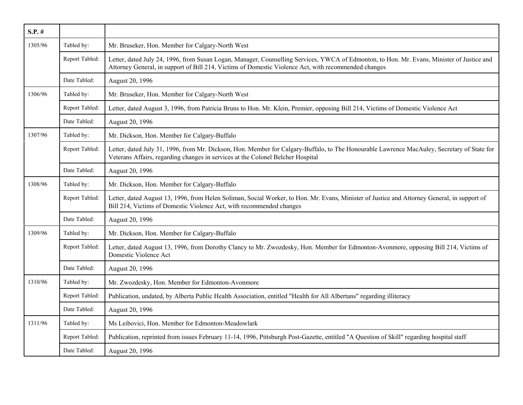| $S.P.$ # |                |                                                                                                                                                                                                                                                    |
|----------|----------------|----------------------------------------------------------------------------------------------------------------------------------------------------------------------------------------------------------------------------------------------------|
| 1305/96  | Tabled by:     | Mr. Bruseker, Hon. Member for Calgary-North West                                                                                                                                                                                                   |
|          | Report Tabled: | Letter, dated July 24, 1996, from Susan Logan, Manager, Counselling Services, YWCA of Edmonton, to Hon. Mr. Evans, Minister of Justice and<br>Attorney General, in support of Bill 214, Victims of Domestic Violence Act, with recommended changes |
|          | Date Tabled:   | August 20, 1996                                                                                                                                                                                                                                    |
| 1306/96  | Tabled by:     | Mr. Bruseker, Hon. Member for Calgary-North West                                                                                                                                                                                                   |
|          | Report Tabled: | Letter, dated August 3, 1996, from Patricia Bruns to Hon. Mr. Klein, Premier, opposing Bill 214, Victims of Domestic Violence Act                                                                                                                  |
|          | Date Tabled:   | August 20, 1996                                                                                                                                                                                                                                    |
| 1307/96  | Tabled by:     | Mr. Dickson, Hon. Member for Calgary-Buffalo                                                                                                                                                                                                       |
|          | Report Tabled: | Letter, dated July 31, 1996, from Mr. Dickson, Hon. Member for Calgary-Buffalo, to The Honourable Lawrence MacAuley, Secretary of State for<br>Veterans Affairs, regarding changes in services at the Colonel Belcher Hospital                     |
|          | Date Tabled:   | August 20, 1996                                                                                                                                                                                                                                    |
| 1308/96  | Tabled by:     | Mr. Dickson, Hon. Member for Calgary-Buffalo                                                                                                                                                                                                       |
|          | Report Tabled: | Letter, dated August 13, 1996, from Helen Soliman, Social Worker, to Hon. Mr. Evans, Minister of Justice and Attorney General, in support of<br>Bill 214, Victims of Domestic Violence Act, with recommended changes                               |
|          | Date Tabled:   | August 20, 1996                                                                                                                                                                                                                                    |
| 1309/96  | Tabled by:     | Mr. Dickson, Hon. Member for Calgary-Buffalo                                                                                                                                                                                                       |
|          | Report Tabled: | Letter, dated August 13, 1996, from Dorothy Clancy to Mr. Zwozdesky, Hon. Member for Edmonton-Avonmore, opposing Bill 214, Victims of<br>Domestic Violence Act                                                                                     |
|          | Date Tabled:   | August 20, 1996                                                                                                                                                                                                                                    |
| 1310/96  | Tabled by:     | Mr. Zwozdesky, Hon. Member for Edmonton-Avonmore                                                                                                                                                                                                   |
|          | Report Tabled: | Publication, undated, by Alberta Public Health Association, entitled "Health for All Albertans" regarding illiteracy                                                                                                                               |
|          | Date Tabled:   | August 20, 1996                                                                                                                                                                                                                                    |
| 1311/96  | Tabled by:     | Ms Leibovici, Hon. Member for Edmonton-Meadowlark                                                                                                                                                                                                  |
|          | Report Tabled: | Publication, reprinted from issues February 11-14, 1996, Pittsburgh Post-Gazette, entitled "A Question of Skill" regarding hospital staff                                                                                                          |
|          | Date Tabled:   | August 20, 1996                                                                                                                                                                                                                                    |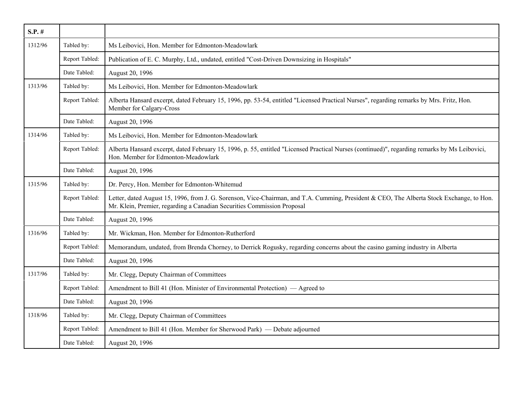| $S.P.$ # |                |                                                                                                                                                                                                                      |
|----------|----------------|----------------------------------------------------------------------------------------------------------------------------------------------------------------------------------------------------------------------|
| 1312/96  | Tabled by:     | Ms Leibovici, Hon. Member for Edmonton-Meadowlark                                                                                                                                                                    |
|          | Report Tabled: | Publication of E. C. Murphy, Ltd., undated, entitled "Cost-Driven Downsizing in Hospitals"                                                                                                                           |
|          | Date Tabled:   | August 20, 1996                                                                                                                                                                                                      |
| 1313/96  | Tabled by:     | Ms Leibovici, Hon. Member for Edmonton-Meadowlark                                                                                                                                                                    |
|          | Report Tabled: | Alberta Hansard excerpt, dated February 15, 1996, pp. 53-54, entitled "Licensed Practical Nurses", regarding remarks by Mrs. Fritz, Hon.<br>Member for Calgary-Cross                                                 |
|          | Date Tabled:   | August 20, 1996                                                                                                                                                                                                      |
| 1314/96  | Tabled by:     | Ms Leibovici, Hon. Member for Edmonton-Meadowlark                                                                                                                                                                    |
|          | Report Tabled: | Alberta Hansard excerpt, dated February 15, 1996, p. 55, entitled "Licensed Practical Nurses (continued)", regarding remarks by Ms Leibovici,<br>Hon. Member for Edmonton-Meadowlark                                 |
|          | Date Tabled:   | August 20, 1996                                                                                                                                                                                                      |
| 1315/96  | Tabled by:     | Dr. Percy, Hon. Member for Edmonton-Whitemud                                                                                                                                                                         |
|          | Report Tabled: | Letter, dated August 15, 1996, from J. G. Sorenson, Vice-Chairman, and T.A. Cumming, President & CEO, The Alberta Stock Exchange, to Hon.<br>Mr. Klein, Premier, regarding a Canadian Securities Commission Proposal |
|          | Date Tabled:   | August 20, 1996                                                                                                                                                                                                      |
| 1316/96  | Tabled by:     | Mr. Wickman, Hon. Member for Edmonton-Rutherford                                                                                                                                                                     |
|          | Report Tabled: | Memorandum, undated, from Brenda Chorney, to Derrick Rogusky, regarding concerns about the casino gaming industry in Alberta                                                                                         |
|          | Date Tabled:   | August 20, 1996                                                                                                                                                                                                      |
| 1317/96  | Tabled by:     | Mr. Clegg, Deputy Chairman of Committees                                                                                                                                                                             |
|          | Report Tabled: | Amendment to Bill 41 (Hon. Minister of Environmental Protection) — Agreed to                                                                                                                                         |
|          | Date Tabled:   | August 20, 1996                                                                                                                                                                                                      |
| 1318/96  | Tabled by:     | Mr. Clegg, Deputy Chairman of Committees                                                                                                                                                                             |
|          | Report Tabled: | Amendment to Bill 41 (Hon. Member for Sherwood Park) — Debate adjourned                                                                                                                                              |
|          | Date Tabled:   | August 20, 1996                                                                                                                                                                                                      |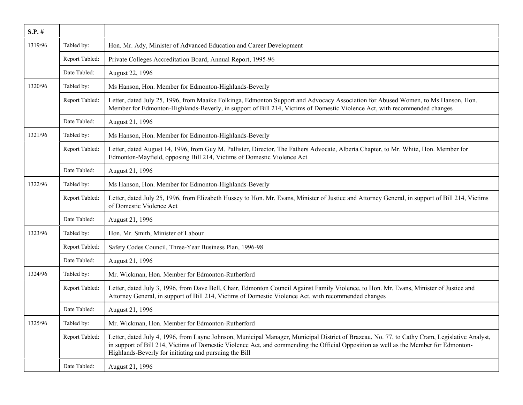| $S.P.$ # |                |                                                                                                                                                                                                                                                                                                                                                 |
|----------|----------------|-------------------------------------------------------------------------------------------------------------------------------------------------------------------------------------------------------------------------------------------------------------------------------------------------------------------------------------------------|
| 1319/96  | Tabled by:     | Hon. Mr. Ady, Minister of Advanced Education and Career Development                                                                                                                                                                                                                                                                             |
|          | Report Tabled: | Private Colleges Accreditation Board, Annual Report, 1995-96                                                                                                                                                                                                                                                                                    |
|          | Date Tabled:   | August 22, 1996                                                                                                                                                                                                                                                                                                                                 |
| 1320/96  | Tabled by:     | Ms Hanson, Hon. Member for Edmonton-Highlands-Beverly                                                                                                                                                                                                                                                                                           |
|          | Report Tabled: | Letter, dated July 25, 1996, from Maaike Folkinga, Edmonton Support and Advocacy Association for Abused Women, to Ms Hanson, Hon.<br>Member for Edmonton-Highlands-Beverly, in support of Bill 214, Victims of Domestic Violence Act, with recommended changes                                                                                  |
|          | Date Tabled:   | August 21, 1996                                                                                                                                                                                                                                                                                                                                 |
| 1321/96  | Tabled by:     | Ms Hanson, Hon. Member for Edmonton-Highlands-Beverly                                                                                                                                                                                                                                                                                           |
|          | Report Tabled: | Letter, dated August 14, 1996, from Guy M. Pallister, Director, The Fathers Advocate, Alberta Chapter, to Mr. White, Hon. Member for<br>Edmonton-Mayfield, opposing Bill 214, Victims of Domestic Violence Act                                                                                                                                  |
|          | Date Tabled:   | August 21, 1996                                                                                                                                                                                                                                                                                                                                 |
| 1322/96  | Tabled by:     | Ms Hanson, Hon. Member for Edmonton-Highlands-Beverly                                                                                                                                                                                                                                                                                           |
|          | Report Tabled: | Letter, dated July 25, 1996, from Elizabeth Hussey to Hon. Mr. Evans, Minister of Justice and Attorney General, in support of Bill 214, Victims<br>of Domestic Violence Act                                                                                                                                                                     |
|          | Date Tabled:   | August 21, 1996                                                                                                                                                                                                                                                                                                                                 |
| 1323/96  | Tabled by:     | Hon. Mr. Smith, Minister of Labour                                                                                                                                                                                                                                                                                                              |
|          | Report Tabled: | Safety Codes Council, Three-Year Business Plan, 1996-98                                                                                                                                                                                                                                                                                         |
|          | Date Tabled:   | August 21, 1996                                                                                                                                                                                                                                                                                                                                 |
| 1324/96  | Tabled by:     | Mr. Wickman, Hon. Member for Edmonton-Rutherford                                                                                                                                                                                                                                                                                                |
|          | Report Tabled: | Letter, dated July 3, 1996, from Dave Bell, Chair, Edmonton Council Against Family Violence, to Hon. Mr. Evans, Minister of Justice and<br>Attorney General, in support of Bill 214, Victims of Domestic Violence Act, with recommended changes                                                                                                 |
|          | Date Tabled:   | August 21, 1996                                                                                                                                                                                                                                                                                                                                 |
| 1325/96  | Tabled by:     | Mr. Wickman, Hon. Member for Edmonton-Rutherford                                                                                                                                                                                                                                                                                                |
|          | Report Tabled: | Letter, dated July 4, 1996, from Layne Johnson, Municipal Manager, Municipal District of Brazeau, No. 77, to Cathy Cram, Legislative Analyst,<br>in support of Bill 214, Victims of Domestic Violence Act, and commending the Official Opposition as well as the Member for Edmonton-<br>Highlands-Beverly for initiating and pursuing the Bill |
|          | Date Tabled:   | August 21, 1996                                                                                                                                                                                                                                                                                                                                 |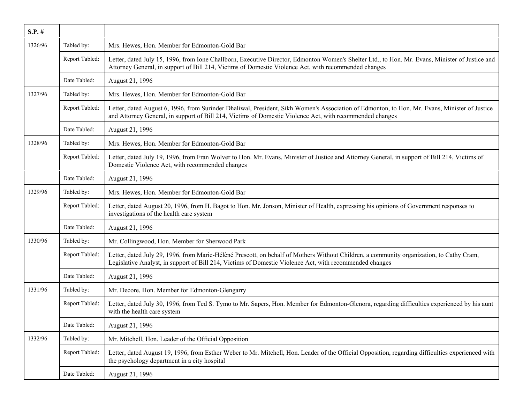| $S.P.$ # |                |                                                                                                                                                                                                                                                           |
|----------|----------------|-----------------------------------------------------------------------------------------------------------------------------------------------------------------------------------------------------------------------------------------------------------|
| 1326/96  | Tabled by:     | Mrs. Hewes, Hon. Member for Edmonton-Gold Bar                                                                                                                                                                                                             |
|          | Report Tabled: | Letter, dated July 15, 1996, from Ione Challborn, Executive Director, Edmonton Women's Shelter Ltd., to Hon. Mr. Evans, Minister of Justice and<br>Attorney General, in support of Bill 214, Victims of Domestic Violence Act, with recommended changes   |
|          | Date Tabled:   | August 21, 1996                                                                                                                                                                                                                                           |
| 1327/96  | Tabled by:     | Mrs. Hewes, Hon. Member for Edmonton-Gold Bar                                                                                                                                                                                                             |
|          | Report Tabled: | Letter, dated August 6, 1996, from Surinder Dhaliwal, President, Sikh Women's Association of Edmonton, to Hon. Mr. Evans, Minister of Justice<br>and Attorney General, in support of Bill 214, Victims of Domestic Violence Act, with recommended changes |
|          | Date Tabled:   | August 21, 1996                                                                                                                                                                                                                                           |
| 1328/96  | Tabled by:     | Mrs. Hewes, Hon. Member for Edmonton-Gold Bar                                                                                                                                                                                                             |
|          | Report Tabled: | Letter, dated July 19, 1996, from Fran Wolver to Hon. Mr. Evans, Minister of Justice and Attorney General, in support of Bill 214, Victims of<br>Domestic Violence Act, with recommended changes                                                          |
|          | Date Tabled:   | August 21, 1996                                                                                                                                                                                                                                           |
| 1329/96  | Tabled by:     | Mrs. Hewes, Hon. Member for Edmonton-Gold Bar                                                                                                                                                                                                             |
|          | Report Tabled: | Letter, dated August 20, 1996, from H. Bagot to Hon. Mr. Jonson, Minister of Health, expressing his opinions of Government responses to<br>investigations of the health care system                                                                       |
|          | Date Tabled:   | August 21, 1996                                                                                                                                                                                                                                           |
| 1330/96  | Tabled by:     | Mr. Collingwood, Hon. Member for Sherwood Park                                                                                                                                                                                                            |
|          | Report Tabled: | Letter, dated July 29, 1996, from Marie-Hélèné Prescott, on behalf of Mothers Without Children, a community organization, to Cathy Cram,<br>Legislative Analyst, in support of Bill 214, Victims of Domestic Violence Act, with recommended changes       |
|          | Date Tabled:   | August 21, 1996                                                                                                                                                                                                                                           |
| 1331/96  | Tabled by:     | Mr. Decore, Hon. Member for Edmonton-Glengarry                                                                                                                                                                                                            |
|          | Report Tabled: | Letter, dated July 30, 1996, from Ted S. Tymo to Mr. Sapers, Hon. Member for Edmonton-Glenora, regarding difficulties experienced by his aunt<br>with the health care system                                                                              |
|          | Date Tabled:   | August 21, 1996                                                                                                                                                                                                                                           |
| 1332/96  | Tabled by:     | Mr. Mitchell, Hon. Leader of the Official Opposition                                                                                                                                                                                                      |
|          | Report Tabled: | Letter, dated August 19, 1996, from Esther Weber to Mr. Mitchell, Hon. Leader of the Official Opposition, regarding difficulties experienced with<br>the psychology department in a city hospital                                                         |
|          | Date Tabled:   | August 21, 1996                                                                                                                                                                                                                                           |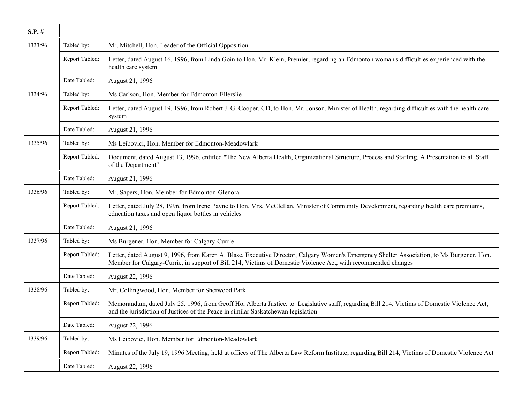| $S.P.$ # |                |                                                                                                                                                                                                                                                             |
|----------|----------------|-------------------------------------------------------------------------------------------------------------------------------------------------------------------------------------------------------------------------------------------------------------|
| 1333/96  | Tabled by:     | Mr. Mitchell, Hon. Leader of the Official Opposition                                                                                                                                                                                                        |
|          | Report Tabled: | Letter, dated August 16, 1996, from Linda Goin to Hon. Mr. Klein, Premier, regarding an Edmonton woman's difficulties experienced with the<br>health care system                                                                                            |
|          | Date Tabled:   | August 21, 1996                                                                                                                                                                                                                                             |
| 1334/96  | Tabled by:     | Ms Carlson, Hon. Member for Edmonton-Ellerslie                                                                                                                                                                                                              |
|          | Report Tabled: | Letter, dated August 19, 1996, from Robert J. G. Cooper, CD, to Hon. Mr. Jonson, Minister of Health, regarding difficulties with the health care<br>system                                                                                                  |
|          | Date Tabled:   | August 21, 1996                                                                                                                                                                                                                                             |
| 1335/96  | Tabled by:     | Ms Leibovici, Hon. Member for Edmonton-Meadowlark                                                                                                                                                                                                           |
|          | Report Tabled: | Document, dated August 13, 1996, entitled "The New Alberta Health, Organizational Structure, Process and Staffing, A Presentation to all Staff<br>of the Department"                                                                                        |
|          | Date Tabled:   | August 21, 1996                                                                                                                                                                                                                                             |
| 1336/96  | Tabled by:     | Mr. Sapers, Hon. Member for Edmonton-Glenora                                                                                                                                                                                                                |
|          | Report Tabled: | Letter, dated July 28, 1996, from Irene Payne to Hon. Mrs. McClellan, Minister of Community Development, regarding health care premiums,<br>education taxes and open liquor bottles in vehicles                                                             |
|          | Date Tabled:   | August 21, 1996                                                                                                                                                                                                                                             |
| 1337/96  | Tabled by:     | Ms Burgener, Hon. Member for Calgary-Currie                                                                                                                                                                                                                 |
|          | Report Tabled: | Letter, dated August 9, 1996, from Karen A. Blase, Executive Director, Calgary Women's Emergency Shelter Association, to Ms Burgener, Hon.<br>Member for Calgary-Currie, in support of Bill 214, Victims of Domestic Violence Act, with recommended changes |
|          | Date Tabled:   | August 22, 1996                                                                                                                                                                                                                                             |
| 1338/96  | Tabled by:     | Mr. Collingwood, Hon. Member for Sherwood Park                                                                                                                                                                                                              |
|          | Report Tabled: | Memorandum, dated July 25, 1996, from Geoff Ho, Alberta Justice, to Legislative staff, regarding Bill 214, Victims of Domestic Violence Act,<br>and the jurisdiction of Justices of the Peace in similar Saskatchewan legislation                           |
|          | Date Tabled:   | August 22, 1996                                                                                                                                                                                                                                             |
| 1339/96  | Tabled by:     | Ms Leibovici, Hon. Member for Edmonton-Meadowlark                                                                                                                                                                                                           |
|          | Report Tabled: | Minutes of the July 19, 1996 Meeting, held at offices of The Alberta Law Reform Institute, regarding Bill 214, Victims of Domestic Violence Act                                                                                                             |
|          | Date Tabled:   | August 22, 1996                                                                                                                                                                                                                                             |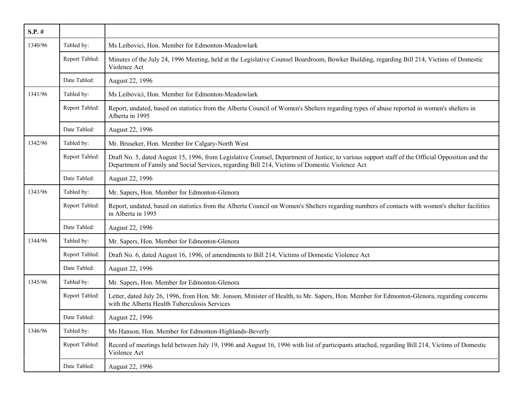| $S.P.$ # |                |                                                                                                                                                                                                                                                    |
|----------|----------------|----------------------------------------------------------------------------------------------------------------------------------------------------------------------------------------------------------------------------------------------------|
| 1340/96  | Tabled by:     | Ms Leibovici, Hon. Member for Edmonton-Meadowlark                                                                                                                                                                                                  |
|          | Report Tabled: | Minutes of the July 24, 1996 Meeting, held at the Legislative Counsel Boardroom, Bowker Building, regarding Bill 214, Victims of Domestic<br>Violence Act                                                                                          |
|          | Date Tabled:   | August 22, 1996                                                                                                                                                                                                                                    |
| 1341/96  | Tabled by:     | Ms Leibovici, Hon. Member for Edmonton-Meadowlark                                                                                                                                                                                                  |
|          | Report Tabled: | Report, undated, based on statistics from the Alberta Council of Women's Shelters regarding types of abuse reported in women's shelters in<br>Alberta in 1995                                                                                      |
|          | Date Tabled:   | August 22, 1996                                                                                                                                                                                                                                    |
| 1342/96  | Tabled by:     | Mr. Bruseker, Hon. Member for Calgary-North West                                                                                                                                                                                                   |
|          | Report Tabled: | Draft No. 5, dated August 15, 1996, from Legislative Counsel, Department of Justice, to various support staff of the Official Opposition and the<br>Department of Family and Social Services, regarding Bill 214, Victims of Domestic Violence Act |
|          | Date Tabled:   | August 22, 1996                                                                                                                                                                                                                                    |
| 1343/96  | Tabled by:     | Mr. Sapers, Hon. Member for Edmonton-Glenora                                                                                                                                                                                                       |
|          | Report Tabled: | Report, undated, based on statistics from the Alberta Council on Women's Shelters regarding numbers of contacts with women's shelter facilities<br>in Alberta in 1995                                                                              |
|          | Date Tabled:   | August 22, 1996                                                                                                                                                                                                                                    |
| 1344/96  | Tabled by:     | Mr. Sapers, Hon. Member for Edmonton-Glenora                                                                                                                                                                                                       |
|          | Report Tabled: | Draft No. 6, dated August 16, 1996, of amendments to Bill 214, Victims of Domestic Violence Act                                                                                                                                                    |
|          | Date Tabled:   | August 22, 1996                                                                                                                                                                                                                                    |
| 1345/96  | Tabled by:     | Mr. Sapers, Hon. Member for Edmonton-Glenora                                                                                                                                                                                                       |
|          | Report Tabled: | Letter, dated July 26, 1996, from Hon. Mr. Jonson, Minister of Health, to Mr. Sapers, Hon. Member for Edmonton-Glenora, regarding concerns<br>with the Alberta Health Tuberculosis Services                                                        |
|          | Date Tabled:   | August 22, 1996                                                                                                                                                                                                                                    |
| 1346/96  | Tabled by:     | Ms Hanson, Hon. Member for Edmonton-Highlands-Beverly                                                                                                                                                                                              |
|          | Report Tabled: | Record of meetings held between July 19, 1996 and August 16, 1996 with list of participants attached, regarding Bill 214, Victims of Domestic<br>Violence Act                                                                                      |
|          | Date Tabled:   | August 22, 1996                                                                                                                                                                                                                                    |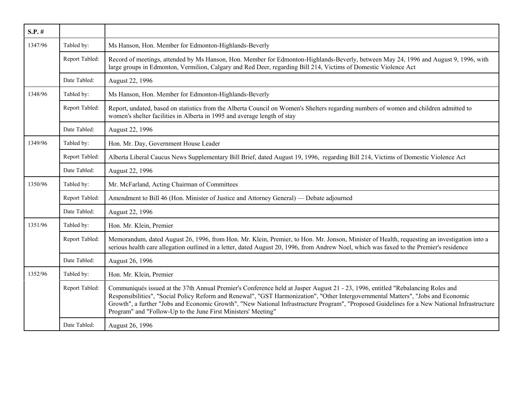| $S.P.$ # |                |                                                                                                                                                                                                                                                                                                                                                                                                                                                                                       |
|----------|----------------|---------------------------------------------------------------------------------------------------------------------------------------------------------------------------------------------------------------------------------------------------------------------------------------------------------------------------------------------------------------------------------------------------------------------------------------------------------------------------------------|
| 1347/96  | Tabled by:     | Ms Hanson, Hon. Member for Edmonton-Highlands-Beverly                                                                                                                                                                                                                                                                                                                                                                                                                                 |
|          | Report Tabled: | Record of meetings, attended by Ms Hanson, Hon. Member for Edmonton-Highlands-Beverly, between May 24, 1996 and August 9, 1996, with<br>large groups in Edmonton, Vermilion, Calgary and Red Deer, regarding Bill 214, Victims of Domestic Violence Act                                                                                                                                                                                                                               |
|          | Date Tabled:   | August 22, 1996                                                                                                                                                                                                                                                                                                                                                                                                                                                                       |
| 1348/96  | Tabled by:     | Ms Hanson, Hon. Member for Edmonton-Highlands-Beverly                                                                                                                                                                                                                                                                                                                                                                                                                                 |
|          | Report Tabled: | Report, undated, based on statistics from the Alberta Council on Women's Shelters regarding numbers of women and children admitted to<br>women's shelter facilities in Alberta in 1995 and average length of stay                                                                                                                                                                                                                                                                     |
|          | Date Tabled:   | August 22, 1996                                                                                                                                                                                                                                                                                                                                                                                                                                                                       |
| 1349/96  | Tabled by:     | Hon. Mr. Day, Government House Leader                                                                                                                                                                                                                                                                                                                                                                                                                                                 |
|          | Report Tabled: | Alberta Liberal Caucus News Supplementary Bill Brief, dated August 19, 1996, regarding Bill 214, Victims of Domestic Violence Act                                                                                                                                                                                                                                                                                                                                                     |
|          | Date Tabled:   | August 22, 1996                                                                                                                                                                                                                                                                                                                                                                                                                                                                       |
| 1350/96  | Tabled by:     | Mr. McFarland, Acting Chairman of Committees                                                                                                                                                                                                                                                                                                                                                                                                                                          |
|          | Report Tabled: | Amendment to Bill 46 (Hon. Minister of Justice and Attorney General) — Debate adjourned                                                                                                                                                                                                                                                                                                                                                                                               |
|          | Date Tabled:   | August 22, 1996                                                                                                                                                                                                                                                                                                                                                                                                                                                                       |
| 1351/96  | Tabled by:     | Hon. Mr. Klein, Premier                                                                                                                                                                                                                                                                                                                                                                                                                                                               |
|          | Report Tabled: | Memorandum, dated August 26, 1996, from Hon. Mr. Klein, Premier, to Hon. Mr. Jonson, Minister of Health, requesting an investigation into a<br>serious health care allegation outlined in a letter, dated August 20, 1996, from Andrew Noel, which was faxed to the Premier's residence                                                                                                                                                                                               |
|          | Date Tabled:   | August 26, 1996                                                                                                                                                                                                                                                                                                                                                                                                                                                                       |
| 1352/96  | Tabled by:     | Hon. Mr. Klein, Premier                                                                                                                                                                                                                                                                                                                                                                                                                                                               |
|          | Report Tabled: | Communiqués issued at the 37th Annual Premier's Conference held at Jasper August 21 - 23, 1996, entitled "Rebalancing Roles and<br>Responsibilities", "Social Policy Reform and Renewal", "GST Harmonization", "Other Intergovernmental Matters", "Jobs and Economic<br>Growth", a further "Jobs and Economic Growth", "New National Infrastructure Program", "Proposed Guidelines for a New National Infrastructure<br>Program" and "Follow-Up to the June First Ministers' Meeting" |
|          | Date Tabled:   | August 26, 1996                                                                                                                                                                                                                                                                                                                                                                                                                                                                       |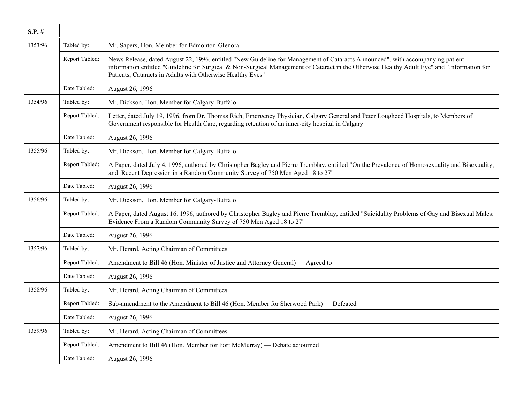| $S.P.$ # |                |                                                                                                                                                                                                                                                                                                                                             |
|----------|----------------|---------------------------------------------------------------------------------------------------------------------------------------------------------------------------------------------------------------------------------------------------------------------------------------------------------------------------------------------|
| 1353/96  | Tabled by:     | Mr. Sapers, Hon. Member for Edmonton-Glenora                                                                                                                                                                                                                                                                                                |
|          | Report Tabled: | News Release, dated August 22, 1996, entitled "New Guideline for Management of Cataracts Announced", with accompanying patient<br>information entitled "Guideline for Surgical & Non-Surgical Management of Cataract in the Otherwise Healthy Adult Eye" and "Information for<br>Patients, Cataracts in Adults with Otherwise Healthy Eyes" |
|          | Date Tabled:   | August 26, 1996                                                                                                                                                                                                                                                                                                                             |
| 1354/96  | Tabled by:     | Mr. Dickson, Hon. Member for Calgary-Buffalo                                                                                                                                                                                                                                                                                                |
|          | Report Tabled: | Letter, dated July 19, 1996, from Dr. Thomas Rich, Emergency Physician, Calgary General and Peter Lougheed Hospitals, to Members of<br>Government responsible for Health Care, regarding retention of an inner-city hospital in Calgary                                                                                                     |
|          | Date Tabled:   | August 26, 1996                                                                                                                                                                                                                                                                                                                             |
| 1355/96  | Tabled by:     | Mr. Dickson, Hon. Member for Calgary-Buffalo                                                                                                                                                                                                                                                                                                |
|          | Report Tabled: | A Paper, dated July 4, 1996, authored by Christopher Bagley and Pierre Tremblay, entitled "On the Prevalence of Homosexuality and Bisexuality,<br>and Recent Depression in a Random Community Survey of 750 Men Aged 18 to 27"                                                                                                              |
|          | Date Tabled:   | August 26, 1996                                                                                                                                                                                                                                                                                                                             |
| 1356/96  | Tabled by:     | Mr. Dickson, Hon. Member for Calgary-Buffalo                                                                                                                                                                                                                                                                                                |
|          | Report Tabled: | A Paper, dated August 16, 1996, authored by Christopher Bagley and Pierre Tremblay, entitled "Suicidality Problems of Gay and Bisexual Males:<br>Evidence From a Random Community Survey of 750 Men Aged 18 to 27"                                                                                                                          |
|          | Date Tabled:   | August 26, 1996                                                                                                                                                                                                                                                                                                                             |
| 1357/96  | Tabled by:     | Mr. Herard, Acting Chairman of Committees                                                                                                                                                                                                                                                                                                   |
|          | Report Tabled: | Amendment to Bill 46 (Hon. Minister of Justice and Attorney General) — Agreed to                                                                                                                                                                                                                                                            |
|          | Date Tabled:   | August 26, 1996                                                                                                                                                                                                                                                                                                                             |
| 1358/96  | Tabled by:     | Mr. Herard, Acting Chairman of Committees                                                                                                                                                                                                                                                                                                   |
|          | Report Tabled: | Sub-amendment to the Amendment to Bill 46 (Hon. Member for Sherwood Park) — Defeated                                                                                                                                                                                                                                                        |
|          | Date Tabled:   | August 26, 1996                                                                                                                                                                                                                                                                                                                             |
| 1359/96  | Tabled by:     | Mr. Herard, Acting Chairman of Committees                                                                                                                                                                                                                                                                                                   |
|          | Report Tabled: | Amendment to Bill 46 (Hon. Member for Fort McMurray) — Debate adjourned                                                                                                                                                                                                                                                                     |
|          | Date Tabled:   | August 26, 1996                                                                                                                                                                                                                                                                                                                             |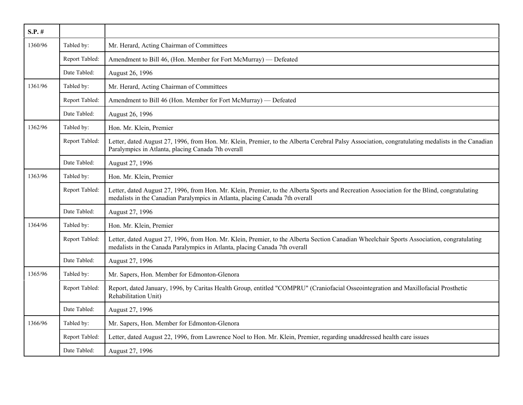| $S.P.$ # |                |                                                                                                                                                                                                                             |
|----------|----------------|-----------------------------------------------------------------------------------------------------------------------------------------------------------------------------------------------------------------------------|
| 1360/96  | Tabled by:     | Mr. Herard, Acting Chairman of Committees                                                                                                                                                                                   |
|          | Report Tabled: | Amendment to Bill 46, (Hon. Member for Fort McMurray) — Defeated                                                                                                                                                            |
|          | Date Tabled:   | August 26, 1996                                                                                                                                                                                                             |
| 1361/96  | Tabled by:     | Mr. Herard, Acting Chairman of Committees                                                                                                                                                                                   |
|          | Report Tabled: | Amendment to Bill 46 (Hon. Member for Fort McMurray) — Defeated                                                                                                                                                             |
|          | Date Tabled:   | August 26, 1996                                                                                                                                                                                                             |
| 1362/96  | Tabled by:     | Hon. Mr. Klein, Premier                                                                                                                                                                                                     |
|          | Report Tabled: | Letter, dated August 27, 1996, from Hon. Mr. Klein, Premier, to the Alberta Cerebral Palsy Association, congratulating medalists in the Canadian<br>Paralympics in Atlanta, placing Canada 7th overall                      |
|          | Date Tabled:   | August 27, 1996                                                                                                                                                                                                             |
| 1363/96  | Tabled by:     | Hon. Mr. Klein, Premier                                                                                                                                                                                                     |
|          | Report Tabled: | Letter, dated August 27, 1996, from Hon. Mr. Klein, Premier, to the Alberta Sports and Recreation Association for the Blind, congratulating<br>medalists in the Canadian Paralympics in Atlanta, placing Canada 7th overall |
|          | Date Tabled:   | August 27, 1996                                                                                                                                                                                                             |
| 1364/96  | Tabled by:     | Hon. Mr. Klein, Premier                                                                                                                                                                                                     |
|          | Report Tabled: | Letter, dated August 27, 1996, from Hon. Mr. Klein, Premier, to the Alberta Section Canadian Wheelchair Sports Association, congratulating<br>medalists in the Canada Paralympics in Atlanta, placing Canada 7th overall    |
|          | Date Tabled:   | August 27, 1996                                                                                                                                                                                                             |
| 1365/96  | Tabled by:     | Mr. Sapers, Hon. Member for Edmonton-Glenora                                                                                                                                                                                |
|          | Report Tabled: | Report, dated January, 1996, by Caritas Health Group, entitled "COMPRU" (Craniofacial Osseointegration and Maxillofacial Prosthetic<br>Rehabilitation Unit)                                                                 |
|          | Date Tabled:   | August 27, 1996                                                                                                                                                                                                             |
| 1366/96  | Tabled by:     | Mr. Sapers, Hon. Member for Edmonton-Glenora                                                                                                                                                                                |
|          | Report Tabled: | Letter, dated August 22, 1996, from Lawrence Noel to Hon. Mr. Klein, Premier, regarding unaddressed health care issues                                                                                                      |
|          | Date Tabled:   | August 27, 1996                                                                                                                                                                                                             |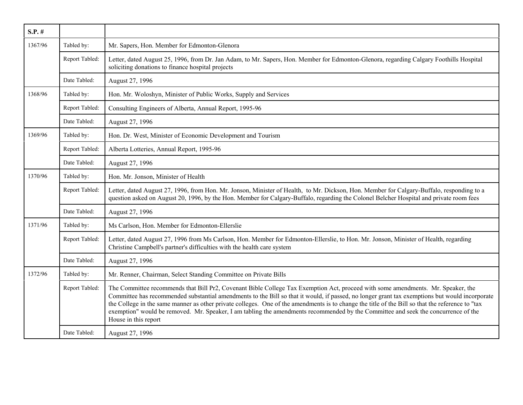| $S.P.$ # |                |                                                                                                                                                                                                                                                                                                                                                                                                                                                                                                                                                                                                      |
|----------|----------------|------------------------------------------------------------------------------------------------------------------------------------------------------------------------------------------------------------------------------------------------------------------------------------------------------------------------------------------------------------------------------------------------------------------------------------------------------------------------------------------------------------------------------------------------------------------------------------------------------|
| 1367/96  | Tabled by:     | Mr. Sapers, Hon. Member for Edmonton-Glenora                                                                                                                                                                                                                                                                                                                                                                                                                                                                                                                                                         |
|          | Report Tabled: | Letter, dated August 25, 1996, from Dr. Jan Adam, to Mr. Sapers, Hon. Member for Edmonton-Glenora, regarding Calgary Foothills Hospital<br>soliciting donations to finance hospital projects                                                                                                                                                                                                                                                                                                                                                                                                         |
|          | Date Tabled:   | August 27, 1996                                                                                                                                                                                                                                                                                                                                                                                                                                                                                                                                                                                      |
| 1368/96  | Tabled by:     | Hon. Mr. Woloshyn, Minister of Public Works, Supply and Services                                                                                                                                                                                                                                                                                                                                                                                                                                                                                                                                     |
|          | Report Tabled: | Consulting Engineers of Alberta, Annual Report, 1995-96                                                                                                                                                                                                                                                                                                                                                                                                                                                                                                                                              |
|          | Date Tabled:   | August 27, 1996                                                                                                                                                                                                                                                                                                                                                                                                                                                                                                                                                                                      |
| 1369/96  | Tabled by:     | Hon. Dr. West, Minister of Economic Development and Tourism                                                                                                                                                                                                                                                                                                                                                                                                                                                                                                                                          |
|          | Report Tabled: | Alberta Lotteries, Annual Report, 1995-96                                                                                                                                                                                                                                                                                                                                                                                                                                                                                                                                                            |
|          | Date Tabled:   | August 27, 1996                                                                                                                                                                                                                                                                                                                                                                                                                                                                                                                                                                                      |
| 1370/96  | Tabled by:     | Hon. Mr. Jonson, Minister of Health                                                                                                                                                                                                                                                                                                                                                                                                                                                                                                                                                                  |
|          | Report Tabled: | Letter, dated August 27, 1996, from Hon. Mr. Jonson, Minister of Health, to Mr. Dickson, Hon. Member for Calgary-Buffalo, responding to a<br>question asked on August 20, 1996, by the Hon. Member for Calgary-Buffalo, regarding the Colonel Belcher Hospital and private room fees                                                                                                                                                                                                                                                                                                                 |
|          | Date Tabled:   | August 27, 1996                                                                                                                                                                                                                                                                                                                                                                                                                                                                                                                                                                                      |
| 1371/96  | Tabled by:     | Ms Carlson, Hon. Member for Edmonton-Ellerslie                                                                                                                                                                                                                                                                                                                                                                                                                                                                                                                                                       |
|          | Report Tabled: | Letter, dated August 27, 1996 from Ms Carlson, Hon. Member for Edmonton-Ellerslie, to Hon. Mr. Jonson, Minister of Health, regarding<br>Christine Campbell's partner's difficulties with the health care system                                                                                                                                                                                                                                                                                                                                                                                      |
|          | Date Tabled:   | August 27, 1996                                                                                                                                                                                                                                                                                                                                                                                                                                                                                                                                                                                      |
| 1372/96  | Tabled by:     | Mr. Renner, Chairman, Select Standing Committee on Private Bills                                                                                                                                                                                                                                                                                                                                                                                                                                                                                                                                     |
|          | Report Tabled: | The Committee recommends that Bill Pr2, Covenant Bible College Tax Exemption Act, proceed with some amendments. Mr. Speaker, the<br>Committee has recommended substantial amendments to the Bill so that it would, if passed, no longer grant tax exemptions but would incorporate<br>the College in the same manner as other private colleges. One of the amendments is to change the title of the Bill so that the reference to "tax<br>exemption" would be removed. Mr. Speaker, I am tabling the amendments recommended by the Committee and seek the concurrence of the<br>House in this report |
|          | Date Tabled:   | August 27, 1996                                                                                                                                                                                                                                                                                                                                                                                                                                                                                                                                                                                      |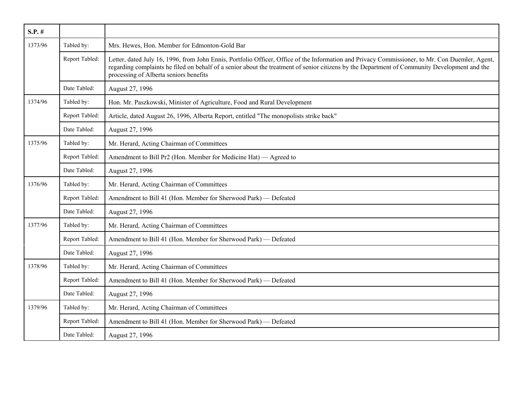| $S.P.$ # |                |                                                                                                                                                                                                                                                                                                                                            |
|----------|----------------|--------------------------------------------------------------------------------------------------------------------------------------------------------------------------------------------------------------------------------------------------------------------------------------------------------------------------------------------|
| 1373/96  | Tabled by:     | Mrs. Hewes, Hon. Member for Edmonton-Gold Bar                                                                                                                                                                                                                                                                                              |
|          | Report Tabled: | Letter, dated July 16, 1996, from John Ennis, Portfolio Officer, Office of the Information and Privacy Commissioner, to Mr. Con Duemler, Agent,<br>regarding complaints he filed on behalf of a senior about the treatment of senior citizens by the Department of Community Development and the<br>processing of Alberta seniors benefits |
|          | Date Tabled:   | August 27, 1996                                                                                                                                                                                                                                                                                                                            |
| 1374/96  | Tabled by:     | Hon. Mr. Paszkowski, Minister of Agriculture, Food and Rural Development                                                                                                                                                                                                                                                                   |
|          | Report Tabled: | Article, dated August 26, 1996, Alberta Report, entitled "The monopolists strike back"                                                                                                                                                                                                                                                     |
|          | Date Tabled:   | August 27, 1996                                                                                                                                                                                                                                                                                                                            |
| 1375/96  | Tabled by:     | Mr. Herard, Acting Chairman of Committees                                                                                                                                                                                                                                                                                                  |
|          | Report Tabled: | Amendment to Bill Pr2 (Hon. Member for Medicine Hat) — Agreed to                                                                                                                                                                                                                                                                           |
|          | Date Tabled:   | August 27, 1996                                                                                                                                                                                                                                                                                                                            |
| 1376/96  | Tabled by:     | Mr. Herard, Acting Chairman of Committees                                                                                                                                                                                                                                                                                                  |
|          | Report Tabled: | Amendment to Bill 41 (Hon. Member for Sherwood Park) - Defeated                                                                                                                                                                                                                                                                            |
|          | Date Tabled:   | August 27, 1996                                                                                                                                                                                                                                                                                                                            |
| 1377/96  | Tabled by:     | Mr. Herard, Acting Chairman of Committees                                                                                                                                                                                                                                                                                                  |
|          | Report Tabled: | Amendment to Bill 41 (Hon. Member for Sherwood Park) — Defeated                                                                                                                                                                                                                                                                            |
|          | Date Tabled:   | August 27, 1996                                                                                                                                                                                                                                                                                                                            |
| 1378/96  | Tabled by:     | Mr. Herard, Acting Chairman of Committees                                                                                                                                                                                                                                                                                                  |
|          | Report Tabled: | Amendment to Bill 41 (Hon. Member for Sherwood Park) — Defeated                                                                                                                                                                                                                                                                            |
|          | Date Tabled:   | August 27, 1996                                                                                                                                                                                                                                                                                                                            |
| 1379/96  | Tabled by:     | Mr. Herard, Acting Chairman of Committees                                                                                                                                                                                                                                                                                                  |
|          | Report Tabled: | Amendment to Bill 41 (Hon. Member for Sherwood Park) - Defeated                                                                                                                                                                                                                                                                            |
|          | Date Tabled:   | August 27, 1996                                                                                                                                                                                                                                                                                                                            |